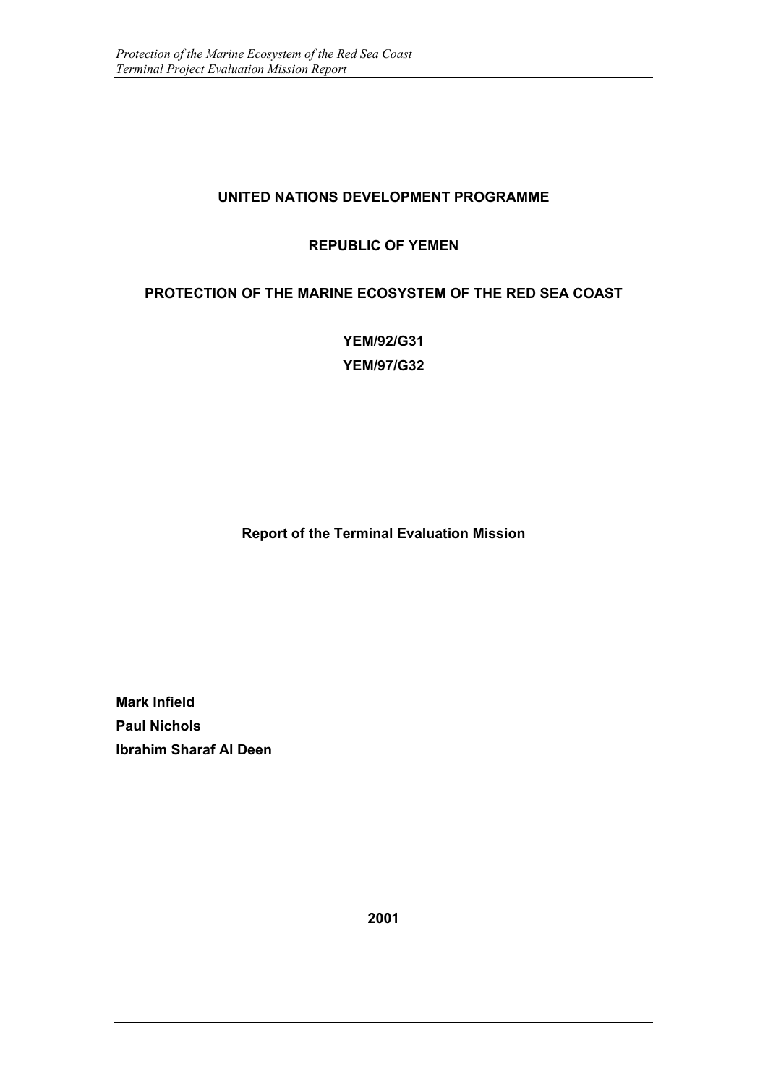## **UNITED NATIONS DEVELOPMENT PROGRAMME**

## **REPUBLIC OF YEMEN**

### **PROTECTION OF THE MARINE ECOSYSTEM OF THE RED SEA COAST**

**YEM/92/G31 YEM/97/G32**

**Report of the Terminal Evaluation Mission**

**Mark Infield Paul Nichols Ibrahim Sharaf Al Deen**

**2001**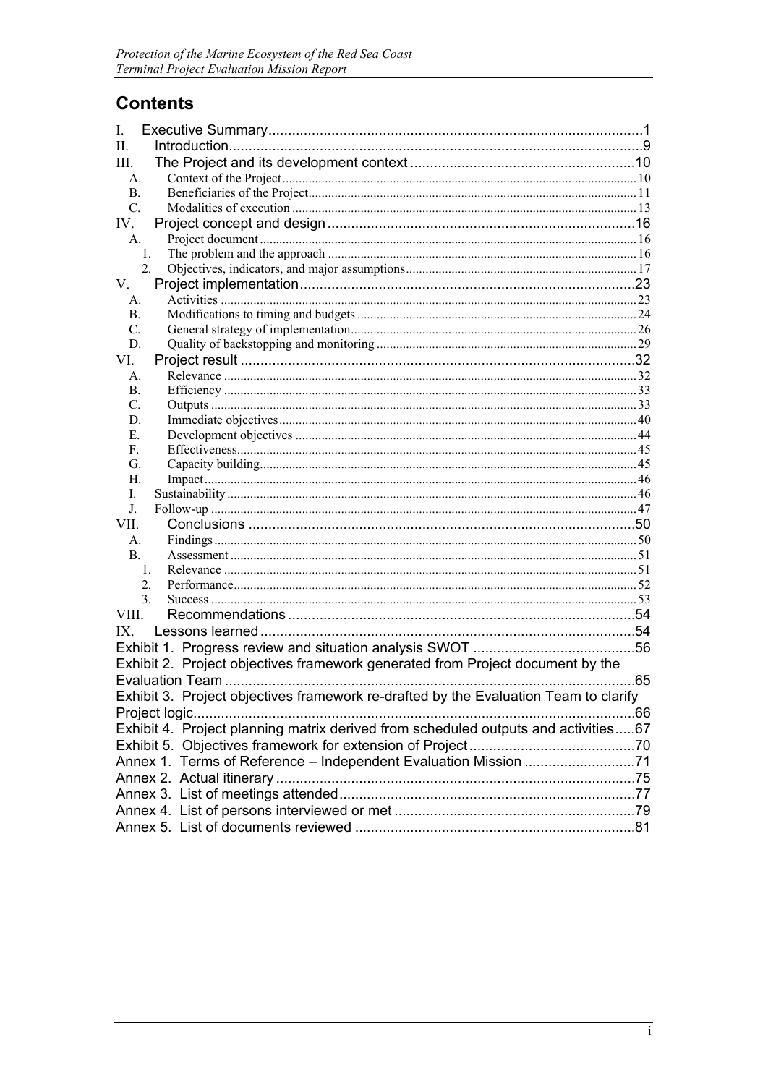# **Contents**

| L.                                                              |                                                                                      |  |  |  |  |
|-----------------------------------------------------------------|--------------------------------------------------------------------------------------|--|--|--|--|
| II.                                                             |                                                                                      |  |  |  |  |
| III.                                                            |                                                                                      |  |  |  |  |
| A.                                                              |                                                                                      |  |  |  |  |
| $\mathbf{B}$ .                                                  |                                                                                      |  |  |  |  |
| $C_{\cdot}$                                                     |                                                                                      |  |  |  |  |
| IV.                                                             |                                                                                      |  |  |  |  |
| A.<br>1.                                                        |                                                                                      |  |  |  |  |
| 2.                                                              |                                                                                      |  |  |  |  |
| V.                                                              |                                                                                      |  |  |  |  |
| A.                                                              |                                                                                      |  |  |  |  |
| <b>B.</b>                                                       |                                                                                      |  |  |  |  |
| $C_{\cdot}$                                                     |                                                                                      |  |  |  |  |
| D.                                                              |                                                                                      |  |  |  |  |
| VI.                                                             |                                                                                      |  |  |  |  |
| А.                                                              |                                                                                      |  |  |  |  |
| В.                                                              |                                                                                      |  |  |  |  |
| C.                                                              |                                                                                      |  |  |  |  |
| D.                                                              |                                                                                      |  |  |  |  |
| Е.                                                              |                                                                                      |  |  |  |  |
| F.<br>G.                                                        |                                                                                      |  |  |  |  |
| Н.                                                              |                                                                                      |  |  |  |  |
| L.                                                              |                                                                                      |  |  |  |  |
| J.                                                              |                                                                                      |  |  |  |  |
| VII.                                                            |                                                                                      |  |  |  |  |
| A.                                                              |                                                                                      |  |  |  |  |
| <b>B.</b>                                                       |                                                                                      |  |  |  |  |
| $\mathbf{1}$ .                                                  |                                                                                      |  |  |  |  |
| 2.                                                              |                                                                                      |  |  |  |  |
| 3.                                                              |                                                                                      |  |  |  |  |
| VIII.                                                           |                                                                                      |  |  |  |  |
| IX.                                                             |                                                                                      |  |  |  |  |
|                                                                 |                                                                                      |  |  |  |  |
|                                                                 | Exhibit 2. Project objectives framework generated from Project document by the       |  |  |  |  |
|                                                                 |                                                                                      |  |  |  |  |
|                                                                 | Exhibit 3. Project objectives framework re-drafted by the Evaluation Team to clarify |  |  |  |  |
|                                                                 | Project logic                                                                        |  |  |  |  |
|                                                                 | Exhibit 4. Project planning matrix derived from scheduled outputs and activities67   |  |  |  |  |
|                                                                 |                                                                                      |  |  |  |  |
| Annex 1. Terms of Reference - Independent Evaluation Mission 71 |                                                                                      |  |  |  |  |
|                                                                 |                                                                                      |  |  |  |  |
|                                                                 |                                                                                      |  |  |  |  |
|                                                                 |                                                                                      |  |  |  |  |
|                                                                 |                                                                                      |  |  |  |  |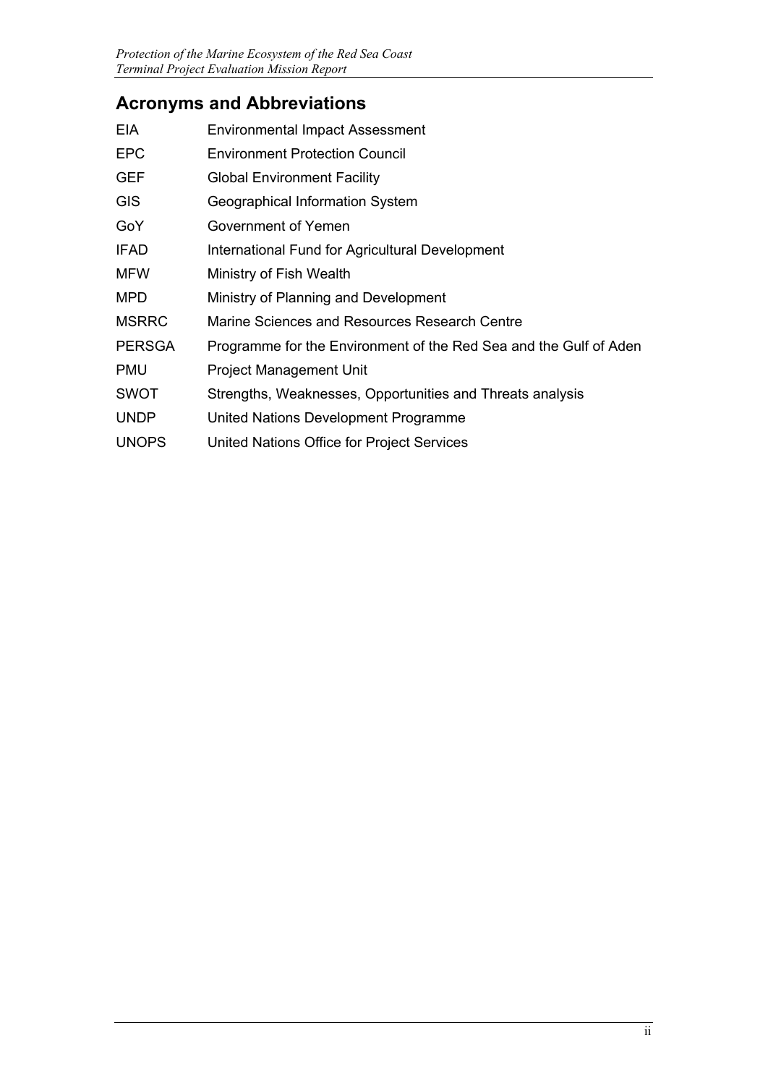# **Acronyms and Abbreviations**

| <b>EIA</b>    | <b>Environmental Impact Assessment</b>                            |
|---------------|-------------------------------------------------------------------|
| <b>EPC</b>    | <b>Environment Protection Council</b>                             |
| <b>GEF</b>    | <b>Global Environment Facility</b>                                |
| <b>GIS</b>    | Geographical Information System                                   |
| GoY           | Government of Yemen                                               |
| <b>IFAD</b>   | International Fund for Agricultural Development                   |
| <b>MFW</b>    | Ministry of Fish Wealth                                           |
| <b>MPD</b>    | Ministry of Planning and Development                              |
| <b>MSRRC</b>  | Marine Sciences and Resources Research Centre                     |
| <b>PERSGA</b> | Programme for the Environment of the Red Sea and the Gulf of Aden |
| PMU           | Project Management Unit                                           |
| <b>SWOT</b>   | Strengths, Weaknesses, Opportunities and Threats analysis         |
| <b>UNDP</b>   | United Nations Development Programme                              |
| <b>UNOPS</b>  | United Nations Office for Project Services                        |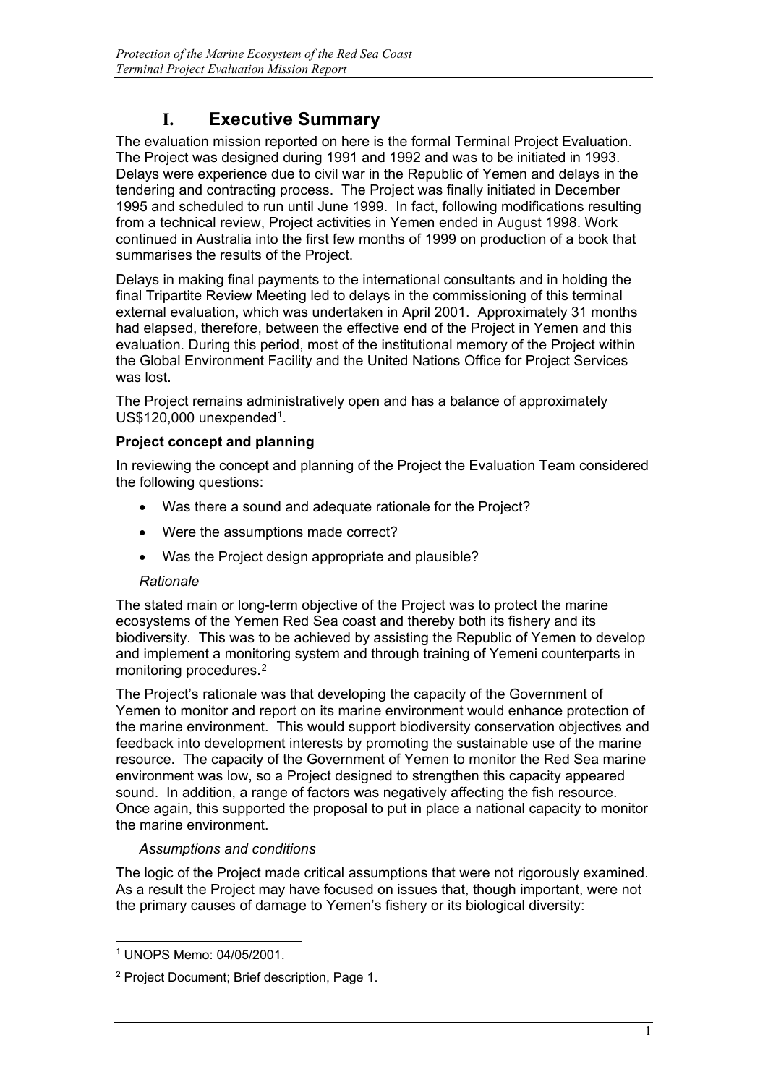# **I. Executive Summary**

The evaluation mission reported on here is the formal Terminal Project Evaluation. The Project was designed during 1991 and 1992 and was to be initiated in 1993. Delays were experience due to civil war in the Republic of Yemen and delays in the tendering and contracting process. The Project was finally initiated in December 1995 and scheduled to run until June 1999. In fact, following modifications resulting from a technical review, Project activities in Yemen ended in August 1998. Work continued in Australia into the first few months of 1999 on production of a book that summarises the results of the Project.

Delays in making final payments to the international consultants and in holding the final Tripartite Review Meeting led to delays in the commissioning of this terminal external evaluation, which was undertaken in April 2001. Approximately 31 months had elapsed, therefore, between the effective end of the Project in Yemen and this evaluation. During this period, most of the institutional memory of the Project within the Global Environment Facility and the United Nations Office for Project Services was lost.

The Project remains administratively open and has a balance of approximately US\$[1](#page-3-0)20,000 unexpended<sup>1</sup>.

#### **Project concept and planning**

In reviewing the concept and planning of the Project the Evaluation Team considered the following questions:

- Was there a sound and adequate rationale for the Project?
- Were the assumptions made correct?
- Was the Project design appropriate and plausible?

#### *Rationale*

The stated main or long-term objective of the Project was to protect the marine ecosystems of the Yemen Red Sea coast and thereby both its fishery and its biodiversity. This was to be achieved by assisting the Republic of Yemen to develop and implement a monitoring system and through training of Yemeni counterparts in monitoring procedures.[2](#page-3-1) 

The Project's rationale was that developing the capacity of the Government of Yemen to monitor and report on its marine environment would enhance protection of the marine environment. This would support biodiversity conservation objectives and feedback into development interests by promoting the sustainable use of the marine resource. The capacity of the Government of Yemen to monitor the Red Sea marine environment was low, so a Project designed to strengthen this capacity appeared sound. In addition, a range of factors was negatively affecting the fish resource. Once again, this supported the proposal to put in place a national capacity to monitor the marine environment.

#### *Assumptions and conditions*

The logic of the Project made critical assumptions that were not rigorously examined. As a result the Project may have focused on issues that, though important, were not the primary causes of damage to Yemen's fishery or its biological diversity:

<span id="page-3-0"></span><sup>-</sup><sup>1</sup> UNOPS Memo: 04/05/2001.

<span id="page-3-1"></span><sup>2</sup> Project Document; Brief description, Page 1.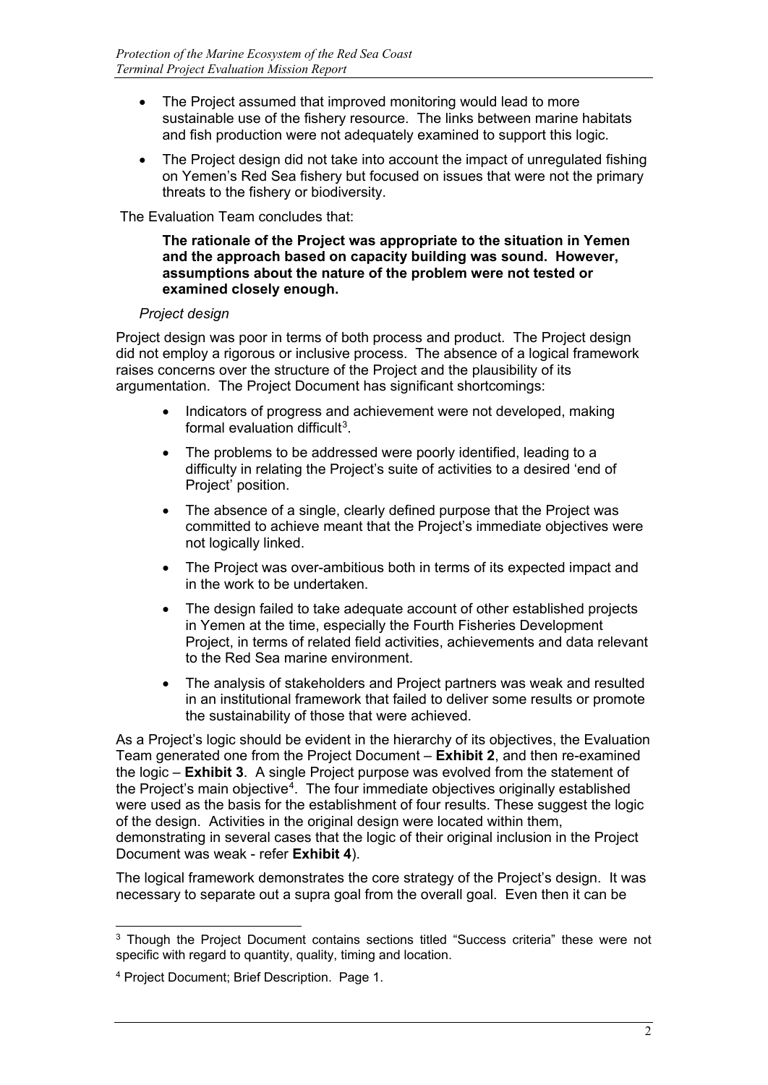- The Project assumed that improved monitoring would lead to more sustainable use of the fishery resource. The links between marine habitats and fish production were not adequately examined to support this logic.
- The Project design did not take into account the impact of unregulated fishing on Yemen's Red Sea fishery but focused on issues that were not the primary threats to the fishery or biodiversity.

The Evaluation Team concludes that:

#### **The rationale of the Project was appropriate to the situation in Yemen and the approach based on capacity building was sound. However, assumptions about the nature of the problem were not tested or examined closely enough.**

#### *Project design*

Project design was poor in terms of both process and product. The Project design did not employ a rigorous or inclusive process. The absence of a logical framework raises concerns over the structure of the Project and the plausibility of its argumentation. The Project Document has significant shortcomings:

- Indicators of progress and achievement were not developed, making formal evaluation difficult<sup>3</sup>.
- The problems to be addressed were poorly identified, leading to a difficulty in relating the Project's suite of activities to a desired 'end of Project' position.
- The absence of a single, clearly defined purpose that the Project was committed to achieve meant that the Project's immediate objectives were not logically linked.
- The Project was over-ambitious both in terms of its expected impact and in the work to be undertaken.
- The design failed to take adequate account of other established projects in Yemen at the time, especially the Fourth Fisheries Development Project, in terms of related field activities, achievements and data relevant to the Red Sea marine environment.
- The analysis of stakeholders and Project partners was weak and resulted in an institutional framework that failed to deliver some results or promote the sustainability of those that were achieved.

As a Project's logic should be evident in the hierarchy of its objectives, the Evaluation Team generated one from the Project Document – **Exhibit 2**, and then re-examined the logic – **Exhibit 3**. A single Project purpose was evolved from the statement of the Project's main objective<sup>[4](#page-4-1)</sup>. The four immediate objectives originally established were used as the basis for the establishment of four results. These suggest the logic of the design. Activities in the original design were located within them, demonstrating in several cases that the logic of their original inclusion in the Project Document was weak - refer **Exhibit 4**).

The logical framework demonstrates the core strategy of the Project's design. It was necessary to separate out a supra goal from the overall goal. Even then it can be

<span id="page-4-0"></span><sup>-</sup><sup>3</sup> Though the Project Document contains sections titled "Success criteria" these were not specific with regard to quantity, quality, timing and location.

<span id="page-4-1"></span><sup>4</sup> Project Document; Brief Description. Page 1.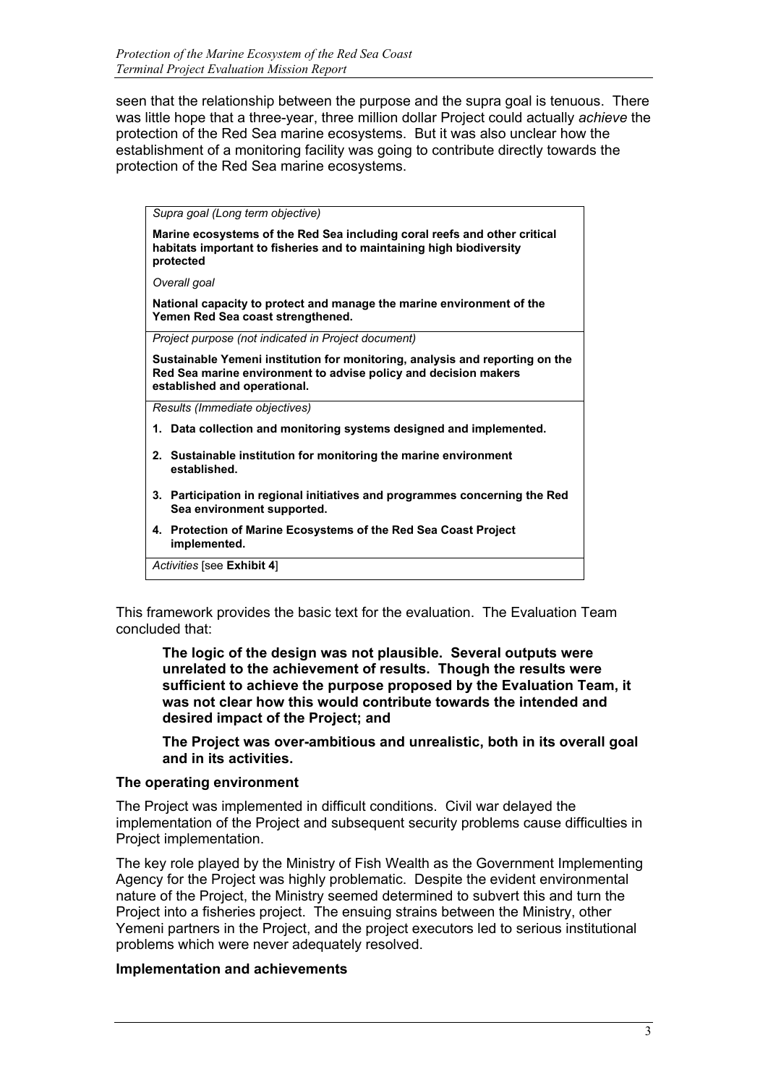seen that the relationship between the purpose and the supra goal is tenuous. There was little hope that a three-year, three million dollar Project could actually *achieve* the protection of the Red Sea marine ecosystems. But it was also unclear how the establishment of a monitoring facility was going to contribute directly towards the protection of the Red Sea marine ecosystems.

*Supra goal (Long term objective)*

**Marine ecosystems of the Red Sea including coral reefs and other critical habitats important to fisheries and to maintaining high biodiversity protected**

*Overall goal*

**National capacity to protect and manage the marine environment of the Yemen Red Sea coast strengthened.**

*Project purpose (not indicated in Project document)*

**Sustainable Yemeni institution for monitoring, analysis and reporting on the Red Sea marine environment to advise policy and decision makers established and operational.**

*Results (Immediate objectives)*

- **1. Data collection and monitoring systems designed and implemented.**
- **2. Sustainable institution for monitoring the marine environment established.**
- **3. Participation in regional initiatives and programmes concerning the Red Sea environment supported.**
- **4. Protection of Marine Ecosystems of the Red Sea Coast Project implemented.**

*Activities* [see **Exhibit 4**]

This framework provides the basic text for the evaluation. The Evaluation Team concluded that:

**The logic of the design was not plausible. Several outputs were unrelated to the achievement of results. Though the results were sufficient to achieve the purpose proposed by the Evaluation Team, it was not clear how this would contribute towards the intended and desired impact of the Project; and**

**The Project was over-ambitious and unrealistic, both in its overall goal and in its activities.**

#### **The operating environment**

The Project was implemented in difficult conditions. Civil war delayed the implementation of the Project and subsequent security problems cause difficulties in Project implementation.

The key role played by the Ministry of Fish Wealth as the Government Implementing Agency for the Project was highly problematic. Despite the evident environmental nature of the Project, the Ministry seemed determined to subvert this and turn the Project into a fisheries project. The ensuing strains between the Ministry, other Yemeni partners in the Project, and the project executors led to serious institutional problems which were never adequately resolved.

#### **Implementation and achievements**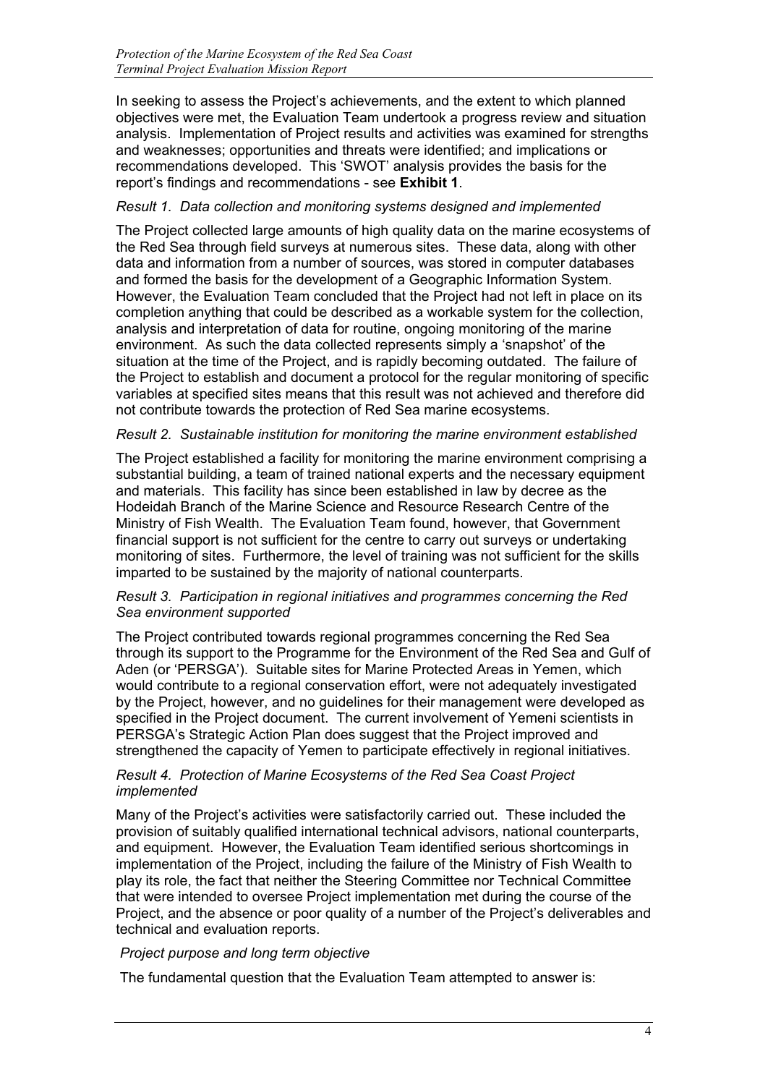In seeking to assess the Project's achievements, and the extent to which planned objectives were met, the Evaluation Team undertook a progress review and situation analysis. Implementation of Project results and activities was examined for strengths and weaknesses; opportunities and threats were identified; and implications or recommendations developed. This 'SWOT' analysis provides the basis for the report's findings and recommendations - see **Exhibit 1**.

#### *Result 1. Data collection and monitoring systems designed and implemented*

The Project collected large amounts of high quality data on the marine ecosystems of the Red Sea through field surveys at numerous sites. These data, along with other data and information from a number of sources, was stored in computer databases and formed the basis for the development of a Geographic Information System. However, the Evaluation Team concluded that the Project had not left in place on its completion anything that could be described as a workable system for the collection, analysis and interpretation of data for routine, ongoing monitoring of the marine environment. As such the data collected represents simply a 'snapshot' of the situation at the time of the Project, and is rapidly becoming outdated. The failure of the Project to establish and document a protocol for the regular monitoring of specific variables at specified sites means that this result was not achieved and therefore did not contribute towards the protection of Red Sea marine ecosystems.

#### *Result 2. Sustainable institution for monitoring the marine environment established*

The Project established a facility for monitoring the marine environment comprising a substantial building, a team of trained national experts and the necessary equipment and materials. This facility has since been established in law by decree as the Hodeidah Branch of the Marine Science and Resource Research Centre of the Ministry of Fish Wealth. The Evaluation Team found, however, that Government financial support is not sufficient for the centre to carry out surveys or undertaking monitoring of sites. Furthermore, the level of training was not sufficient for the skills imparted to be sustained by the majority of national counterparts.

#### *Result 3. Participation in regional initiatives and programmes concerning the Red Sea environment supported*

The Project contributed towards regional programmes concerning the Red Sea through its support to the Programme for the Environment of the Red Sea and Gulf of Aden (or 'PERSGA'). Suitable sites for Marine Protected Areas in Yemen, which would contribute to a regional conservation effort, were not adequately investigated by the Project, however, and no guidelines for their management were developed as specified in the Project document. The current involvement of Yemeni scientists in PERSGA's Strategic Action Plan does suggest that the Project improved and strengthened the capacity of Yemen to participate effectively in regional initiatives.

#### *Result 4. Protection of Marine Ecosystems of the Red Sea Coast Project implemented*

Many of the Project's activities were satisfactorily carried out. These included the provision of suitably qualified international technical advisors, national counterparts, and equipment. However, the Evaluation Team identified serious shortcomings in implementation of the Project, including the failure of the Ministry of Fish Wealth to play its role, the fact that neither the Steering Committee nor Technical Committee that were intended to oversee Project implementation met during the course of the Project, and the absence or poor quality of a number of the Project's deliverables and technical and evaluation reports.

#### *Project purpose and long term objective*

The fundamental question that the Evaluation Team attempted to answer is: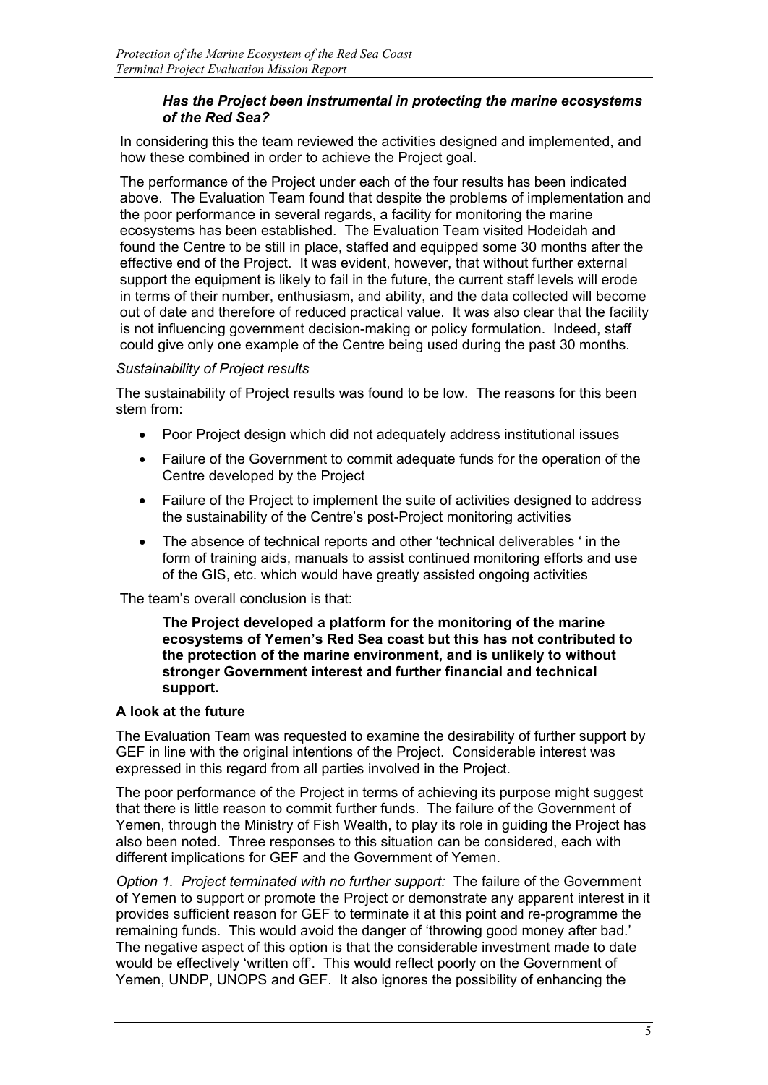#### *Has the Project been instrumental in protecting the marine ecosystems of the Red Sea?*

In considering this the team reviewed the activities designed and implemented, and how these combined in order to achieve the Project goal.

The performance of the Project under each of the four results has been indicated above. The Evaluation Team found that despite the problems of implementation and the poor performance in several regards, a facility for monitoring the marine ecosystems has been established. The Evaluation Team visited Hodeidah and found the Centre to be still in place, staffed and equipped some 30 months after the effective end of the Project. It was evident, however, that without further external support the equipment is likely to fail in the future, the current staff levels will erode in terms of their number, enthusiasm, and ability, and the data collected will become out of date and therefore of reduced practical value. It was also clear that the facility is not influencing government decision-making or policy formulation. Indeed, staff could give only one example of the Centre being used during the past 30 months.

#### *Sustainability of Project results*

The sustainability of Project results was found to be low. The reasons for this been stem from:

- Poor Project design which did not adequately address institutional issues
- Failure of the Government to commit adequate funds for the operation of the Centre developed by the Project
- Failure of the Project to implement the suite of activities designed to address the sustainability of the Centre's post-Project monitoring activities
- The absence of technical reports and other 'technical deliverables ' in the form of training aids, manuals to assist continued monitoring efforts and use of the GIS, etc. which would have greatly assisted ongoing activities

The team's overall conclusion is that:

**The Project developed a platform for the monitoring of the marine ecosystems of Yemen's Red Sea coast but this has not contributed to the protection of the marine environment, and is unlikely to without stronger Government interest and further financial and technical support.**

#### **A look at the future**

The Evaluation Team was requested to examine the desirability of further support by GEF in line with the original intentions of the Project. Considerable interest was expressed in this regard from all parties involved in the Project.

The poor performance of the Project in terms of achieving its purpose might suggest that there is little reason to commit further funds. The failure of the Government of Yemen, through the Ministry of Fish Wealth, to play its role in guiding the Project has also been noted. Three responses to this situation can be considered, each with different implications for GEF and the Government of Yemen.

*Option 1. Project terminated with no further support:* The failure of the Government of Yemen to support or promote the Project or demonstrate any apparent interest in it provides sufficient reason for GEF to terminate it at this point and re-programme the remaining funds. This would avoid the danger of 'throwing good money after bad.' The negative aspect of this option is that the considerable investment made to date would be effectively 'written off'. This would reflect poorly on the Government of Yemen, UNDP, UNOPS and GEF. It also ignores the possibility of enhancing the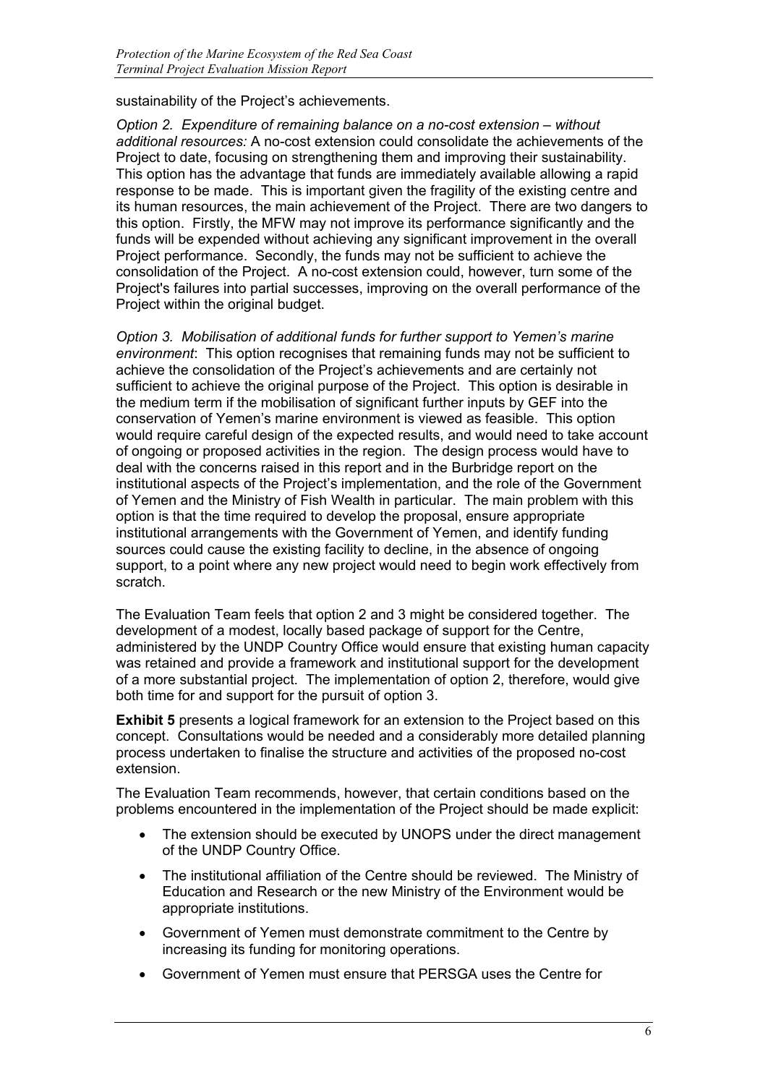sustainability of the Project's achievements.

*Option 2. Expenditure of remaining balance on a no-cost extension – without additional resources:* A no-cost extension could consolidate the achievements of the Project to date, focusing on strengthening them and improving their sustainability. This option has the advantage that funds are immediately available allowing a rapid response to be made. This is important given the fragility of the existing centre and its human resources, the main achievement of the Project. There are two dangers to this option. Firstly, the MFW may not improve its performance significantly and the funds will be expended without achieving any significant improvement in the overall Project performance. Secondly, the funds may not be sufficient to achieve the consolidation of the Project. A no-cost extension could, however, turn some of the Project's failures into partial successes, improving on the overall performance of the Project within the original budget.

*Option 3. Mobilisation of additional funds for further support to Yemen's marine environment*: This option recognises that remaining funds may not be sufficient to achieve the consolidation of the Project's achievements and are certainly not sufficient to achieve the original purpose of the Project. This option is desirable in the medium term if the mobilisation of significant further inputs by GEF into the conservation of Yemen's marine environment is viewed as feasible. This option would require careful design of the expected results, and would need to take account of ongoing or proposed activities in the region. The design process would have to deal with the concerns raised in this report and in the Burbridge report on the institutional aspects of the Project's implementation, and the role of the Government of Yemen and the Ministry of Fish Wealth in particular. The main problem with this option is that the time required to develop the proposal, ensure appropriate institutional arrangements with the Government of Yemen, and identify funding sources could cause the existing facility to decline, in the absence of ongoing support, to a point where any new project would need to begin work effectively from scratch.

The Evaluation Team feels that option 2 and 3 might be considered together. The development of a modest, locally based package of support for the Centre, administered by the UNDP Country Office would ensure that existing human capacity was retained and provide a framework and institutional support for the development of a more substantial project. The implementation of option 2, therefore, would give both time for and support for the pursuit of option 3.

**Exhibit 5** presents a logical framework for an extension to the Project based on this concept. Consultations would be needed and a considerably more detailed planning process undertaken to finalise the structure and activities of the proposed no-cost extension.

The Evaluation Team recommends, however, that certain conditions based on the problems encountered in the implementation of the Project should be made explicit:

- The extension should be executed by UNOPS under the direct management of the UNDP Country Office.
- The institutional affiliation of the Centre should be reviewed. The Ministry of Education and Research or the new Ministry of the Environment would be appropriate institutions.
- Government of Yemen must demonstrate commitment to the Centre by increasing its funding for monitoring operations.
- Government of Yemen must ensure that PERSGA uses the Centre for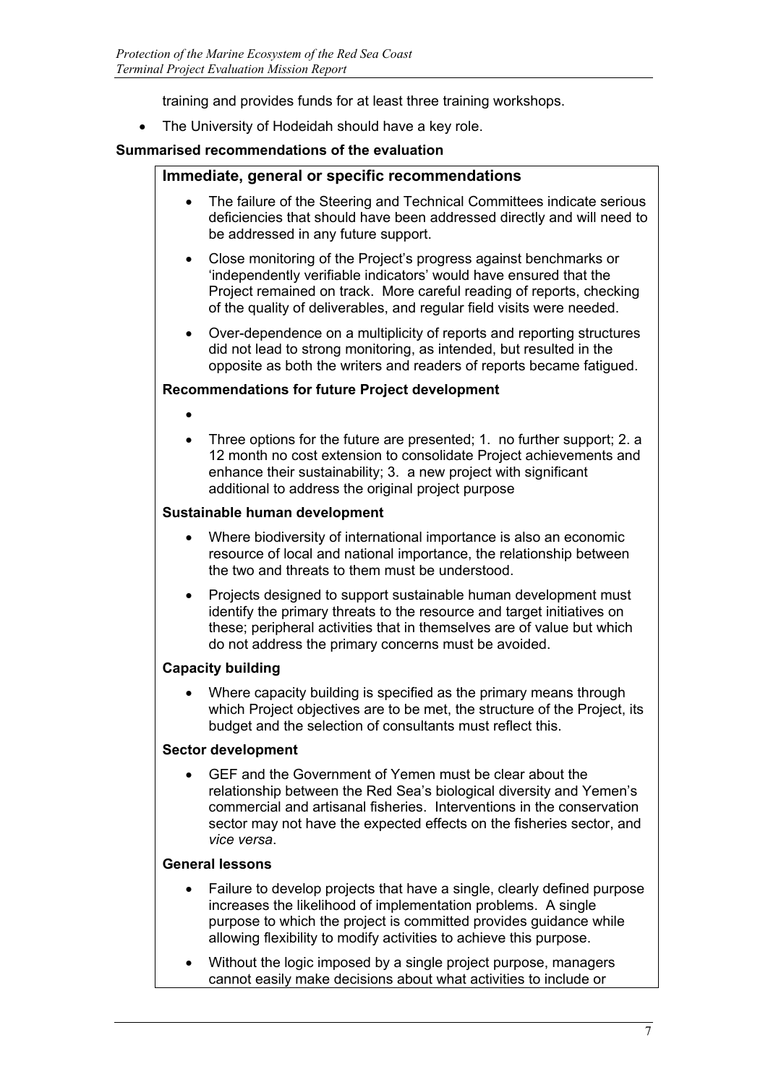training and provides funds for at least three training workshops.

The University of Hodeidah should have a key role.

#### **Summarised recommendations of the evaluation**

#### **Immediate, general or specific recommendations**

- The failure of the Steering and Technical Committees indicate serious deficiencies that should have been addressed directly and will need to be addressed in any future support.
- Close monitoring of the Project's progress against benchmarks or 'independently verifiable indicators' would have ensured that the Project remained on track. More careful reading of reports, checking of the quality of deliverables, and regular field visits were needed.
- Over-dependence on a multiplicity of reports and reporting structures did not lead to strong monitoring, as intended, but resulted in the opposite as both the writers and readers of reports became fatigued.

#### **Recommendations for future Project development**

- •
- Three options for the future are presented; 1. no further support; 2. a 12 month no cost extension to consolidate Project achievements and enhance their sustainability; 3. a new project with significant additional to address the original project purpose

#### **Sustainable human development**

- Where biodiversity of international importance is also an economic resource of local and national importance, the relationship between the two and threats to them must be understood.
- Projects designed to support sustainable human development must identify the primary threats to the resource and target initiatives on these; peripheral activities that in themselves are of value but which do not address the primary concerns must be avoided.

### **Capacity building**

• Where capacity building is specified as the primary means through which Project objectives are to be met, the structure of the Project, its budget and the selection of consultants must reflect this.

#### **Sector development**

• GEF and the Government of Yemen must be clear about the relationship between the Red Sea's biological diversity and Yemen's commercial and artisanal fisheries. Interventions in the conservation sector may not have the expected effects on the fisheries sector, and *vice versa*.

#### **General lessons**

- Failure to develop projects that have a single, clearly defined purpose increases the likelihood of implementation problems. A single purpose to which the project is committed provides guidance while allowing flexibility to modify activities to achieve this purpose.
- Without the logic imposed by a single project purpose, managers cannot easily make decisions about what activities to include or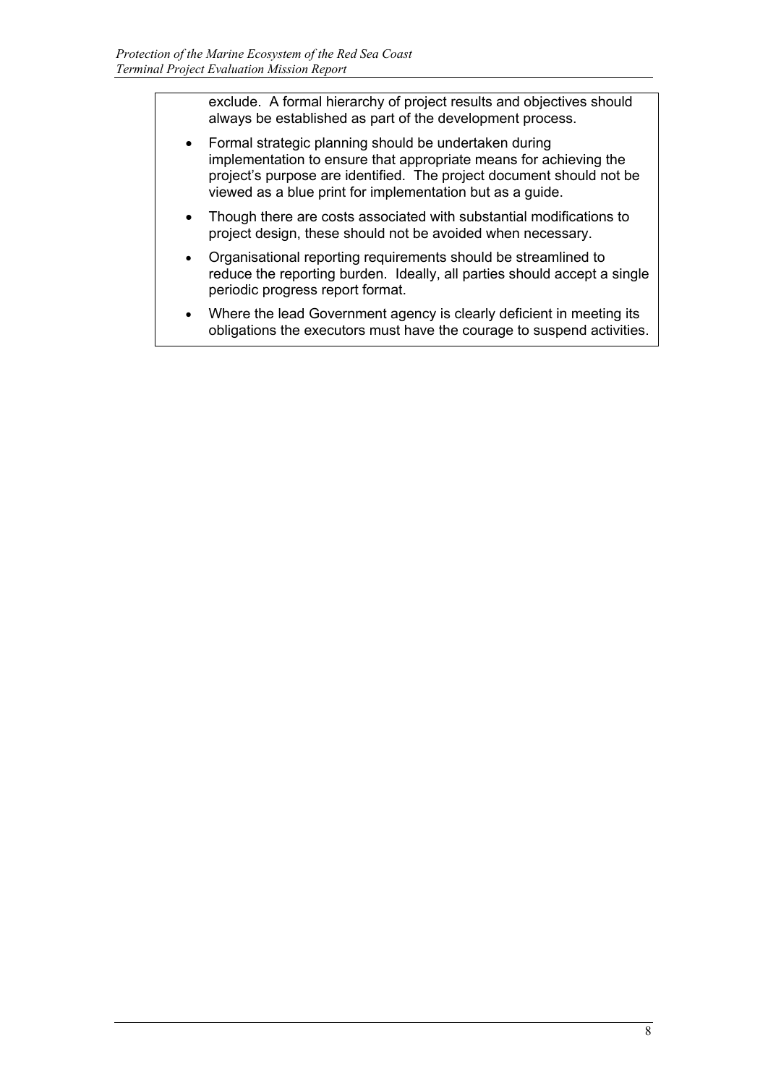exclude. A formal hierarchy of project results and objectives should always be established as part of the development process.

- Formal strategic planning should be undertaken during implementation to ensure that appropriate means for achieving the project's purpose are identified. The project document should not be viewed as a blue print for implementation but as a guide.
- Though there are costs associated with substantial modifications to project design, these should not be avoided when necessary.
- Organisational reporting requirements should be streamlined to reduce the reporting burden. Ideally, all parties should accept a single periodic progress report format.
- Where the lead Government agency is clearly deficient in meeting its obligations the executors must have the courage to suspend activities.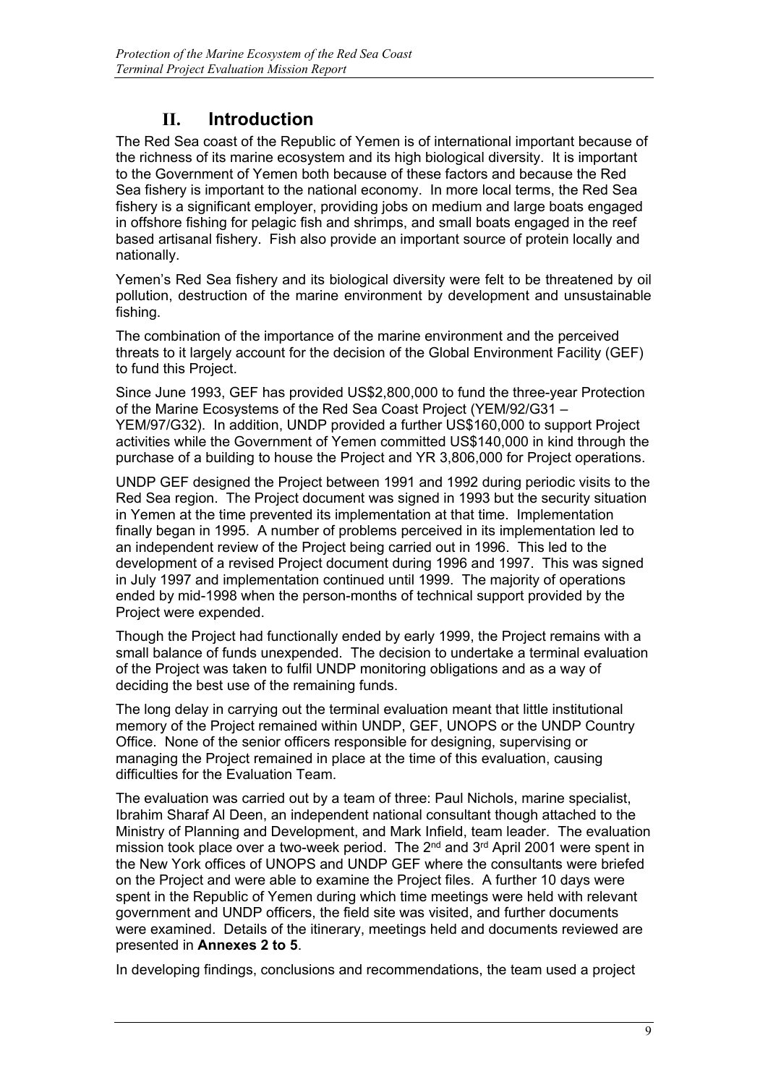## **II. Introduction**

The Red Sea coast of the Republic of Yemen is of international important because of the richness of its marine ecosystem and its high biological diversity. It is important to the Government of Yemen both because of these factors and because the Red Sea fishery is important to the national economy. In more local terms, the Red Sea fishery is a significant employer, providing jobs on medium and large boats engaged in offshore fishing for pelagic fish and shrimps, and small boats engaged in the reef based artisanal fishery. Fish also provide an important source of protein locally and nationally.

Yemen's Red Sea fishery and its biological diversity were felt to be threatened by oil pollution, destruction of the marine environment by development and unsustainable fishing.

The combination of the importance of the marine environment and the perceived threats to it largely account for the decision of the Global Environment Facility (GEF) to fund this Project.

Since June 1993, GEF has provided US\$2,800,000 to fund the three-year Protection of the Marine Ecosystems of the Red Sea Coast Project (YEM/92/G31 – YEM/97/G32). In addition, UNDP provided a further US\$160,000 to support Project activities while the Government of Yemen committed US\$140,000 in kind through the purchase of a building to house the Project and YR 3,806,000 for Project operations.

UNDP GEF designed the Project between 1991 and 1992 during periodic visits to the Red Sea region. The Project document was signed in 1993 but the security situation in Yemen at the time prevented its implementation at that time. Implementation finally began in 1995. A number of problems perceived in its implementation led to an independent review of the Project being carried out in 1996. This led to the development of a revised Project document during 1996 and 1997. This was signed in July 1997 and implementation continued until 1999. The majority of operations ended by mid-1998 when the person-months of technical support provided by the Project were expended.

Though the Project had functionally ended by early 1999, the Project remains with a small balance of funds unexpended. The decision to undertake a terminal evaluation of the Project was taken to fulfil UNDP monitoring obligations and as a way of deciding the best use of the remaining funds.

The long delay in carrying out the terminal evaluation meant that little institutional memory of the Project remained within UNDP, GEF, UNOPS or the UNDP Country Office. None of the senior officers responsible for designing, supervising or managing the Project remained in place at the time of this evaluation, causing difficulties for the Evaluation Team.

The evaluation was carried out by a team of three: Paul Nichols, marine specialist, Ibrahim Sharaf Al Deen, an independent national consultant though attached to the Ministry of Planning and Development, and Mark Infield, team leader. The evaluation mission took place over a two-week period. The 2<sup>nd</sup> and 3<sup>rd</sup> April 2001 were spent in the New York offices of UNOPS and UNDP GEF where the consultants were briefed on the Project and were able to examine the Project files. A further 10 days were spent in the Republic of Yemen during which time meetings were held with relevant government and UNDP officers, the field site was visited, and further documents were examined. Details of the itinerary, meetings held and documents reviewed are presented in **Annexes 2 to 5**.

In developing findings, conclusions and recommendations, the team used a project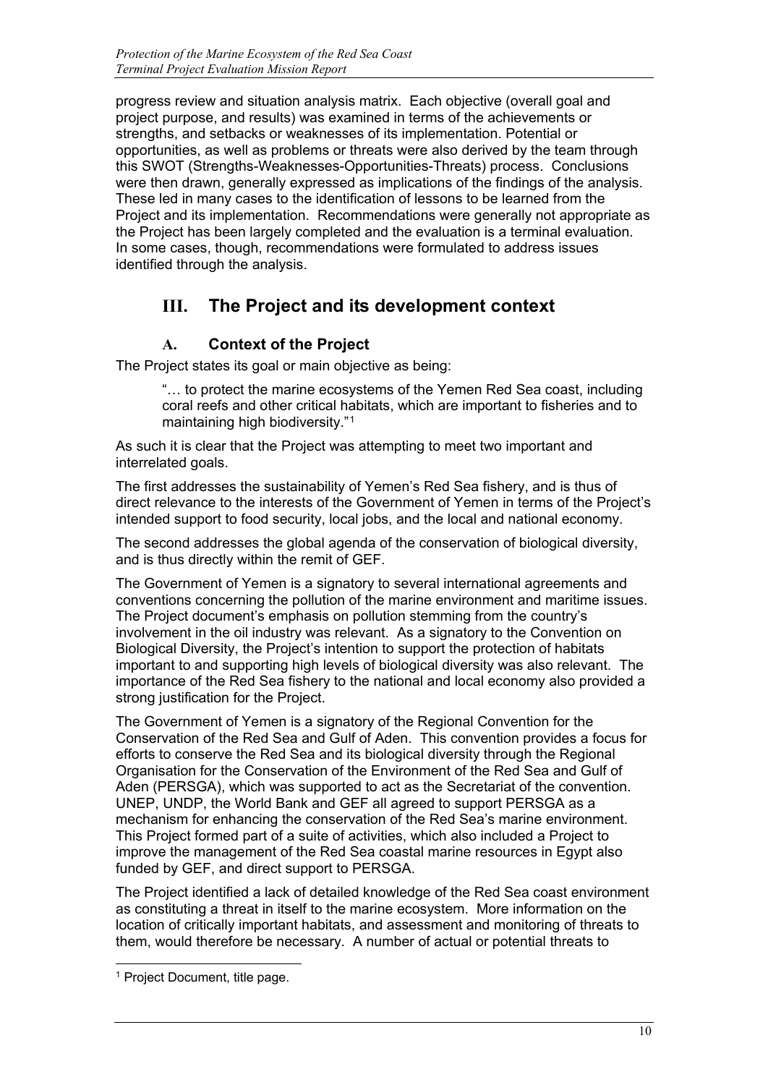progress review and situation analysis matrix. Each objective (overall goal and project purpose, and results) was examined in terms of the achievements or strengths, and setbacks or weaknesses of its implementation. Potential or opportunities, as well as problems or threats were also derived by the team through this SWOT (Strengths-Weaknesses-Opportunities-Threats) process. Conclusions were then drawn, generally expressed as implications of the findings of the analysis. These led in many cases to the identification of lessons to be learned from the Project and its implementation. Recommendations were generally not appropriate as the Project has been largely completed and the evaluation is a terminal evaluation. In some cases, though, recommendations were formulated to address issues identified through the analysis.

# **III. The Project and its development context**

## **A. Context of the Project**

The Project states its goal or main objective as being:

"… to protect the marine ecosystems of the Yemen Red Sea coast, including coral reefs and other critical habitats, which are important to fisheries and to maintaining high biodiversity."[1](#page-12-0)

As such it is clear that the Project was attempting to meet two important and interrelated goals.

The first addresses the sustainability of Yemen's Red Sea fishery, and is thus of direct relevance to the interests of the Government of Yemen in terms of the Project's intended support to food security, local jobs, and the local and national economy.

The second addresses the global agenda of the conservation of biological diversity, and is thus directly within the remit of GEF.

The Government of Yemen is a signatory to several international agreements and conventions concerning the pollution of the marine environment and maritime issues. The Project document's emphasis on pollution stemming from the country's involvement in the oil industry was relevant. As a signatory to the Convention on Biological Diversity, the Project's intention to support the protection of habitats important to and supporting high levels of biological diversity was also relevant. The importance of the Red Sea fishery to the national and local economy also provided a strong justification for the Project.

The Government of Yemen is a signatory of the Regional Convention for the Conservation of the Red Sea and Gulf of Aden. This convention provides a focus for efforts to conserve the Red Sea and its biological diversity through the Regional Organisation for the Conservation of the Environment of the Red Sea and Gulf of Aden (PERSGA), which was supported to act as the Secretariat of the convention. UNEP, UNDP, the World Bank and GEF all agreed to support PERSGA as a mechanism for enhancing the conservation of the Red Sea's marine environment. This Project formed part of a suite of activities, which also included a Project to improve the management of the Red Sea coastal marine resources in Egypt also funded by GEF, and direct support to PERSGA.

The Project identified a lack of detailed knowledge of the Red Sea coast environment as constituting a threat in itself to the marine ecosystem. More information on the location of critically important habitats, and assessment and monitoring of threats to them, would therefore be necessary. A number of actual or potential threats to

j

<span id="page-12-0"></span><sup>&</sup>lt;sup>1</sup> Project Document, title page.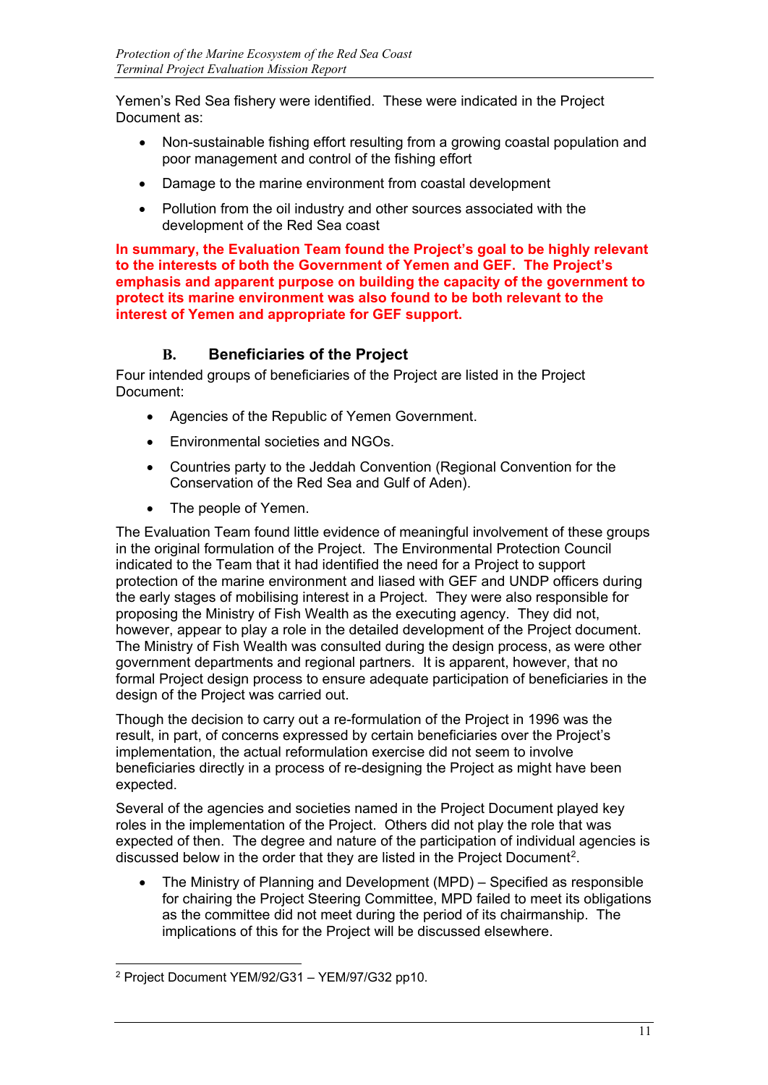Yemen's Red Sea fishery were identified. These were indicated in the Project Document as:

- Non-sustainable fishing effort resulting from a growing coastal population and poor management and control of the fishing effort
- Damage to the marine environment from coastal development
- Pollution from the oil industry and other sources associated with the development of the Red Sea coast

**In summary, the Evaluation Team found the Project's goal to be highly relevant to the interests of both the Government of Yemen and GEF. The Project's emphasis and apparent purpose on building the capacity of the government to protect its marine environment was also found to be both relevant to the interest of Yemen and appropriate for GEF support.**

## **B. Beneficiaries of the Project**

Four intended groups of beneficiaries of the Project are listed in the Project Document:

- Agencies of the Republic of Yemen Government.
- Environmental societies and NGOs.
- Countries party to the Jeddah Convention (Regional Convention for the Conservation of the Red Sea and Gulf of Aden).
- The people of Yemen.

The Evaluation Team found little evidence of meaningful involvement of these groups in the original formulation of the Project. The Environmental Protection Council indicated to the Team that it had identified the need for a Project to support protection of the marine environment and liased with GEF and UNDP officers during the early stages of mobilising interest in a Project. They were also responsible for proposing the Ministry of Fish Wealth as the executing agency. They did not, however, appear to play a role in the detailed development of the Project document. The Ministry of Fish Wealth was consulted during the design process, as were other government departments and regional partners. It is apparent, however, that no formal Project design process to ensure adequate participation of beneficiaries in the design of the Project was carried out.

Though the decision to carry out a re-formulation of the Project in 1996 was the result, in part, of concerns expressed by certain beneficiaries over the Project's implementation, the actual reformulation exercise did not seem to involve beneficiaries directly in a process of re-designing the Project as might have been expected.

Several of the agencies and societies named in the Project Document played key roles in the implementation of the Project. Others did not play the role that was expected of then. The degree and nature of the participation of individual agencies is discussed below in the order that they are listed in the Project Document[2](#page-13-0).

• The Ministry of Planning and Development (MPD) – Specified as responsible for chairing the Project Steering Committee, MPD failed to meet its obligations as the committee did not meet during the period of its chairmanship. The implications of this for the Project will be discussed elsewhere.

<span id="page-13-0"></span>j  $2$  Project Document YEM/92/G31 – YEM/97/G32 pp10.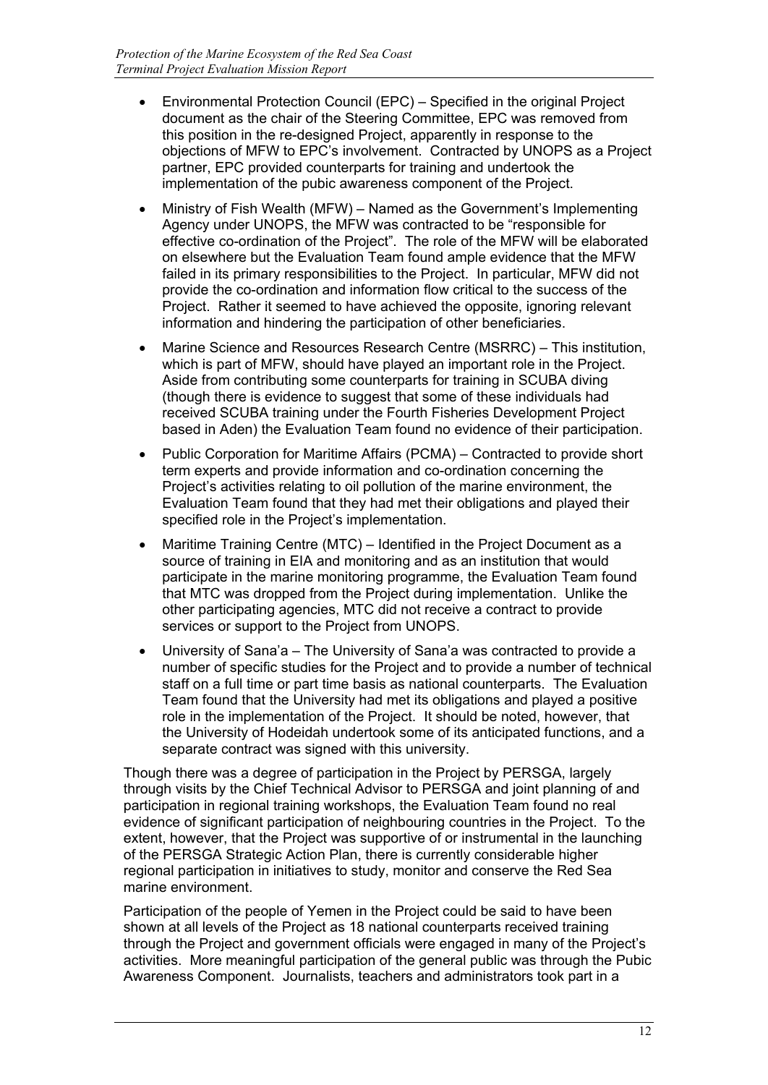- Environmental Protection Council (EPC) Specified in the original Project document as the chair of the Steering Committee, EPC was removed from this position in the re-designed Project, apparently in response to the objections of MFW to EPC's involvement. Contracted by UNOPS as a Project partner, EPC provided counterparts for training and undertook the implementation of the pubic awareness component of the Project.
- Ministry of Fish Wealth (MFW) Named as the Government's Implementing Agency under UNOPS, the MFW was contracted to be "responsible for effective co-ordination of the Project". The role of the MFW will be elaborated on elsewhere but the Evaluation Team found ample evidence that the MFW failed in its primary responsibilities to the Project. In particular, MFW did not provide the co-ordination and information flow critical to the success of the Project. Rather it seemed to have achieved the opposite, ignoring relevant information and hindering the participation of other beneficiaries.
- Marine Science and Resources Research Centre (MSRRC) This institution, which is part of MFW, should have played an important role in the Project. Aside from contributing some counterparts for training in SCUBA diving (though there is evidence to suggest that some of these individuals had received SCUBA training under the Fourth Fisheries Development Project based in Aden) the Evaluation Team found no evidence of their participation.
- Public Corporation for Maritime Affairs (PCMA) Contracted to provide short term experts and provide information and co-ordination concerning the Project's activities relating to oil pollution of the marine environment, the Evaluation Team found that they had met their obligations and played their specified role in the Project's implementation.
- Maritime Training Centre (MTC) Identified in the Project Document as a source of training in EIA and monitoring and as an institution that would participate in the marine monitoring programme, the Evaluation Team found that MTC was dropped from the Project during implementation. Unlike the other participating agencies, MTC did not receive a contract to provide services or support to the Project from UNOPS.
- University of Sana'a The University of Sana'a was contracted to provide a number of specific studies for the Project and to provide a number of technical staff on a full time or part time basis as national counterparts. The Evaluation Team found that the University had met its obligations and played a positive role in the implementation of the Project. It should be noted, however, that the University of Hodeidah undertook some of its anticipated functions, and a separate contract was signed with this university.

Though there was a degree of participation in the Project by PERSGA, largely through visits by the Chief Technical Advisor to PERSGA and joint planning of and participation in regional training workshops, the Evaluation Team found no real evidence of significant participation of neighbouring countries in the Project. To the extent, however, that the Project was supportive of or instrumental in the launching of the PERSGA Strategic Action Plan, there is currently considerable higher regional participation in initiatives to study, monitor and conserve the Red Sea marine environment.

Participation of the people of Yemen in the Project could be said to have been shown at all levels of the Project as 18 national counterparts received training through the Project and government officials were engaged in many of the Project's activities. More meaningful participation of the general public was through the Pubic Awareness Component. Journalists, teachers and administrators took part in a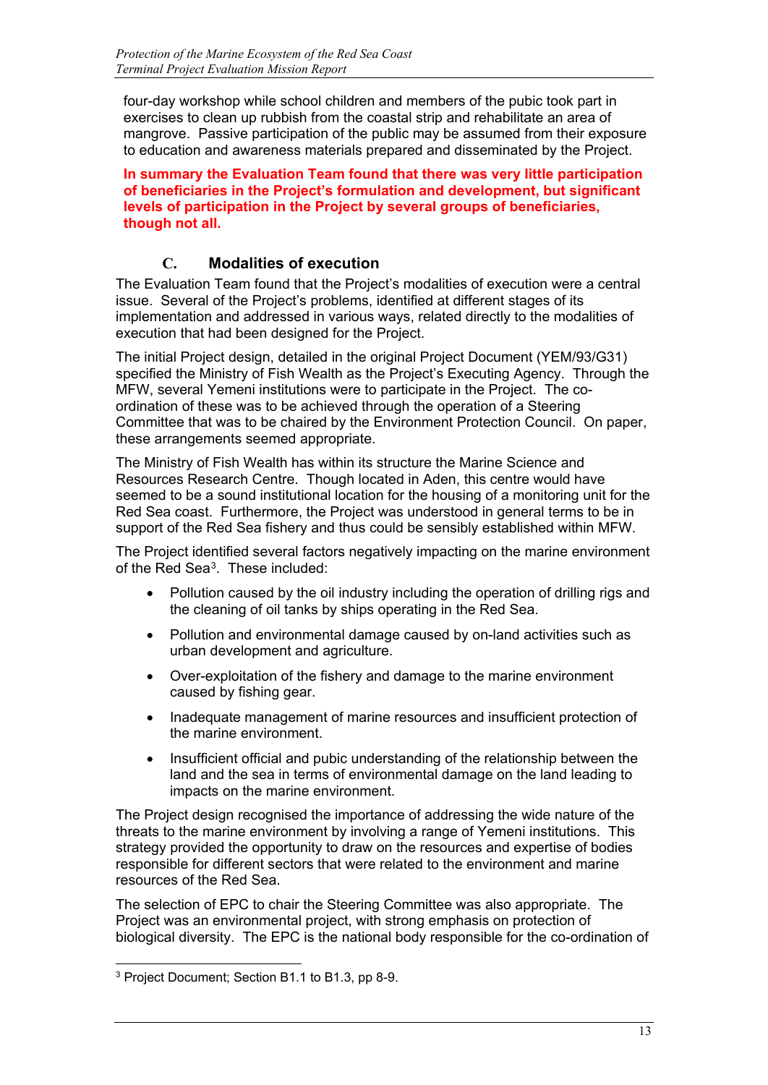four-day workshop while school children and members of the pubic took part in exercises to clean up rubbish from the coastal strip and rehabilitate an area of mangrove. Passive participation of the public may be assumed from their exposure to education and awareness materials prepared and disseminated by the Project.

**In summary the Evaluation Team found that there was very little participation of beneficiaries in the Project's formulation and development, but significant levels of participation in the Project by several groups of beneficiaries, though not all.**

## **C. Modalities of execution**

The Evaluation Team found that the Project's modalities of execution were a central issue. Several of the Project's problems, identified at different stages of its implementation and addressed in various ways, related directly to the modalities of execution that had been designed for the Project.

The initial Project design, detailed in the original Project Document (YEM/93/G31) specified the Ministry of Fish Wealth as the Project's Executing Agency. Through the MFW, several Yemeni institutions were to participate in the Project. The coordination of these was to be achieved through the operation of a Steering Committee that was to be chaired by the Environment Protection Council. On paper, these arrangements seemed appropriate.

The Ministry of Fish Wealth has within its structure the Marine Science and Resources Research Centre. Though located in Aden, this centre would have seemed to be a sound institutional location for the housing of a monitoring unit for the Red Sea coast. Furthermore, the Project was understood in general terms to be in support of the Red Sea fishery and thus could be sensibly established within MFW.

The Project identified several factors negatively impacting on the marine environment of the Red Sea[3.](#page-15-0) These included:

- Pollution caused by the oil industry including the operation of drilling rigs and the cleaning of oil tanks by ships operating in the Red Sea.
- Pollution and environmental damage caused by on-land activities such as urban development and agriculture.
- Over-exploitation of the fishery and damage to the marine environment caused by fishing gear.
- Inadequate management of marine resources and insufficient protection of the marine environment.
- Insufficient official and pubic understanding of the relationship between the land and the sea in terms of environmental damage on the land leading to impacts on the marine environment.

The Project design recognised the importance of addressing the wide nature of the threats to the marine environment by involving a range of Yemeni institutions. This strategy provided the opportunity to draw on the resources and expertise of bodies responsible for different sectors that were related to the environment and marine resources of the Red Sea.

The selection of EPC to chair the Steering Committee was also appropriate. The Project was an environmental project, with strong emphasis on protection of biological diversity. The EPC is the national body responsible for the co-ordination of

<span id="page-15-0"></span>j <sup>3</sup> Project Document; Section B1.1 to B1.3, pp 8-9.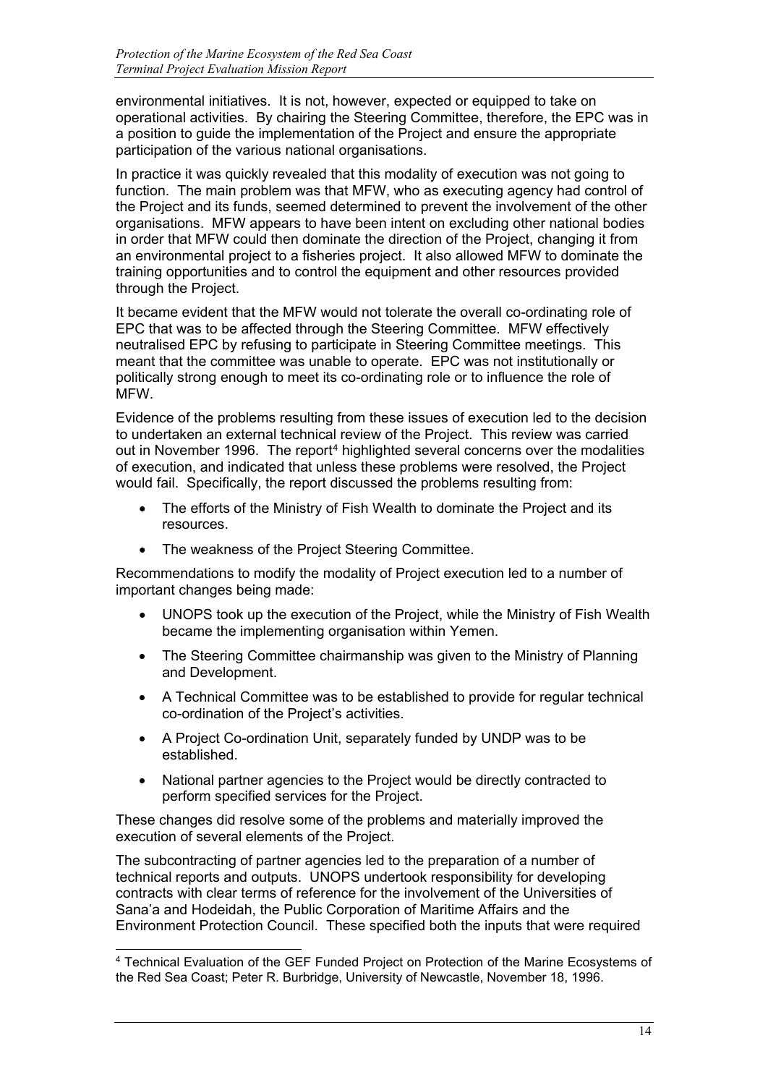environmental initiatives. It is not, however, expected or equipped to take on operational activities. By chairing the Steering Committee, therefore, the EPC was in a position to guide the implementation of the Project and ensure the appropriate participation of the various national organisations.

In practice it was quickly revealed that this modality of execution was not going to function. The main problem was that MFW, who as executing agency had control of the Project and its funds, seemed determined to prevent the involvement of the other organisations. MFW appears to have been intent on excluding other national bodies in order that MFW could then dominate the direction of the Project, changing it from an environmental project to a fisheries project. It also allowed MFW to dominate the training opportunities and to control the equipment and other resources provided through the Project.

It became evident that the MFW would not tolerate the overall co-ordinating role of EPC that was to be affected through the Steering Committee. MFW effectively neutralised EPC by refusing to participate in Steering Committee meetings. This meant that the committee was unable to operate. EPC was not institutionally or politically strong enough to meet its co-ordinating role or to influence the role of MFW.

Evidence of the problems resulting from these issues of execution led to the decision to undertaken an external technical review of the Project. This review was carried out in November 1996. The report<sup>[4](#page-16-0)</sup> highlighted several concerns over the modalities of execution, and indicated that unless these problems were resolved, the Project would fail. Specifically, the report discussed the problems resulting from:

- The efforts of the Ministry of Fish Wealth to dominate the Project and its resources.
- The weakness of the Project Steering Committee.

Recommendations to modify the modality of Project execution led to a number of important changes being made:

- UNOPS took up the execution of the Project, while the Ministry of Fish Wealth became the implementing organisation within Yemen.
- The Steering Committee chairmanship was given to the Ministry of Planning and Development.
- A Technical Committee was to be established to provide for regular technical co-ordination of the Project's activities.
- A Project Co-ordination Unit, separately funded by UNDP was to be established.
- National partner agencies to the Project would be directly contracted to perform specified services for the Project.

These changes did resolve some of the problems and materially improved the execution of several elements of the Project.

The subcontracting of partner agencies led to the preparation of a number of technical reports and outputs. UNOPS undertook responsibility for developing contracts with clear terms of reference for the involvement of the Universities of Sana'a and Hodeidah, the Public Corporation of Maritime Affairs and the Environment Protection Council. These specified both the inputs that were required

<span id="page-16-0"></span><sup>-</sup><sup>4</sup> Technical Evaluation of the GEF Funded Project on Protection of the Marine Ecosystems of the Red Sea Coast; Peter R. Burbridge, University of Newcastle, November 18, 1996.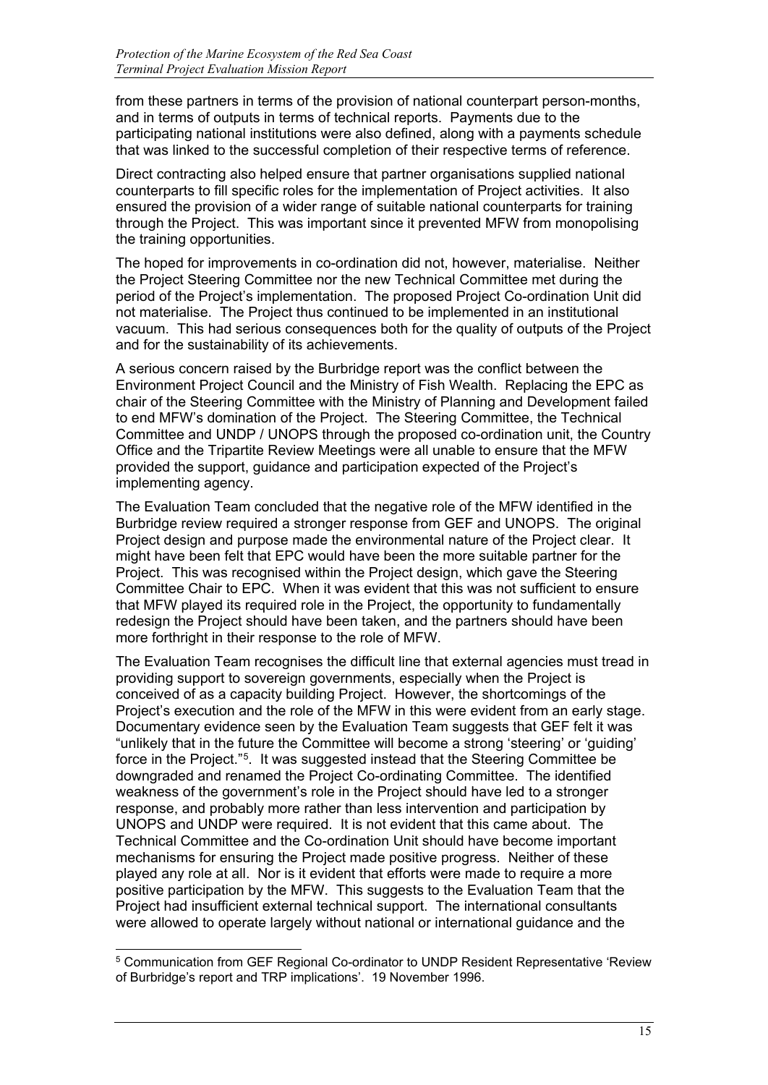from these partners in terms of the provision of national counterpart person-months, and in terms of outputs in terms of technical reports. Payments due to the participating national institutions were also defined, along with a payments schedule that was linked to the successful completion of their respective terms of reference.

Direct contracting also helped ensure that partner organisations supplied national counterparts to fill specific roles for the implementation of Project activities. It also ensured the provision of a wider range of suitable national counterparts for training through the Project. This was important since it prevented MFW from monopolising the training opportunities.

The hoped for improvements in co-ordination did not, however, materialise. Neither the Project Steering Committee nor the new Technical Committee met during the period of the Project's implementation. The proposed Project Co-ordination Unit did not materialise. The Project thus continued to be implemented in an institutional vacuum. This had serious consequences both for the quality of outputs of the Project and for the sustainability of its achievements.

A serious concern raised by the Burbridge report was the conflict between the Environment Project Council and the Ministry of Fish Wealth. Replacing the EPC as chair of the Steering Committee with the Ministry of Planning and Development failed to end MFW's domination of the Project. The Steering Committee, the Technical Committee and UNDP / UNOPS through the proposed co-ordination unit, the Country Office and the Tripartite Review Meetings were all unable to ensure that the MFW provided the support, guidance and participation expected of the Project's implementing agency.

The Evaluation Team concluded that the negative role of the MFW identified in the Burbridge review required a stronger response from GEF and UNOPS. The original Project design and purpose made the environmental nature of the Project clear. It might have been felt that EPC would have been the more suitable partner for the Project. This was recognised within the Project design, which gave the Steering Committee Chair to EPC. When it was evident that this was not sufficient to ensure that MFW played its required role in the Project, the opportunity to fundamentally redesign the Project should have been taken, and the partners should have been more forthright in their response to the role of MFW.

The Evaluation Team recognises the difficult line that external agencies must tread in providing support to sovereign governments, especially when the Project is conceived of as a capacity building Project. However, the shortcomings of the Project's execution and the role of the MFW in this were evident from an early stage. Documentary evidence seen by the Evaluation Team suggests that GEF felt it was "unlikely that in the future the Committee will become a strong 'steering' or 'guiding' force in the Project."[5.](#page-17-0) It was suggested instead that the Steering Committee be downgraded and renamed the Project Co-ordinating Committee. The identified weakness of the government's role in the Project should have led to a stronger response, and probably more rather than less intervention and participation by UNOPS and UNDP were required. It is not evident that this came about. The Technical Committee and the Co-ordination Unit should have become important mechanisms for ensuring the Project made positive progress. Neither of these played any role at all. Nor is it evident that efforts were made to require a more positive participation by the MFW. This suggests to the Evaluation Team that the Project had insufficient external technical support. The international consultants were allowed to operate largely without national or international guidance and the

-

<span id="page-17-0"></span><sup>5</sup> Communication from GEF Regional Co-ordinator to UNDP Resident Representative 'Review of Burbridge's report and TRP implications'. 19 November 1996.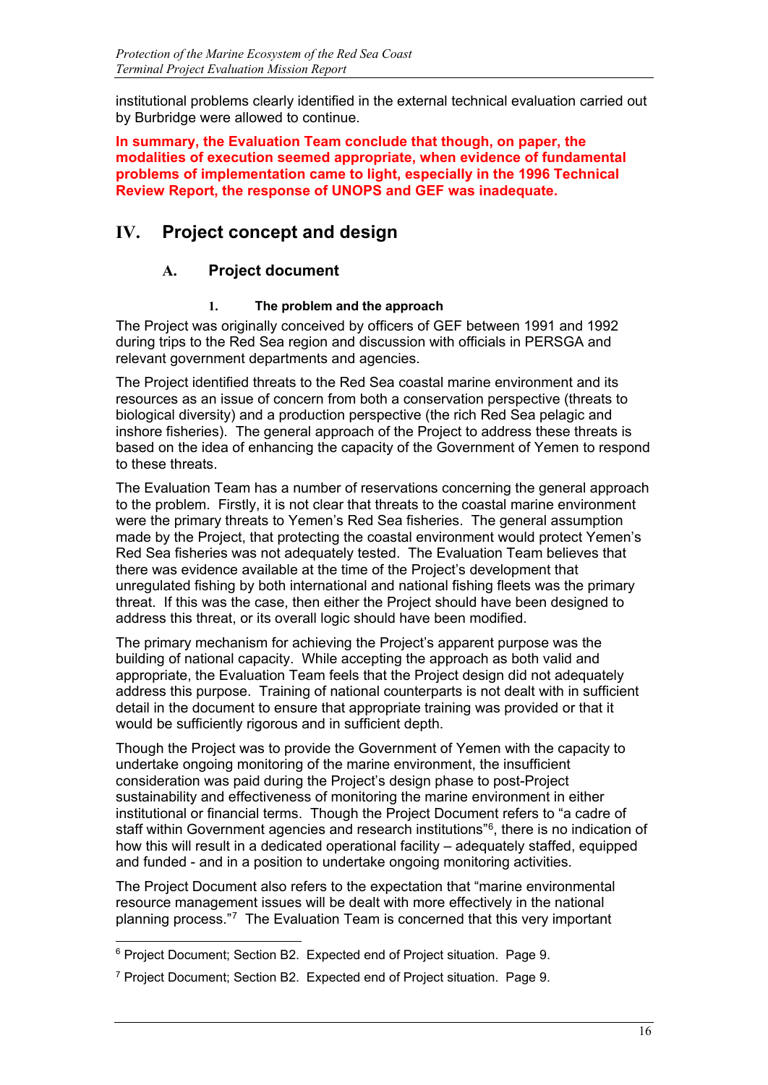institutional problems clearly identified in the external technical evaluation carried out by Burbridge were allowed to continue.

**In summary, the Evaluation Team conclude that though, on paper, the modalities of execution seemed appropriate, when evidence of fundamental problems of implementation came to light, especially in the 1996 Technical Review Report, the response of UNOPS and GEF was inadequate.**

# **IV. Project concept and design**

## **A. Project document**

#### **1. The problem and the approach**

The Project was originally conceived by officers of GEF between 1991 and 1992 during trips to the Red Sea region and discussion with officials in PERSGA and relevant government departments and agencies.

The Project identified threats to the Red Sea coastal marine environment and its resources as an issue of concern from both a conservation perspective (threats to biological diversity) and a production perspective (the rich Red Sea pelagic and inshore fisheries). The general approach of the Project to address these threats is based on the idea of enhancing the capacity of the Government of Yemen to respond to these threats.

The Evaluation Team has a number of reservations concerning the general approach to the problem. Firstly, it is not clear that threats to the coastal marine environment were the primary threats to Yemen's Red Sea fisheries. The general assumption made by the Project, that protecting the coastal environment would protect Yemen's Red Sea fisheries was not adequately tested. The Evaluation Team believes that there was evidence available at the time of the Project's development that unregulated fishing by both international and national fishing fleets was the primary threat. If this was the case, then either the Project should have been designed to address this threat, or its overall logic should have been modified.

The primary mechanism for achieving the Project's apparent purpose was the building of national capacity. While accepting the approach as both valid and appropriate, the Evaluation Team feels that the Project design did not adequately address this purpose. Training of national counterparts is not dealt with in sufficient detail in the document to ensure that appropriate training was provided or that it would be sufficiently rigorous and in sufficient depth.

Though the Project was to provide the Government of Yemen with the capacity to undertake ongoing monitoring of the marine environment, the insufficient consideration was paid during the Project's design phase to post-Project sustainability and effectiveness of monitoring the marine environment in either institutional or financial terms. Though the Project Document refers to "a cadre of staff within Government agencies and research institutions"[6,](#page-18-0) there is no indication of how this will result in a dedicated operational facility – adequately staffed, equipped and funded - and in a position to undertake ongoing monitoring activities.

The Project Document also refers to the expectation that "marine environmental resource management issues will be dealt with more effectively in the national planning process."[7](#page-18-1) The Evaluation Team is concerned that this very important

<span id="page-18-0"></span><sup>-</sup> $^6$  Project Document; Section B2. Expected end of Project situation. Page 9.

<span id="page-18-1"></span><sup>7</sup> Project Document; Section B2. Expected end of Project situation. Page 9.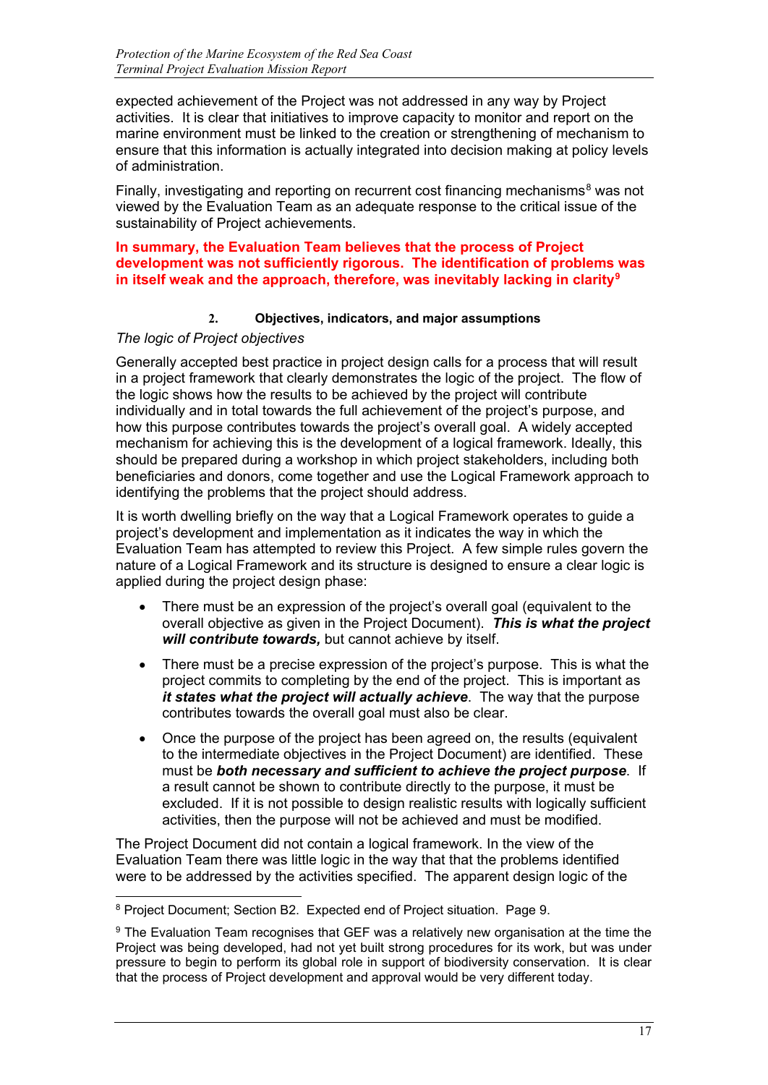expected achievement of the Project was not addressed in any way by Project activities. It is clear that initiatives to improve capacity to monitor and report on the marine environment must be linked to the creation or strengthening of mechanism to ensure that this information is actually integrated into decision making at policy levels of administration.

Finally, investigating and reporting on recurrent cost financing mechanisms $8$  was not viewed by the Evaluation Team as an adequate response to the critical issue of the sustainability of Project achievements.

#### **In summary, the Evaluation Team believes that the process of Project development was not sufficiently rigorous. The identification of problems was in itself weak and the approach, therefore, was inevitably lacking in clarity[9](#page-19-1)**

#### **2. Objectives, indicators, and major assumptions**

#### *The logic of Project objectives*

-

Generally accepted best practice in project design calls for a process that will result in a project framework that clearly demonstrates the logic of the project. The flow of the logic shows how the results to be achieved by the project will contribute individually and in total towards the full achievement of the project's purpose, and how this purpose contributes towards the project's overall goal. A widely accepted mechanism for achieving this is the development of a logical framework. Ideally, this should be prepared during a workshop in which project stakeholders, including both beneficiaries and donors, come together and use the Logical Framework approach to identifying the problems that the project should address.

It is worth dwelling briefly on the way that a Logical Framework operates to guide a project's development and implementation as it indicates the way in which the Evaluation Team has attempted to review this Project. A few simple rules govern the nature of a Logical Framework and its structure is designed to ensure a clear logic is applied during the project design phase:

- There must be an expression of the project's overall goal (equivalent to the overall objective as given in the Project Document). *This is what the project will contribute towards,* but cannot achieve by itself.
- There must be a precise expression of the project's purpose. This is what the project commits to completing by the end of the project. This is important as *it states what the project will actually achieve*. The way that the purpose contributes towards the overall goal must also be clear.
- Once the purpose of the project has been agreed on, the results (equivalent to the intermediate objectives in the Project Document) are identified. These must be *both necessary and sufficient to achieve the project purpose*. If a result cannot be shown to contribute directly to the purpose, it must be excluded. If it is not possible to design realistic results with logically sufficient activities, then the purpose will not be achieved and must be modified.

The Project Document did not contain a logical framework. In the view of the Evaluation Team there was little logic in the way that that the problems identified were to be addressed by the activities specified. The apparent design logic of the

<span id="page-19-0"></span> $8$  Project Document; Section B2. Expected end of Project situation. Page 9.

<span id="page-19-1"></span><sup>&</sup>lt;sup>9</sup> The Evaluation Team recognises that GEF was a relatively new organisation at the time the Project was being developed, had not yet built strong procedures for its work, but was under pressure to begin to perform its global role in support of biodiversity conservation. It is clear that the process of Project development and approval would be very different today.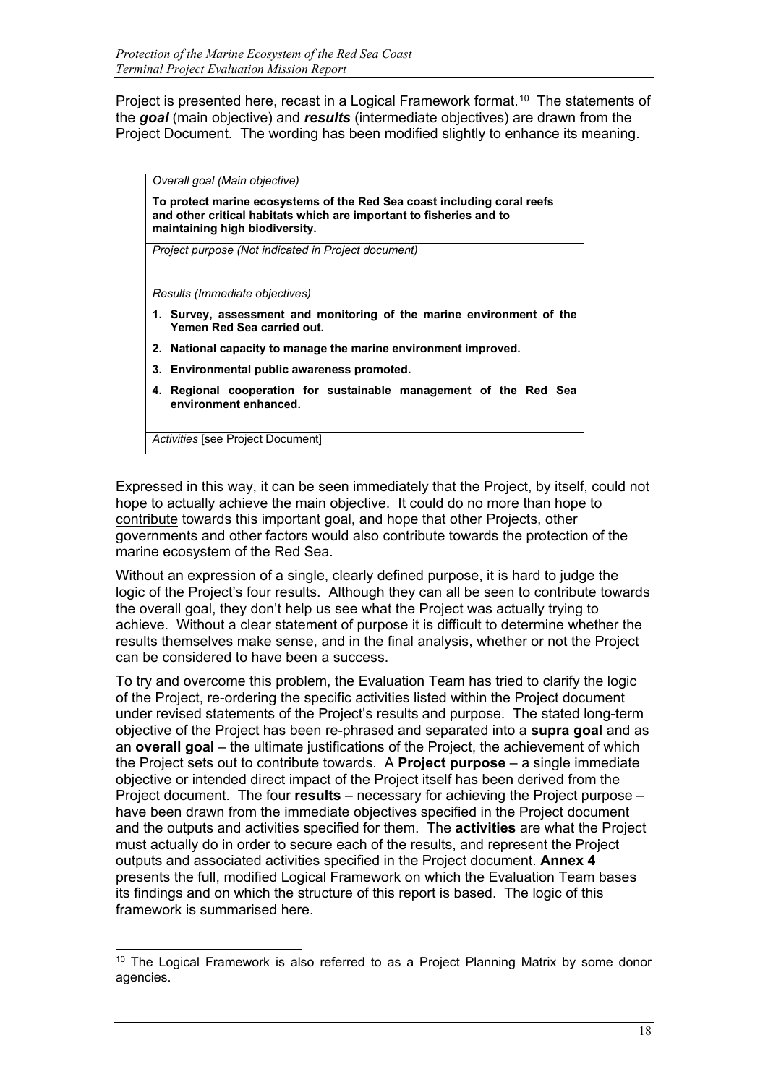Project is presented here, recast in a Logical Framework format.<sup>[10](#page-20-0)</sup> The statements of the *goal* (main objective) and *results* (intermediate objectives) are drawn from the Project Document. The wording has been modified slightly to enhance its meaning.

*Overall goal (Main objective)*

**To protect marine ecosystems of the Red Sea coast including coral reefs and other critical habitats which are important to fisheries and to maintaining high biodiversity.**

*Project purpose (Not indicated in Project document)*

*Results (Immediate objectives)*

- **1. Survey, assessment and monitoring of the marine environment of the Yemen Red Sea carried out.**
- **2. National capacity to manage the marine environment improved.**
- **3. Environmental public awareness promoted.**
- **4. Regional cooperation for sustainable management of the Red Sea environment enhanced.**

*Activities* [see Project Document]

Expressed in this way, it can be seen immediately that the Project, by itself, could not hope to actually achieve the main objective. It could do no more than hope to contribute towards this important goal, and hope that other Projects, other governments and other factors would also contribute towards the protection of the marine ecosystem of the Red Sea.

Without an expression of a single, clearly defined purpose, it is hard to judge the logic of the Project's four results. Although they can all be seen to contribute towards the overall goal, they don't help us see what the Project was actually trying to achieve. Without a clear statement of purpose it is difficult to determine whether the results themselves make sense, and in the final analysis, whether or not the Project can be considered to have been a success.

To try and overcome this problem, the Evaluation Team has tried to clarify the logic of the Project, re-ordering the specific activities listed within the Project document under revised statements of the Project's results and purpose. The stated long-term objective of the Project has been re-phrased and separated into a **supra goal** and as an **overall goal** – the ultimate justifications of the Project, the achievement of which the Project sets out to contribute towards. A **Project purpose** – a single immediate objective or intended direct impact of the Project itself has been derived from the Project document. The four **results** – necessary for achieving the Project purpose – have been drawn from the immediate objectives specified in the Project document and the outputs and activities specified for them. The **activities** are what the Project must actually do in order to secure each of the results, and represent the Project outputs and associated activities specified in the Project document. **Annex 4** presents the full, modified Logical Framework on which the Evaluation Team bases its findings and on which the structure of this report is based. The logic of this framework is summarised here.

<span id="page-20-0"></span><sup>-</sup><sup>10</sup> The Logical Framework is also referred to as a Project Planning Matrix by some donor agencies.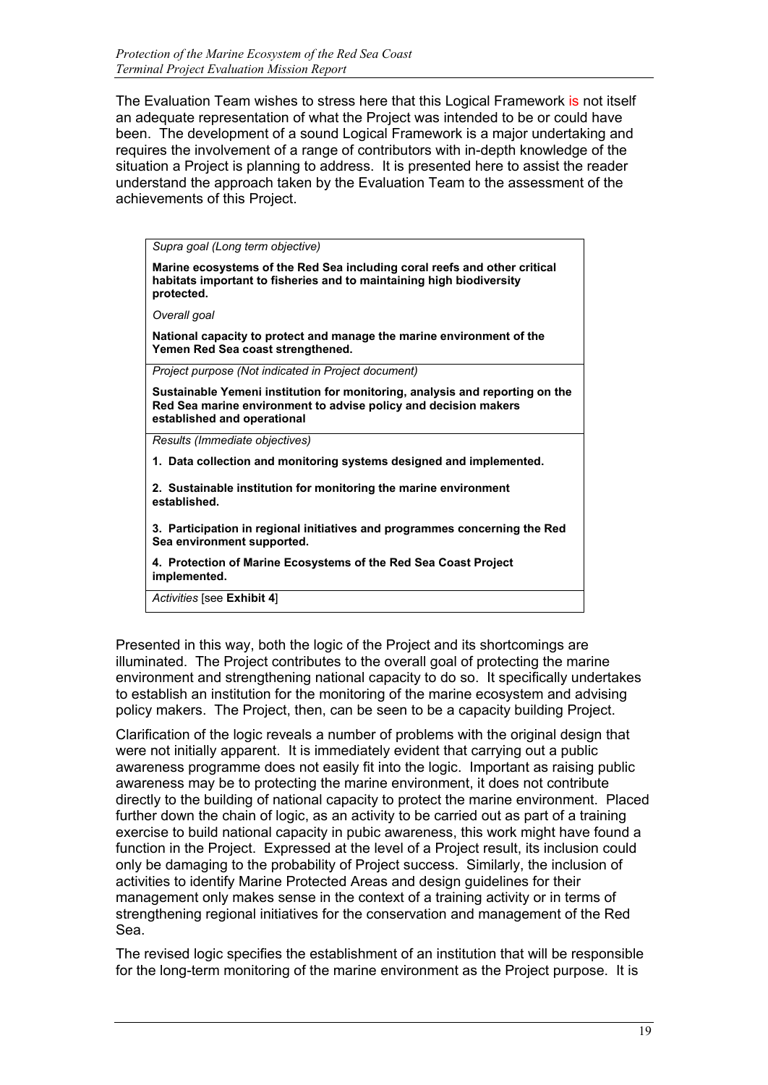The Evaluation Team wishes to stress here that this Logical Framework is not itself an adequate representation of what the Project was intended to be or could have been. The development of a sound Logical Framework is a major undertaking and requires the involvement of a range of contributors with in-depth knowledge of the situation a Project is planning to address. It is presented here to assist the reader understand the approach taken by the Evaluation Team to the assessment of the achievements of this Project.

*Supra goal (Long term objective)*

**Marine ecosystems of the Red Sea including coral reefs and other critical habitats important to fisheries and to maintaining high biodiversity protected.**

*Overall goal*

**National capacity to protect and manage the marine environment of the Yemen Red Sea coast strengthened.**

*Project purpose (Not indicated in Project document)*

**Sustainable Yemeni institution for monitoring, analysis and reporting on the Red Sea marine environment to advise policy and decision makers established and operational**

*Results (Immediate objectives)*

**1. Data collection and monitoring systems designed and implemented.**

**2. Sustainable institution for monitoring the marine environment established.**

**3. Participation in regional initiatives and programmes concerning the Red Sea environment supported.**

**4. Protection of Marine Ecosystems of the Red Sea Coast Project implemented.**

*Activities* [see **Exhibit 4**]

Presented in this way, both the logic of the Project and its shortcomings are illuminated. The Project contributes to the overall goal of protecting the marine environment and strengthening national capacity to do so. It specifically undertakes to establish an institution for the monitoring of the marine ecosystem and advising policy makers. The Project, then, can be seen to be a capacity building Project.

Clarification of the logic reveals a number of problems with the original design that were not initially apparent. It is immediately evident that carrying out a public awareness programme does not easily fit into the logic. Important as raising public awareness may be to protecting the marine environment, it does not contribute directly to the building of national capacity to protect the marine environment. Placed further down the chain of logic, as an activity to be carried out as part of a training exercise to build national capacity in pubic awareness, this work might have found a function in the Project. Expressed at the level of a Project result, its inclusion could only be damaging to the probability of Project success. Similarly, the inclusion of activities to identify Marine Protected Areas and design guidelines for their management only makes sense in the context of a training activity or in terms of strengthening regional initiatives for the conservation and management of the Red Sea.

The revised logic specifies the establishment of an institution that will be responsible for the long-term monitoring of the marine environment as the Project purpose. It is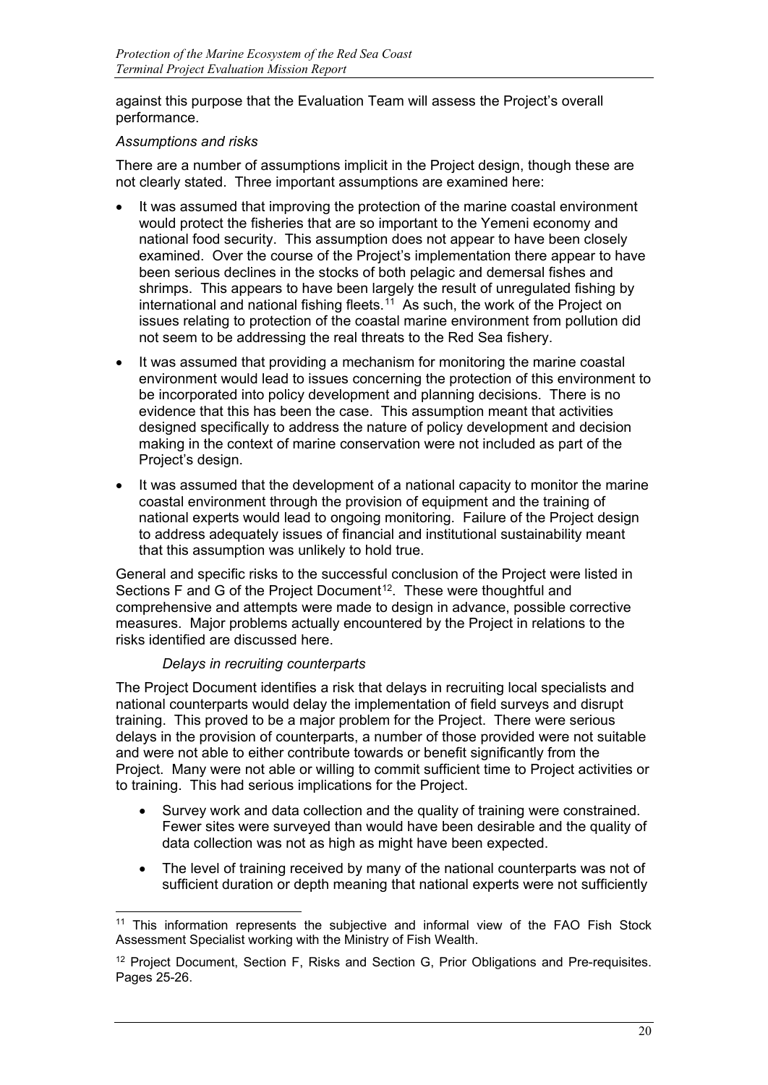against this purpose that the Evaluation Team will assess the Project's overall performance.

#### *Assumptions and risks*

There are a number of assumptions implicit in the Project design, though these are not clearly stated. Three important assumptions are examined here:

- It was assumed that improving the protection of the marine coastal environment would protect the fisheries that are so important to the Yemeni economy and national food security. This assumption does not appear to have been closely examined. Over the course of the Project's implementation there appear to have been serious declines in the stocks of both pelagic and demersal fishes and shrimps. This appears to have been largely the result of unregulated fishing by international and national fishing fleets.<sup>[1](#page-22-0)1</sup> As such, the work of the Project on issues relating to protection of the coastal marine environment from pollution did not seem to be addressing the real threats to the Red Sea fishery.
- It was assumed that providing a mechanism for monitoring the marine coastal environment would lead to issues concerning the protection of this environment to be incorporated into policy development and planning decisions. There is no evidence that this has been the case. This assumption meant that activities designed specifically to address the nature of policy development and decision making in the context of marine conservation were not included as part of the Project's design.
- It was assumed that the development of a national capacity to monitor the marine coastal environment through the provision of equipment and the training of national experts would lead to ongoing monitoring. Failure of the Project design to address adequately issues of financial and institutional sustainability meant that this assumption was unlikely to hold true.

General and specific risks to the successful conclusion of the Project were listed in Sections F and G of the Project Document<sup>[1](#page-22-1)2</sup>. These were thoughtful and comprehensive and attempts were made to design in advance, possible corrective measures. Major problems actually encountered by the Project in relations to the risks identified are discussed here.

#### *Delays in recruiting counterparts*

The Project Document identifies a risk that delays in recruiting local specialists and national counterparts would delay the implementation of field surveys and disrupt training. This proved to be a major problem for the Project. There were serious delays in the provision of counterparts, a number of those provided were not suitable and were not able to either contribute towards or benefit significantly from the Project. Many were not able or willing to commit sufficient time to Project activities or to training. This had serious implications for the Project.

- Survey work and data collection and the quality of training were constrained. Fewer sites were surveyed than would have been desirable and the quality of data collection was not as high as might have been expected.
- The level of training received by many of the national counterparts was not of sufficient duration or depth meaning that national experts were not sufficiently

<span id="page-22-0"></span>j <sup>11</sup> This information represents the subjective and informal view of the FAO Fish Stock Assessment Specialist working with the Ministry of Fish Wealth.

<span id="page-22-1"></span><sup>&</sup>lt;sup>12</sup> Project Document, Section F, Risks and Section G, Prior Obligations and Pre-requisites. Pages 25-26.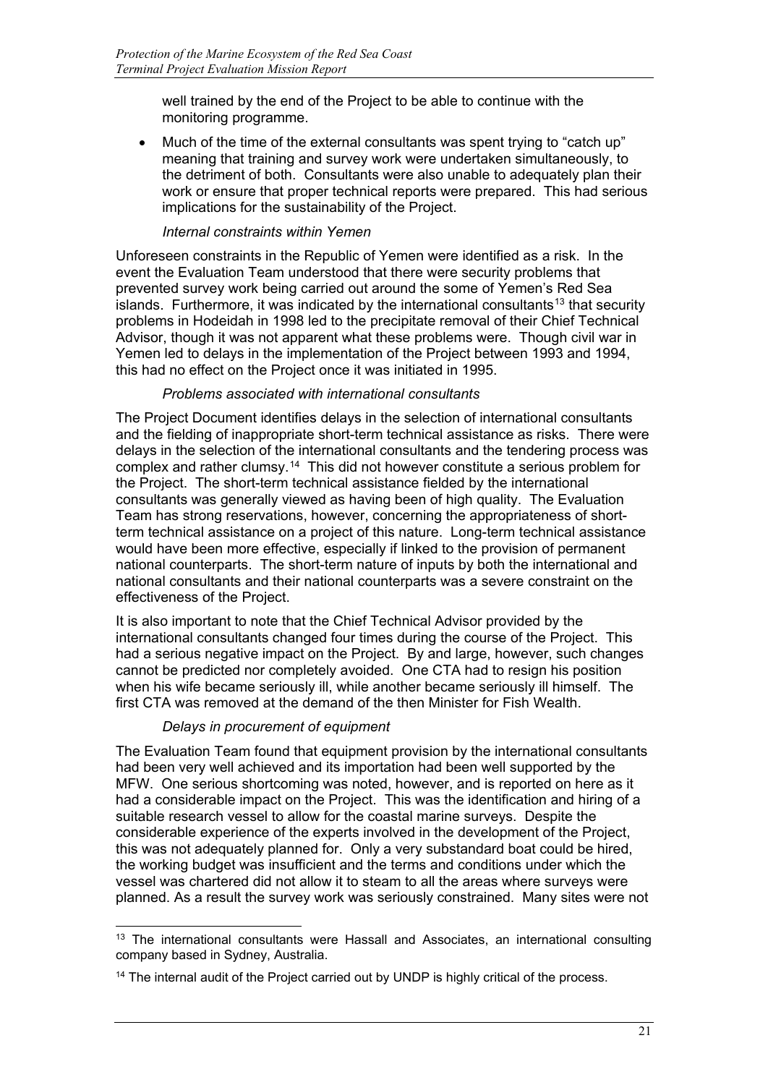well trained by the end of the Project to be able to continue with the monitoring programme.

• Much of the time of the external consultants was spent trying to "catch up" meaning that training and survey work were undertaken simultaneously, to the detriment of both. Consultants were also unable to adequately plan their work or ensure that proper technical reports were prepared. This had serious implications for the sustainability of the Project.

#### *Internal constraints within Yemen*

Unforeseen constraints in the Republic of Yemen were identified as a risk. In the event the Evaluation Team understood that there were security problems that prevented survey work being carried out around the some of Yemen's Red Sea islands. Furthermore, it was indicated by the international consultants<sup>[1](#page-23-0)3</sup> that security problems in Hodeidah in 1998 led to the precipitate removal of their Chief Technical Advisor, though it was not apparent what these problems were. Though civil war in Yemen led to delays in the implementation of the Project between 1993 and 1994, this had no effect on the Project once it was initiated in 1995.

#### *Problems associated with international consultants*

The Project Document identifies delays in the selection of international consultants and the fielding of inappropriate short-term technical assistance as risks. There were delays in the selection of the international consultants and the tendering process was complex and rather clumsy.[14](#page-23-1) This did not however constitute a serious problem for the Project. The short-term technical assistance fielded by the international consultants was generally viewed as having been of high quality. The Evaluation Team has strong reservations, however, concerning the appropriateness of shortterm technical assistance on a project of this nature. Long-term technical assistance would have been more effective, especially if linked to the provision of permanent national counterparts. The short-term nature of inputs by both the international and national consultants and their national counterparts was a severe constraint on the effectiveness of the Project.

It is also important to note that the Chief Technical Advisor provided by the international consultants changed four times during the course of the Project. This had a serious negative impact on the Project. By and large, however, such changes cannot be predicted nor completely avoided. One CTA had to resign his position when his wife became seriously ill, while another became seriously ill himself. The first CTA was removed at the demand of the then Minister for Fish Wealth.

#### *Delays in procurement of equipment*

The Evaluation Team found that equipment provision by the international consultants had been very well achieved and its importation had been well supported by the MFW. One serious shortcoming was noted, however, and is reported on here as it had a considerable impact on the Project. This was the identification and hiring of a suitable research vessel to allow for the coastal marine surveys. Despite the considerable experience of the experts involved in the development of the Project, this was not adequately planned for. Only a very substandard boat could be hired, the working budget was insufficient and the terms and conditions under which the vessel was chartered did not allow it to steam to all the areas where surveys were planned. As a result the survey work was seriously constrained. Many sites were not

<span id="page-23-0"></span><sup>-</sup><sup>13</sup> The international consultants were Hassall and Associates, an international consulting company based in Sydney, Australia.

<span id="page-23-1"></span><sup>&</sup>lt;sup>14</sup> The internal audit of the Project carried out by UNDP is highly critical of the process.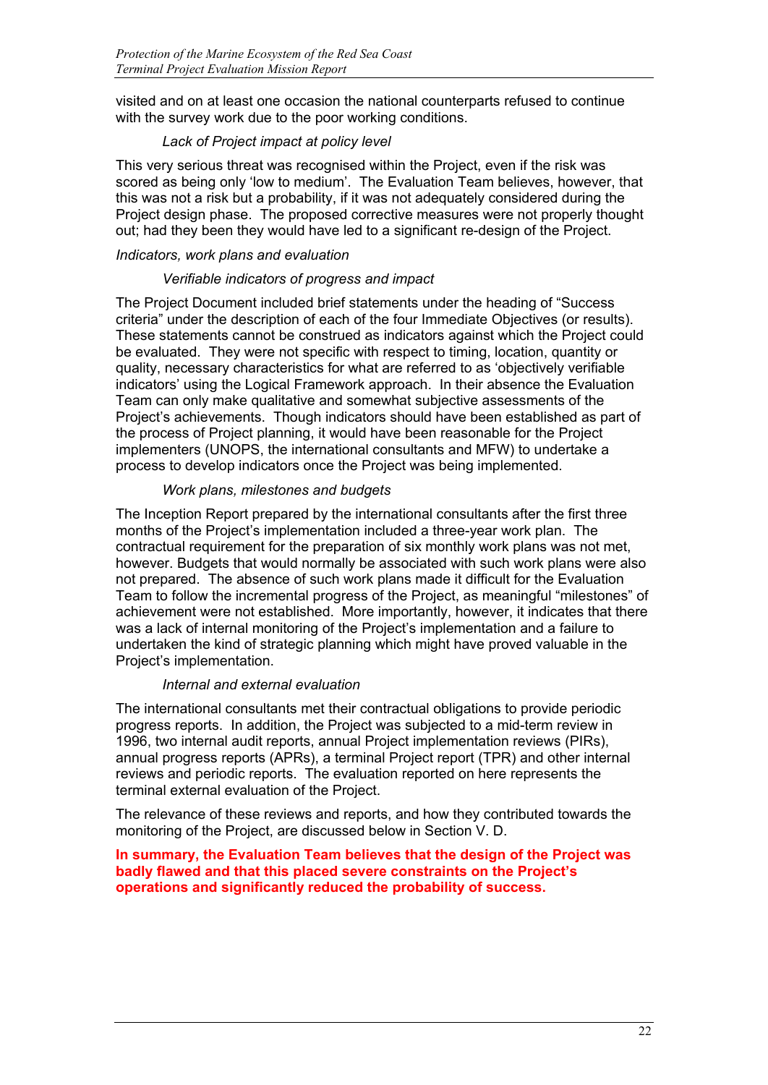visited and on at least one occasion the national counterparts refused to continue with the survey work due to the poor working conditions.

### *Lack of Project impact at policy level*

This very serious threat was recognised within the Project, even if the risk was scored as being only 'low to medium'. The Evaluation Team believes, however, that this was not a risk but a probability, if it was not adequately considered during the Project design phase. The proposed corrective measures were not properly thought out; had they been they would have led to a significant re-design of the Project.

#### *Indicators, work plans and evaluation*

#### *Verifiable indicators of progress and impact*

The Project Document included brief statements under the heading of "Success criteria" under the description of each of the four Immediate Objectives (or results). These statements cannot be construed as indicators against which the Project could be evaluated. They were not specific with respect to timing, location, quantity or quality, necessary characteristics for what are referred to as 'objectively verifiable indicators' using the Logical Framework approach. In their absence the Evaluation Team can only make qualitative and somewhat subjective assessments of the Project's achievements. Though indicators should have been established as part of the process of Project planning, it would have been reasonable for the Project implementers (UNOPS, the international consultants and MFW) to undertake a process to develop indicators once the Project was being implemented.

#### *Work plans, milestones and budgets*

The Inception Report prepared by the international consultants after the first three months of the Project's implementation included a three-year work plan. The contractual requirement for the preparation of six monthly work plans was not met, however. Budgets that would normally be associated with such work plans were also not prepared. The absence of such work plans made it difficult for the Evaluation Team to follow the incremental progress of the Project, as meaningful "milestones" of achievement were not established. More importantly, however, it indicates that there was a lack of internal monitoring of the Project's implementation and a failure to undertaken the kind of strategic planning which might have proved valuable in the Project's implementation.

#### *Internal and external evaluation*

The international consultants met their contractual obligations to provide periodic progress reports. In addition, the Project was subjected to a mid-term review in 1996, two internal audit reports, annual Project implementation reviews (PIRs), annual progress reports (APRs), a terminal Project report (TPR) and other internal reviews and periodic reports. The evaluation reported on here represents the terminal external evaluation of the Project.

The relevance of these reviews and reports, and how they contributed towards the monitoring of the Project, are discussed below in Section V. D.

#### **In summary, the Evaluation Team believes that the design of the Project was badly flawed and that this placed severe constraints on the Project's operations and significantly reduced the probability of success.**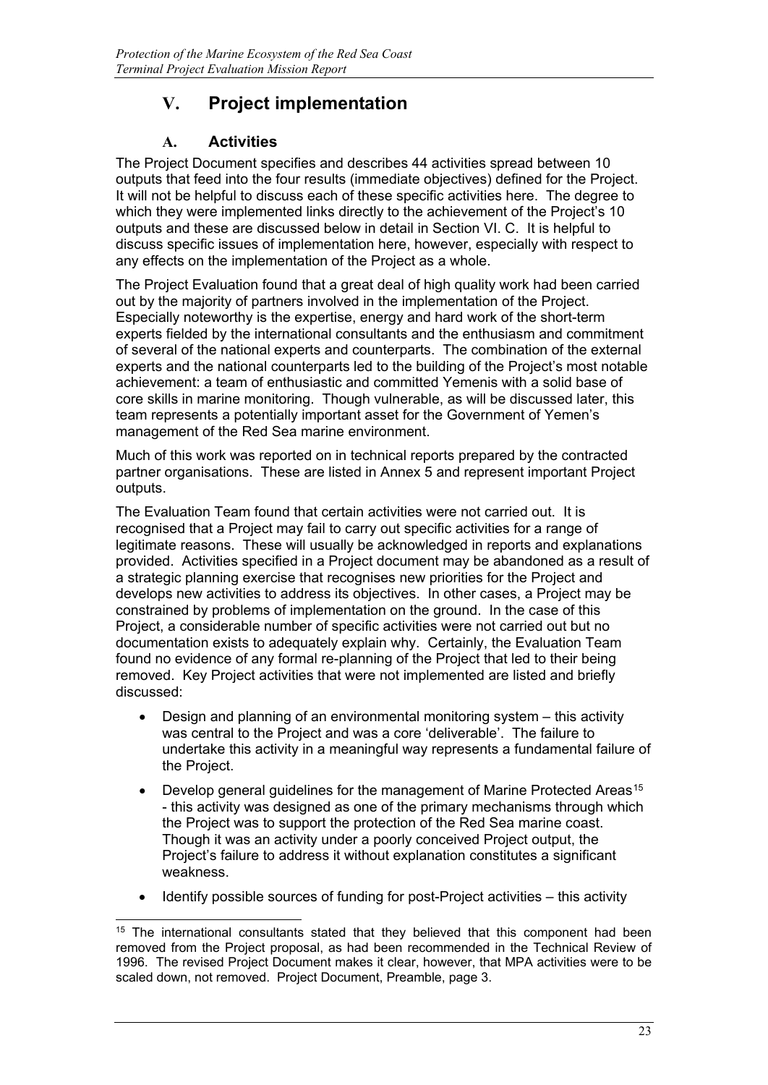# **V. Project implementation**

## **A. Activities**

The Project Document specifies and describes 44 activities spread between 10 outputs that feed into the four results (immediate objectives) defined for the Project. It will not be helpful to discuss each of these specific activities here. The degree to which they were implemented links directly to the achievement of the Project's 10 outputs and these are discussed below in detail in Section VI. C. It is helpful to discuss specific issues of implementation here, however, especially with respect to any effects on the implementation of the Project as a whole.

The Project Evaluation found that a great deal of high quality work had been carried out by the majority of partners involved in the implementation of the Project. Especially noteworthy is the expertise, energy and hard work of the short-term experts fielded by the international consultants and the enthusiasm and commitment of several of the national experts and counterparts. The combination of the external experts and the national counterparts led to the building of the Project's most notable achievement: a team of enthusiastic and committed Yemenis with a solid base of core skills in marine monitoring. Though vulnerable, as will be discussed later, this team represents a potentially important asset for the Government of Yemen's management of the Red Sea marine environment.

Much of this work was reported on in technical reports prepared by the contracted partner organisations. These are listed in Annex 5 and represent important Project outputs.

The Evaluation Team found that certain activities were not carried out. It is recognised that a Project may fail to carry out specific activities for a range of legitimate reasons. These will usually be acknowledged in reports and explanations provided. Activities specified in a Project document may be abandoned as a result of a strategic planning exercise that recognises new priorities for the Project and develops new activities to address its objectives. In other cases, a Project may be constrained by problems of implementation on the ground. In the case of this Project, a considerable number of specific activities were not carried out but no documentation exists to adequately explain why. Certainly, the Evaluation Team found no evidence of any formal re-planning of the Project that led to their being removed. Key Project activities that were not implemented are listed and briefly discussed:

- Design and planning of an environmental monitoring system this activity was central to the Project and was a core 'deliverable'. The failure to undertake this activity in a meaningful way represents a fundamental failure of the Project.
- Develop general guidelines for the management of Marine Protected Areas<sup>[1](#page-25-0)5</sup> - this activity was designed as one of the primary mechanisms through which the Project was to support the protection of the Red Sea marine coast. Though it was an activity under a poorly conceived Project output, the Project's failure to address it without explanation constitutes a significant weakness.
- Identify possible sources of funding for post-Project activities this activity

<span id="page-25-0"></span>j <sup>15</sup> The international consultants stated that they believed that this component had been removed from the Project proposal, as had been recommended in the Technical Review of 1996. The revised Project Document makes it clear, however, that MPA activities were to be scaled down, not removed. Project Document, Preamble, page 3.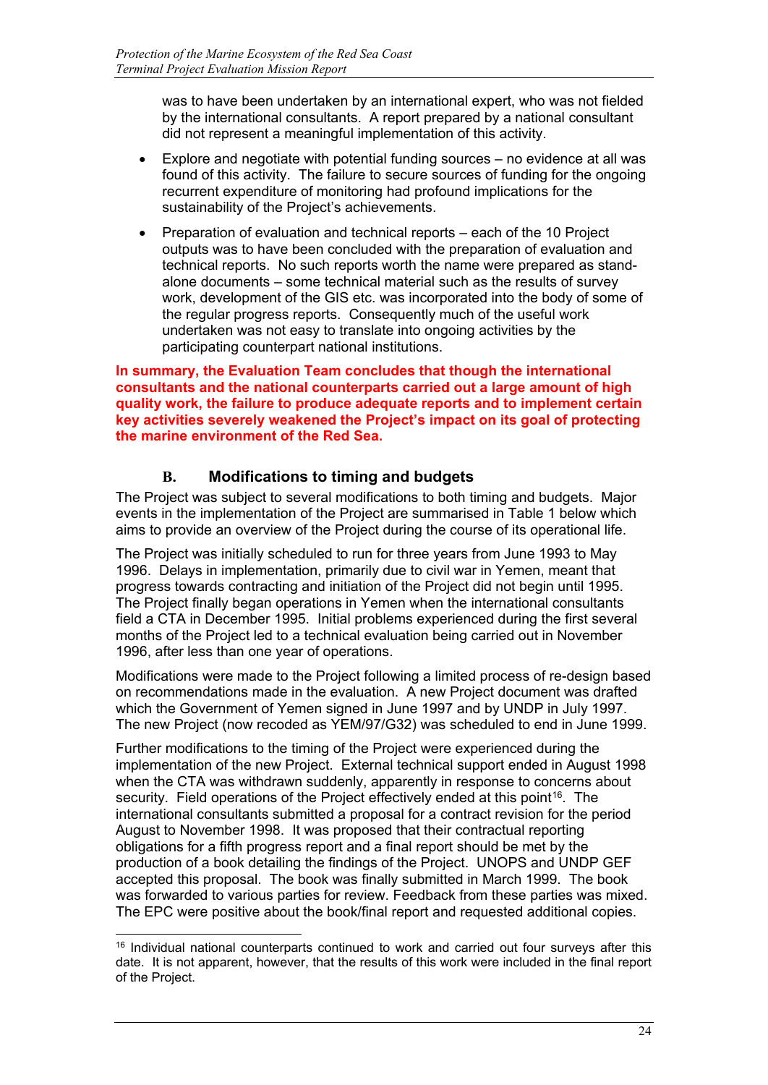was to have been undertaken by an international expert, who was not fielded by the international consultants. A report prepared by a national consultant did not represent a meaningful implementation of this activity.

- Explore and negotiate with potential funding sources no evidence at all was found of this activity. The failure to secure sources of funding for the ongoing recurrent expenditure of monitoring had profound implications for the sustainability of the Project's achievements.
- Preparation of evaluation and technical reports each of the 10 Project outputs was to have been concluded with the preparation of evaluation and technical reports. No such reports worth the name were prepared as standalone documents – some technical material such as the results of survey work, development of the GIS etc. was incorporated into the body of some of the regular progress reports. Consequently much of the useful work undertaken was not easy to translate into ongoing activities by the participating counterpart national institutions.

**In summary, the Evaluation Team concludes that though the international consultants and the national counterparts carried out a large amount of high quality work, the failure to produce adequate reports and to implement certain key activities severely weakened the Project's impact on its goal of protecting the marine environment of the Red Sea.**

## **B. Modifications to timing and budgets**

The Project was subject to several modifications to both timing and budgets. Major events in the implementation of the Project are summarised in Table 1 below which aims to provide an overview of the Project during the course of its operational life.

The Project was initially scheduled to run for three years from June 1993 to May 1996. Delays in implementation, primarily due to civil war in Yemen, meant that progress towards contracting and initiation of the Project did not begin until 1995. The Project finally began operations in Yemen when the international consultants field a CTA in December 1995. Initial problems experienced during the first several months of the Project led to a technical evaluation being carried out in November 1996, after less than one year of operations.

Modifications were made to the Project following a limited process of re-design based on recommendations made in the evaluation. A new Project document was drafted which the Government of Yemen signed in June 1997 and by UNDP in July 1997. The new Project (now recoded as YEM/97/G32) was scheduled to end in June 1999.

Further modifications to the timing of the Project were experienced during the implementation of the new Project. External technical support ended in August 1998 when the CTA was withdrawn suddenly, apparently in response to concerns about security. Field operations of the Project effectively ended at this point<sup>[1](#page-26-0)6</sup>. The international consultants submitted a proposal for a contract revision for the period August to November 1998. It was proposed that their contractual reporting obligations for a fifth progress report and a final report should be met by the production of a book detailing the findings of the Project. UNOPS and UNDP GEF accepted this proposal. The book was finally submitted in March 1999. The book was forwarded to various parties for review. Feedback from these parties was mixed. The EPC were positive about the book/final report and requested additional copies.

<span id="page-26-0"></span><sup>-</sup><sup>16</sup> Individual national counterparts continued to work and carried out four surveys after this date. It is not apparent, however, that the results of this work were included in the final report of the Project.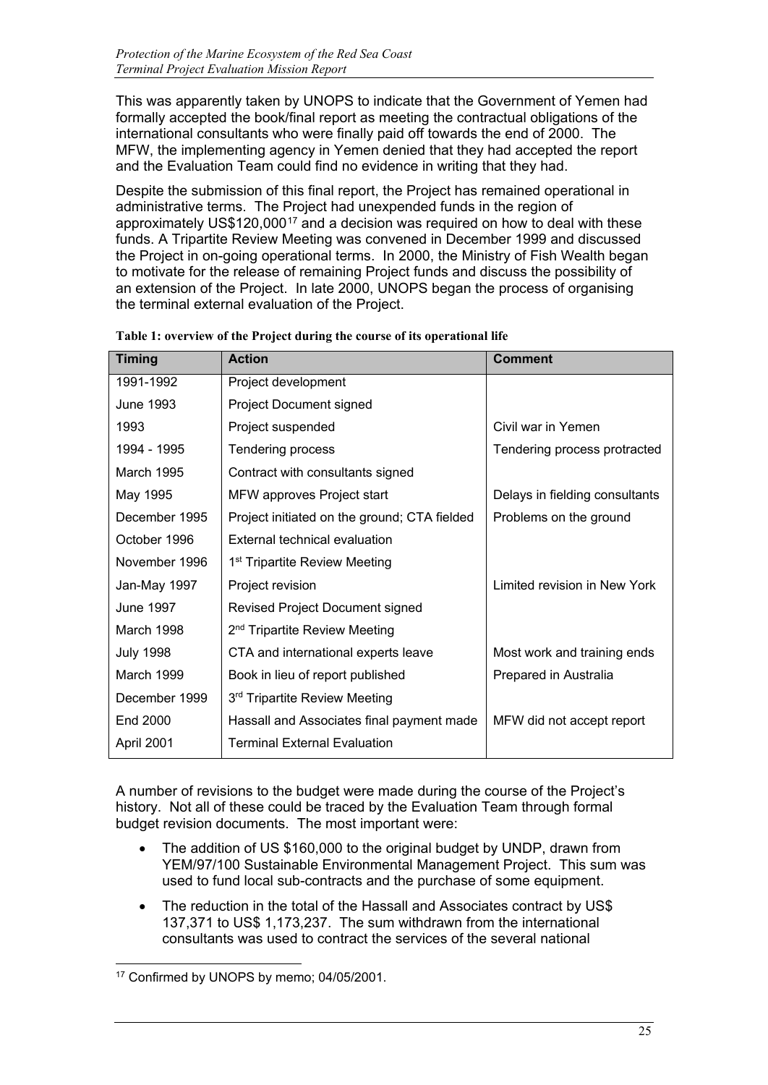This was apparently taken by UNOPS to indicate that the Government of Yemen had formally accepted the book/final report as meeting the contractual obligations of the international consultants who were finally paid off towards the end of 2000. The MFW, the implementing agency in Yemen denied that they had accepted the report and the Evaluation Team could find no evidence in writing that they had.

Despite the submission of this final report, the Project has remained operational in administrative terms. The Project had unexpended funds in the region of approximately US\$120,000<sup>[17](#page-27-0)</sup> and a decision was required on how to deal with these funds. A Tripartite Review Meeting was convened in December 1999 and discussed the Project in on-going operational terms. In 2000, the Ministry of Fish Wealth began to motivate for the release of remaining Project funds and discuss the possibility of an extension of the Project. In late 2000, UNOPS began the process of organising the terminal external evaluation of the Project.

| <b>Timing</b>    | <b>Action</b>                                | <b>Comment</b>                 |
|------------------|----------------------------------------------|--------------------------------|
| 1991-1992        | Project development                          |                                |
| June 1993        | Project Document signed                      |                                |
| 1993             | Project suspended                            | Civil war in Yemen             |
| 1994 - 1995      | Tendering process                            | Tendering process protracted   |
| March 1995       | Contract with consultants signed             |                                |
| May 1995         | MFW approves Project start                   | Delays in fielding consultants |
| December 1995    | Project initiated on the ground; CTA fielded | Problems on the ground         |
| October 1996     | External technical evaluation                |                                |
| November 1996    | 1 <sup>st</sup> Tripartite Review Meeting    |                                |
| Jan-May 1997     | Project revision                             | Limited revision in New York   |
| <b>June 1997</b> | Revised Project Document signed              |                                |
| March 1998       | 2 <sup>nd</sup> Tripartite Review Meeting    |                                |
| <b>July 1998</b> | CTA and international experts leave          | Most work and training ends    |
| March 1999       | Book in lieu of report published             | Prepared in Australia          |
| December 1999    | 3 <sup>rd</sup> Tripartite Review Meeting    |                                |
| <b>End 2000</b>  | Hassall and Associates final payment made    | MFW did not accept report      |
| April 2001       | <b>Terminal External Evaluation</b>          |                                |

**Table 1: overview of the Project during the course of its operational life**

A number of revisions to the budget were made during the course of the Project's history. Not all of these could be traced by the Evaluation Team through formal budget revision documents. The most important were:

- The addition of US \$160,000 to the original budget by UNDP, drawn from YEM/97/100 Sustainable Environmental Management Project. This sum was used to fund local sub-contracts and the purchase of some equipment.
- The reduction in the total of the Hassall and Associates contract by US\$ 137,371 to US\$ 1,173,237. The sum withdrawn from the international consultants was used to contract the services of the several national

<span id="page-27-0"></span>j <sup>17</sup> Confirmed by UNOPS by memo; 04/05/2001.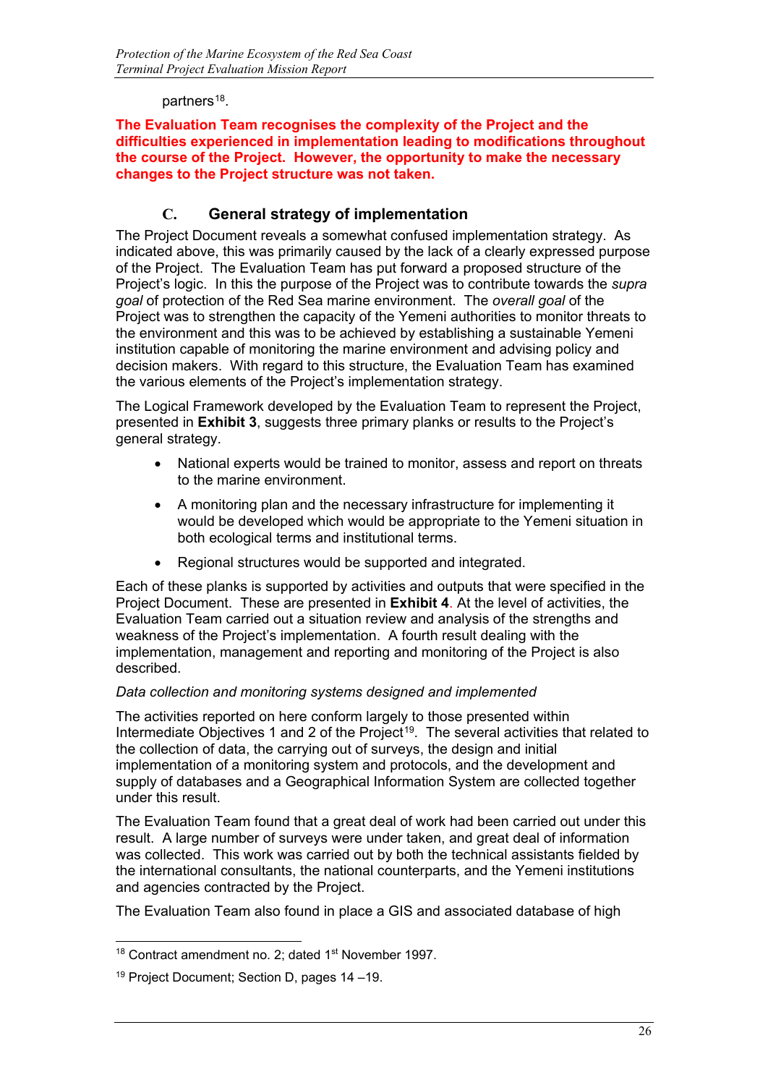#### partners<sup>[18](#page-28-0)</sup>.

#### **The Evaluation Team recognises the complexity of the Project and the difficulties experienced in implementation leading to modifications throughout the course of the Project. However, the opportunity to make the necessary changes to the Project structure was not taken.**

## **C. General strategy of implementation**

The Project Document reveals a somewhat confused implementation strategy. As indicated above, this was primarily caused by the lack of a clearly expressed purpose of the Project. The Evaluation Team has put forward a proposed structure of the Project's logic. In this the purpose of the Project was to contribute towards the *supra goal* of protection of the Red Sea marine environment. The *overall goal* of the Project was to strengthen the capacity of the Yemeni authorities to monitor threats to the environment and this was to be achieved by establishing a sustainable Yemeni institution capable of monitoring the marine environment and advising policy and decision makers. With regard to this structure, the Evaluation Team has examined the various elements of the Project's implementation strategy.

The Logical Framework developed by the Evaluation Team to represent the Project, presented in **Exhibit 3**, suggests three primary planks or results to the Project's general strategy.

- National experts would be trained to monitor, assess and report on threats to the marine environment.
- A monitoring plan and the necessary infrastructure for implementing it would be developed which would be appropriate to the Yemeni situation in both ecological terms and institutional terms.
- Regional structures would be supported and integrated.

Each of these planks is supported by activities and outputs that were specified in the Project Document. These are presented in **Exhibit 4**. At the level of activities, the Evaluation Team carried out a situation review and analysis of the strengths and weakness of the Project's implementation. A fourth result dealing with the implementation, management and reporting and monitoring of the Project is also described.

#### *Data collection and monitoring systems designed and implemented*

The activities reported on here conform largely to those presented within Intermediate Objectives [1](#page-28-1) and 2 of the Project<sup>19</sup>. The several activities that related to the collection of data, the carrying out of surveys, the design and initial implementation of a monitoring system and protocols, and the development and supply of databases and a Geographical Information System are collected together under this result.

The Evaluation Team found that a great deal of work had been carried out under this result. A large number of surveys were under taken, and great deal of information was collected. This work was carried out by both the technical assistants fielded by the international consultants, the national counterparts, and the Yemeni institutions and agencies contracted by the Project.

The Evaluation Team also found in place a GIS and associated database of high

<span id="page-28-0"></span><sup>-</sup> $18$  Contract amendment no. 2; dated  $1<sup>st</sup>$  November 1997.

<span id="page-28-1"></span><sup>19</sup> Project Document; Section D, pages 14 –19.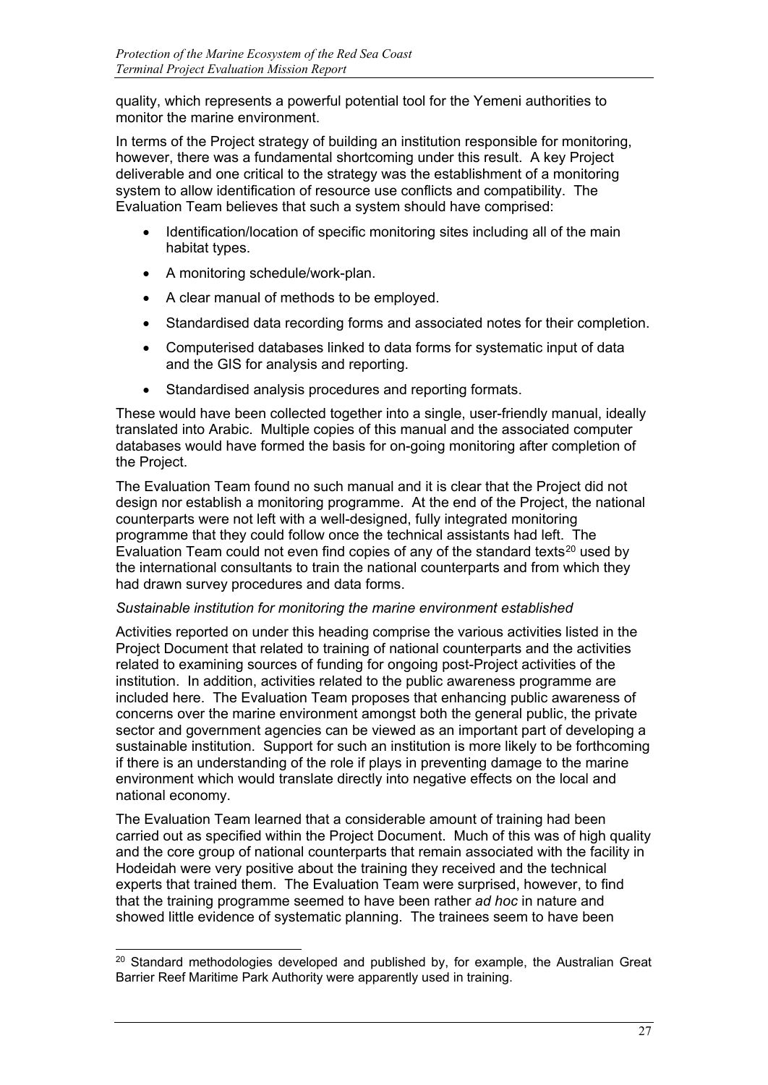quality, which represents a powerful potential tool for the Yemeni authorities to monitor the marine environment.

In terms of the Project strategy of building an institution responsible for monitoring, however, there was a fundamental shortcoming under this result. A key Project deliverable and one critical to the strategy was the establishment of a monitoring system to allow identification of resource use conflicts and compatibility. The Evaluation Team believes that such a system should have comprised:

- Identification/location of specific monitoring sites including all of the main habitat types.
- A monitoring schedule/work-plan.
- A clear manual of methods to be employed.
- Standardised data recording forms and associated notes for their completion.
- Computerised databases linked to data forms for systematic input of data and the GIS for analysis and reporting.
- Standardised analysis procedures and reporting formats.

These would have been collected together into a single, user-friendly manual, ideally translated into Arabic. Multiple copies of this manual and the associated computer databases would have formed the basis for on-going monitoring after completion of the Project.

The Evaluation Team found no such manual and it is clear that the Project did not design nor establish a monitoring programme. At the end of the Project, the national counterparts were not left with a well-designed, fully integrated monitoring programme that they could follow once the technical assistants had left. The Evaluation Team could not even find copies of any of the standard texts<sup>[20](#page-29-0)</sup> used by the international consultants to train the national counterparts and from which they had drawn survey procedures and data forms.

#### *Sustainable institution for monitoring the marine environment established*

Activities reported on under this heading comprise the various activities listed in the Project Document that related to training of national counterparts and the activities related to examining sources of funding for ongoing post-Project activities of the institution. In addition, activities related to the public awareness programme are included here. The Evaluation Team proposes that enhancing public awareness of concerns over the marine environment amongst both the general public, the private sector and government agencies can be viewed as an important part of developing a sustainable institution. Support for such an institution is more likely to be forthcoming if there is an understanding of the role if plays in preventing damage to the marine environment which would translate directly into negative effects on the local and national economy.

The Evaluation Team learned that a considerable amount of training had been carried out as specified within the Project Document. Much of this was of high quality and the core group of national counterparts that remain associated with the facility in Hodeidah were very positive about the training they received and the technical experts that trained them. The Evaluation Team were surprised, however, to find that the training programme seemed to have been rather *ad hoc* in nature and showed little evidence of systematic planning. The trainees seem to have been

<span id="page-29-0"></span><sup>-</sup> $20$  Standard methodologies developed and published by, for example, the Australian Great Barrier Reef Maritime Park Authority were apparently used in training.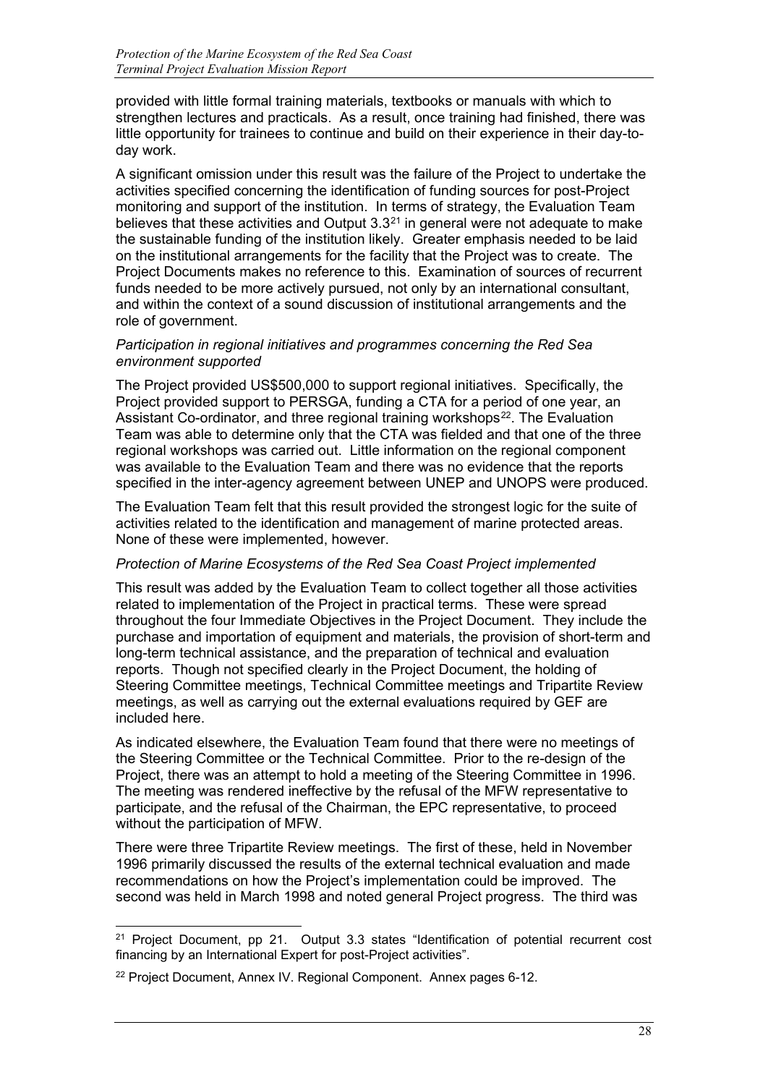provided with little formal training materials, textbooks or manuals with which to strengthen lectures and practicals. As a result, once training had finished, there was little opportunity for trainees to continue and build on their experience in their day-today work.

A significant omission under this result was the failure of the Project to undertake the activities specified concerning the identification of funding sources for post-Project monitoring and support of the institution. In terms of strategy, the Evaluation Team believes that these activities and Output  $3.3<sup>21</sup>$  $3.3<sup>21</sup>$  $3.3<sup>21</sup>$  in general were not adequate to make the sustainable funding of the institution likely. Greater emphasis needed to be laid on the institutional arrangements for the facility that the Project was to create. The Project Documents makes no reference to this. Examination of sources of recurrent funds needed to be more actively pursued, not only by an international consultant, and within the context of a sound discussion of institutional arrangements and the role of government.

#### *Participation in regional initiatives and programmes concerning the Red Sea environment supported*

The Project provided US\$500,000 to support regional initiatives. Specifically, the Project provided support to PERSGA, funding a CTA for a period of one year, an Assistant Co-ordinator, and three regional training workshops<sup>[22](#page-30-1)</sup>. The Evaluation Team was able to determine only that the CTA was fielded and that one of the three regional workshops was carried out. Little information on the regional component was available to the Evaluation Team and there was no evidence that the reports specified in the inter-agency agreement between UNEP and UNOPS were produced.

The Evaluation Team felt that this result provided the strongest logic for the suite of activities related to the identification and management of marine protected areas. None of these were implemented, however.

### *Protection of Marine Ecosystems of the Red Sea Coast Project implemented*

This result was added by the Evaluation Team to collect together all those activities related to implementation of the Project in practical terms. These were spread throughout the four Immediate Objectives in the Project Document. They include the purchase and importation of equipment and materials, the provision of short-term and long-term technical assistance, and the preparation of technical and evaluation reports. Though not specified clearly in the Project Document, the holding of Steering Committee meetings, Technical Committee meetings and Tripartite Review meetings, as well as carrying out the external evaluations required by GEF are included here.

As indicated elsewhere, the Evaluation Team found that there were no meetings of the Steering Committee or the Technical Committee. Prior to the re-design of the Project, there was an attempt to hold a meeting of the Steering Committee in 1996. The meeting was rendered ineffective by the refusal of the MFW representative to participate, and the refusal of the Chairman, the EPC representative, to proceed without the participation of MFW.

There were three Tripartite Review meetings. The first of these, held in November 1996 primarily discussed the results of the external technical evaluation and made recommendations on how the Project's implementation could be improved. The second was held in March 1998 and noted general Project progress. The third was

<span id="page-30-0"></span><sup>-</sup> $21$  Project Document, pp 21. Output 3.3 states "Identification of potential recurrent cost financing by an International Expert for post-Project activities".

<span id="page-30-1"></span><sup>&</sup>lt;sup>22</sup> Project Document, Annex IV. Regional Component. Annex pages 6-12.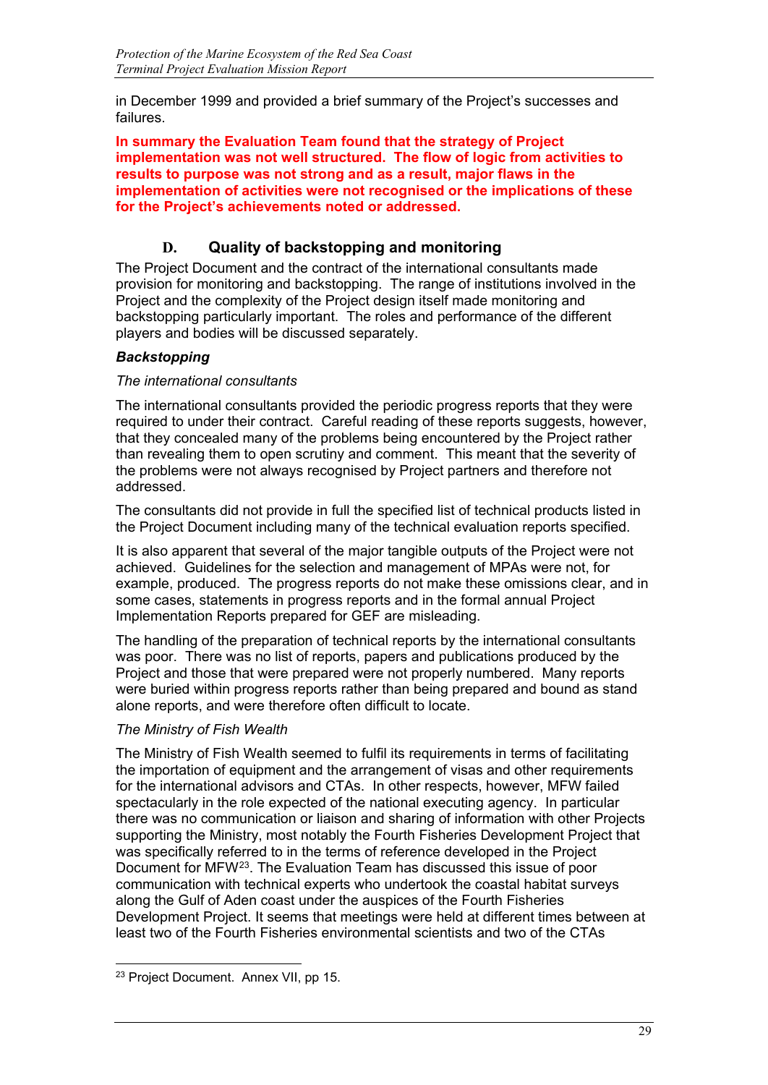in December 1999 and provided a brief summary of the Project's successes and failures.

**In summary the Evaluation Team found that the strategy of Project implementation was not well structured. The flow of logic from activities to results to purpose was not strong and as a result, major flaws in the implementation of activities were not recognised or the implications of these for the Project's achievements noted or addressed.**

## **D. Quality of backstopping and monitoring**

The Project Document and the contract of the international consultants made provision for monitoring and backstopping. The range of institutions involved in the Project and the complexity of the Project design itself made monitoring and backstopping particularly important. The roles and performance of the different players and bodies will be discussed separately.

## *Backstopping*

### *The international consultants*

The international consultants provided the periodic progress reports that they were required to under their contract. Careful reading of these reports suggests, however, that they concealed many of the problems being encountered by the Project rather than revealing them to open scrutiny and comment. This meant that the severity of the problems were not always recognised by Project partners and therefore not addressed.

The consultants did not provide in full the specified list of technical products listed in the Project Document including many of the technical evaluation reports specified.

It is also apparent that several of the major tangible outputs of the Project were not achieved. Guidelines for the selection and management of MPAs were not, for example, produced. The progress reports do not make these omissions clear, and in some cases, statements in progress reports and in the formal annual Project Implementation Reports prepared for GEF are misleading.

The handling of the preparation of technical reports by the international consultants was poor. There was no list of reports, papers and publications produced by the Project and those that were prepared were not properly numbered. Many reports were buried within progress reports rather than being prepared and bound as stand alone reports, and were therefore often difficult to locate.

### *The Ministry of Fish Wealth*

The Ministry of Fish Wealth seemed to fulfil its requirements in terms of facilitating the importation of equipment and the arrangement of visas and other requirements for the international advisors and CTAs. In other respects, however, MFW failed spectacularly in the role expected of the national executing agency. In particular there was no communication or liaison and sharing of information with other Projects supporting the Ministry, most notably the Fourth Fisheries Development Project that was specifically referred to in the terms of reference developed in the Project Document for MFW[23](#page-31-0). The Evaluation Team has discussed this issue of poor communication with technical experts who undertook the coastal habitat surveys along the Gulf of Aden coast under the auspices of the Fourth Fisheries Development Project. It seems that meetings were held at different times between at least two of the Fourth Fisheries environmental scientists and two of the CTAs

<span id="page-31-0"></span>j <sup>23</sup> Project Document. Annex VII, pp 15.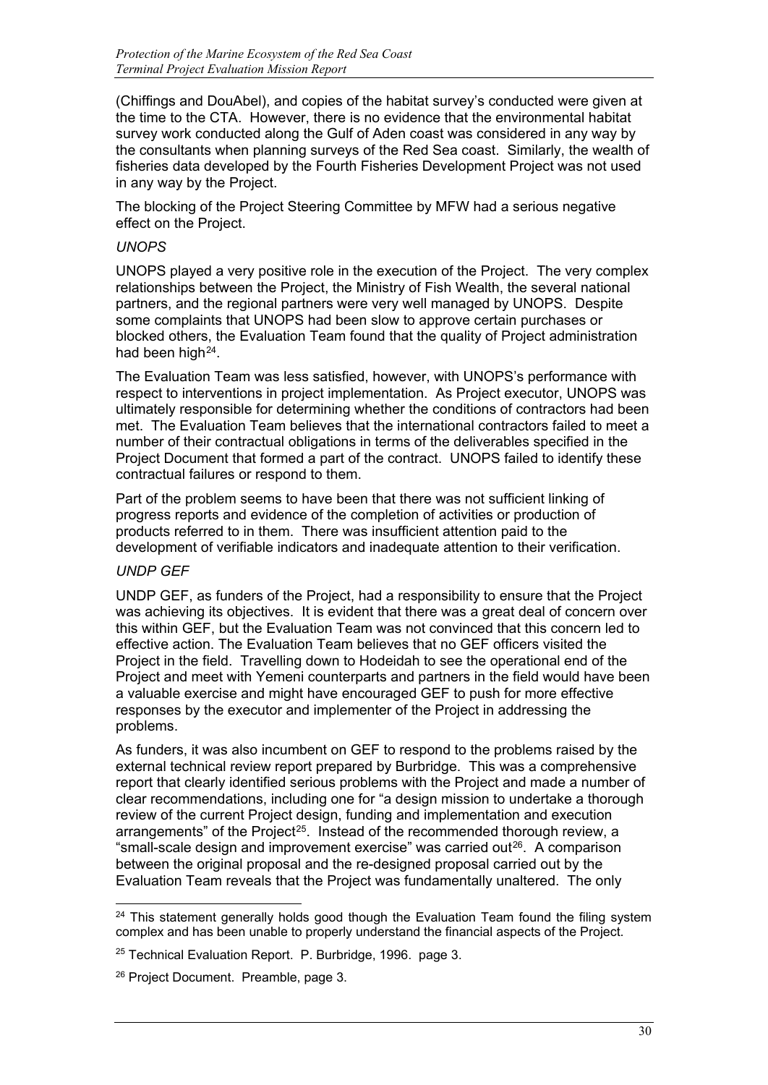(Chiffings and DouAbel), and copies of the habitat survey's conducted were given at the time to the CTA. However, there is no evidence that the environmental habitat survey work conducted along the Gulf of Aden coast was considered in any way by the consultants when planning surveys of the Red Sea coast. Similarly, the wealth of fisheries data developed by the Fourth Fisheries Development Project was not used in any way by the Project.

The blocking of the Project Steering Committee by MFW had a serious negative effect on the Project.

#### *UNOPS*

UNOPS played a very positive role in the execution of the Project. The very complex relationships between the Project, the Ministry of Fish Wealth, the several national partners, and the regional partners were very well managed by UNOPS. Despite some complaints that UNOPS had been slow to approve certain purchases or blocked others, the Evaluation Team found that the quality of Project administration had been high $^{24}$  $^{24}$  $^{24}$ .

The Evaluation Team was less satisfied, however, with UNOPS's performance with respect to interventions in project implementation. As Project executor, UNOPS was ultimately responsible for determining whether the conditions of contractors had been met. The Evaluation Team believes that the international contractors failed to meet a number of their contractual obligations in terms of the deliverables specified in the Project Document that formed a part of the contract. UNOPS failed to identify these contractual failures or respond to them.

Part of the problem seems to have been that there was not sufficient linking of progress reports and evidence of the completion of activities or production of products referred to in them. There was insufficient attention paid to the development of verifiable indicators and inadequate attention to their verification.

#### *UNDP GEF*

UNDP GEF, as funders of the Project, had a responsibility to ensure that the Project was achieving its objectives. It is evident that there was a great deal of concern over this within GEF, but the Evaluation Team was not convinced that this concern led to effective action. The Evaluation Team believes that no GEF officers visited the Project in the field. Travelling down to Hodeidah to see the operational end of the Project and meet with Yemeni counterparts and partners in the field would have been a valuable exercise and might have encouraged GEF to push for more effective responses by the executor and implementer of the Project in addressing the problems.

As funders, it was also incumbent on GEF to respond to the problems raised by the external technical review report prepared by Burbridge. This was a comprehensive report that clearly identified serious problems with the Project and made a number of clear recommendations, including one for "a design mission to undertake a thorough review of the current Project design, funding and implementation and execution arrangements" of the Project<sup>[25](#page-32-1)</sup>. Instead of the recommended thorough review, a "small-scale design and improvement exercise" was carried out $26$ . A comparison between the original proposal and the re-designed proposal carried out by the Evaluation Team reveals that the Project was fundamentally unaltered. The only

<span id="page-32-0"></span>j  $24$  This statement generally holds good though the Evaluation Team found the filing system complex and has been unable to properly understand the financial aspects of the Project.

<span id="page-32-1"></span><sup>25</sup> Technical Evaluation Report. P. Burbridge, 1996. page 3.

<span id="page-32-2"></span><sup>&</sup>lt;sup>26</sup> Project Document. Preamble, page 3.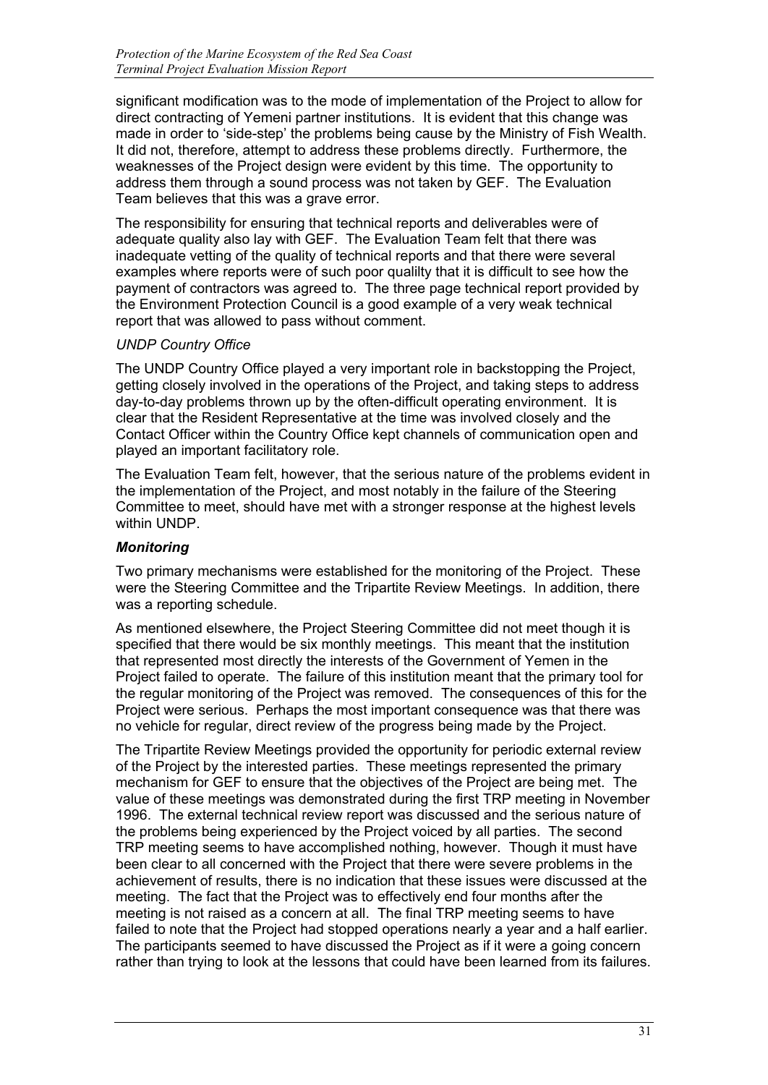significant modification was to the mode of implementation of the Project to allow for direct contracting of Yemeni partner institutions. It is evident that this change was made in order to 'side-step' the problems being cause by the Ministry of Fish Wealth. It did not, therefore, attempt to address these problems directly. Furthermore, the weaknesses of the Project design were evident by this time. The opportunity to address them through a sound process was not taken by GEF. The Evaluation Team believes that this was a grave error.

The responsibility for ensuring that technical reports and deliverables were of adequate quality also lay with GEF. The Evaluation Team felt that there was inadequate vetting of the quality of technical reports and that there were several examples where reports were of such poor qualilty that it is difficult to see how the payment of contractors was agreed to. The three page technical report provided by the Environment Protection Council is a good example of a very weak technical report that was allowed to pass without comment.

#### *UNDP Country Office*

The UNDP Country Office played a very important role in backstopping the Project, getting closely involved in the operations of the Project, and taking steps to address day-to-day problems thrown up by the often-difficult operating environment. It is clear that the Resident Representative at the time was involved closely and the Contact Officer within the Country Office kept channels of communication open and played an important facilitatory role.

The Evaluation Team felt, however, that the serious nature of the problems evident in the implementation of the Project, and most notably in the failure of the Steering Committee to meet, should have met with a stronger response at the highest levels within UNDP.

#### *Monitoring*

Two primary mechanisms were established for the monitoring of the Project. These were the Steering Committee and the Tripartite Review Meetings. In addition, there was a reporting schedule.

As mentioned elsewhere, the Project Steering Committee did not meet though it is specified that there would be six monthly meetings. This meant that the institution that represented most directly the interests of the Government of Yemen in the Project failed to operate. The failure of this institution meant that the primary tool for the regular monitoring of the Project was removed. The consequences of this for the Project were serious. Perhaps the most important consequence was that there was no vehicle for regular, direct review of the progress being made by the Project.

The Tripartite Review Meetings provided the opportunity for periodic external review of the Project by the interested parties. These meetings represented the primary mechanism for GEF to ensure that the objectives of the Project are being met. The value of these meetings was demonstrated during the first TRP meeting in November 1996. The external technical review report was discussed and the serious nature of the problems being experienced by the Project voiced by all parties. The second TRP meeting seems to have accomplished nothing, however. Though it must have been clear to all concerned with the Project that there were severe problems in the achievement of results, there is no indication that these issues were discussed at the meeting. The fact that the Project was to effectively end four months after the meeting is not raised as a concern at all. The final TRP meeting seems to have failed to note that the Project had stopped operations nearly a year and a half earlier. The participants seemed to have discussed the Project as if it were a going concern rather than trying to look at the lessons that could have been learned from its failures.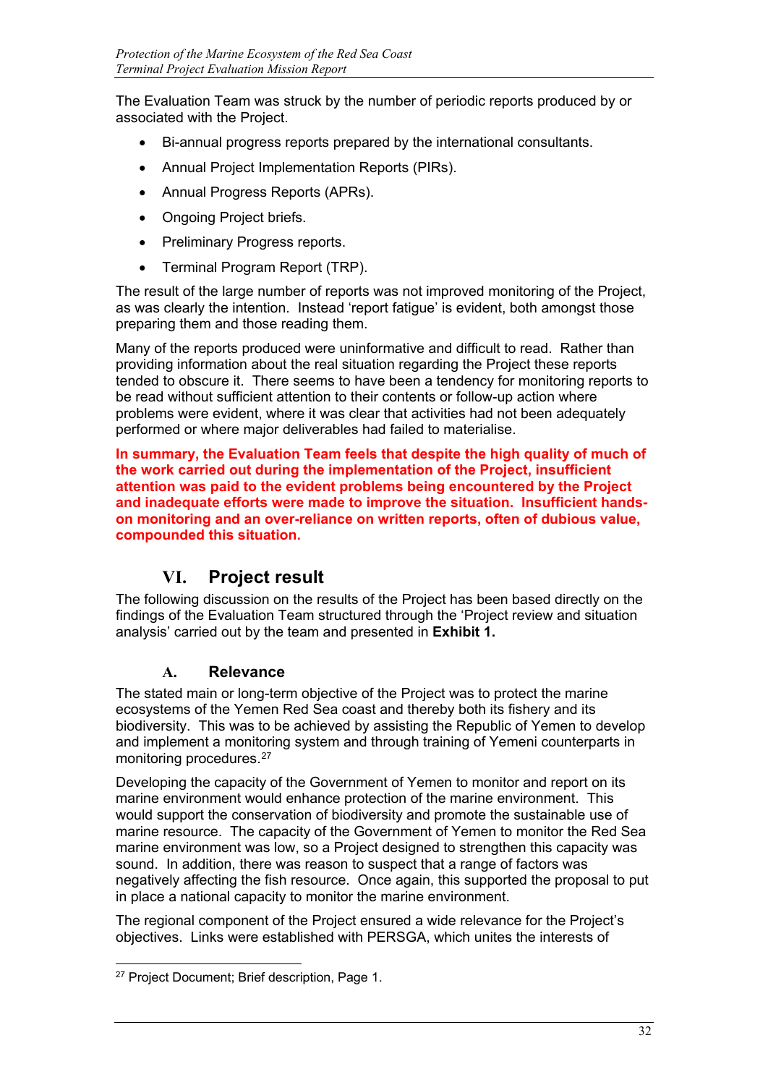The Evaluation Team was struck by the number of periodic reports produced by or associated with the Project.

- Bi-annual progress reports prepared by the international consultants.
- Annual Project Implementation Reports (PIRs).
- Annual Progress Reports (APRs).
- Ongoing Project briefs.
- Preliminary Progress reports.
- Terminal Program Report (TRP).

The result of the large number of reports was not improved monitoring of the Project, as was clearly the intention. Instead 'report fatigue' is evident, both amongst those preparing them and those reading them.

Many of the reports produced were uninformative and difficult to read. Rather than providing information about the real situation regarding the Project these reports tended to obscure it. There seems to have been a tendency for monitoring reports to be read without sufficient attention to their contents or follow-up action where problems were evident, where it was clear that activities had not been adequately performed or where major deliverables had failed to materialise.

**In summary, the Evaluation Team feels that despite the high quality of much of the work carried out during the implementation of the Project, insufficient attention was paid to the evident problems being encountered by the Project and inadequate efforts were made to improve the situation. Insufficient handson monitoring and an over-reliance on written reports, often of dubious value, compounded this situation.**

## **VI. Project result**

The following discussion on the results of the Project has been based directly on the findings of the Evaluation Team structured through the 'Project review and situation analysis' carried out by the team and presented in **Exhibit 1.**

### **A. Relevance**

The stated main or long-term objective of the Project was to protect the marine ecosystems of the Yemen Red Sea coast and thereby both its fishery and its biodiversity. This was to be achieved by assisting the Republic of Yemen to develop and implement a monitoring system and through training of Yemeni counterparts in monitoring procedures.[27](#page-34-0)

Developing the capacity of the Government of Yemen to monitor and report on its marine environment would enhance protection of the marine environment. This would support the conservation of biodiversity and promote the sustainable use of marine resource. The capacity of the Government of Yemen to monitor the Red Sea marine environment was low, so a Project designed to strengthen this capacity was sound. In addition, there was reason to suspect that a range of factors was negatively affecting the fish resource. Once again, this supported the proposal to put in place a national capacity to monitor the marine environment.

The regional component of the Project ensured a wide relevance for the Project's objectives. Links were established with PERSGA, which unites the interests of

<span id="page-34-0"></span>j <sup>27</sup> Project Document; Brief description, Page 1.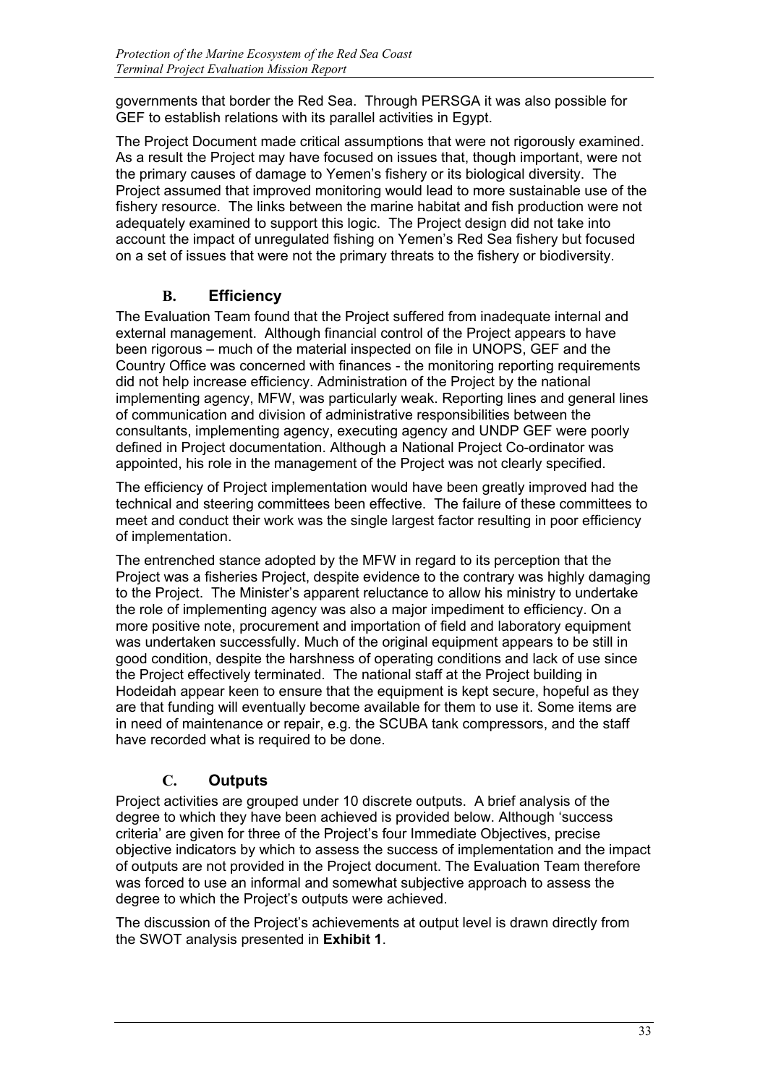governments that border the Red Sea. Through PERSGA it was also possible for GEF to establish relations with its parallel activities in Egypt.

The Project Document made critical assumptions that were not rigorously examined. As a result the Project may have focused on issues that, though important, were not the primary causes of damage to Yemen's fishery or its biological diversity. The Project assumed that improved monitoring would lead to more sustainable use of the fishery resource. The links between the marine habitat and fish production were not adequately examined to support this logic. The Project design did not take into account the impact of unregulated fishing on Yemen's Red Sea fishery but focused on a set of issues that were not the primary threats to the fishery or biodiversity.

## **B. Efficiency**

The Evaluation Team found that the Project suffered from inadequate internal and external management. Although financial control of the Project appears to have been rigorous – much of the material inspected on file in UNOPS, GEF and the Country Office was concerned with finances - the monitoring reporting requirements did not help increase efficiency. Administration of the Project by the national implementing agency, MFW, was particularly weak. Reporting lines and general lines of communication and division of administrative responsibilities between the consultants, implementing agency, executing agency and UNDP GEF were poorly defined in Project documentation. Although a National Project Co-ordinator was appointed, his role in the management of the Project was not clearly specified.

The efficiency of Project implementation would have been greatly improved had the technical and steering committees been effective. The failure of these committees to meet and conduct their work was the single largest factor resulting in poor efficiency of implementation.

The entrenched stance adopted by the MFW in regard to its perception that the Project was a fisheries Project, despite evidence to the contrary was highly damaging to the Project. The Minister's apparent reluctance to allow his ministry to undertake the role of implementing agency was also a major impediment to efficiency. On a more positive note, procurement and importation of field and laboratory equipment was undertaken successfully. Much of the original equipment appears to be still in good condition, despite the harshness of operating conditions and lack of use since the Project effectively terminated. The national staff at the Project building in Hodeidah appear keen to ensure that the equipment is kept secure, hopeful as they are that funding will eventually become available for them to use it. Some items are in need of maintenance or repair, e.g. the SCUBA tank compressors, and the staff have recorded what is required to be done.

## **C. Outputs**

Project activities are grouped under 10 discrete outputs. A brief analysis of the degree to which they have been achieved is provided below. Although 'success criteria' are given for three of the Project's four Immediate Objectives, precise objective indicators by which to assess the success of implementation and the impact of outputs are not provided in the Project document. The Evaluation Team therefore was forced to use an informal and somewhat subjective approach to assess the degree to which the Project's outputs were achieved.

The discussion of the Project's achievements at output level is drawn directly from the SWOT analysis presented in **Exhibit 1**.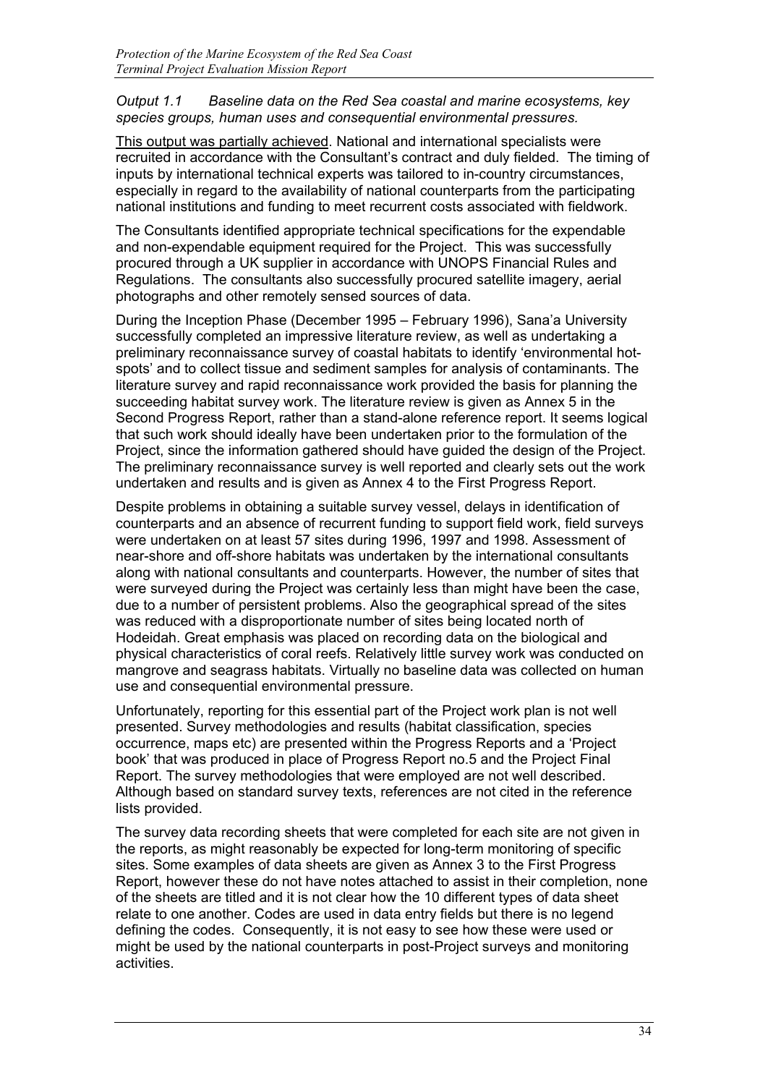# *Output 1.1 Baseline data on the Red Sea coastal and marine ecosystems, key species groups, human uses and consequential environmental pressures.*

This output was partially achieved. National and international specialists were recruited in accordance with the Consultant's contract and duly fielded. The timing of inputs by international technical experts was tailored to in-country circumstances, especially in regard to the availability of national counterparts from the participating national institutions and funding to meet recurrent costs associated with fieldwork.

The Consultants identified appropriate technical specifications for the expendable and non-expendable equipment required for the Project. This was successfully procured through a UK supplier in accordance with UNOPS Financial Rules and Regulations. The consultants also successfully procured satellite imagery, aerial photographs and other remotely sensed sources of data.

During the Inception Phase (December 1995 – February 1996), Sana'a University successfully completed an impressive literature review, as well as undertaking a preliminary reconnaissance survey of coastal habitats to identify 'environmental hotspots' and to collect tissue and sediment samples for analysis of contaminants. The literature survey and rapid reconnaissance work provided the basis for planning the succeeding habitat survey work. The literature review is given as Annex 5 in the Second Progress Report, rather than a stand-alone reference report. It seems logical that such work should ideally have been undertaken prior to the formulation of the Project, since the information gathered should have guided the design of the Project. The preliminary reconnaissance survey is well reported and clearly sets out the work undertaken and results and is given as Annex 4 to the First Progress Report.

Despite problems in obtaining a suitable survey vessel, delays in identification of counterparts and an absence of recurrent funding to support field work, field surveys were undertaken on at least 57 sites during 1996, 1997 and 1998. Assessment of near-shore and off-shore habitats was undertaken by the international consultants along with national consultants and counterparts. However, the number of sites that were surveyed during the Project was certainly less than might have been the case, due to a number of persistent problems. Also the geographical spread of the sites was reduced with a disproportionate number of sites being located north of Hodeidah. Great emphasis was placed on recording data on the biological and physical characteristics of coral reefs. Relatively little survey work was conducted on mangrove and seagrass habitats. Virtually no baseline data was collected on human use and consequential environmental pressure.

Unfortunately, reporting for this essential part of the Project work plan is not well presented. Survey methodologies and results (habitat classification, species occurrence, maps etc) are presented within the Progress Reports and a 'Project book' that was produced in place of Progress Report no.5 and the Project Final Report. The survey methodologies that were employed are not well described. Although based on standard survey texts, references are not cited in the reference lists provided.

The survey data recording sheets that were completed for each site are not given in the reports, as might reasonably be expected for long-term monitoring of specific sites. Some examples of data sheets are given as Annex 3 to the First Progress Report, however these do not have notes attached to assist in their completion, none of the sheets are titled and it is not clear how the 10 different types of data sheet relate to one another. Codes are used in data entry fields but there is no legend defining the codes. Consequently, it is not easy to see how these were used or might be used by the national counterparts in post-Project surveys and monitoring activities.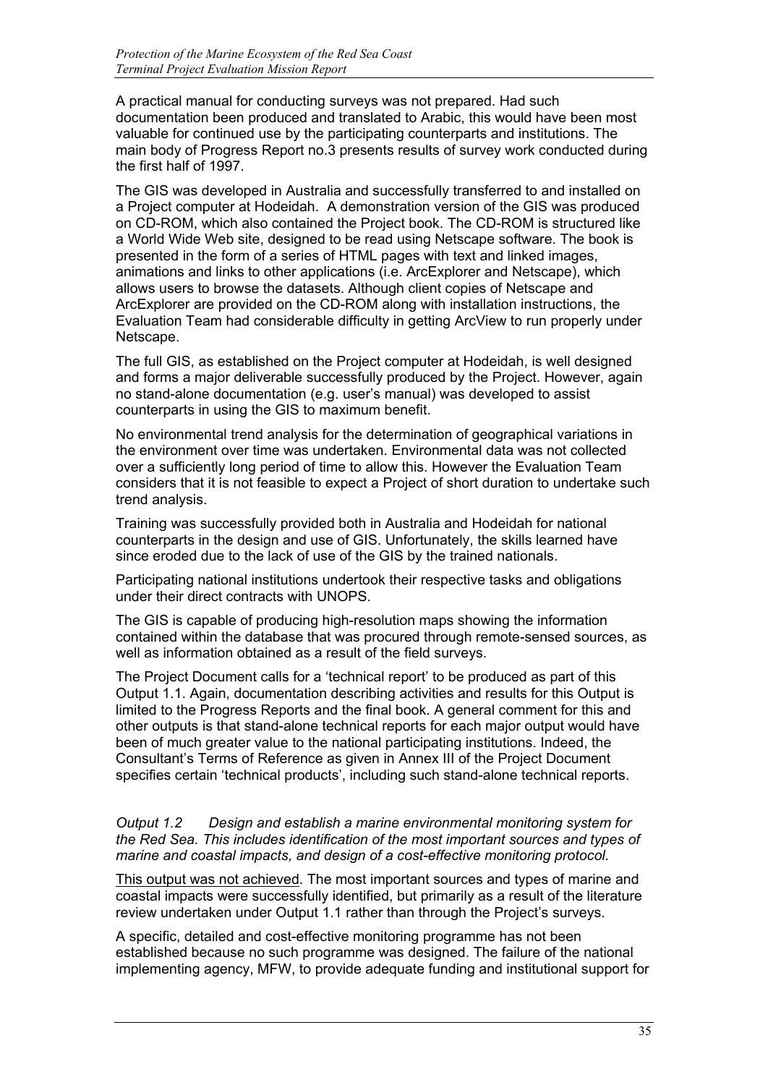A practical manual for conducting surveys was not prepared. Had such documentation been produced and translated to Arabic, this would have been most valuable for continued use by the participating counterparts and institutions. The main body of Progress Report no.3 presents results of survey work conducted during the first half of 1997.

The GIS was developed in Australia and successfully transferred to and installed on a Project computer at Hodeidah. A demonstration version of the GIS was produced on CD-ROM, which also contained the Project book. The CD-ROM is structured like a World Wide Web site, designed to be read using Netscape software. The book is presented in the form of a series of HTML pages with text and linked images, animations and links to other applications (i.e. ArcExplorer and Netscape), which allows users to browse the datasets. Although client copies of Netscape and ArcExplorer are provided on the CD-ROM along with installation instructions, the Evaluation Team had considerable difficulty in getting ArcView to run properly under Netscape.

The full GIS, as established on the Project computer at Hodeidah, is well designed and forms a major deliverable successfully produced by the Project. However, again no stand-alone documentation (e.g. user's manual) was developed to assist counterparts in using the GIS to maximum benefit.

No environmental trend analysis for the determination of geographical variations in the environment over time was undertaken. Environmental data was not collected over a sufficiently long period of time to allow this. However the Evaluation Team considers that it is not feasible to expect a Project of short duration to undertake such trend analysis.

Training was successfully provided both in Australia and Hodeidah for national counterparts in the design and use of GIS. Unfortunately, the skills learned have since eroded due to the lack of use of the GIS by the trained nationals.

Participating national institutions undertook their respective tasks and obligations under their direct contracts with UNOPS.

The GIS is capable of producing high-resolution maps showing the information contained within the database that was procured through remote-sensed sources, as well as information obtained as a result of the field surveys.

The Project Document calls for a 'technical report' to be produced as part of this Output 1.1. Again, documentation describing activities and results for this Output is limited to the Progress Reports and the final book. A general comment for this and other outputs is that stand-alone technical reports for each major output would have been of much greater value to the national participating institutions. Indeed, the Consultant's Terms of Reference as given in Annex III of the Project Document specifies certain 'technical products', including such stand-alone technical reports.

*Output 1.2 Design and establish a marine environmental monitoring system for the Red Sea. This includes identification of the most important sources and types of marine and coastal impacts, and design of a cost-effective monitoring protocol.*

This output was not achieved. The most important sources and types of marine and coastal impacts were successfully identified, but primarily as a result of the literature review undertaken under Output 1.1 rather than through the Project's surveys.

A specific, detailed and cost-effective monitoring programme has not been established because no such programme was designed. The failure of the national implementing agency, MFW, to provide adequate funding and institutional support for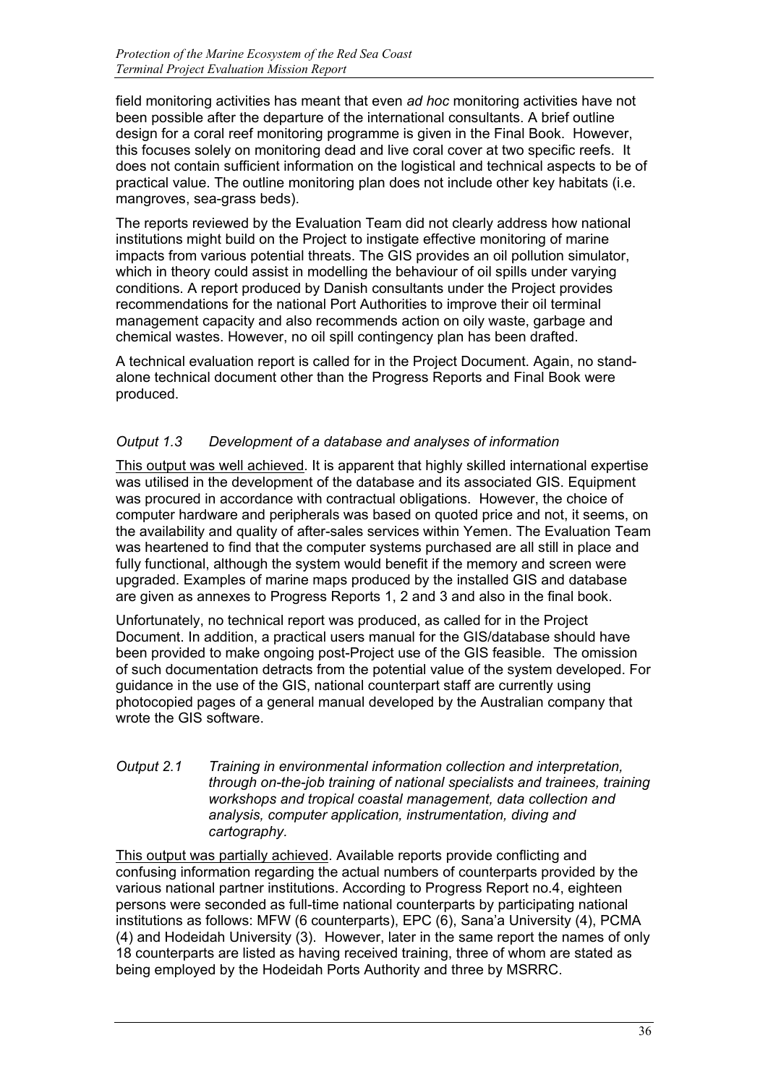field monitoring activities has meant that even *ad hoc* monitoring activities have not been possible after the departure of the international consultants. A brief outline design for a coral reef monitoring programme is given in the Final Book. However, this focuses solely on monitoring dead and live coral cover at two specific reefs. It does not contain sufficient information on the logistical and technical aspects to be of practical value. The outline monitoring plan does not include other key habitats (i.e. mangroves, sea-grass beds).

The reports reviewed by the Evaluation Team did not clearly address how national institutions might build on the Project to instigate effective monitoring of marine impacts from various potential threats. The GIS provides an oil pollution simulator, which in theory could assist in modelling the behaviour of oil spills under varying conditions. A report produced by Danish consultants under the Project provides recommendations for the national Port Authorities to improve their oil terminal management capacity and also recommends action on oily waste, garbage and chemical wastes. However, no oil spill contingency plan has been drafted.

A technical evaluation report is called for in the Project Document. Again, no standalone technical document other than the Progress Reports and Final Book were produced.

# *Output 1.3 Development of a database and analyses of information*

This output was well achieved. It is apparent that highly skilled international expertise was utilised in the development of the database and its associated GIS. Equipment was procured in accordance with contractual obligations. However, the choice of computer hardware and peripherals was based on quoted price and not, it seems, on the availability and quality of after-sales services within Yemen. The Evaluation Team was heartened to find that the computer systems purchased are all still in place and fully functional, although the system would benefit if the memory and screen were upgraded. Examples of marine maps produced by the installed GIS and database are given as annexes to Progress Reports 1, 2 and 3 and also in the final book.

Unfortunately, no technical report was produced, as called for in the Project Document. In addition, a practical users manual for the GIS/database should have been provided to make ongoing post-Project use of the GIS feasible. The omission of such documentation detracts from the potential value of the system developed. For guidance in the use of the GIS, national counterpart staff are currently using photocopied pages of a general manual developed by the Australian company that wrote the GIS software.

## *Output 2.1 Training in environmental information collection and interpretation, through on-the-job training of national specialists and trainees, training workshops and tropical coastal management, data collection and analysis, computer application, instrumentation, diving and cartography.*

This output was partially achieved. Available reports provide conflicting and confusing information regarding the actual numbers of counterparts provided by the various national partner institutions. According to Progress Report no.4, eighteen persons were seconded as full-time national counterparts by participating national institutions as follows: MFW (6 counterparts), EPC (6), Sana'a University (4), PCMA (4) and Hodeidah University (3). However, later in the same report the names of only 18 counterparts are listed as having received training, three of whom are stated as being employed by the Hodeidah Ports Authority and three by MSRRC.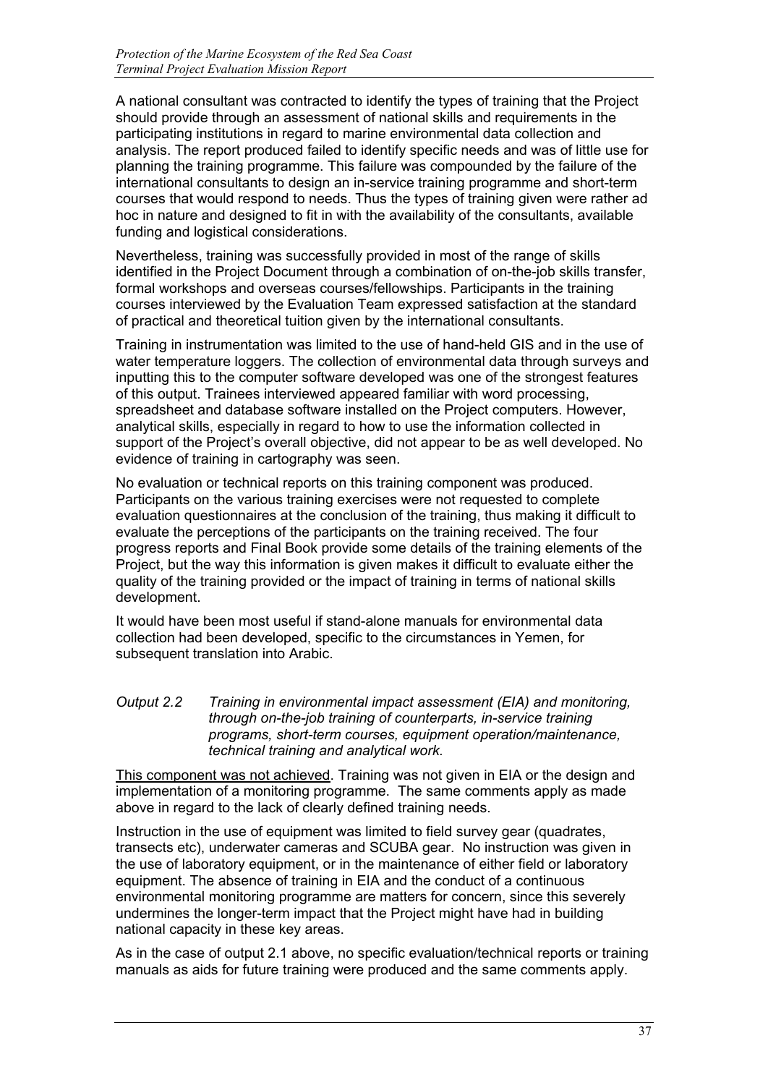A national consultant was contracted to identify the types of training that the Project should provide through an assessment of national skills and requirements in the participating institutions in regard to marine environmental data collection and analysis. The report produced failed to identify specific needs and was of little use for planning the training programme. This failure was compounded by the failure of the international consultants to design an in-service training programme and short-term courses that would respond to needs. Thus the types of training given were rather ad hoc in nature and designed to fit in with the availability of the consultants, available funding and logistical considerations.

Nevertheless, training was successfully provided in most of the range of skills identified in the Project Document through a combination of on-the-job skills transfer, formal workshops and overseas courses/fellowships. Participants in the training courses interviewed by the Evaluation Team expressed satisfaction at the standard of practical and theoretical tuition given by the international consultants.

Training in instrumentation was limited to the use of hand-held GIS and in the use of water temperature loggers. The collection of environmental data through surveys and inputting this to the computer software developed was one of the strongest features of this output. Trainees interviewed appeared familiar with word processing, spreadsheet and database software installed on the Project computers. However, analytical skills, especially in regard to how to use the information collected in support of the Project's overall objective, did not appear to be as well developed. No evidence of training in cartography was seen.

No evaluation or technical reports on this training component was produced. Participants on the various training exercises were not requested to complete evaluation questionnaires at the conclusion of the training, thus making it difficult to evaluate the perceptions of the participants on the training received. The four progress reports and Final Book provide some details of the training elements of the Project, but the way this information is given makes it difficult to evaluate either the quality of the training provided or the impact of training in terms of national skills development.

It would have been most useful if stand-alone manuals for environmental data collection had been developed, specific to the circumstances in Yemen, for subsequent translation into Arabic.

## *Output 2.2 Training in environmental impact assessment (EIA) and monitoring, through on-the-job training of counterparts, in-service training programs, short-term courses, equipment operation/maintenance, technical training and analytical work.*

This component was not achieved. Training was not given in EIA or the design and implementation of a monitoring programme. The same comments apply as made above in regard to the lack of clearly defined training needs.

Instruction in the use of equipment was limited to field survey gear (quadrates, transects etc), underwater cameras and SCUBA gear. No instruction was given in the use of laboratory equipment, or in the maintenance of either field or laboratory equipment. The absence of training in EIA and the conduct of a continuous environmental monitoring programme are matters for concern, since this severely undermines the longer-term impact that the Project might have had in building national capacity in these key areas.

As in the case of output 2.1 above, no specific evaluation/technical reports or training manuals as aids for future training were produced and the same comments apply.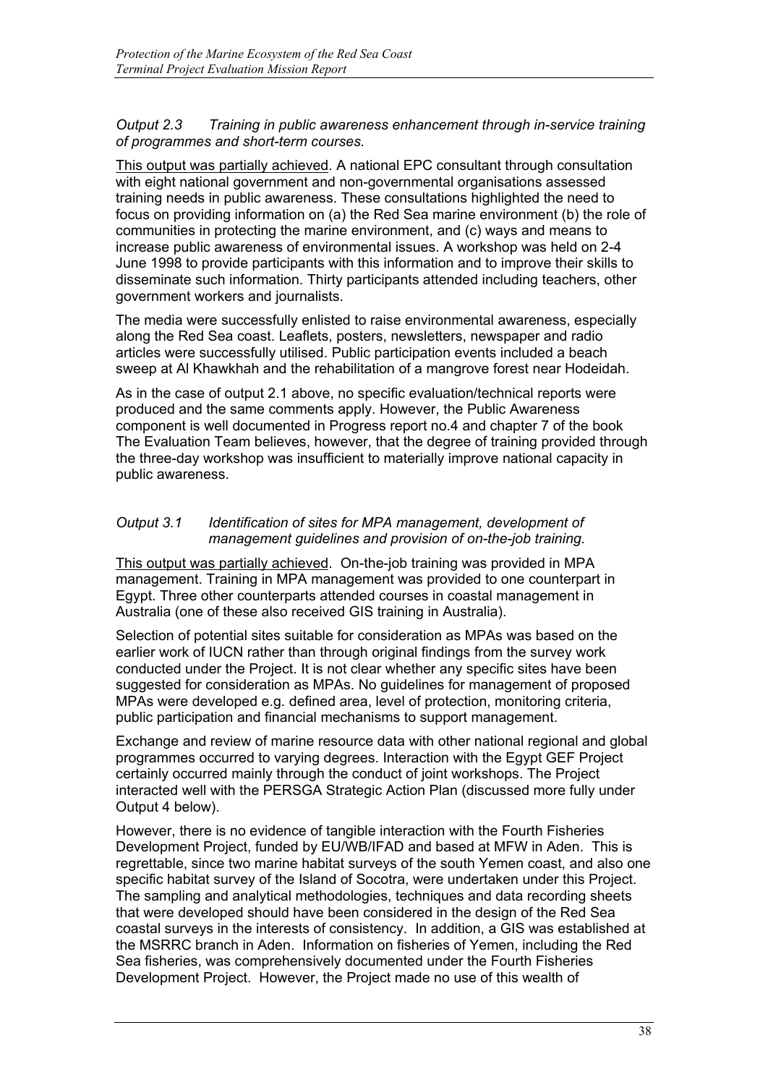# *Output 2.3 Training in public awareness enhancement through in-service training of programmes and short-term courses.*

This output was partially achieved. A national EPC consultant through consultation with eight national government and non-governmental organisations assessed training needs in public awareness. These consultations highlighted the need to focus on providing information on (a) the Red Sea marine environment (b) the role of communities in protecting the marine environment, and (c) ways and means to increase public awareness of environmental issues. A workshop was held on 2-4 June 1998 to provide participants with this information and to improve their skills to disseminate such information. Thirty participants attended including teachers, other government workers and journalists.

The media were successfully enlisted to raise environmental awareness, especially along the Red Sea coast. Leaflets, posters, newsletters, newspaper and radio articles were successfully utilised. Public participation events included a beach sweep at Al Khawkhah and the rehabilitation of a mangrove forest near Hodeidah.

As in the case of output 2.1 above, no specific evaluation/technical reports were produced and the same comments apply. However, the Public Awareness component is well documented in Progress report no.4 and chapter 7 of the book The Evaluation Team believes, however, that the degree of training provided through the three-day workshop was insufficient to materially improve national capacity in public awareness.

## *Output 3.1 Identification of sites for MPA management, development of management guidelines and provision of on-the-job training.*

This output was partially achieved. On-the-job training was provided in MPA management. Training in MPA management was provided to one counterpart in Egypt. Three other counterparts attended courses in coastal management in Australia (one of these also received GIS training in Australia).

Selection of potential sites suitable for consideration as MPAs was based on the earlier work of IUCN rather than through original findings from the survey work conducted under the Project. It is not clear whether any specific sites have been suggested for consideration as MPAs. No guidelines for management of proposed MPAs were developed e.g. defined area, level of protection, monitoring criteria, public participation and financial mechanisms to support management.

Exchange and review of marine resource data with other national regional and global programmes occurred to varying degrees. Interaction with the Egypt GEF Project certainly occurred mainly through the conduct of joint workshops. The Project interacted well with the PERSGA Strategic Action Plan (discussed more fully under Output 4 below).

However, there is no evidence of tangible interaction with the Fourth Fisheries Development Project, funded by EU/WB/IFAD and based at MFW in Aden. This is regrettable, since two marine habitat surveys of the south Yemen coast, and also one specific habitat survey of the Island of Socotra, were undertaken under this Project. The sampling and analytical methodologies, techniques and data recording sheets that were developed should have been considered in the design of the Red Sea coastal surveys in the interests of consistency. In addition, a GIS was established at the MSRRC branch in Aden. Information on fisheries of Yemen, including the Red Sea fisheries, was comprehensively documented under the Fourth Fisheries Development Project. However, the Project made no use of this wealth of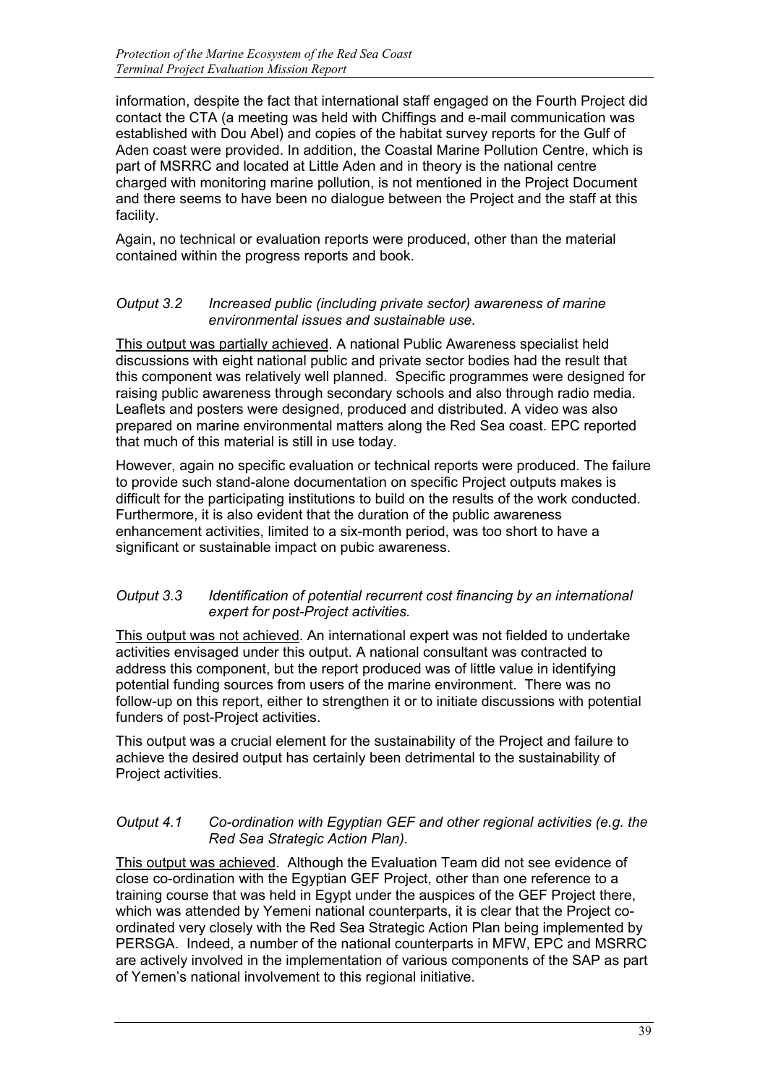information, despite the fact that international staff engaged on the Fourth Project did contact the CTA (a meeting was held with Chiffings and e-mail communication was established with Dou Abel) and copies of the habitat survey reports for the Gulf of Aden coast were provided. In addition, the Coastal Marine Pollution Centre, which is part of MSRRC and located at Little Aden and in theory is the national centre charged with monitoring marine pollution, is not mentioned in the Project Document and there seems to have been no dialogue between the Project and the staff at this facility.

Again, no technical or evaluation reports were produced, other than the material contained within the progress reports and book.

# *Output 3.2 Increased public (including private sector) awareness of marine environmental issues and sustainable use.*

This output was partially achieved. A national Public Awareness specialist held discussions with eight national public and private sector bodies had the result that this component was relatively well planned. Specific programmes were designed for raising public awareness through secondary schools and also through radio media. Leaflets and posters were designed, produced and distributed. A video was also prepared on marine environmental matters along the Red Sea coast. EPC reported that much of this material is still in use today.

However, again no specific evaluation or technical reports were produced. The failure to provide such stand-alone documentation on specific Project outputs makes is difficult for the participating institutions to build on the results of the work conducted. Furthermore, it is also evident that the duration of the public awareness enhancement activities, limited to a six-month period, was too short to have a significant or sustainable impact on pubic awareness.

## *Output 3.3 Identification of potential recurrent cost financing by an international expert for post-Project activities.*

This output was not achieved. An international expert was not fielded to undertake activities envisaged under this output. A national consultant was contracted to address this component, but the report produced was of little value in identifying potential funding sources from users of the marine environment. There was no follow-up on this report, either to strengthen it or to initiate discussions with potential funders of post-Project activities.

This output was a crucial element for the sustainability of the Project and failure to achieve the desired output has certainly been detrimental to the sustainability of Project activities.

# *Output 4.1 Co-ordination with Egyptian GEF and other regional activities (e.g. the Red Sea Strategic Action Plan).*

This output was achieved. Although the Evaluation Team did not see evidence of close co-ordination with the Egyptian GEF Project, other than one reference to a training course that was held in Egypt under the auspices of the GEF Project there, which was attended by Yemeni national counterparts, it is clear that the Project coordinated very closely with the Red Sea Strategic Action Plan being implemented by PERSGA. Indeed, a number of the national counterparts in MFW, EPC and MSRRC are actively involved in the implementation of various components of the SAP as part of Yemen's national involvement to this regional initiative.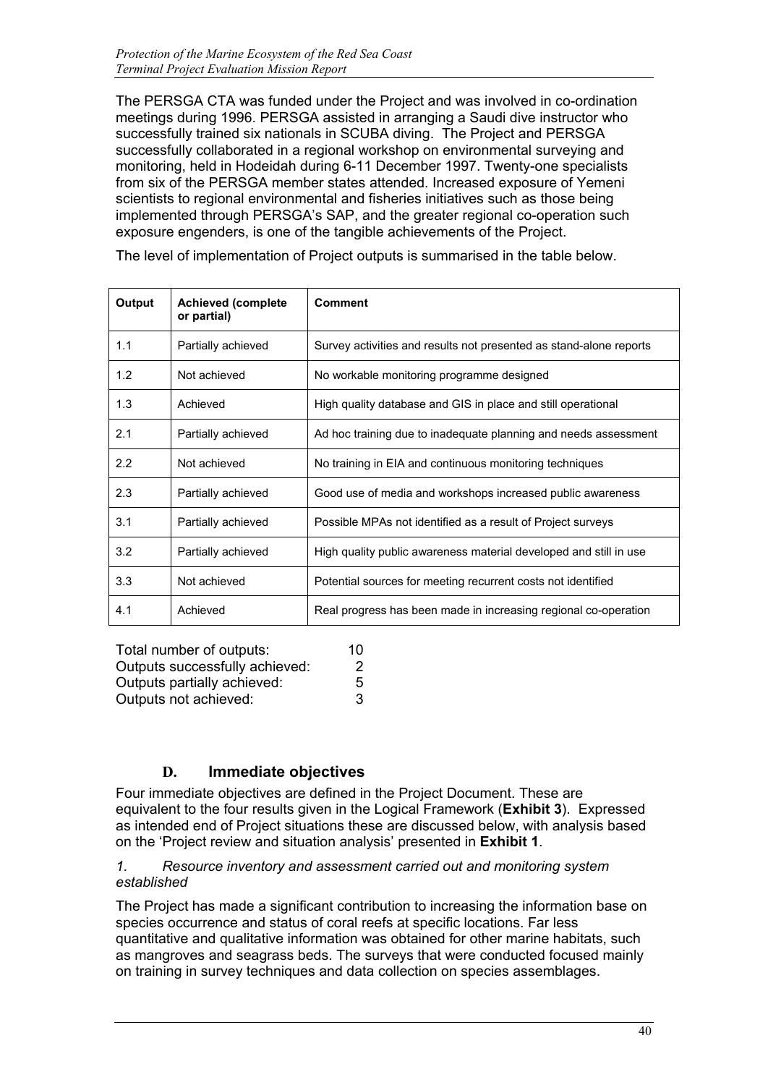The PERSGA CTA was funded under the Project and was involved in co-ordination meetings during 1996. PERSGA assisted in arranging a Saudi dive instructor who successfully trained six nationals in SCUBA diving. The Project and PERSGA successfully collaborated in a regional workshop on environmental surveying and monitoring, held in Hodeidah during 6-11 December 1997. Twenty-one specialists from six of the PERSGA member states attended. Increased exposure of Yemeni scientists to regional environmental and fisheries initiatives such as those being implemented through PERSGA's SAP, and the greater regional co-operation such exposure engenders, is one of the tangible achievements of the Project.

| Output                    | <b>Achieved (complete</b><br>or partial) | <b>Comment</b>                                                     |
|---------------------------|------------------------------------------|--------------------------------------------------------------------|
| 1.1                       | Partially achieved                       | Survey activities and results not presented as stand-alone reports |
| 1.2                       | Not achieved                             | No workable monitoring programme designed                          |
| 1.3                       | Achieved                                 | High quality database and GIS in place and still operational       |
| 2.1<br>Partially achieved |                                          | Ad hoc training due to inadequate planning and needs assessment    |
| 2.2                       | Not achieved                             | No training in EIA and continuous monitoring techniques            |
| 2.3                       | Partially achieved                       | Good use of media and workshops increased public awareness         |
| 3.1                       | Partially achieved                       | Possible MPAs not identified as a result of Project surveys        |
| 3.2                       | Partially achieved                       | High quality public awareness material developed and still in use  |
| 3.3                       | Not achieved                             | Potential sources for meeting recurrent costs not identified       |
| 4.1                       | Achieved                                 | Real progress has been made in increasing regional co-operation    |

The level of implementation of Project outputs is summarised in the table below.

| Total number of outputs:       | 10 |
|--------------------------------|----|
| Outputs successfully achieved: | 2  |
| Outputs partially achieved:    | 5  |
| Outputs not achieved:          | 3  |

# **D. Immediate objectives**

Four immediate objectives are defined in the Project Document. These are equivalent to the four results given in the Logical Framework (**Exhibit 3**). Expressed as intended end of Project situations these are discussed below, with analysis based on the 'Project review and situation analysis' presented in **Exhibit 1**.

## *1. Resource inventory and assessment carried out and monitoring system established*

The Project has made a significant contribution to increasing the information base on species occurrence and status of coral reefs at specific locations. Far less quantitative and qualitative information was obtained for other marine habitats, such as mangroves and seagrass beds. The surveys that were conducted focused mainly on training in survey techniques and data collection on species assemblages.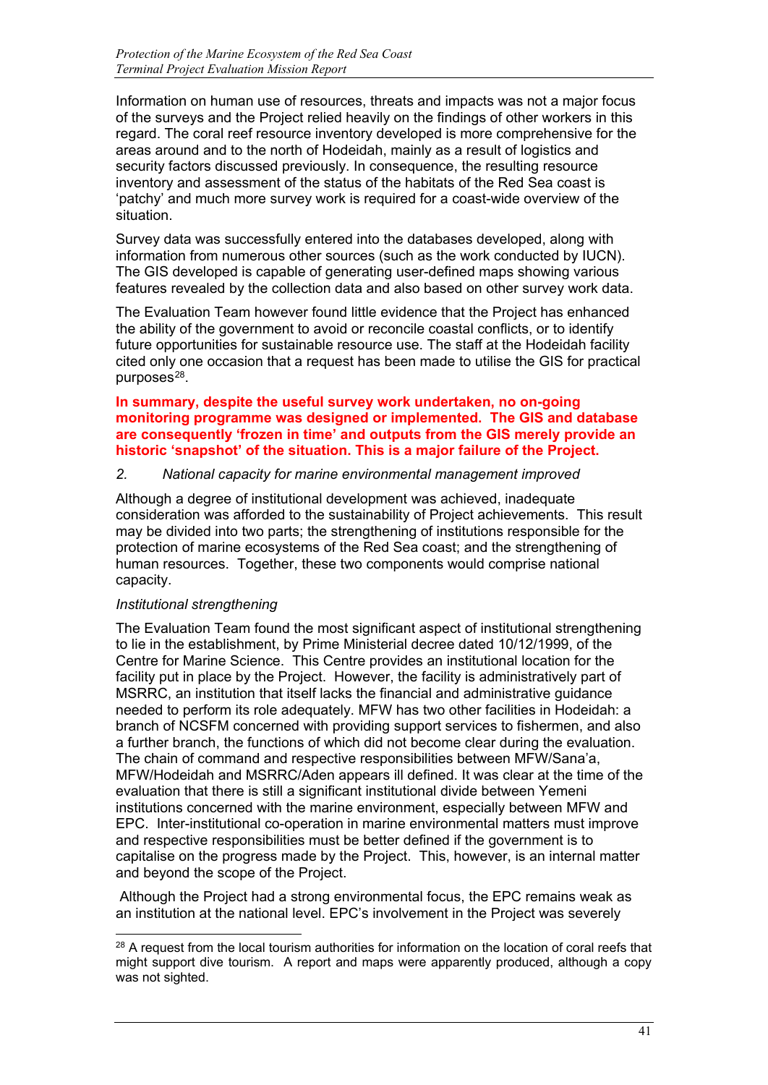Information on human use of resources, threats and impacts was not a major focus of the surveys and the Project relied heavily on the findings of other workers in this regard. The coral reef resource inventory developed is more comprehensive for the areas around and to the north of Hodeidah, mainly as a result of logistics and security factors discussed previously. In consequence, the resulting resource inventory and assessment of the status of the habitats of the Red Sea coast is 'patchy' and much more survey work is required for a coast-wide overview of the situation.

Survey data was successfully entered into the databases developed, along with information from numerous other sources (such as the work conducted by IUCN). The GIS developed is capable of generating user-defined maps showing various features revealed by the collection data and also based on other survey work data.

The Evaluation Team however found little evidence that the Project has enhanced the ability of the government to avoid or reconcile coastal conflicts, or to identify future opportunities for sustainable resource use. The staff at the Hodeidah facility cited only one occasion that a request has been made to utilise the GIS for practical purposes $28$ .

### **In summary, despite the useful survey work undertaken, no on-going monitoring programme was designed or implemented. The GIS and database are consequently 'frozen in time' and outputs from the GIS merely provide an historic 'snapshot' of the situation. This is a major failure of the Project.**

# *2. National capacity for marine environmental management improved*

Although a degree of institutional development was achieved, inadequate consideration was afforded to the sustainability of Project achievements. This result may be divided into two parts; the strengthening of institutions responsible for the protection of marine ecosystems of the Red Sea coast; and the strengthening of human resources. Together, these two components would comprise national capacity.

# *Institutional strengthening*

The Evaluation Team found the most significant aspect of institutional strengthening to lie in the establishment, by Prime Ministerial decree dated 10/12/1999, of the Centre for Marine Science. This Centre provides an institutional location for the facility put in place by the Project. However, the facility is administratively part of MSRRC, an institution that itself lacks the financial and administrative guidance needed to perform its role adequately. MFW has two other facilities in Hodeidah: a branch of NCSFM concerned with providing support services to fishermen, and also a further branch, the functions of which did not become clear during the evaluation. The chain of command and respective responsibilities between MFW/Sana'a, MFW/Hodeidah and MSRRC/Aden appears ill defined. It was clear at the time of the evaluation that there is still a significant institutional divide between Yemeni institutions concerned with the marine environment, especially between MFW and EPC. Inter-institutional co-operation in marine environmental matters must improve and respective responsibilities must be better defined if the government is to capitalise on the progress made by the Project. This, however, is an internal matter and beyond the scope of the Project.

Although the Project had a strong environmental focus, the EPC remains weak as an institution at the national level. EPC's involvement in the Project was severely

<span id="page-43-0"></span><sup>-</sup><sup>28</sup> A request from the local tourism authorities for information on the location of coral reefs that might support dive tourism. A report and maps were apparently produced, although a copy was not sighted.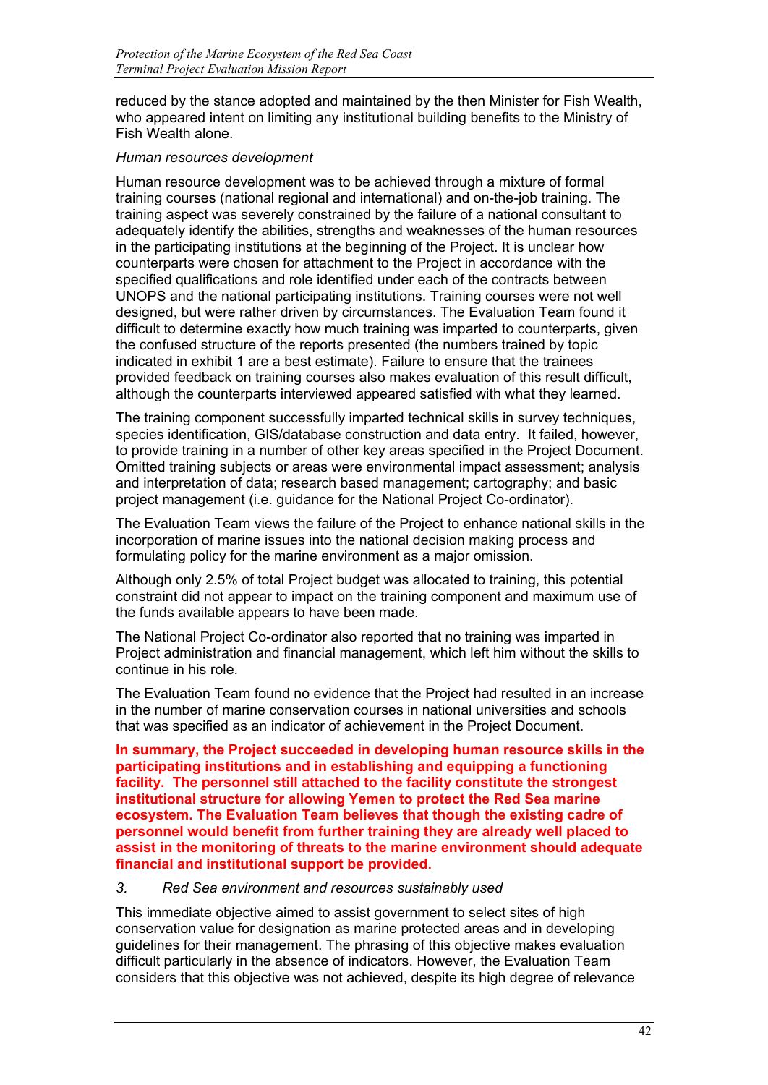reduced by the stance adopted and maintained by the then Minister for Fish Wealth, who appeared intent on limiting any institutional building benefits to the Ministry of Fish Wealth alone.

# *Human resources development*

Human resource development was to be achieved through a mixture of formal training courses (national regional and international) and on-the-job training. The training aspect was severely constrained by the failure of a national consultant to adequately identify the abilities, strengths and weaknesses of the human resources in the participating institutions at the beginning of the Project. It is unclear how counterparts were chosen for attachment to the Project in accordance with the specified qualifications and role identified under each of the contracts between UNOPS and the national participating institutions. Training courses were not well designed, but were rather driven by circumstances. The Evaluation Team found it difficult to determine exactly how much training was imparted to counterparts, given the confused structure of the reports presented (the numbers trained by topic indicated in exhibit 1 are a best estimate). Failure to ensure that the trainees provided feedback on training courses also makes evaluation of this result difficult, although the counterparts interviewed appeared satisfied with what they learned.

The training component successfully imparted technical skills in survey techniques, species identification, GIS/database construction and data entry. It failed, however, to provide training in a number of other key areas specified in the Project Document. Omitted training subjects or areas were environmental impact assessment; analysis and interpretation of data; research based management; cartography; and basic project management (i.e. guidance for the National Project Co-ordinator).

The Evaluation Team views the failure of the Project to enhance national skills in the incorporation of marine issues into the national decision making process and formulating policy for the marine environment as a major omission.

Although only 2.5% of total Project budget was allocated to training, this potential constraint did not appear to impact on the training component and maximum use of the funds available appears to have been made.

The National Project Co-ordinator also reported that no training was imparted in Project administration and financial management, which left him without the skills to continue in his role.

The Evaluation Team found no evidence that the Project had resulted in an increase in the number of marine conservation courses in national universities and schools that was specified as an indicator of achievement in the Project Document.

**In summary, the Project succeeded in developing human resource skills in the participating institutions and in establishing and equipping a functioning facility. The personnel still attached to the facility constitute the strongest institutional structure for allowing Yemen to protect the Red Sea marine ecosystem. The Evaluation Team believes that though the existing cadre of personnel would benefit from further training they are already well placed to assist in the monitoring of threats to the marine environment should adequate financial and institutional support be provided.**

# *3. Red Sea environment and resources sustainably used*

This immediate objective aimed to assist government to select sites of high conservation value for designation as marine protected areas and in developing guidelines for their management. The phrasing of this objective makes evaluation difficult particularly in the absence of indicators. However, the Evaluation Team considers that this objective was not achieved, despite its high degree of relevance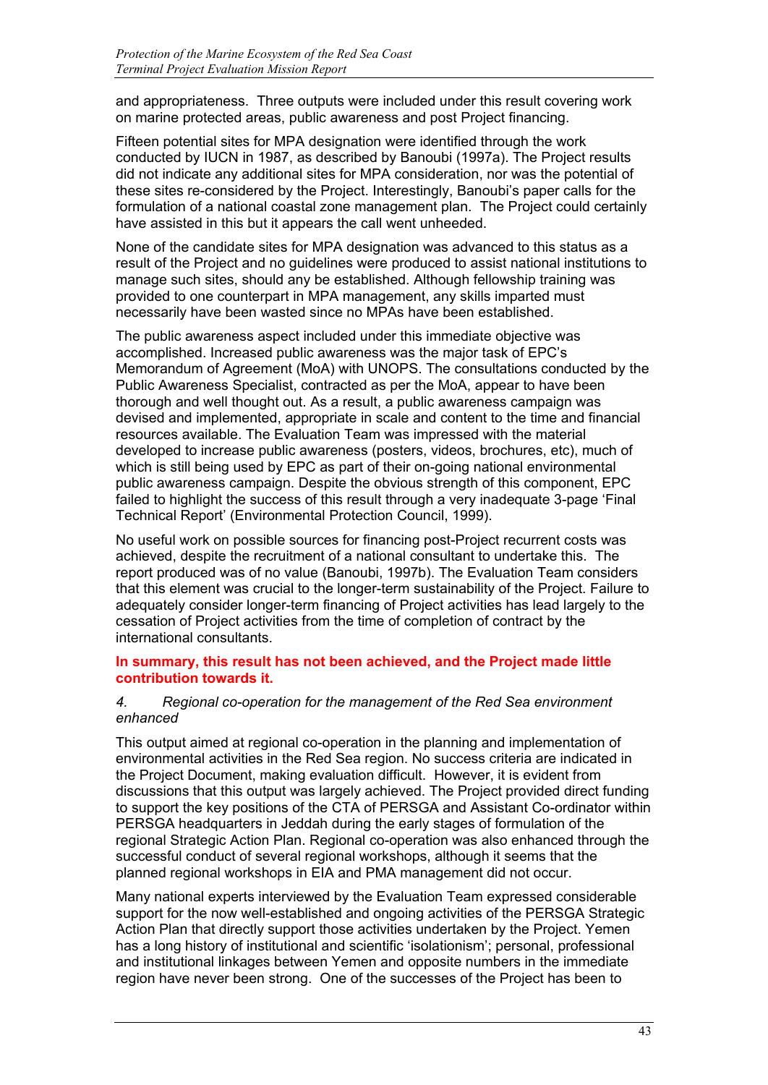and appropriateness. Three outputs were included under this result covering work on marine protected areas, public awareness and post Project financing.

Fifteen potential sites for MPA designation were identified through the work conducted by IUCN in 1987, as described by Banoubi (1997a). The Project results did not indicate any additional sites for MPA consideration, nor was the potential of these sites re-considered by the Project. Interestingly, Banoubi's paper calls for the formulation of a national coastal zone management plan. The Project could certainly have assisted in this but it appears the call went unheeded.

None of the candidate sites for MPA designation was advanced to this status as a result of the Project and no guidelines were produced to assist national institutions to manage such sites, should any be established. Although fellowship training was provided to one counterpart in MPA management, any skills imparted must necessarily have been wasted since no MPAs have been established.

The public awareness aspect included under this immediate objective was accomplished. Increased public awareness was the major task of EPC's Memorandum of Agreement (MoA) with UNOPS. The consultations conducted by the Public Awareness Specialist, contracted as per the MoA, appear to have been thorough and well thought out. As a result, a public awareness campaign was devised and implemented, appropriate in scale and content to the time and financial resources available. The Evaluation Team was impressed with the material developed to increase public awareness (posters, videos, brochures, etc), much of which is still being used by EPC as part of their on-going national environmental public awareness campaign. Despite the obvious strength of this component, EPC failed to highlight the success of this result through a very inadequate 3-page 'Final Technical Report' (Environmental Protection Council, 1999).

No useful work on possible sources for financing post-Project recurrent costs was achieved, despite the recruitment of a national consultant to undertake this. The report produced was of no value (Banoubi, 1997b). The Evaluation Team considers that this element was crucial to the longer-term sustainability of the Project. Failure to adequately consider longer-term financing of Project activities has lead largely to the cessation of Project activities from the time of completion of contract by the international consultants.

# **In summary, this result has not been achieved, and the Project made little contribution towards it.**

# *4. Regional co-operation for the management of the Red Sea environment enhanced*

This output aimed at regional co-operation in the planning and implementation of environmental activities in the Red Sea region. No success criteria are indicated in the Project Document, making evaluation difficult. However, it is evident from discussions that this output was largely achieved. The Project provided direct funding to support the key positions of the CTA of PERSGA and Assistant Co-ordinator within PERSGA headquarters in Jeddah during the early stages of formulation of the regional Strategic Action Plan. Regional co-operation was also enhanced through the successful conduct of several regional workshops, although it seems that the planned regional workshops in EIA and PMA management did not occur.

Many national experts interviewed by the Evaluation Team expressed considerable support for the now well-established and ongoing activities of the PERSGA Strategic Action Plan that directly support those activities undertaken by the Project. Yemen has a long history of institutional and scientific 'isolationism'; personal, professional and institutional linkages between Yemen and opposite numbers in the immediate region have never been strong. One of the successes of the Project has been to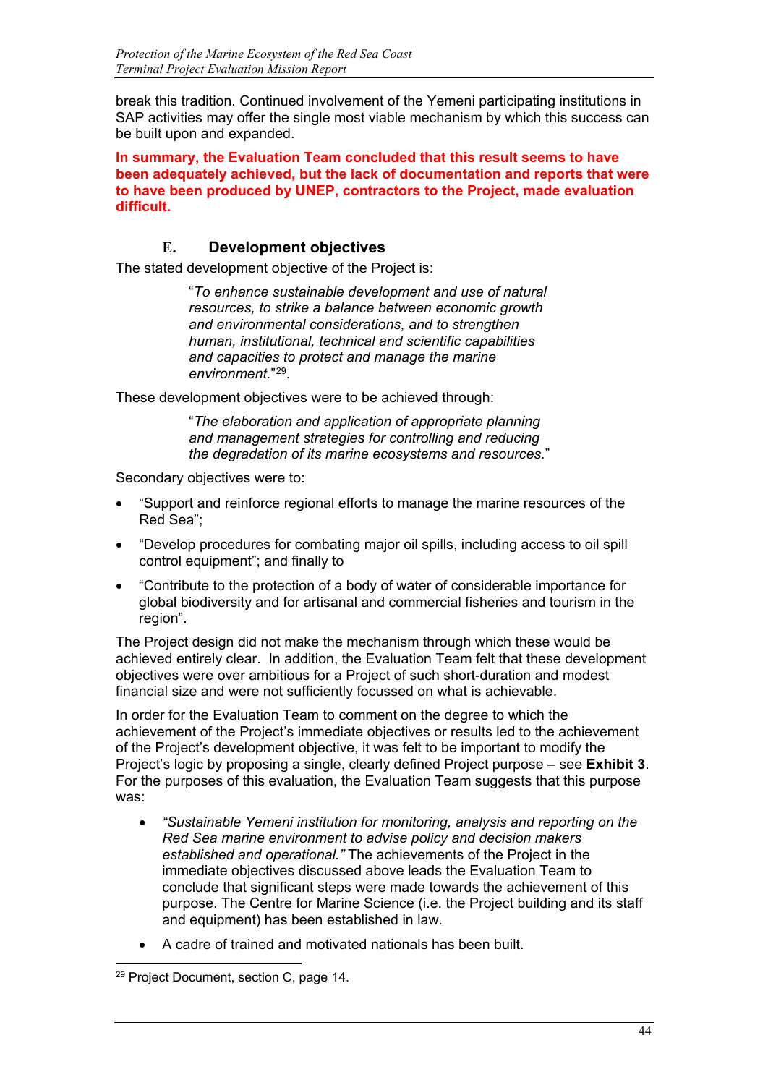break this tradition. Continued involvement of the Yemeni participating institutions in SAP activities may offer the single most viable mechanism by which this success can be built upon and expanded.

**In summary, the Evaluation Team concluded that this result seems to have been adequately achieved, but the lack of documentation and reports that were to have been produced by UNEP, contractors to the Project, made evaluation difficult.**

# **E. Development objectives**

The stated development objective of the Project is:

"*To enhance sustainable development and use of natural resources, to strike a balance between economic growth and environmental considerations, and to strengthen human, institutional, technical and scientific capabilities and capacities to protect and manage the marine environment.*"[2](#page-46-0)9.

These development objectives were to be achieved through:

"*The elaboration and application of appropriate planning and management strategies for controlling and reducing the degradation of its marine ecosystems and resources.*"

Secondary objectives were to:

- "Support and reinforce regional efforts to manage the marine resources of the Red Sea";
- "Develop procedures for combating major oil spills, including access to oil spill control equipment"; and finally to
- "Contribute to the protection of a body of water of considerable importance for global biodiversity and for artisanal and commercial fisheries and tourism in the region".

The Project design did not make the mechanism through which these would be achieved entirely clear. In addition, the Evaluation Team felt that these development objectives were over ambitious for a Project of such short-duration and modest financial size and were not sufficiently focussed on what is achievable.

In order for the Evaluation Team to comment on the degree to which the achievement of the Project's immediate objectives or results led to the achievement of the Project's development objective, it was felt to be important to modify the Project's logic by proposing a single, clearly defined Project purpose – see **Exhibit 3**. For the purposes of this evaluation, the Evaluation Team suggests that this purpose was:

- *"Sustainable Yemeni institution for monitoring, analysis and reporting on the Red Sea marine environment to advise policy and decision makers established and operational."* The achievements of the Project in the immediate objectives discussed above leads the Evaluation Team to conclude that significant steps were made towards the achievement of this purpose. The Centre for Marine Science (i.e. the Project building and its staff and equipment) has been established in law.
- A cadre of trained and motivated nationals has been built.

<span id="page-46-0"></span>j <sup>29</sup> Project Document, section C, page 14.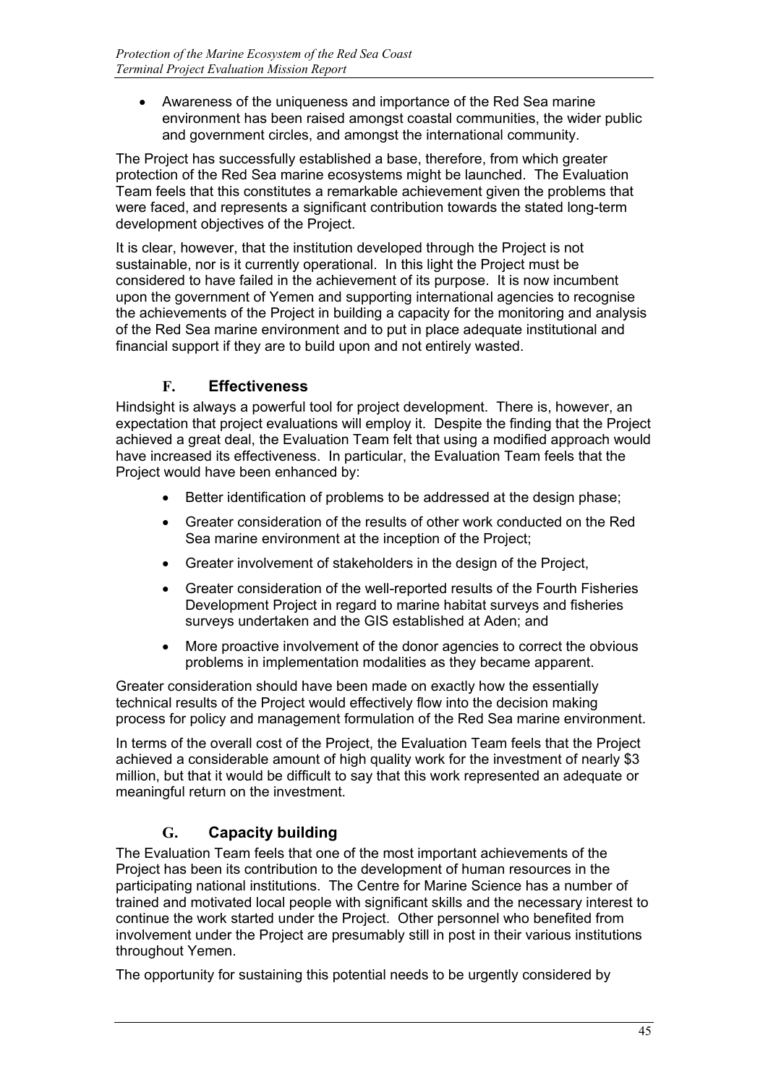• Awareness of the uniqueness and importance of the Red Sea marine environment has been raised amongst coastal communities, the wider public and government circles, and amongst the international community.

The Project has successfully established a base, therefore, from which greater protection of the Red Sea marine ecosystems might be launched. The Evaluation Team feels that this constitutes a remarkable achievement given the problems that were faced, and represents a significant contribution towards the stated long-term development objectives of the Project.

It is clear, however, that the institution developed through the Project is not sustainable, nor is it currently operational. In this light the Project must be considered to have failed in the achievement of its purpose. It is now incumbent upon the government of Yemen and supporting international agencies to recognise the achievements of the Project in building a capacity for the monitoring and analysis of the Red Sea marine environment and to put in place adequate institutional and financial support if they are to build upon and not entirely wasted.

# **F. Effectiveness**

Hindsight is always a powerful tool for project development. There is, however, an expectation that project evaluations will employ it. Despite the finding that the Project achieved a great deal, the Evaluation Team felt that using a modified approach would have increased its effectiveness. In particular, the Evaluation Team feels that the Project would have been enhanced by:

- Better identification of problems to be addressed at the design phase;
- Greater consideration of the results of other work conducted on the Red Sea marine environment at the inception of the Project;
- Greater involvement of stakeholders in the design of the Project,
- Greater consideration of the well-reported results of the Fourth Fisheries Development Project in regard to marine habitat surveys and fisheries surveys undertaken and the GIS established at Aden; and
- More proactive involvement of the donor agencies to correct the obvious problems in implementation modalities as they became apparent.

Greater consideration should have been made on exactly how the essentially technical results of the Project would effectively flow into the decision making process for policy and management formulation of the Red Sea marine environment.

In terms of the overall cost of the Project, the Evaluation Team feels that the Project achieved a considerable amount of high quality work for the investment of nearly \$3 million, but that it would be difficult to say that this work represented an adequate or meaningful return on the investment.

# **G. Capacity building**

The Evaluation Team feels that one of the most important achievements of the Project has been its contribution to the development of human resources in the participating national institutions. The Centre for Marine Science has a number of trained and motivated local people with significant skills and the necessary interest to continue the work started under the Project. Other personnel who benefited from involvement under the Project are presumably still in post in their various institutions throughout Yemen.

The opportunity for sustaining this potential needs to be urgently considered by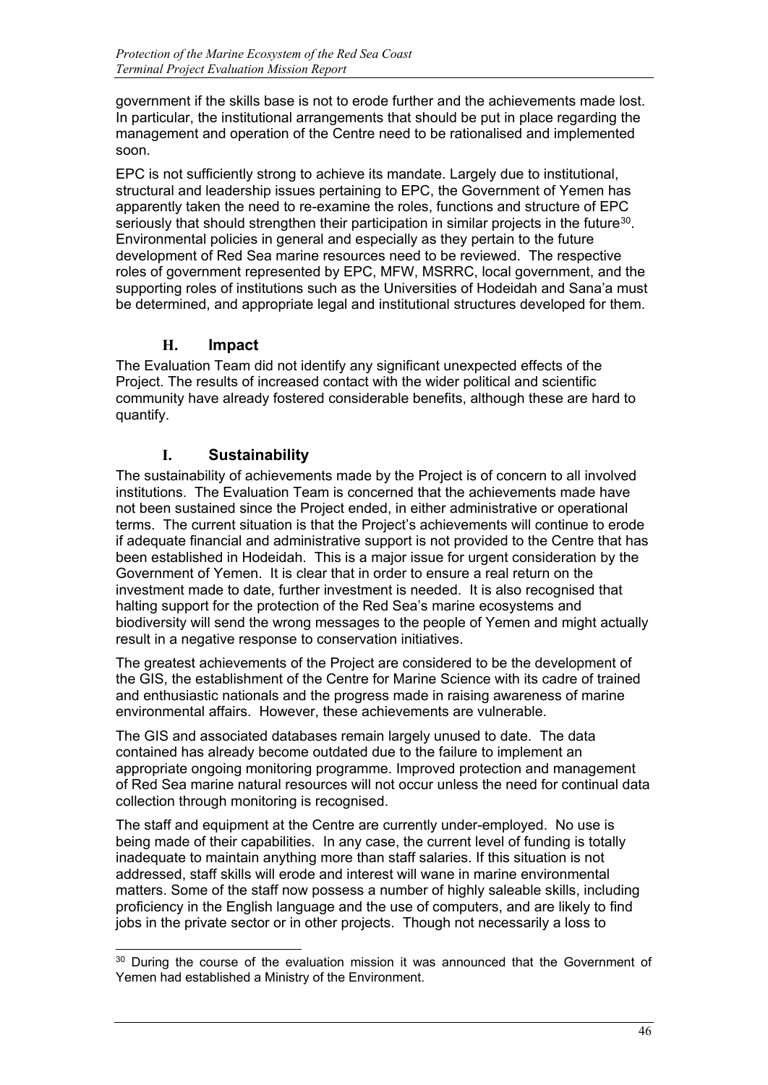government if the skills base is not to erode further and the achievements made lost. In particular, the institutional arrangements that should be put in place regarding the management and operation of the Centre need to be rationalised and implemented soon.

EPC is not sufficiently strong to achieve its mandate. Largely due to institutional, structural and leadership issues pertaining to EPC, the Government of Yemen has apparently taken the need to re-examine the roles, functions and structure of EPC seriously that should strengthen their participation in similar projects in the future<sup>[30](#page-48-0)</sup>. Environmental policies in general and especially as they pertain to the future development of Red Sea marine resources need to be reviewed. The respective roles of government represented by EPC, MFW, MSRRC, local government, and the supporting roles of institutions such as the Universities of Hodeidah and Sana'a must be determined, and appropriate legal and institutional structures developed for them.

# **H. Impact**

The Evaluation Team did not identify any significant unexpected effects of the Project. The results of increased contact with the wider political and scientific community have already fostered considerable benefits, although these are hard to quantify.

# **I. Sustainability**

The sustainability of achievements made by the Project is of concern to all involved institutions. The Evaluation Team is concerned that the achievements made have not been sustained since the Project ended, in either administrative or operational terms. The current situation is that the Project's achievements will continue to erode if adequate financial and administrative support is not provided to the Centre that has been established in Hodeidah. This is a major issue for urgent consideration by the Government of Yemen. It is clear that in order to ensure a real return on the investment made to date, further investment is needed. It is also recognised that halting support for the protection of the Red Sea's marine ecosystems and biodiversity will send the wrong messages to the people of Yemen and might actually result in a negative response to conservation initiatives.

The greatest achievements of the Project are considered to be the development of the GIS, the establishment of the Centre for Marine Science with its cadre of trained and enthusiastic nationals and the progress made in raising awareness of marine environmental affairs. However, these achievements are vulnerable.

The GIS and associated databases remain largely unused to date. The data contained has already become outdated due to the failure to implement an appropriate ongoing monitoring programme. Improved protection and management of Red Sea marine natural resources will not occur unless the need for continual data collection through monitoring is recognised.

The staff and equipment at the Centre are currently under-employed. No use is being made of their capabilities. In any case, the current level of funding is totally inadequate to maintain anything more than staff salaries. If this situation is not addressed, staff skills will erode and interest will wane in marine environmental matters. Some of the staff now possess a number of highly saleable skills, including proficiency in the English language and the use of computers, and are likely to find jobs in the private sector or in other projects. Though not necessarily a loss to

<span id="page-48-0"></span><sup>-</sup><sup>30</sup> During the course of the evaluation mission it was announced that the Government of Yemen had established a Ministry of the Environment.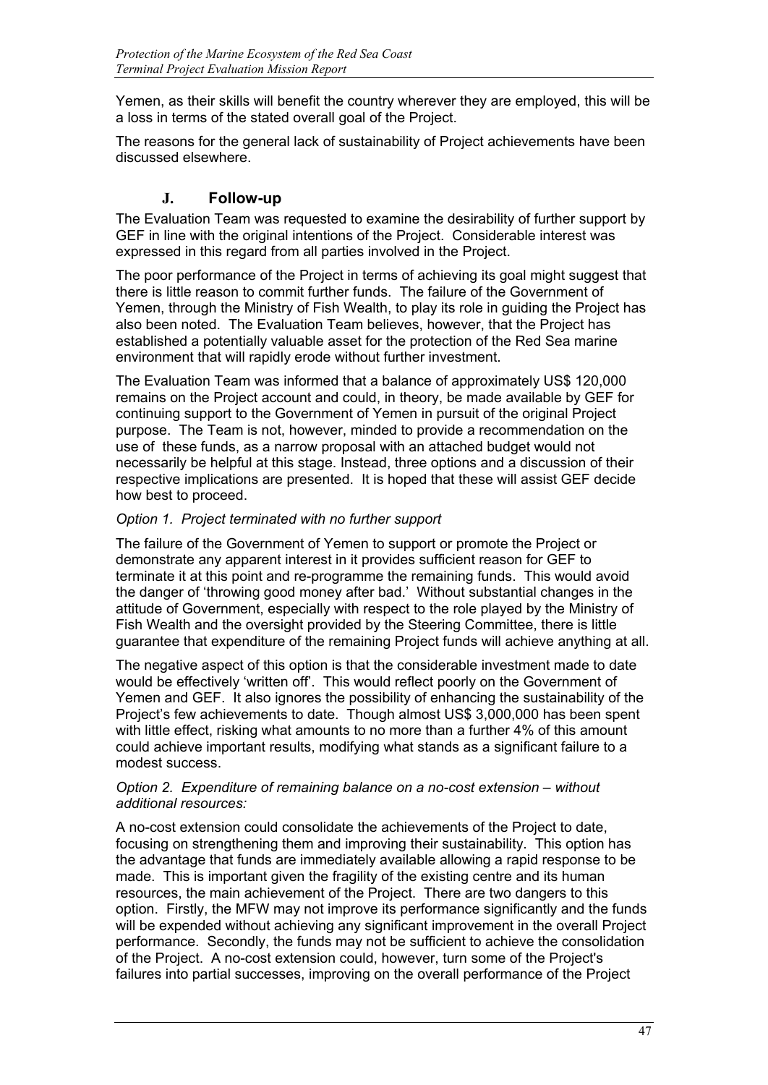Yemen, as their skills will benefit the country wherever they are employed, this will be a loss in terms of the stated overall goal of the Project.

The reasons for the general lack of sustainability of Project achievements have been discussed elsewhere.

# **J. Follow-up**

The Evaluation Team was requested to examine the desirability of further support by GEF in line with the original intentions of the Project. Considerable interest was expressed in this regard from all parties involved in the Project.

The poor performance of the Project in terms of achieving its goal might suggest that there is little reason to commit further funds. The failure of the Government of Yemen, through the Ministry of Fish Wealth, to play its role in guiding the Project has also been noted. The Evaluation Team believes, however, that the Project has established a potentially valuable asset for the protection of the Red Sea marine environment that will rapidly erode without further investment.

The Evaluation Team was informed that a balance of approximately US\$ 120,000 remains on the Project account and could, in theory, be made available by GEF for continuing support to the Government of Yemen in pursuit of the original Project purpose. The Team is not, however, minded to provide a recommendation on the use of these funds, as a narrow proposal with an attached budget would not necessarily be helpful at this stage. Instead, three options and a discussion of their respective implications are presented. It is hoped that these will assist GEF decide how best to proceed.

# *Option 1. Project terminated with no further support*

The failure of the Government of Yemen to support or promote the Project or demonstrate any apparent interest in it provides sufficient reason for GEF to terminate it at this point and re-programme the remaining funds. This would avoid the danger of 'throwing good money after bad.' Without substantial changes in the attitude of Government, especially with respect to the role played by the Ministry of Fish Wealth and the oversight provided by the Steering Committee, there is little guarantee that expenditure of the remaining Project funds will achieve anything at all.

The negative aspect of this option is that the considerable investment made to date would be effectively 'written off'. This would reflect poorly on the Government of Yemen and GEF. It also ignores the possibility of enhancing the sustainability of the Project's few achievements to date. Though almost US\$ 3,000,000 has been spent with little effect, risking what amounts to no more than a further 4% of this amount could achieve important results, modifying what stands as a significant failure to a modest success.

# *Option 2. Expenditure of remaining balance on a no-cost extension – without additional resources:*

A no-cost extension could consolidate the achievements of the Project to date, focusing on strengthening them and improving their sustainability. This option has the advantage that funds are immediately available allowing a rapid response to be made. This is important given the fragility of the existing centre and its human resources, the main achievement of the Project. There are two dangers to this option. Firstly, the MFW may not improve its performance significantly and the funds will be expended without achieving any significant improvement in the overall Project performance. Secondly, the funds may not be sufficient to achieve the consolidation of the Project. A no-cost extension could, however, turn some of the Project's failures into partial successes, improving on the overall performance of the Project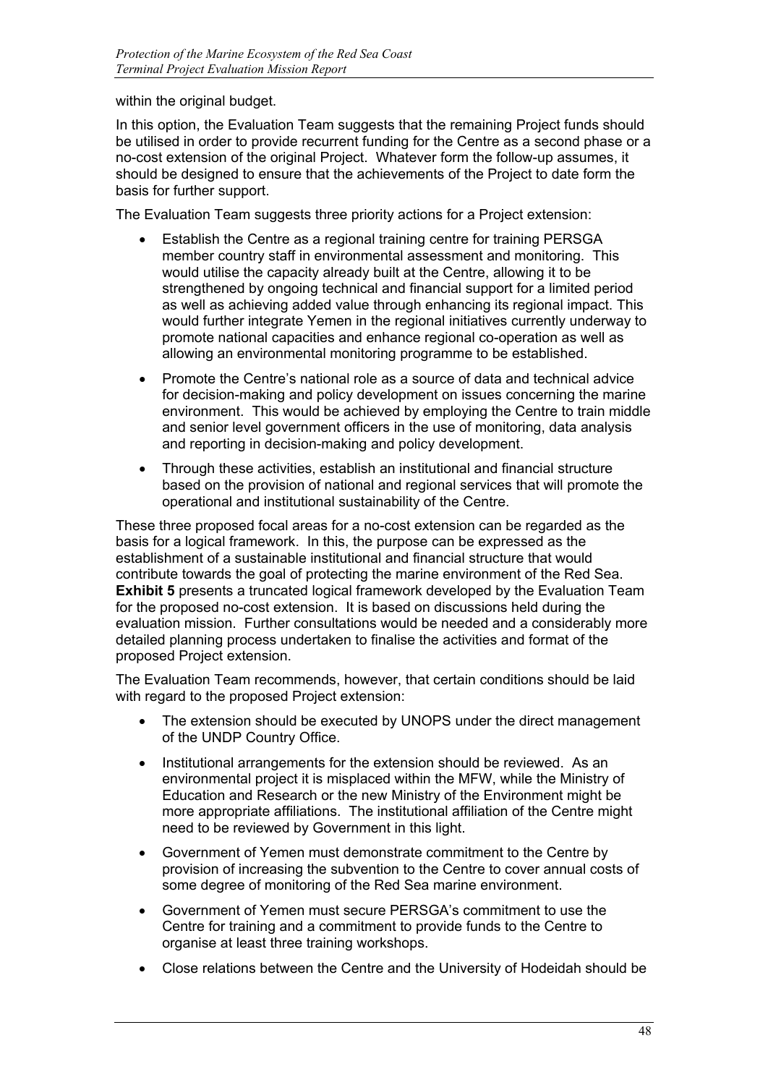within the original budget.

In this option, the Evaluation Team suggests that the remaining Project funds should be utilised in order to provide recurrent funding for the Centre as a second phase or a no-cost extension of the original Project. Whatever form the follow-up assumes, it should be designed to ensure that the achievements of the Project to date form the basis for further support.

The Evaluation Team suggests three priority actions for a Project extension:

- Establish the Centre as a regional training centre for training PERSGA member country staff in environmental assessment and monitoring. This would utilise the capacity already built at the Centre, allowing it to be strengthened by ongoing technical and financial support for a limited period as well as achieving added value through enhancing its regional impact. This would further integrate Yemen in the regional initiatives currently underway to promote national capacities and enhance regional co-operation as well as allowing an environmental monitoring programme to be established.
- Promote the Centre's national role as a source of data and technical advice for decision-making and policy development on issues concerning the marine environment. This would be achieved by employing the Centre to train middle and senior level government officers in the use of monitoring, data analysis and reporting in decision-making and policy development.
- Through these activities, establish an institutional and financial structure based on the provision of national and regional services that will promote the operational and institutional sustainability of the Centre.

These three proposed focal areas for a no-cost extension can be regarded as the basis for a logical framework. In this, the purpose can be expressed as the establishment of a sustainable institutional and financial structure that would contribute towards the goal of protecting the marine environment of the Red Sea. **Exhibit 5** presents a truncated logical framework developed by the Evaluation Team for the proposed no-cost extension. It is based on discussions held during the evaluation mission. Further consultations would be needed and a considerably more detailed planning process undertaken to finalise the activities and format of the proposed Project extension.

The Evaluation Team recommends, however, that certain conditions should be laid with regard to the proposed Project extension:

- The extension should be executed by UNOPS under the direct management of the UNDP Country Office.
- Institutional arrangements for the extension should be reviewed. As an environmental project it is misplaced within the MFW, while the Ministry of Education and Research or the new Ministry of the Environment might be more appropriate affiliations. The institutional affiliation of the Centre might need to be reviewed by Government in this light.
- Government of Yemen must demonstrate commitment to the Centre by provision of increasing the subvention to the Centre to cover annual costs of some degree of monitoring of the Red Sea marine environment.
- Government of Yemen must secure PERSGA's commitment to use the Centre for training and a commitment to provide funds to the Centre to organise at least three training workshops.
- Close relations between the Centre and the University of Hodeidah should be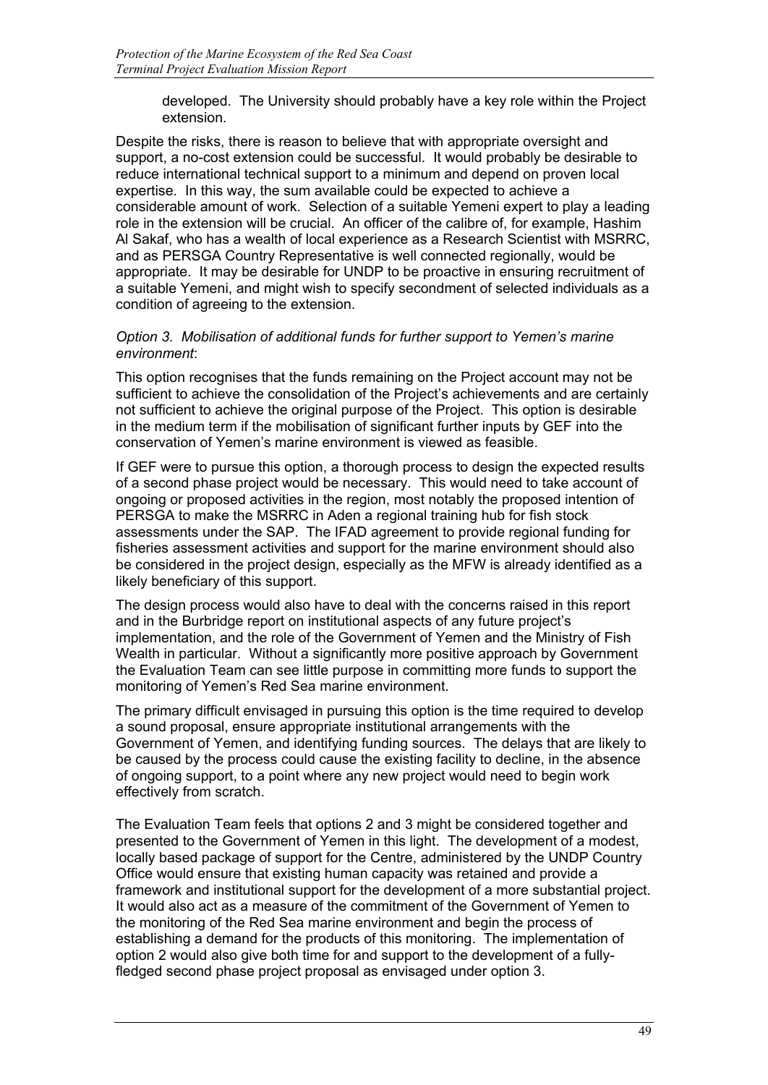developed. The University should probably have a key role within the Project extension.

Despite the risks, there is reason to believe that with appropriate oversight and support, a no-cost extension could be successful. It would probably be desirable to reduce international technical support to a minimum and depend on proven local expertise. In this way, the sum available could be expected to achieve a considerable amount of work. Selection of a suitable Yemeni expert to play a leading role in the extension will be crucial. An officer of the calibre of, for example, Hashim Al Sakaf, who has a wealth of local experience as a Research Scientist with MSRRC, and as PERSGA Country Representative is well connected regionally, would be appropriate. It may be desirable for UNDP to be proactive in ensuring recruitment of a suitable Yemeni, and might wish to specify secondment of selected individuals as a condition of agreeing to the extension.

## *Option 3. Mobilisation of additional funds for further support to Yemen's marine environment*:

This option recognises that the funds remaining on the Project account may not be sufficient to achieve the consolidation of the Project's achievements and are certainly not sufficient to achieve the original purpose of the Project. This option is desirable in the medium term if the mobilisation of significant further inputs by GEF into the conservation of Yemen's marine environment is viewed as feasible.

If GEF were to pursue this option, a thorough process to design the expected results of a second phase project would be necessary. This would need to take account of ongoing or proposed activities in the region, most notably the proposed intention of PERSGA to make the MSRRC in Aden a regional training hub for fish stock assessments under the SAP. The IFAD agreement to provide regional funding for fisheries assessment activities and support for the marine environment should also be considered in the project design, especially as the MFW is already identified as a likely beneficiary of this support.

The design process would also have to deal with the concerns raised in this report and in the Burbridge report on institutional aspects of any future project's implementation, and the role of the Government of Yemen and the Ministry of Fish Wealth in particular. Without a significantly more positive approach by Government the Evaluation Team can see little purpose in committing more funds to support the monitoring of Yemen's Red Sea marine environment.

The primary difficult envisaged in pursuing this option is the time required to develop a sound proposal, ensure appropriate institutional arrangements with the Government of Yemen, and identifying funding sources. The delays that are likely to be caused by the process could cause the existing facility to decline, in the absence of ongoing support, to a point where any new project would need to begin work effectively from scratch.

The Evaluation Team feels that options 2 and 3 might be considered together and presented to the Government of Yemen in this light. The development of a modest, locally based package of support for the Centre, administered by the UNDP Country Office would ensure that existing human capacity was retained and provide a framework and institutional support for the development of a more substantial project. It would also act as a measure of the commitment of the Government of Yemen to the monitoring of the Red Sea marine environment and begin the process of establishing a demand for the products of this monitoring. The implementation of option 2 would also give both time for and support to the development of a fullyfledged second phase project proposal as envisaged under option 3.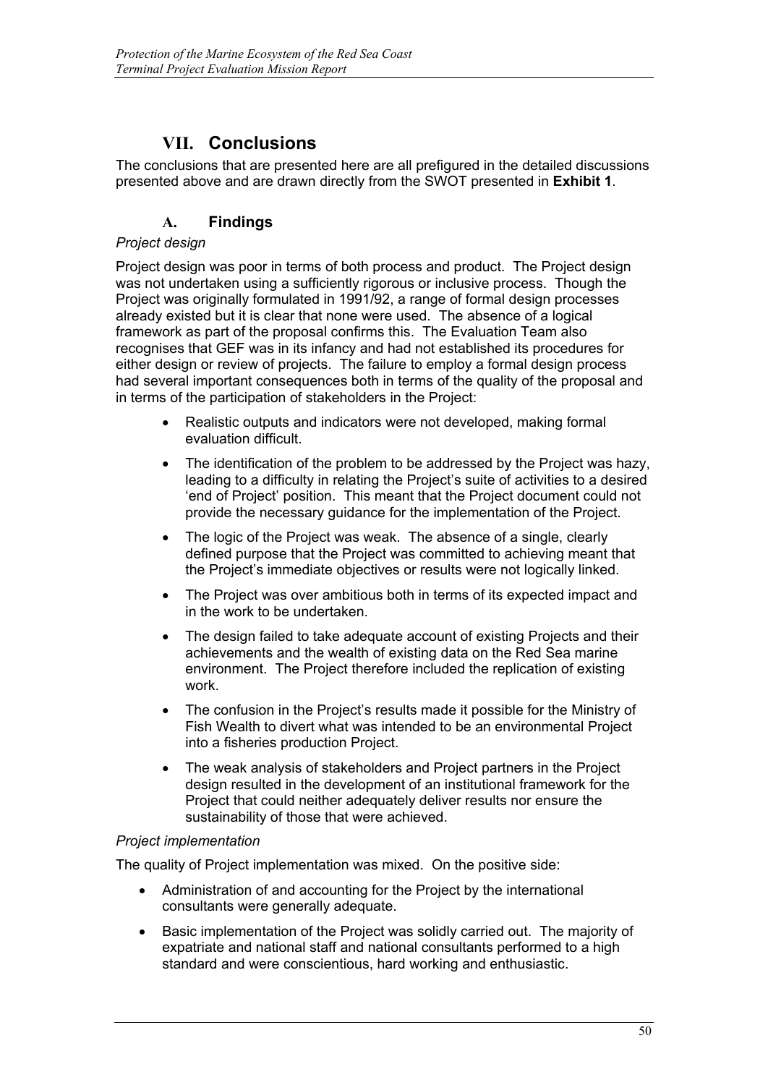# **VII. Conclusions**

The conclusions that are presented here are all prefigured in the detailed discussions presented above and are drawn directly from the SWOT presented in **Exhibit 1**.

# **A. Findings**

# *Project design*

Project design was poor in terms of both process and product. The Project design was not undertaken using a sufficiently rigorous or inclusive process. Though the Project was originally formulated in 1991/92, a range of formal design processes already existed but it is clear that none were used. The absence of a logical framework as part of the proposal confirms this. The Evaluation Team also recognises that GEF was in its infancy and had not established its procedures for either design or review of projects. The failure to employ a formal design process had several important consequences both in terms of the quality of the proposal and in terms of the participation of stakeholders in the Project:

- Realistic outputs and indicators were not developed, making formal evaluation difficult.
- The identification of the problem to be addressed by the Project was hazy, leading to a difficulty in relating the Project's suite of activities to a desired 'end of Project' position. This meant that the Project document could not provide the necessary guidance for the implementation of the Project.
- The logic of the Project was weak. The absence of a single, clearly defined purpose that the Project was committed to achieving meant that the Project's immediate objectives or results were not logically linked.
- The Project was over ambitious both in terms of its expected impact and in the work to be undertaken.
- The design failed to take adequate account of existing Projects and their achievements and the wealth of existing data on the Red Sea marine environment. The Project therefore included the replication of existing work.
- The confusion in the Project's results made it possible for the Ministry of Fish Wealth to divert what was intended to be an environmental Project into a fisheries production Project.
- The weak analysis of stakeholders and Project partners in the Project design resulted in the development of an institutional framework for the Project that could neither adequately deliver results nor ensure the sustainability of those that were achieved.

# *Project implementation*

The quality of Project implementation was mixed. On the positive side:

- Administration of and accounting for the Project by the international consultants were generally adequate.
- Basic implementation of the Project was solidly carried out. The majority of expatriate and national staff and national consultants performed to a high standard and were conscientious, hard working and enthusiastic.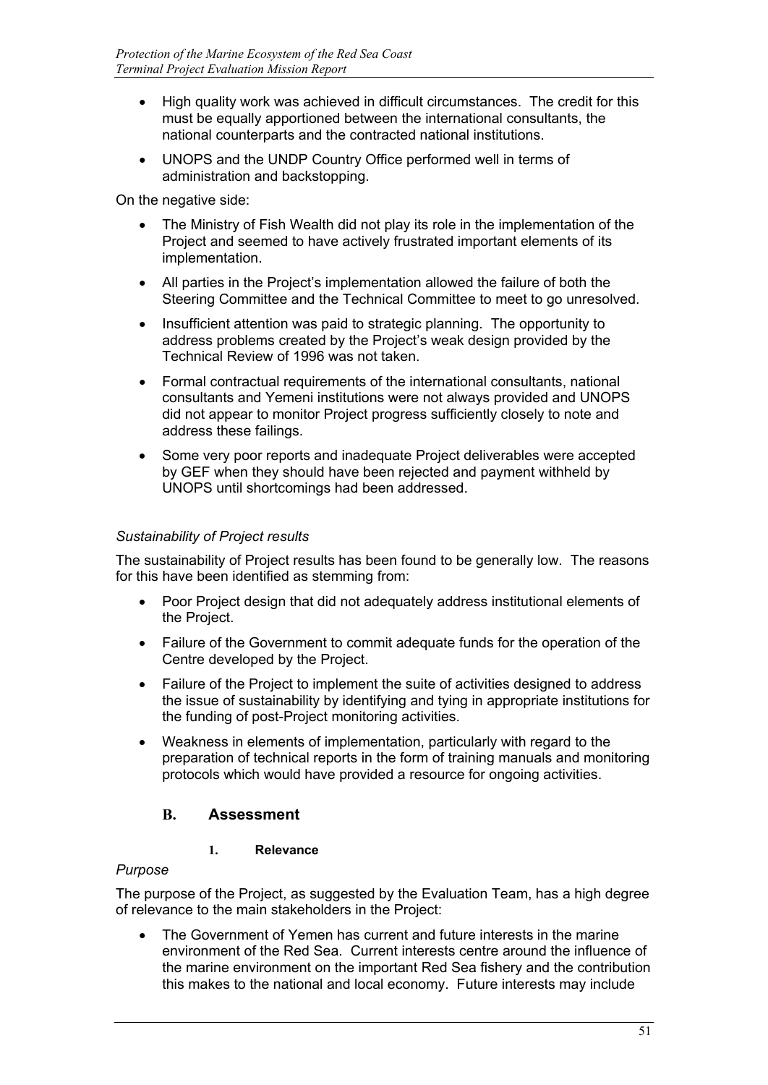- High quality work was achieved in difficult circumstances. The credit for this must be equally apportioned between the international consultants, the national counterparts and the contracted national institutions.
- UNOPS and the UNDP Country Office performed well in terms of administration and backstopping.

On the negative side:

- The Ministry of Fish Wealth did not play its role in the implementation of the Project and seemed to have actively frustrated important elements of its implementation.
- All parties in the Project's implementation allowed the failure of both the Steering Committee and the Technical Committee to meet to go unresolved.
- Insufficient attention was paid to strategic planning. The opportunity to address problems created by the Project's weak design provided by the Technical Review of 1996 was not taken.
- Formal contractual requirements of the international consultants, national consultants and Yemeni institutions were not always provided and UNOPS did not appear to monitor Project progress sufficiently closely to note and address these failings.
- Some very poor reports and inadequate Project deliverables were accepted by GEF when they should have been rejected and payment withheld by UNOPS until shortcomings had been addressed.

# *Sustainability of Project results*

The sustainability of Project results has been found to be generally low. The reasons for this have been identified as stemming from:

- Poor Project design that did not adequately address institutional elements of the Project.
- Failure of the Government to commit adequate funds for the operation of the Centre developed by the Project.
- Failure of the Project to implement the suite of activities designed to address the issue of sustainability by identifying and tying in appropriate institutions for the funding of post-Project monitoring activities.
- Weakness in elements of implementation, particularly with regard to the preparation of technical reports in the form of training manuals and monitoring protocols which would have provided a resource for ongoing activities.

# **B. Assessment**

# **1. Relevance**

# *Purpose*

The purpose of the Project, as suggested by the Evaluation Team, has a high degree of relevance to the main stakeholders in the Project:

• The Government of Yemen has current and future interests in the marine environment of the Red Sea. Current interests centre around the influence of the marine environment on the important Red Sea fishery and the contribution this makes to the national and local economy. Future interests may include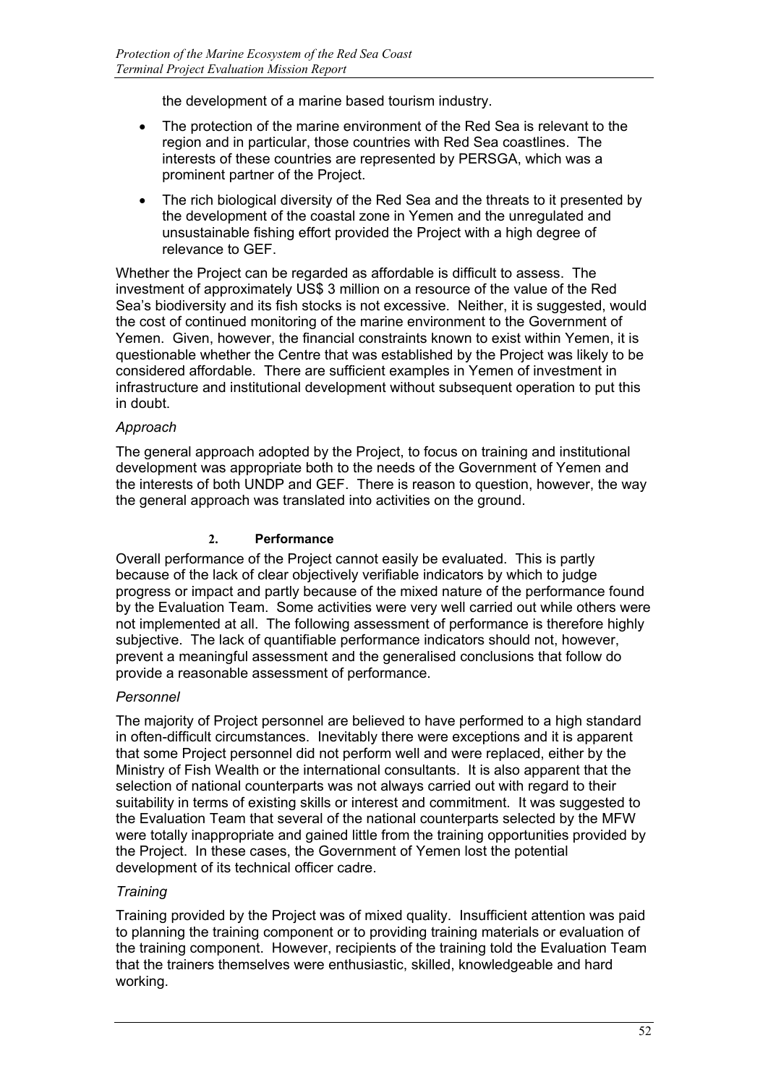the development of a marine based tourism industry.

- The protection of the marine environment of the Red Sea is relevant to the region and in particular, those countries with Red Sea coastlines. The interests of these countries are represented by PERSGA, which was a prominent partner of the Project.
- The rich biological diversity of the Red Sea and the threats to it presented by the development of the coastal zone in Yemen and the unregulated and unsustainable fishing effort provided the Project with a high degree of relevance to GEF.

Whether the Project can be regarded as affordable is difficult to assess. The investment of approximately US\$ 3 million on a resource of the value of the Red Sea's biodiversity and its fish stocks is not excessive. Neither, it is suggested, would the cost of continued monitoring of the marine environment to the Government of Yemen. Given, however, the financial constraints known to exist within Yemen, it is questionable whether the Centre that was established by the Project was likely to be considered affordable. There are sufficient examples in Yemen of investment in infrastructure and institutional development without subsequent operation to put this in doubt.

# *Approach*

The general approach adopted by the Project, to focus on training and institutional development was appropriate both to the needs of the Government of Yemen and the interests of both UNDP and GEF. There is reason to question, however, the way the general approach was translated into activities on the ground.

# **2. Performance**

Overall performance of the Project cannot easily be evaluated. This is partly because of the lack of clear objectively verifiable indicators by which to judge progress or impact and partly because of the mixed nature of the performance found by the Evaluation Team. Some activities were very well carried out while others were not implemented at all. The following assessment of performance is therefore highly subjective. The lack of quantifiable performance indicators should not, however, prevent a meaningful assessment and the generalised conclusions that follow do provide a reasonable assessment of performance.

# *Personnel*

The majority of Project personnel are believed to have performed to a high standard in often-difficult circumstances. Inevitably there were exceptions and it is apparent that some Project personnel did not perform well and were replaced, either by the Ministry of Fish Wealth or the international consultants. It is also apparent that the selection of national counterparts was not always carried out with regard to their suitability in terms of existing skills or interest and commitment. It was suggested to the Evaluation Team that several of the national counterparts selected by the MFW were totally inappropriate and gained little from the training opportunities provided by the Project. In these cases, the Government of Yemen lost the potential development of its technical officer cadre.

# *Training*

Training provided by the Project was of mixed quality. Insufficient attention was paid to planning the training component or to providing training materials or evaluation of the training component. However, recipients of the training told the Evaluation Team that the trainers themselves were enthusiastic, skilled, knowledgeable and hard working.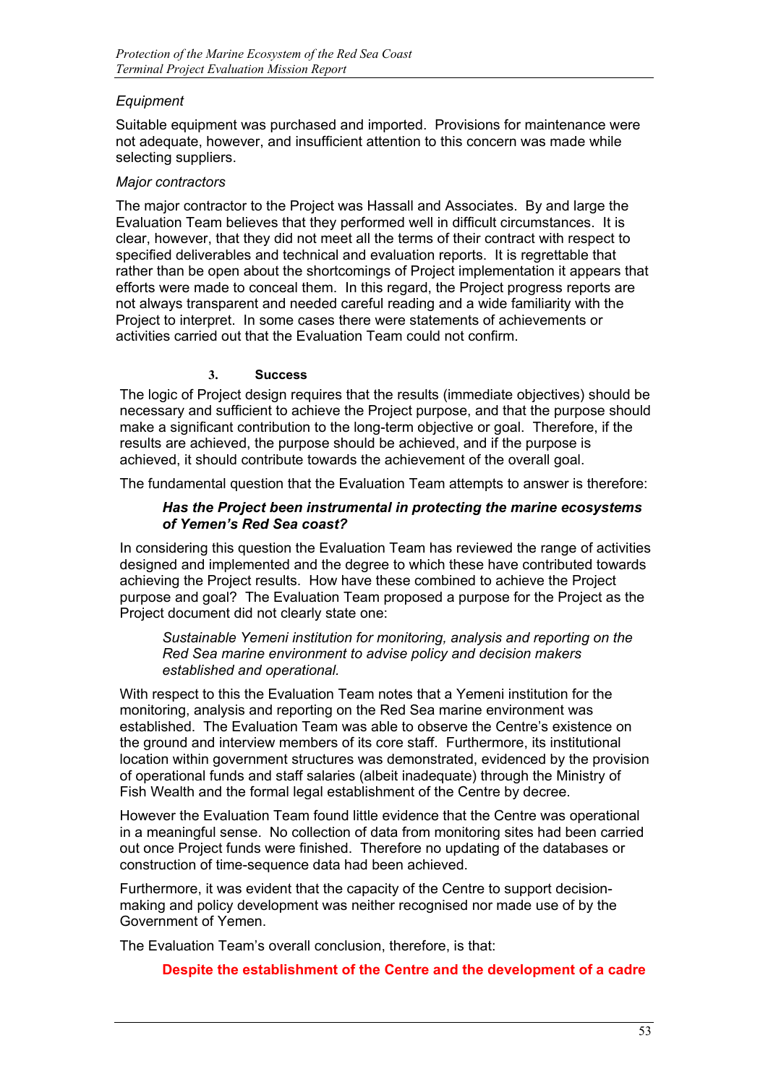# *Equipment*

Suitable equipment was purchased and imported. Provisions for maintenance were not adequate, however, and insufficient attention to this concern was made while selecting suppliers.

## *Major contractors*

The major contractor to the Project was Hassall and Associates. By and large the Evaluation Team believes that they performed well in difficult circumstances. It is clear, however, that they did not meet all the terms of their contract with respect to specified deliverables and technical and evaluation reports. It is regrettable that rather than be open about the shortcomings of Project implementation it appears that efforts were made to conceal them. In this regard, the Project progress reports are not always transparent and needed careful reading and a wide familiarity with the Project to interpret. In some cases there were statements of achievements or activities carried out that the Evaluation Team could not confirm.

## **3. Success**

The logic of Project design requires that the results (immediate objectives) should be necessary and sufficient to achieve the Project purpose, and that the purpose should make a significant contribution to the long-term objective or goal. Therefore, if the results are achieved, the purpose should be achieved, and if the purpose is achieved, it should contribute towards the achievement of the overall goal.

The fundamental question that the Evaluation Team attempts to answer is therefore:

# *Has the Project been instrumental in protecting the marine ecosystems of Yemen's Red Sea coast?*

In considering this question the Evaluation Team has reviewed the range of activities designed and implemented and the degree to which these have contributed towards achieving the Project results. How have these combined to achieve the Project purpose and goal? The Evaluation Team proposed a purpose for the Project as the Project document did not clearly state one:

*Sustainable Yemeni institution for monitoring, analysis and reporting on the Red Sea marine environment to advise policy and decision makers established and operational.*

With respect to this the Evaluation Team notes that a Yemeni institution for the monitoring, analysis and reporting on the Red Sea marine environment was established. The Evaluation Team was able to observe the Centre's existence on the ground and interview members of its core staff. Furthermore, its institutional location within government structures was demonstrated, evidenced by the provision of operational funds and staff salaries (albeit inadequate) through the Ministry of Fish Wealth and the formal legal establishment of the Centre by decree.

However the Evaluation Team found little evidence that the Centre was operational in a meaningful sense. No collection of data from monitoring sites had been carried out once Project funds were finished. Therefore no updating of the databases or construction of time-sequence data had been achieved.

Furthermore, it was evident that the capacity of the Centre to support decisionmaking and policy development was neither recognised nor made use of by the Government of Yemen.

The Evaluation Team's overall conclusion, therefore, is that:

# **Despite the establishment of the Centre and the development of a cadre**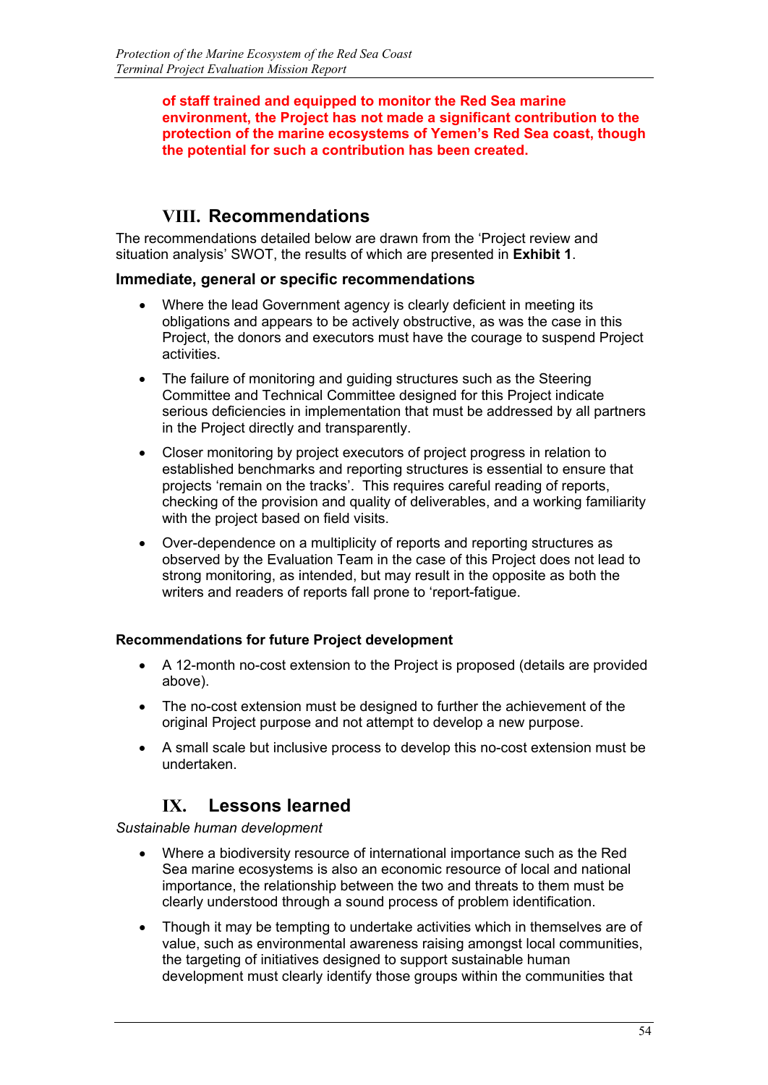## **of staff trained and equipped to monitor the Red Sea marine environment, the Project has not made a significant contribution to the protection of the marine ecosystems of Yemen's Red Sea coast, though the potential for such a contribution has been created.**

# **VIII. Recommendations**

The recommendations detailed below are drawn from the 'Project review and situation analysis' SWOT, the results of which are presented in **Exhibit 1**.

# **Immediate, general or specific recommendations**

- Where the lead Government agency is clearly deficient in meeting its obligations and appears to be actively obstructive, as was the case in this Project, the donors and executors must have the courage to suspend Project activities.
- The failure of monitoring and guiding structures such as the Steering Committee and Technical Committee designed for this Project indicate serious deficiencies in implementation that must be addressed by all partners in the Project directly and transparently.
- Closer monitoring by project executors of project progress in relation to established benchmarks and reporting structures is essential to ensure that projects 'remain on the tracks'. This requires careful reading of reports, checking of the provision and quality of deliverables, and a working familiarity with the project based on field visits.
- Over-dependence on a multiplicity of reports and reporting structures as observed by the Evaluation Team in the case of this Project does not lead to strong monitoring, as intended, but may result in the opposite as both the writers and readers of reports fall prone to 'report-fatigue.

# **Recommendations for future Project development**

- A 12-month no-cost extension to the Project is proposed (details are provided above).
- The no-cost extension must be designed to further the achievement of the original Project purpose and not attempt to develop a new purpose.
- A small scale but inclusive process to develop this no-cost extension must be undertaken.

# **IX. Lessons learned**

*Sustainable human development*

- Where a biodiversity resource of international importance such as the Red Sea marine ecosystems is also an economic resource of local and national importance, the relationship between the two and threats to them must be clearly understood through a sound process of problem identification.
- Though it may be tempting to undertake activities which in themselves are of value, such as environmental awareness raising amongst local communities, the targeting of initiatives designed to support sustainable human development must clearly identify those groups within the communities that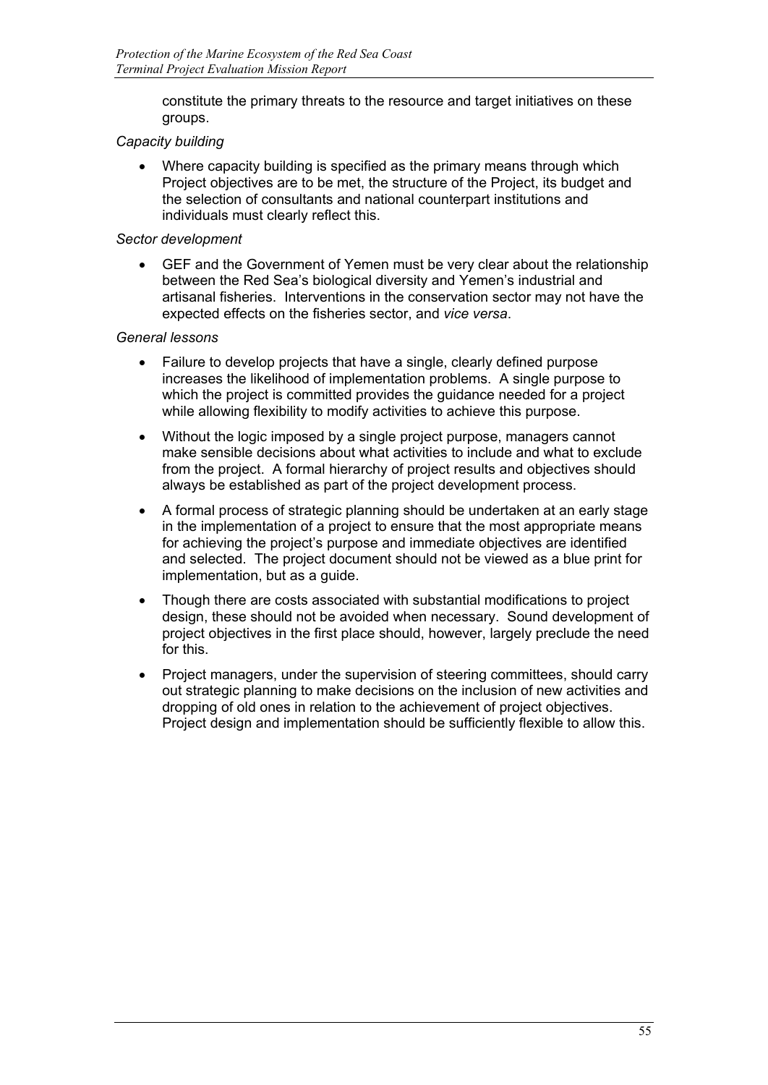constitute the primary threats to the resource and target initiatives on these groups.

# *Capacity building*

• Where capacity building is specified as the primary means through which Project objectives are to be met, the structure of the Project, its budget and the selection of consultants and national counterpart institutions and individuals must clearly reflect this.

# *Sector development*

• GEF and the Government of Yemen must be very clear about the relationship between the Red Sea's biological diversity and Yemen's industrial and artisanal fisheries. Interventions in the conservation sector may not have the expected effects on the fisheries sector, and *vice versa*.

## *General lessons*

- Failure to develop projects that have a single, clearly defined purpose increases the likelihood of implementation problems. A single purpose to which the project is committed provides the guidance needed for a project while allowing flexibility to modify activities to achieve this purpose.
- Without the logic imposed by a single project purpose, managers cannot make sensible decisions about what activities to include and what to exclude from the project. A formal hierarchy of project results and objectives should always be established as part of the project development process.
- A formal process of strategic planning should be undertaken at an early stage in the implementation of a project to ensure that the most appropriate means for achieving the project's purpose and immediate objectives are identified and selected. The project document should not be viewed as a blue print for implementation, but as a guide.
- Though there are costs associated with substantial modifications to project design, these should not be avoided when necessary. Sound development of project objectives in the first place should, however, largely preclude the need for this.
- Project managers, under the supervision of steering committees, should carry out strategic planning to make decisions on the inclusion of new activities and dropping of old ones in relation to the achievement of project objectives. Project design and implementation should be sufficiently flexible to allow this.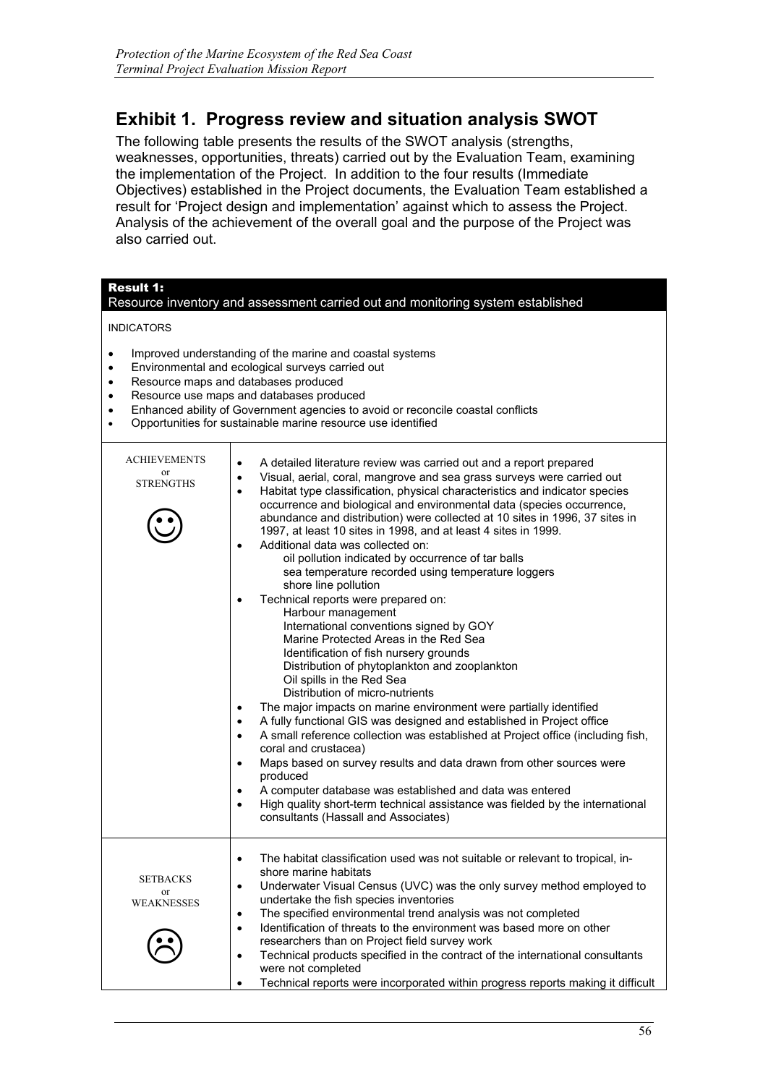# **Exhibit 1. Progress review and situation analysis SWOT**

The following table presents the results of the SWOT analysis (strengths, weaknesses, opportunities, threats) carried out by the Evaluation Team, examining the implementation of the Project. In addition to the four results (Immediate Objectives) established in the Project documents, the Evaluation Team established a result for 'Project design and implementation' against which to assess the Project. Analysis of the achievement of the overall goal and the purpose of the Project was also carried out.

| <b>Result 1:</b><br>Resource inventory and assessment carried out and monitoring system established |                                                                                                                                                                                                                                                                                                                                                                                                                                                                                                                                                                                                                                                                                                                                                                                                                                                                                                                                                                                                                                                                                                                                                                                                                                                                                                                                                                                                                                                                                                                                                                                                                    |  |  |
|-----------------------------------------------------------------------------------------------------|--------------------------------------------------------------------------------------------------------------------------------------------------------------------------------------------------------------------------------------------------------------------------------------------------------------------------------------------------------------------------------------------------------------------------------------------------------------------------------------------------------------------------------------------------------------------------------------------------------------------------------------------------------------------------------------------------------------------------------------------------------------------------------------------------------------------------------------------------------------------------------------------------------------------------------------------------------------------------------------------------------------------------------------------------------------------------------------------------------------------------------------------------------------------------------------------------------------------------------------------------------------------------------------------------------------------------------------------------------------------------------------------------------------------------------------------------------------------------------------------------------------------------------------------------------------------------------------------------------------------|--|--|
| <b>INDICATORS</b>                                                                                   |                                                                                                                                                                                                                                                                                                                                                                                                                                                                                                                                                                                                                                                                                                                                                                                                                                                                                                                                                                                                                                                                                                                                                                                                                                                                                                                                                                                                                                                                                                                                                                                                                    |  |  |
| $\bullet$<br>$\bullet$<br>٠<br>٠                                                                    | Improved understanding of the marine and coastal systems<br>Environmental and ecological surveys carried out<br>Resource maps and databases produced<br>Resource use maps and databases produced<br>Enhanced ability of Government agencies to avoid or reconcile coastal conflicts<br>Opportunities for sustainable marine resource use identified                                                                                                                                                                                                                                                                                                                                                                                                                                                                                                                                                                                                                                                                                                                                                                                                                                                                                                                                                                                                                                                                                                                                                                                                                                                                |  |  |
| <b>ACHIEVEMENTS</b><br>or<br><b>STRENGTHS</b>                                                       | A detailed literature review was carried out and a report prepared<br>$\bullet$<br>Visual, aerial, coral, mangrove and sea grass surveys were carried out<br>٠<br>Habitat type classification, physical characteristics and indicator species<br>$\bullet$<br>occurrence and biological and environmental data (species occurrence,<br>abundance and distribution) were collected at 10 sites in 1996, 37 sites in<br>1997, at least 10 sites in 1998, and at least 4 sites in 1999.<br>Additional data was collected on:<br>$\bullet$<br>oil pollution indicated by occurrence of tar balls<br>sea temperature recorded using temperature loggers<br>shore line pollution<br>Technical reports were prepared on:<br>$\bullet$<br>Harbour management<br>International conventions signed by GOY<br>Marine Protected Areas in the Red Sea<br>Identification of fish nursery grounds<br>Distribution of phytoplankton and zooplankton<br>Oil spills in the Red Sea<br>Distribution of micro-nutrients<br>The major impacts on marine environment were partially identified<br>$\bullet$<br>A fully functional GIS was designed and established in Project office<br>$\bullet$<br>A small reference collection was established at Project office (including fish,<br>$\bullet$<br>coral and crustacea)<br>Maps based on survey results and data drawn from other sources were<br>$\bullet$<br>produced<br>A computer database was established and data was entered<br>$\bullet$<br>High quality short-term technical assistance was fielded by the international<br>$\bullet$<br>consultants (Hassall and Associates) |  |  |
| SETBACKS<br>or<br>WEAKNESSES                                                                        | The habitat classification used was not suitable or relevant to tropical, in-<br>$\bullet$<br>shore marine habitats<br>Underwater Visual Census (UVC) was the only survey method employed to<br>$\bullet$<br>undertake the fish species inventories<br>The specified environmental trend analysis was not completed<br>$\bullet$<br>Identification of threats to the environment was based more on other<br>$\bullet$<br>researchers than on Project field survey work<br>Technical products specified in the contract of the international consultants<br>$\bullet$<br>were not completed                                                                                                                                                                                                                                                                                                                                                                                                                                                                                                                                                                                                                                                                                                                                                                                                                                                                                                                                                                                                                         |  |  |
|                                                                                                     | Technical reports were incorporated within progress reports making it difficult<br>$\bullet$                                                                                                                                                                                                                                                                                                                                                                                                                                                                                                                                                                                                                                                                                                                                                                                                                                                                                                                                                                                                                                                                                                                                                                                                                                                                                                                                                                                                                                                                                                                       |  |  |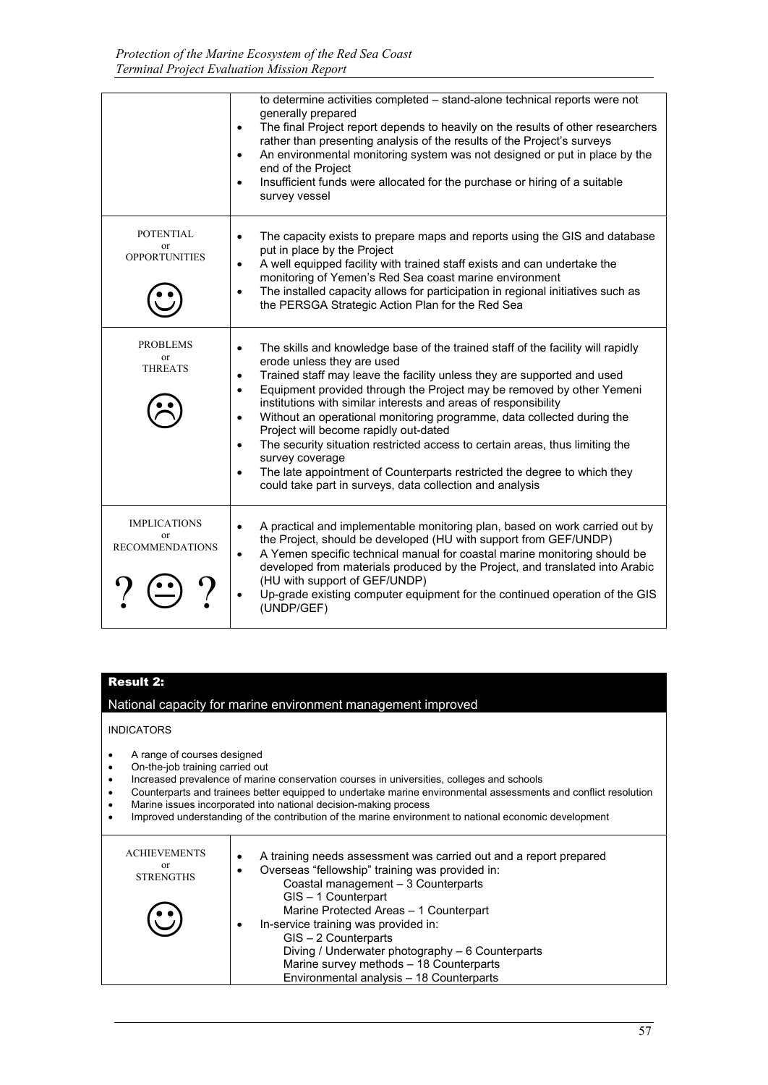|                                                     | to determine activities completed - stand-alone technical reports were not<br>generally prepared<br>The final Project report depends to heavily on the results of other researchers<br>$\bullet$<br>rather than presenting analysis of the results of the Project's surveys<br>An environmental monitoring system was not designed or put in place by the<br>$\bullet$<br>end of the Project<br>Insufficient funds were allocated for the purchase or hiring of a suitable<br>$\bullet$<br>survey vessel                                                                                                                                                                                                                                                                         |
|-----------------------------------------------------|----------------------------------------------------------------------------------------------------------------------------------------------------------------------------------------------------------------------------------------------------------------------------------------------------------------------------------------------------------------------------------------------------------------------------------------------------------------------------------------------------------------------------------------------------------------------------------------------------------------------------------------------------------------------------------------------------------------------------------------------------------------------------------|
| <b>POTENTIAL</b><br>or<br><b>OPPORTUNITIES</b>      | The capacity exists to prepare maps and reports using the GIS and database<br>$\bullet$<br>put in place by the Project<br>A well equipped facility with trained staff exists and can undertake the<br>$\bullet$<br>monitoring of Yemen's Red Sea coast marine environment<br>The installed capacity allows for participation in regional initiatives such as<br>$\bullet$<br>the PERSGA Strategic Action Plan for the Red Sea                                                                                                                                                                                                                                                                                                                                                    |
| PROBLEMS<br>or<br><b>THREATS</b>                    | The skills and knowledge base of the trained staff of the facility will rapidly<br>$\bullet$<br>erode unless they are used<br>Trained staff may leave the facility unless they are supported and used<br>$\bullet$<br>Equipment provided through the Project may be removed by other Yemeni<br>$\bullet$<br>institutions with similar interests and areas of responsibility<br>Without an operational monitoring programme, data collected during the<br>$\bullet$<br>Project will become rapidly out-dated<br>The security situation restricted access to certain areas, thus limiting the<br>$\bullet$<br>survey coverage<br>The late appointment of Counterparts restricted the degree to which they<br>$\bullet$<br>could take part in surveys, data collection and analysis |
| <b>IMPLICATIONS</b><br>0r<br><b>RECOMMENDATIONS</b> | A practical and implementable monitoring plan, based on work carried out by<br>$\bullet$<br>the Project, should be developed (HU with support from GEF/UNDP)<br>A Yemen specific technical manual for coastal marine monitoring should be<br>$\bullet$<br>developed from materials produced by the Project, and translated into Arabic<br>(HU with support of GEF/UNDP)<br>Up-grade existing computer equipment for the continued operation of the GIS<br>(UNDP/GEF)                                                                                                                                                                                                                                                                                                             |

### Result 2:

National capacity for marine environment management improved

INDICATORS

- A range of courses designed
- On-the-job training carried out
- Increased prevalence of marine conservation courses in universities, colleges and schools
- Counterparts and trainees better equipped to undertake marine environmental assessments and conflict resolution
- Marine issues incorporated into national decision-making process
- Improved understanding of the contribution of the marine environment to national economic development

| <b>ACHIEVEMENTS</b><br>or<br><b>STRENGTHS</b> | A training needs assessment was carried out and a report prepared<br>٠<br>Overseas "fellowship" training was provided in:<br>Coastal management - 3 Counterparts<br>GIS-1 Counterpart<br>Marine Protected Areas - 1 Counterpart<br>In-service training was provided in:<br>٠<br>GIS - 2 Counterparts<br>Diving / Underwater photography - 6 Counterparts<br>Marine survey methods - 18 Counterparts<br>Environmental analysis - 18 Counterparts |
|-----------------------------------------------|-------------------------------------------------------------------------------------------------------------------------------------------------------------------------------------------------------------------------------------------------------------------------------------------------------------------------------------------------------------------------------------------------------------------------------------------------|
|-----------------------------------------------|-------------------------------------------------------------------------------------------------------------------------------------------------------------------------------------------------------------------------------------------------------------------------------------------------------------------------------------------------------------------------------------------------------------------------------------------------|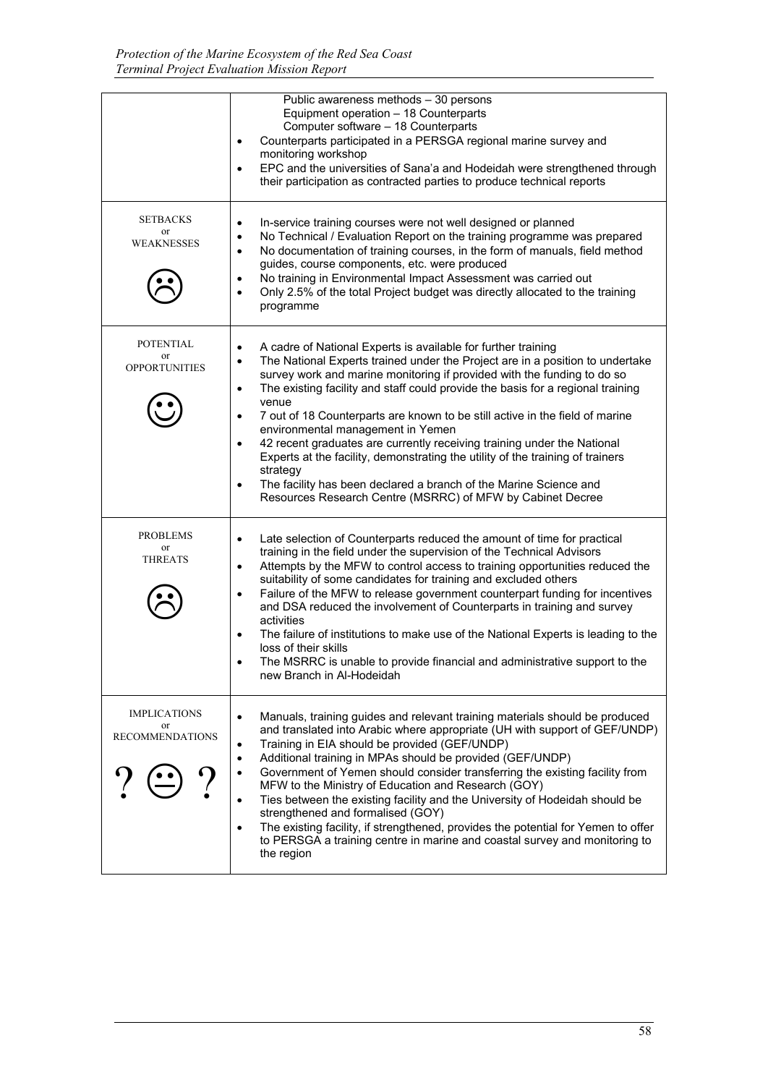|                                                                | Public awareness methods - 30 persons<br>Equipment operation - 18 Counterparts<br>Computer software - 18 Counterparts<br>Counterparts participated in a PERSGA regional marine survey and<br>$\bullet$<br>monitoring workshop<br>EPC and the universities of Sana'a and Hodeidah were strengthened through<br>$\bullet$<br>their participation as contracted parties to produce technical reports                                                                                                                                                                                                                                                                                                                                                                                                                                    |
|----------------------------------------------------------------|--------------------------------------------------------------------------------------------------------------------------------------------------------------------------------------------------------------------------------------------------------------------------------------------------------------------------------------------------------------------------------------------------------------------------------------------------------------------------------------------------------------------------------------------------------------------------------------------------------------------------------------------------------------------------------------------------------------------------------------------------------------------------------------------------------------------------------------|
| <b>SETBACKS</b><br>or<br><b>WEAKNESSES</b>                     | In-service training courses were not well designed or planned<br>$\bullet$<br>No Technical / Evaluation Report on the training programme was prepared<br>$\bullet$<br>No documentation of training courses, in the form of manuals, field method<br>$\bullet$<br>guides, course components, etc. were produced<br>No training in Environmental Impact Assessment was carried out<br>$\bullet$<br>Only 2.5% of the total Project budget was directly allocated to the training<br>$\bullet$<br>programme                                                                                                                                                                                                                                                                                                                              |
| POTENTIAL<br>or<br><b>OPPORTUNITIES</b>                        | A cadre of National Experts is available for further training<br>$\bullet$<br>The National Experts trained under the Project are in a position to undertake<br>$\bullet$<br>survey work and marine monitoring if provided with the funding to do so<br>The existing facility and staff could provide the basis for a regional training<br>$\bullet$<br>venue<br>7 out of 18 Counterparts are known to be still active in the field of marine<br>$\bullet$<br>environmental management in Yemen<br>42 recent graduates are currently receiving training under the National<br>$\bullet$<br>Experts at the facility, demonstrating the utility of the training of trainers<br>strategy<br>The facility has been declared a branch of the Marine Science and<br>$\bullet$<br>Resources Research Centre (MSRRC) of MFW by Cabinet Decree |
| PROBLEMS<br>or<br><b>THREATS</b>                               | Late selection of Counterparts reduced the amount of time for practical<br>$\bullet$<br>training in the field under the supervision of the Technical Advisors<br>Attempts by the MFW to control access to training opportunities reduced the<br>$\bullet$<br>suitability of some candidates for training and excluded others<br>Failure of the MFW to release government counterpart funding for incentives<br>$\bullet$<br>and DSA reduced the involvement of Counterparts in training and survey<br>activities<br>The failure of institutions to make use of the National Experts is leading to the<br>$\bullet$<br>loss of their skills<br>The MSRRC is unable to provide financial and administrative support to the<br>new Branch in Al-Hodeidah                                                                                |
| <b>IMPLICATIONS</b><br><sub>or</sub><br><b>RECOMMENDATIONS</b> | Manuals, training guides and relevant training materials should be produced<br>$\bullet$<br>and translated into Arabic where appropriate (UH with support of GEF/UNDP)<br>Training in EIA should be provided (GEF/UNDP)<br>$\bullet$<br>Additional training in MPAs should be provided (GEF/UNDP)<br>$\bullet$<br>Government of Yemen should consider transferring the existing facility from<br>$\bullet$<br>MFW to the Ministry of Education and Research (GOY)<br>Ties between the existing facility and the University of Hodeidah should be<br>$\bullet$<br>strengthened and formalised (GOY)<br>The existing facility, if strengthened, provides the potential for Yemen to offer<br>$\bullet$<br>to PERSGA a training centre in marine and coastal survey and monitoring to<br>the region                                     |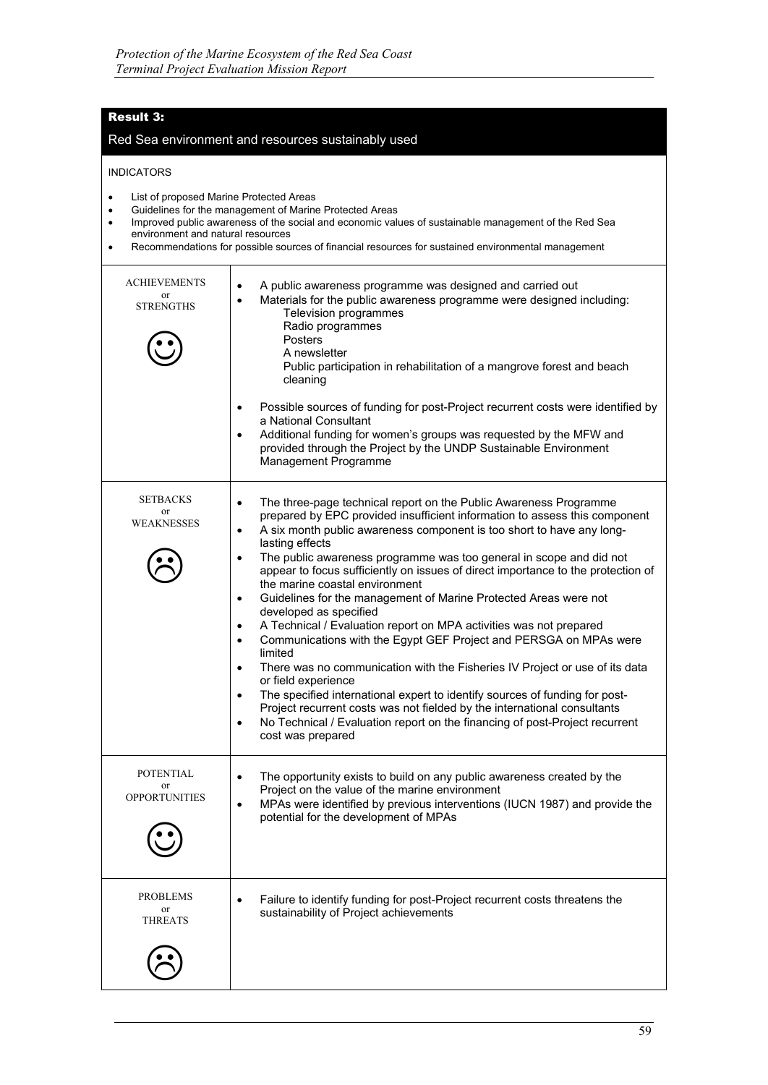# Result 3:

#### Red Sea environment and resources sustainably used

#### INDICATORS

- List of proposed Marine Protected Areas
- Guidelines for the management of Marine Protected Areas
- Improved public awareness of the social and economic values of sustainable management of the Red Sea environment and natural resources
- Recommendations for possible sources of financial resources for sustained environmental management

| <b>ACHIEVEMENTS</b><br>or<br><b>STRENGTHS</b>             | A public awareness programme was designed and carried out<br>$\bullet$<br>Materials for the public awareness programme were designed including:<br>$\bullet$<br>Television programmes<br>Radio programmes<br><b>Posters</b><br>A newsletter<br>Public participation in rehabilitation of a mangrove forest and beach<br>cleaning<br>Possible sources of funding for post-Project recurrent costs were identified by<br>$\bullet$<br>a National Consultant<br>Additional funding for women's groups was requested by the MFW and<br>provided through the Project by the UNDP Sustainable Environment<br>Management Programme                                                                                                                                                                                                                                                                                                                                                                                                                                                                                                                                                    |
|-----------------------------------------------------------|--------------------------------------------------------------------------------------------------------------------------------------------------------------------------------------------------------------------------------------------------------------------------------------------------------------------------------------------------------------------------------------------------------------------------------------------------------------------------------------------------------------------------------------------------------------------------------------------------------------------------------------------------------------------------------------------------------------------------------------------------------------------------------------------------------------------------------------------------------------------------------------------------------------------------------------------------------------------------------------------------------------------------------------------------------------------------------------------------------------------------------------------------------------------------------|
| <b>SETBACKS</b><br>or<br><b>WEAKNESSES</b>                | The three-page technical report on the Public Awareness Programme<br>$\bullet$<br>prepared by EPC provided insufficient information to assess this component<br>A six month public awareness component is too short to have any long-<br>٠<br>lasting effects<br>The public awareness programme was too general in scope and did not<br>$\bullet$<br>appear to focus sufficiently on issues of direct importance to the protection of<br>the marine coastal environment<br>Guidelines for the management of Marine Protected Areas were not<br>$\bullet$<br>developed as specified<br>A Technical / Evaluation report on MPA activities was not prepared<br>$\bullet$<br>Communications with the Egypt GEF Project and PERSGA on MPAs were<br>$\bullet$<br>limited<br>There was no communication with the Fisheries IV Project or use of its data<br>$\bullet$<br>or field experience<br>The specified international expert to identify sources of funding for post-<br>$\bullet$<br>Project recurrent costs was not fielded by the international consultants<br>No Technical / Evaluation report on the financing of post-Project recurrent<br>$\bullet$<br>cost was prepared |
| <b>POTENTIAL</b><br><sub>or</sub><br><b>OPPORTUNITIES</b> | The opportunity exists to build on any public awareness created by the<br>$\bullet$<br>Project on the value of the marine environment<br>MPAs were identified by previous interventions (IUCN 1987) and provide the<br>$\bullet$<br>potential for the development of MPAs                                                                                                                                                                                                                                                                                                                                                                                                                                                                                                                                                                                                                                                                                                                                                                                                                                                                                                      |
| <b>PROBLEMS</b><br>or<br><b>THREATS</b>                   | Failure to identify funding for post-Project recurrent costs threatens the<br>$\bullet$<br>sustainability of Project achievements                                                                                                                                                                                                                                                                                                                                                                                                                                                                                                                                                                                                                                                                                                                                                                                                                                                                                                                                                                                                                                              |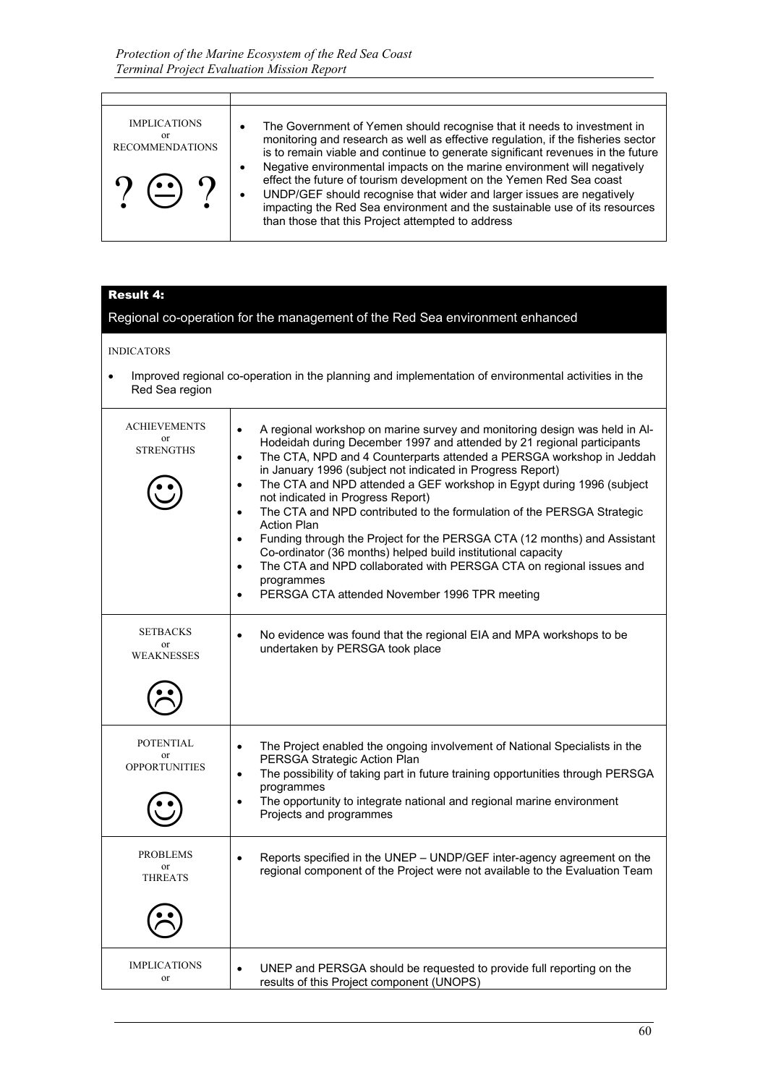| <b>IMPLICATIONS</b><br>or<br><b>RECOMMENDATIONS</b><br>$\gamma$ $\left(\underline{\cdot}\right)$ $\gamma$ | The Government of Yemen should recognise that it needs to investment in<br>monitoring and research as well as effective regulation, if the fisheries sector<br>is to remain viable and continue to generate significant revenues in the future<br>Negative environmental impacts on the marine environment will negatively<br>effect the future of tourism development on the Yemen Red Sea coast<br>UNDP/GEF should recognise that wider and larger issues are negatively<br>impacting the Red Sea environment and the sustainable use of its resources<br>than those that this Project attempted to address |
|-----------------------------------------------------------------------------------------------------------|---------------------------------------------------------------------------------------------------------------------------------------------------------------------------------------------------------------------------------------------------------------------------------------------------------------------------------------------------------------------------------------------------------------------------------------------------------------------------------------------------------------------------------------------------------------------------------------------------------------|

# Result 4:

| СЭИЦ<br>Regional co-operation for the management of the Red Sea environment enhanced |                                                                                                                                                                                                                                                                                                                                                                                                                                                                                                                                                                                                                                                                                                                                                                                                                                                                                       |  |  |
|--------------------------------------------------------------------------------------|---------------------------------------------------------------------------------------------------------------------------------------------------------------------------------------------------------------------------------------------------------------------------------------------------------------------------------------------------------------------------------------------------------------------------------------------------------------------------------------------------------------------------------------------------------------------------------------------------------------------------------------------------------------------------------------------------------------------------------------------------------------------------------------------------------------------------------------------------------------------------------------|--|--|
|                                                                                      |                                                                                                                                                                                                                                                                                                                                                                                                                                                                                                                                                                                                                                                                                                                                                                                                                                                                                       |  |  |
| <b>INDICATORS</b>                                                                    |                                                                                                                                                                                                                                                                                                                                                                                                                                                                                                                                                                                                                                                                                                                                                                                                                                                                                       |  |  |
| Red Sea region                                                                       | Improved regional co-operation in the planning and implementation of environmental activities in the                                                                                                                                                                                                                                                                                                                                                                                                                                                                                                                                                                                                                                                                                                                                                                                  |  |  |
| <b>ACHIEVEMENTS</b><br>or<br><b>STRENGTHS</b>                                        | A regional workshop on marine survey and monitoring design was held in Al-<br>$\bullet$<br>Hodeidah during December 1997 and attended by 21 regional participants<br>The CTA, NPD and 4 Counterparts attended a PERSGA workshop in Jeddah<br>$\bullet$<br>in January 1996 (subject not indicated in Progress Report)<br>The CTA and NPD attended a GEF workshop in Egypt during 1996 (subject<br>$\bullet$<br>not indicated in Progress Report)<br>The CTA and NPD contributed to the formulation of the PERSGA Strategic<br>$\bullet$<br><b>Action Plan</b><br>Funding through the Project for the PERSGA CTA (12 months) and Assistant<br>$\bullet$<br>Co-ordinator (36 months) helped build institutional capacity<br>The CTA and NPD collaborated with PERSGA CTA on regional issues and<br>$\bullet$<br>programmes<br>PERSGA CTA attended November 1996 TPR meeting<br>$\bullet$ |  |  |
| <b>SETBACKS</b><br><b>or</b><br><b>WEAKNESSES</b>                                    | No evidence was found that the regional EIA and MPA workshops to be<br>$\bullet$<br>undertaken by PERSGA took place                                                                                                                                                                                                                                                                                                                                                                                                                                                                                                                                                                                                                                                                                                                                                                   |  |  |
| <b>POTENTIAL</b><br><b>or</b><br><b>OPPORTUNITIES</b>                                | The Project enabled the ongoing involvement of National Specialists in the<br>$\bullet$<br>PERSGA Strategic Action Plan<br>The possibility of taking part in future training opportunities through PERSGA<br>$\bullet$<br>programmes<br>The opportunity to integrate national and regional marine environment<br>$\bullet$<br>Projects and programmes                                                                                                                                                                                                                                                                                                                                                                                                                                                                                                                                 |  |  |
| <b>PROBLEMS</b><br><sub>or</sub><br><b>THREATS</b>                                   | Reports specified in the UNEP - UNDP/GEF inter-agency agreement on the<br>$\bullet$<br>regional component of the Project were not available to the Evaluation Team                                                                                                                                                                                                                                                                                                                                                                                                                                                                                                                                                                                                                                                                                                                    |  |  |
|                                                                                      |                                                                                                                                                                                                                                                                                                                                                                                                                                                                                                                                                                                                                                                                                                                                                                                                                                                                                       |  |  |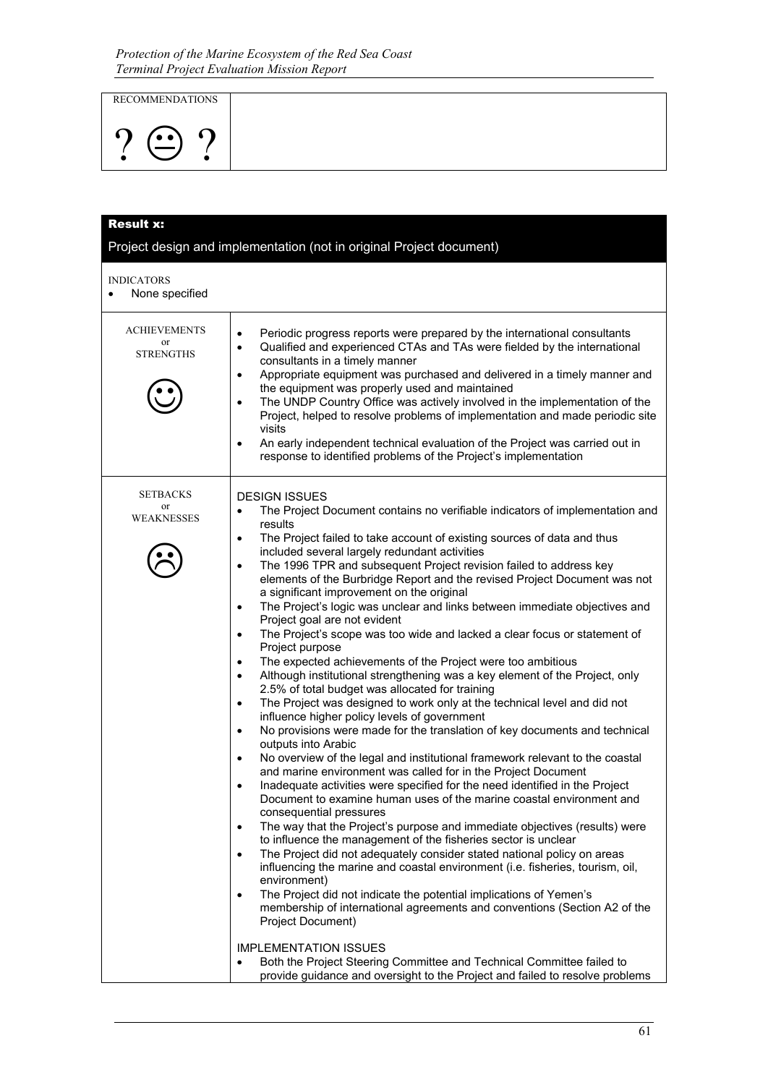RECOMMENDATIONS

$$
\underline{?} \oplus \underline{?}
$$

| <b>Result x:</b>                                 |                                                                                                                                                                                                                                                                                                                                                                                                                                                                                                                                                                                                                                                                                                                                                                                                                                                                                                                                                                                                                                                                                                                                                                                                                                                                                                                                                                                                                                                                                                                                                                                                                                                                                                                                                                                                                                                                                                                                                                                                                                                                                                                                                                                                                                                                                                           |
|--------------------------------------------------|-----------------------------------------------------------------------------------------------------------------------------------------------------------------------------------------------------------------------------------------------------------------------------------------------------------------------------------------------------------------------------------------------------------------------------------------------------------------------------------------------------------------------------------------------------------------------------------------------------------------------------------------------------------------------------------------------------------------------------------------------------------------------------------------------------------------------------------------------------------------------------------------------------------------------------------------------------------------------------------------------------------------------------------------------------------------------------------------------------------------------------------------------------------------------------------------------------------------------------------------------------------------------------------------------------------------------------------------------------------------------------------------------------------------------------------------------------------------------------------------------------------------------------------------------------------------------------------------------------------------------------------------------------------------------------------------------------------------------------------------------------------------------------------------------------------------------------------------------------------------------------------------------------------------------------------------------------------------------------------------------------------------------------------------------------------------------------------------------------------------------------------------------------------------------------------------------------------------------------------------------------------------------------------------------------------|
|                                                  | Project design and implementation (not in original Project document)                                                                                                                                                                                                                                                                                                                                                                                                                                                                                                                                                                                                                                                                                                                                                                                                                                                                                                                                                                                                                                                                                                                                                                                                                                                                                                                                                                                                                                                                                                                                                                                                                                                                                                                                                                                                                                                                                                                                                                                                                                                                                                                                                                                                                                      |
| <b>INDICATORS</b><br>None specified<br>$\bullet$ |                                                                                                                                                                                                                                                                                                                                                                                                                                                                                                                                                                                                                                                                                                                                                                                                                                                                                                                                                                                                                                                                                                                                                                                                                                                                                                                                                                                                                                                                                                                                                                                                                                                                                                                                                                                                                                                                                                                                                                                                                                                                                                                                                                                                                                                                                                           |
| <b>ACHIEVEMENTS</b><br>or<br><b>STRENGTHS</b>    | Periodic progress reports were prepared by the international consultants<br>$\bullet$<br>Qualified and experienced CTAs and TAs were fielded by the international<br>$\bullet$<br>consultants in a timely manner<br>Appropriate equipment was purchased and delivered in a timely manner and<br>$\bullet$<br>the equipment was properly used and maintained<br>The UNDP Country Office was actively involved in the implementation of the<br>$\bullet$<br>Project, helped to resolve problems of implementation and made periodic site<br>visits<br>An early independent technical evaluation of the Project was carried out in<br>$\bullet$<br>response to identified problems of the Project's implementation                                                                                                                                                                                                                                                                                                                                                                                                                                                                                                                                                                                                                                                                                                                                                                                                                                                                                                                                                                                                                                                                                                                                                                                                                                                                                                                                                                                                                                                                                                                                                                                           |
| <b>SETBACKS</b><br>or<br>WEAKNESSES              | <b>DESIGN ISSUES</b><br>The Project Document contains no verifiable indicators of implementation and<br>$\bullet$<br>results<br>The Project failed to take account of existing sources of data and thus<br>٠<br>included several largely redundant activities<br>The 1996 TPR and subsequent Project revision failed to address key<br>$\bullet$<br>elements of the Burbridge Report and the revised Project Document was not<br>a significant improvement on the original<br>The Project's logic was unclear and links between immediate objectives and<br>$\bullet$<br>Project goal are not evident<br>The Project's scope was too wide and lacked a clear focus or statement of<br>$\bullet$<br>Project purpose<br>The expected achievements of the Project were too ambitious<br>$\bullet$<br>Although institutional strengthening was a key element of the Project, only<br>$\bullet$<br>2.5% of total budget was allocated for training<br>The Project was designed to work only at the technical level and did not<br>$\bullet$<br>influence higher policy levels of government<br>No provisions were made for the translation of key documents and technical<br>$\bullet$<br>outputs into Arabic<br>No overview of the legal and institutional framework relevant to the coastal<br>$\bullet$<br>and marine environment was called for in the Project Document<br>Inadequate activities were specified for the need identified in the Project<br>Document to examine human uses of the marine coastal environment and<br>consequential pressures<br>The way that the Project's purpose and immediate objectives (results) were<br>$\bullet$<br>to influence the management of the fisheries sector is unclear<br>The Project did not adequately consider stated national policy on areas<br>$\bullet$<br>influencing the marine and coastal environment (i.e. fisheries, tourism, oil,<br>environment)<br>The Project did not indicate the potential implications of Yemen's<br>$\bullet$<br>membership of international agreements and conventions (Section A2 of the<br>Project Document)<br><b>IMPLEMENTATION ISSUES</b><br>Both the Project Steering Committee and Technical Committee failed to<br>$\bullet$<br>provide guidance and oversight to the Project and failed to resolve problems |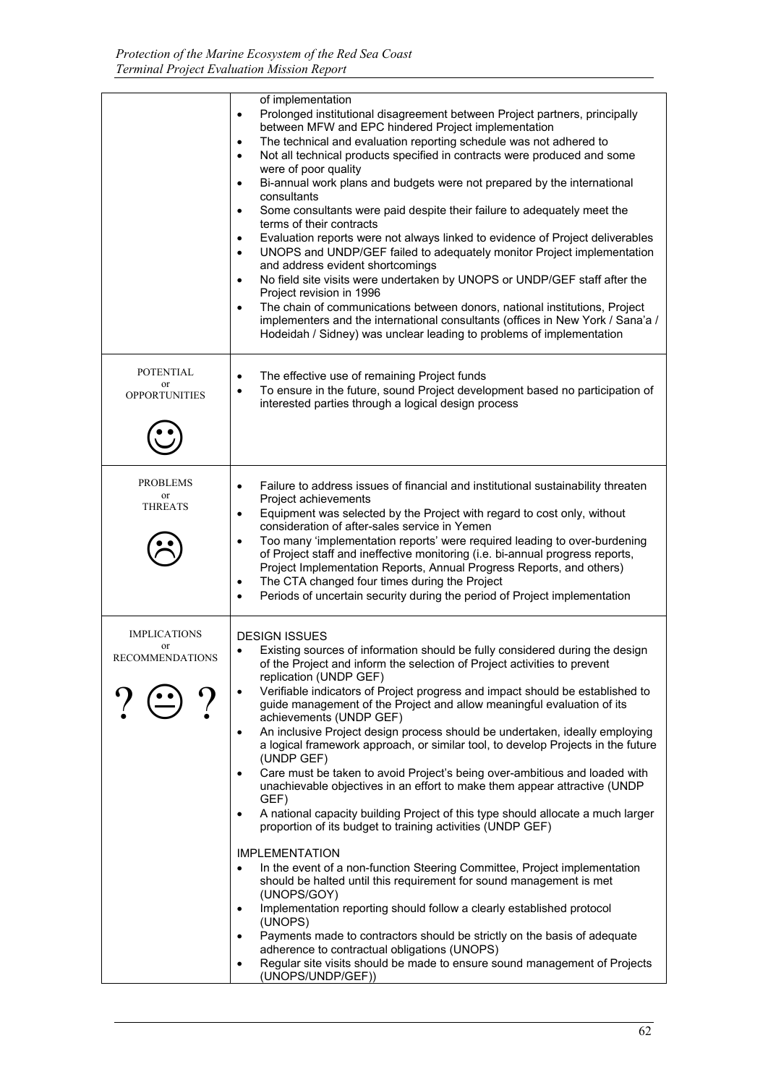|                                                       | of implementation<br>Prolonged institutional disagreement between Project partners, principally<br>$\bullet$<br>between MFW and EPC hindered Project implementation<br>The technical and evaluation reporting schedule was not adhered to<br>$\bullet$<br>Not all technical products specified in contracts were produced and some<br>$\bullet$<br>were of poor quality<br>Bi-annual work plans and budgets were not prepared by the international<br>$\bullet$<br>consultants<br>Some consultants were paid despite their failure to adequately meet the<br>$\bullet$<br>terms of their contracts<br>Evaluation reports were not always linked to evidence of Project deliverables<br>$\bullet$<br>UNOPS and UNDP/GEF failed to adequately monitor Project implementation<br>$\bullet$<br>and address evident shortcomings<br>No field site visits were undertaken by UNOPS or UNDP/GEF staff after the<br>$\bullet$<br>Project revision in 1996<br>The chain of communications between donors, national institutions, Project<br>$\bullet$<br>implementers and the international consultants (offices in New York / Sana'a /<br>Hodeidah / Sidney) was unclear leading to problems of implementation                                                                                                                                                                                                                                                                                                              |
|-------------------------------------------------------|---------------------------------------------------------------------------------------------------------------------------------------------------------------------------------------------------------------------------------------------------------------------------------------------------------------------------------------------------------------------------------------------------------------------------------------------------------------------------------------------------------------------------------------------------------------------------------------------------------------------------------------------------------------------------------------------------------------------------------------------------------------------------------------------------------------------------------------------------------------------------------------------------------------------------------------------------------------------------------------------------------------------------------------------------------------------------------------------------------------------------------------------------------------------------------------------------------------------------------------------------------------------------------------------------------------------------------------------------------------------------------------------------------------------------------------------------------------------------------------------------------------------|
| <b>POTENTIAL</b><br><b>or</b><br><b>OPPORTUNITIES</b> | The effective use of remaining Project funds<br>$\bullet$<br>To ensure in the future, sound Project development based no participation of<br>$\bullet$<br>interested parties through a logical design process                                                                                                                                                                                                                                                                                                                                                                                                                                                                                                                                                                                                                                                                                                                                                                                                                                                                                                                                                                                                                                                                                                                                                                                                                                                                                                       |
| <b>PROBLEMS</b><br>or<br><b>THREATS</b>               | Failure to address issues of financial and institutional sustainability threaten<br>$\bullet$<br>Project achievements<br>Equipment was selected by the Project with regard to cost only, without<br>$\bullet$<br>consideration of after-sales service in Yemen<br>Too many 'implementation reports' were required leading to over-burdening<br>$\bullet$<br>of Project staff and ineffective monitoring (i.e. bi-annual progress reports,<br>Project Implementation Reports, Annual Progress Reports, and others)<br>The CTA changed four times during the Project<br>$\bullet$<br>Periods of uncertain security during the period of Project implementation<br>$\bullet$                                                                                                                                                                                                                                                                                                                                                                                                                                                                                                                                                                                                                                                                                                                                                                                                                                           |
| <b>IMPLICATIONS</b><br><b>RECOMMENDATIONS</b>         | <b>DESIGN ISSUES</b><br>Existing sources of information should be fully considered during the design<br>$\bullet$<br>of the Project and inform the selection of Project activities to prevent<br>replication (UNDP GEF)<br>Verifiable indicators of Project progress and impact should be established to<br>guide management of the Project and allow meaningful evaluation of its<br>achievements (UNDP GEF)<br>An inclusive Project design process should be undertaken, ideally employing<br>$\bullet$<br>a logical framework approach, or similar tool, to develop Projects in the future<br>(UNDP GEF)<br>Care must be taken to avoid Project's being over-ambitious and loaded with<br>٠<br>unachievable objectives in an effort to make them appear attractive (UNDP<br>GEF)<br>A national capacity building Project of this type should allocate a much larger<br>$\bullet$<br>proportion of its budget to training activities (UNDP GEF)<br><b>IMPLEMENTATION</b><br>In the event of a non-function Steering Committee, Project implementation<br>$\bullet$<br>should be halted until this requirement for sound management is met<br>(UNOPS/GOY)<br>Implementation reporting should follow a clearly established protocol<br>$\bullet$<br>(UNOPS)<br>Payments made to contractors should be strictly on the basis of adequate<br>$\bullet$<br>adherence to contractual obligations (UNOPS)<br>Regular site visits should be made to ensure sound management of Projects<br>$\bullet$<br>(UNOPS/UNDP/GEF)) |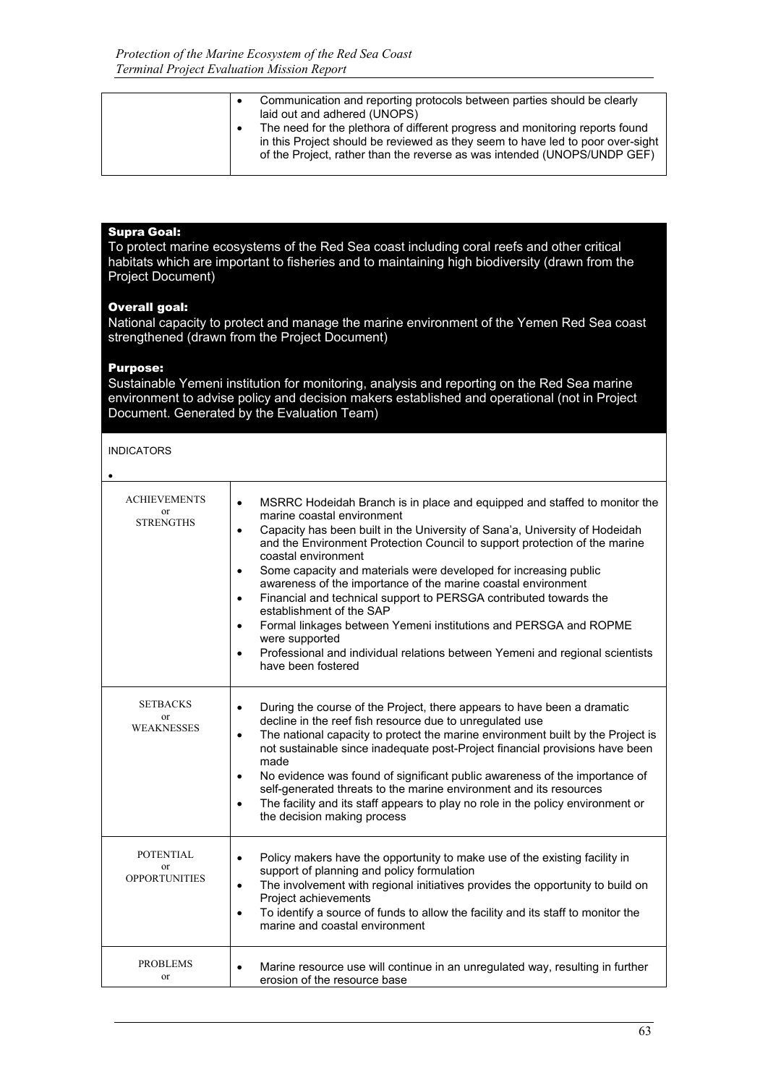|  | Communication and reporting protocols between parties should be clearly<br>laid out and adhered (UNOPS)                                                                                                                                    |
|--|--------------------------------------------------------------------------------------------------------------------------------------------------------------------------------------------------------------------------------------------|
|  | The need for the plethora of different progress and monitoring reports found<br>in this Project should be reviewed as they seem to have led to poor over-sight<br>of the Project, rather than the reverse as was intended (UNOPS/UNDP GEF) |
|  |                                                                                                                                                                                                                                            |

#### Supra Goal:

To protect marine ecosystems of the Red Sea coast including coral reefs and other critical habitats which are important to fisheries and to maintaining high biodiversity (drawn from the Project Document)

### Overall goal:

National capacity to protect and manage the marine environment of the Yemen Red Sea coast strengthened (drawn from the Project Document)

#### Purpose:

Sustainable Yemeni institution for monitoring, analysis and reporting on the Red Sea marine environment to advise policy and decision makers established and operational (not in Project Document. Generated by the Evaluation Team)

#### INDICATORS

| ۰, |  |
|----|--|

| <b>ACHIEVEMENTS</b><br><b>or</b><br><b>STRENGTHS</b> | MSRRC Hodeidah Branch is in place and equipped and staffed to monitor the<br>$\bullet$<br>marine coastal environment<br>Capacity has been built in the University of Sana'a, University of Hodeidah<br>$\bullet$<br>and the Environment Protection Council to support protection of the marine<br>coastal environment<br>Some capacity and materials were developed for increasing public<br>$\bullet$<br>awareness of the importance of the marine coastal environment<br>Financial and technical support to PERSGA contributed towards the<br>$\bullet$<br>establishment of the SAP<br>Formal linkages between Yemeni institutions and PERSGA and ROPME<br>$\bullet$<br>were supported<br>Professional and individual relations between Yemeni and regional scientists<br>$\bullet$<br>have been fostered |
|------------------------------------------------------|-------------------------------------------------------------------------------------------------------------------------------------------------------------------------------------------------------------------------------------------------------------------------------------------------------------------------------------------------------------------------------------------------------------------------------------------------------------------------------------------------------------------------------------------------------------------------------------------------------------------------------------------------------------------------------------------------------------------------------------------------------------------------------------------------------------|
| <b>SETBACKS</b><br>or<br><b>WEAKNESSES</b>           | During the course of the Project, there appears to have been a dramatic<br>$\bullet$<br>decline in the reef fish resource due to unregulated use<br>The national capacity to protect the marine environment built by the Project is<br>$\bullet$<br>not sustainable since inadequate post-Project financial provisions have been<br>made<br>No evidence was found of significant public awareness of the importance of<br>$\bullet$<br>self-generated threats to the marine environment and its resources<br>The facility and its staff appears to play no role in the policy environment or<br>$\bullet$<br>the decision making process                                                                                                                                                                    |
| <b>POTENTIAL</b><br>or<br><b>OPPORTUNITIES</b>       | Policy makers have the opportunity to make use of the existing facility in<br>$\bullet$<br>support of planning and policy formulation<br>The involvement with regional initiatives provides the opportunity to build on<br>$\bullet$<br>Project achievements<br>To identify a source of funds to allow the facility and its staff to monitor the<br>$\bullet$<br>marine and coastal environment                                                                                                                                                                                                                                                                                                                                                                                                             |
| <b>PROBLEMS</b><br>or                                | Marine resource use will continue in an unregulated way, resulting in further<br>$\bullet$<br>erosion of the resource base                                                                                                                                                                                                                                                                                                                                                                                                                                                                                                                                                                                                                                                                                  |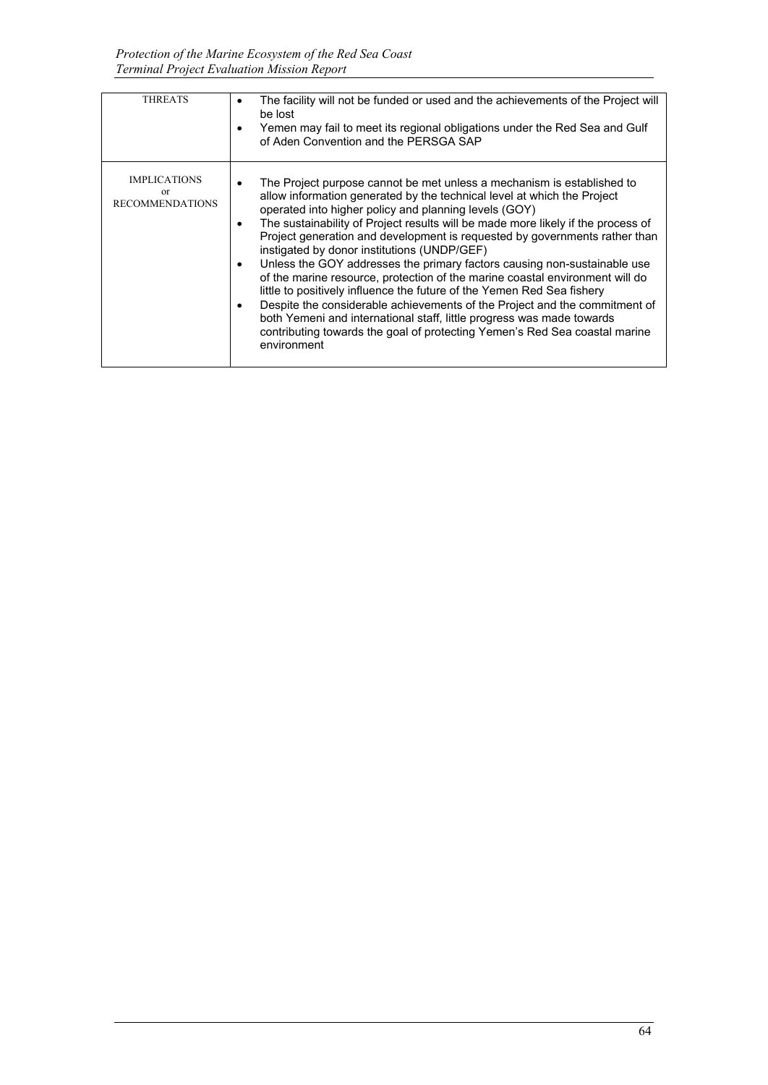| <b>THREATS</b>                                      | The facility will not be funded or used and the achievements of the Project will<br>٠<br>be lost<br>Yemen may fail to meet its regional obligations under the Red Sea and Gulf<br>٠<br>of Aden Convention and the PERSGA SAP                                                                                                                                                                                                                                                                                                                                                                                                                                                                                                                                                                                                                                                                                                                                      |
|-----------------------------------------------------|-------------------------------------------------------------------------------------------------------------------------------------------------------------------------------------------------------------------------------------------------------------------------------------------------------------------------------------------------------------------------------------------------------------------------------------------------------------------------------------------------------------------------------------------------------------------------------------------------------------------------------------------------------------------------------------------------------------------------------------------------------------------------------------------------------------------------------------------------------------------------------------------------------------------------------------------------------------------|
| <b>IMPLICATIONS</b><br>or<br><b>RECOMMENDATIONS</b> | The Project purpose cannot be met unless a mechanism is established to<br>٠<br>allow information generated by the technical level at which the Project<br>operated into higher policy and planning levels (GOY)<br>The sustainability of Project results will be made more likely if the process of<br>$\bullet$<br>Project generation and development is requested by governments rather than<br>instigated by donor institutions (UNDP/GEF)<br>Unless the GOY addresses the primary factors causing non-sustainable use<br>$\bullet$<br>of the marine resource, protection of the marine coastal environment will do<br>little to positively influence the future of the Yemen Red Sea fishery<br>Despite the considerable achievements of the Project and the commitment of<br>$\bullet$<br>both Yemeni and international staff, little progress was made towards<br>contributing towards the goal of protecting Yemen's Red Sea coastal marine<br>environment |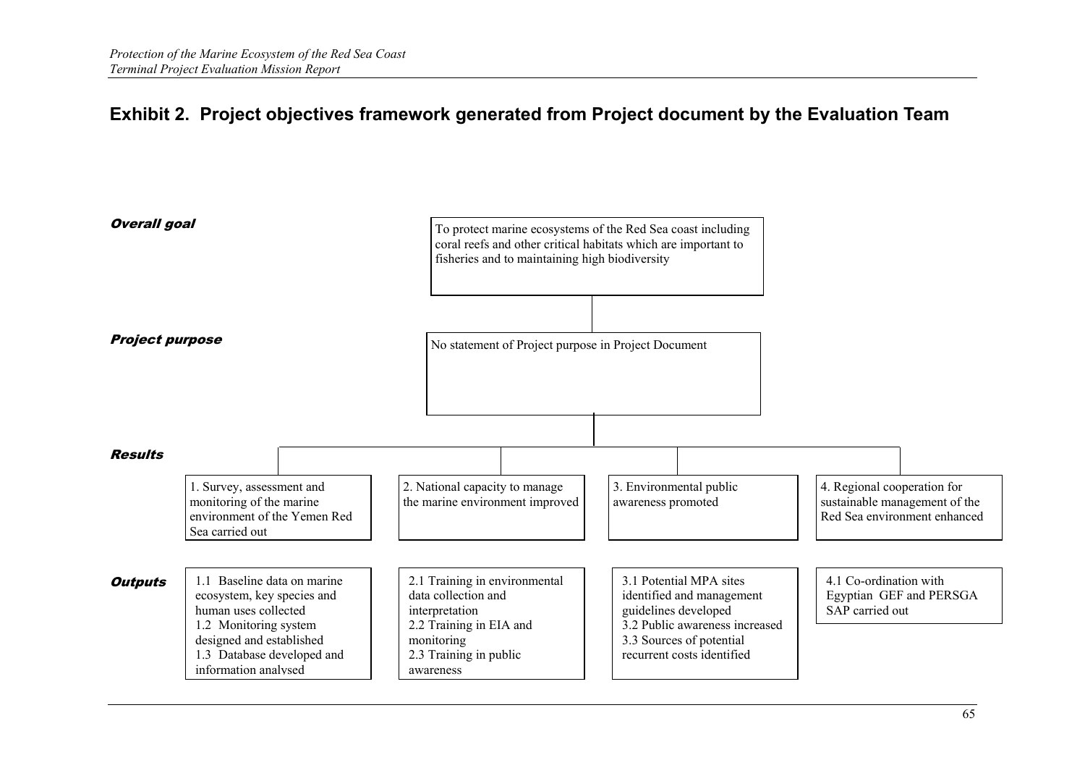# **Exhibit 2. Project objectives framework generated from Project document by the Evaluation Team**

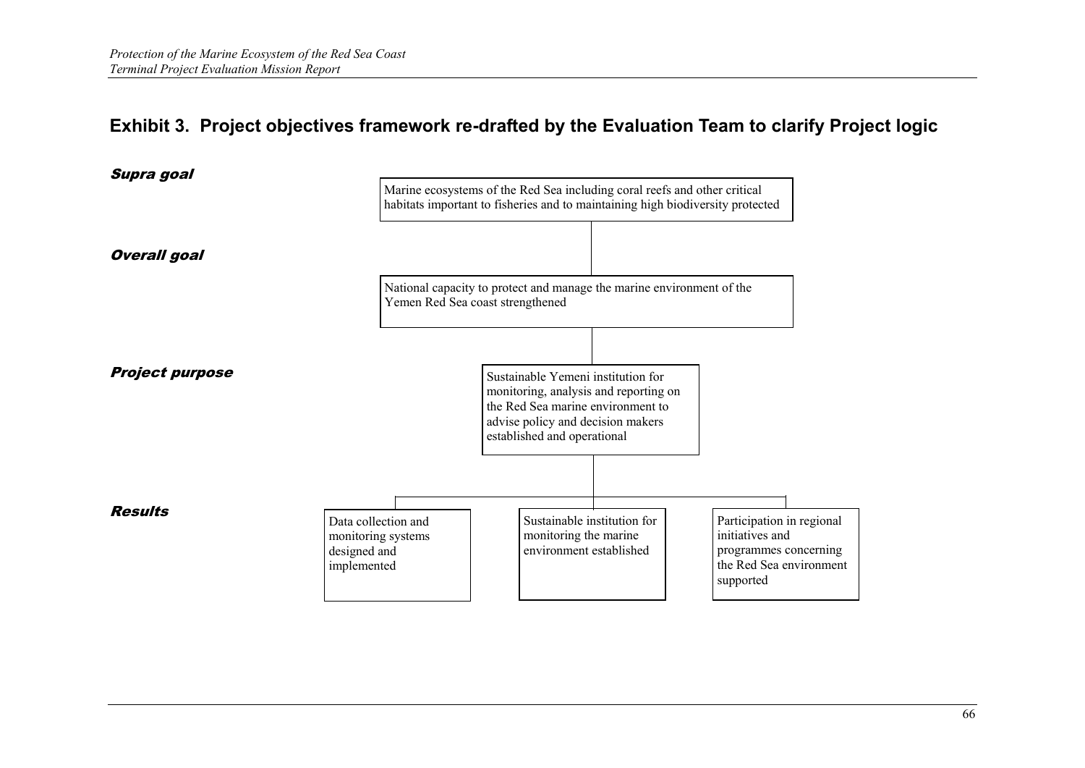# **Exhibit 3. Project objectives framework re-drafted by the Evaluation Team to clarify Project logic**

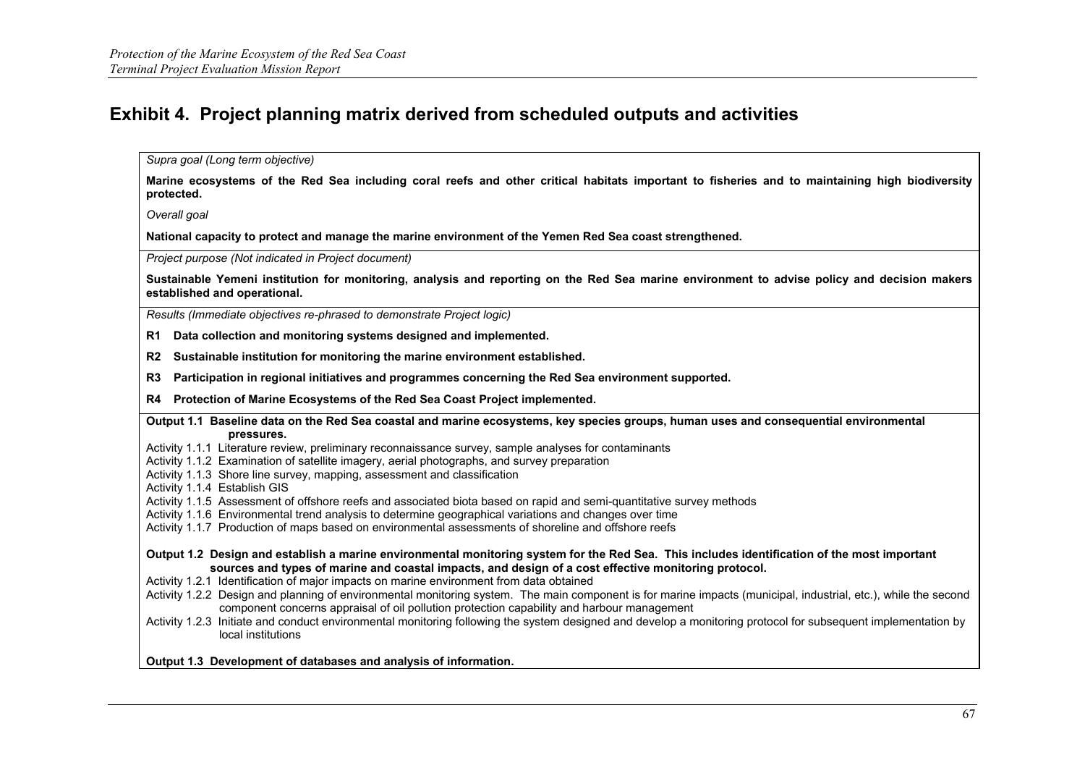# **Exhibit 4. Project planning matrix derived from scheduled outputs and activities**

*Supra goal (Long term objective)*

**Marine ecosystems of the Red Sea including coral reefs and other critical habitats important to fisheries and to maintaining high biodiversity protected.**

*Overall goal*

**National capacity to protect and manage the marine environment of the Yemen Red Sea coast strengthened.**

*Project purpose (Not indicated in Project document)*

**Sustainable Yemeni institution for monitoring, analysis and reporting on the Red Sea marine environment to advise policy and decision makers established and operational.**

*Results (Immediate objectives re-phrased to demonstrate Project logic)*

**R1 Data collection and monitoring systems designed and implemented.**

**R2 Sustainable institution for monitoring the marine environment established.**

**R3 Participation in regional initiatives and programmes concerning the Red Sea environment supported.**

**R4 Protection of Marine Ecosystems of the Red Sea Coast Project implemented.**

**Output 1.1 Baseline data on the Red Sea coastal and marine ecosystems, key species groups, human uses and consequential environmental pressures.**

Activity 1.1.1 Literature review, preliminary reconnaissance survey, sample analyses for contaminants

Activity 1.1.2 Examination of satellite imagery, aerial photographs, and survey preparation

Activity 1.1.3 Shore line survey, mapping, assessment and classification

Activity 1.1.4 Establish GIS

Activity 1.1.5 Assessment of offshore reefs and associated biota based on rapid and semi-quantitative survey methods

Activity 1.1.6 Environmental trend analysis to determine geographical variations and changes over time

Activity 1.1.7 Production of maps based on environmental assessments of shoreline and offshore reefs

**Output 1.2 Design and establish a marine environmental monitoring system for the Red Sea. This includes identification of the most important sources and types of marine and coastal impacts, and design of a cost effective monitoring protocol.**

Activity 1.2.1 Identification of major impacts on marine environment from data obtained

Activity 1.2.2 Design and planning of environmental monitoring system. The main component is for marine impacts (municipal, industrial, etc.), while the second component concerns appraisal of oil pollution protection capability and harbour management

Activity 1.2.3 Initiate and conduct environmental monitoring following the system designed and develop a monitoring protocol for subsequent implementation by local institutions

**Output 1.3 Development of databases and analysis of information.**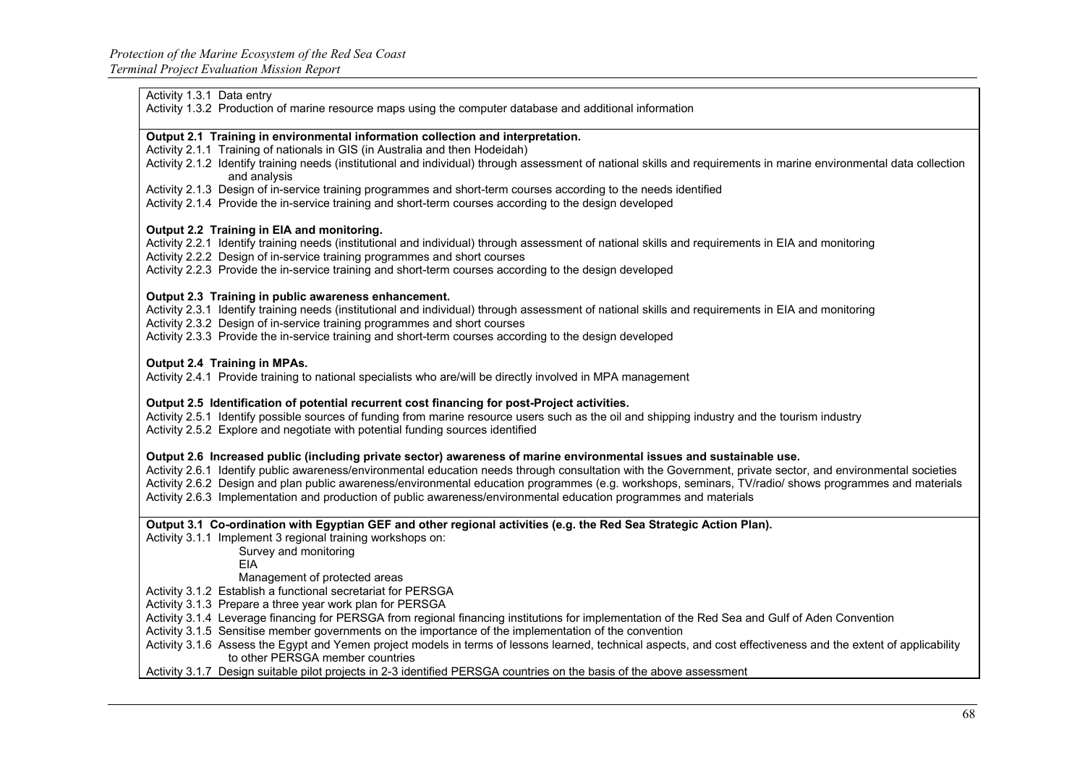#### Activity 1.3.1 Data entry

Activity 1.3.2 Production of marine resource maps using the computer database and additional information

#### **Output 2.1 Training in environmental information collection and interpretation.**

Activity 2.1.1 Training of nationals in GIS (in Australia and then Hodeidah)

- Activity 2.1.2 Identify training needs (institutional and individual) through assessment of national skills and requirements in marine environmental data collection and analysis
- Activity 2.1.3 Design of in-service training programmes and short-term courses according to the needs identified

Activity 2.1.4 Provide the in-service training and short-term courses according to the design developed

#### **Output 2.2 Training in EIA and monitoring.**

Activity 2.2.1 Identify training needs (institutional and individual) through assessment of national skills and requirements in EIA and monitoring

Activity 2.2.2 Design of in-service training programmes and short courses

Activity 2.2.3 Provide the in-service training and short-term courses according to the design developed

#### **Output 2.3 Training in public awareness enhancement.**

Activity 2.3.1 Identify training needs (institutional and individual) through assessment of national skills and requirements in EIA and monitoring

Activity 2.3.2 Design of in-service training programmes and short courses

Activity 2.3.3 Provide the in-service training and short-term courses according to the design developed

#### **Output 2.4 Training in MPAs.**

Activity 2.4.1 Provide training to national specialists who are/will be directly involved in MPA management

#### **Output 2.5 Identification of potential recurrent cost financing for post-Project activities.**

Activity 2.5.1 Identify possible sources of funding from marine resource users such as the oil and shipping industry and the tourism industry Activity 2.5.2 Explore and negotiate with potential funding sources identified

#### **Output 2.6 Increased public (including private sector) awareness of marine environmental issues and sustainable use.**

Activity 2.6.1 Identify public awareness/environmental education needs through consultation with the Government, private sector, and environmental societies Activity 2.6.2 Design and plan public awareness/environmental education programmes (e.g. workshops, seminars, TV/radio/ shows programmes and materials Activity 2.6.3 Implementation and production of public awareness/environmental education programmes and materials

**Output 3.1 Co-ordination with Egyptian GEF and other regional activities (e.g. the Red Sea Strategic Action Plan).**

Activity 3.1.1 Implement 3 regional training workshops on:

Survey and monitoring

EIA

Management of protected areas

Activity 3.1.2 Establish a functional secretariat for PERSGA

Activity 3.1.3 Prepare a three year work plan for PERSGA

Activity 3.1.4 Leverage financing for PERSGA from regional financing institutions for implementation of the Red Sea and Gulf of Aden Convention

Activity 3.1.5 Sensitise member governments on the importance of the implementation of the convention

Activity 3.1.6 Assess the Egypt and Yemen project models in terms of lessons learned, technical aspects, and cost effectiveness and the extent of applicability to other PERSGA member countries

Activity 3.1.7 Design suitable pilot projects in 2-3 identified PERSGA countries on the basis of the above assessment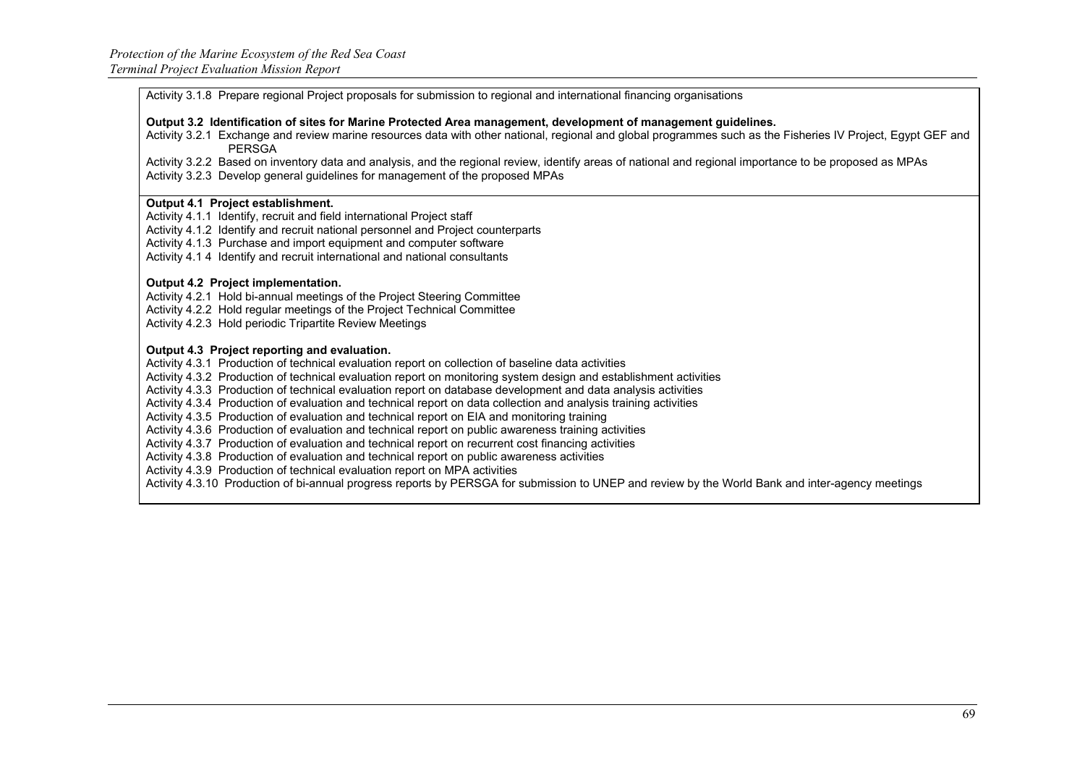Activity 3.1.8 Prepare regional Project proposals for submission to regional and international financing organisations

**Output 3.2 Identification of sites for Marine Protected Area management, development of management guidelines.**

Activity 3.2.1 Exchange and review marine resources data with other national, regional and global programmes such as the Fisheries IV Project, Egypt GEF and PERSGA

Activity 3.2.2 Based on inventory data and analysis, and the regional review, identify areas of national and regional importance to be proposed as MPAs Activity 3.2.3 Develop general guidelines for management of the proposed MPAs

#### **Output 4.1 Project establishment.**

Activity 4.1.1 Identify, recruit and field international Project staff

Activity 4.1.2 Identify and recruit national personnel and Project counterparts

Activity 4.1.3 Purchase and import equipment and computer software

Activity 4.1 4 Identify and recruit international and national consultants

#### **Output 4.2 Project implementation.**

Activity 4.2.1 Hold bi-annual meetings of the Project Steering Committee Activity 4.2.2 Hold regular meetings of the Project Technical Committee Activity 4.2.3 Hold periodic Tripartite Review Meetings

#### **Output 4.3 Project reporting and evaluation.**

Activity 4.3.1 Production of technical evaluation report on collection of baseline data activities

Activity 4.3.2 Production of technical evaluation report on monitoring system design and establishment activities

Activity 4.3.3 Production of technical evaluation report on database development and data analysis activities

Activity 4.3.4 Production of evaluation and technical report on data collection and analysis training activities

Activity 4.3.5 Production of evaluation and technical report on EIA and monitoring training

Activity 4.3.6 Production of evaluation and technical report on public awareness training activities

Activity 4.3.7 Production of evaluation and technical report on recurrent cost financing activities

Activity 4.3.8 Production of evaluation and technical report on public awareness activities

Activity 4.3.9 Production of technical evaluation report on MPA activities

Activity 4.3.10 Production of bi-annual progress reports by PERSGA for submission to UNEP and review by the World Bank and inter-agency meetings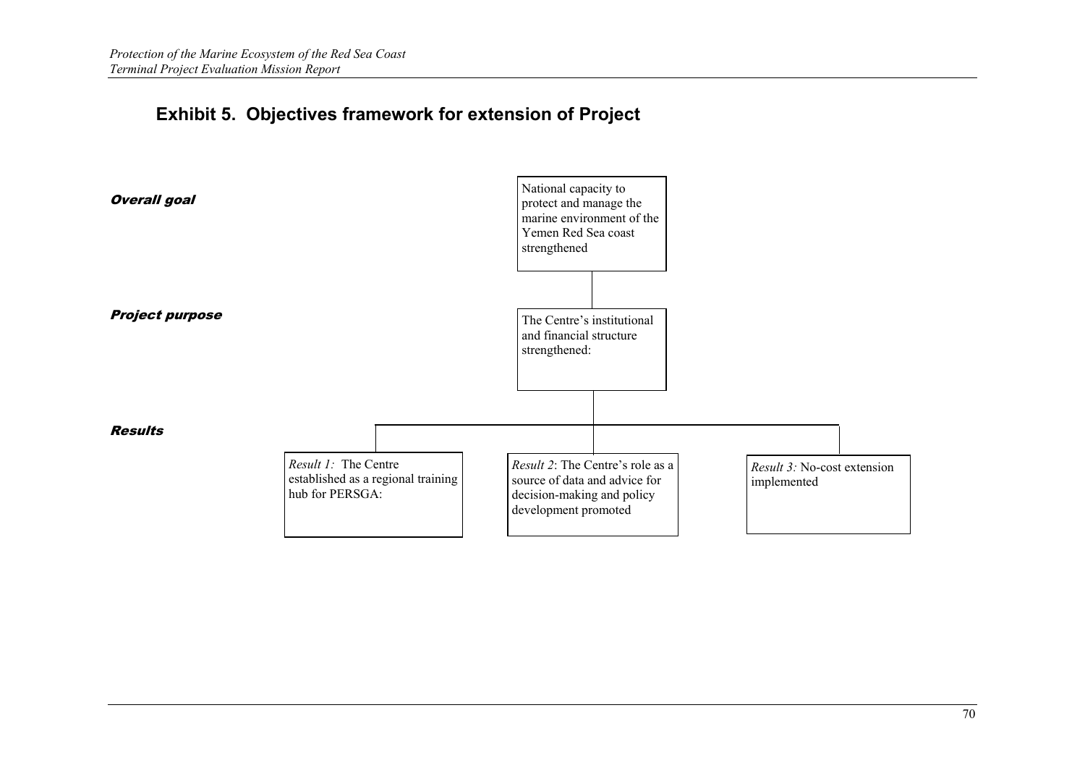# **Exhibit 5. Objectives framework for extension of Project**

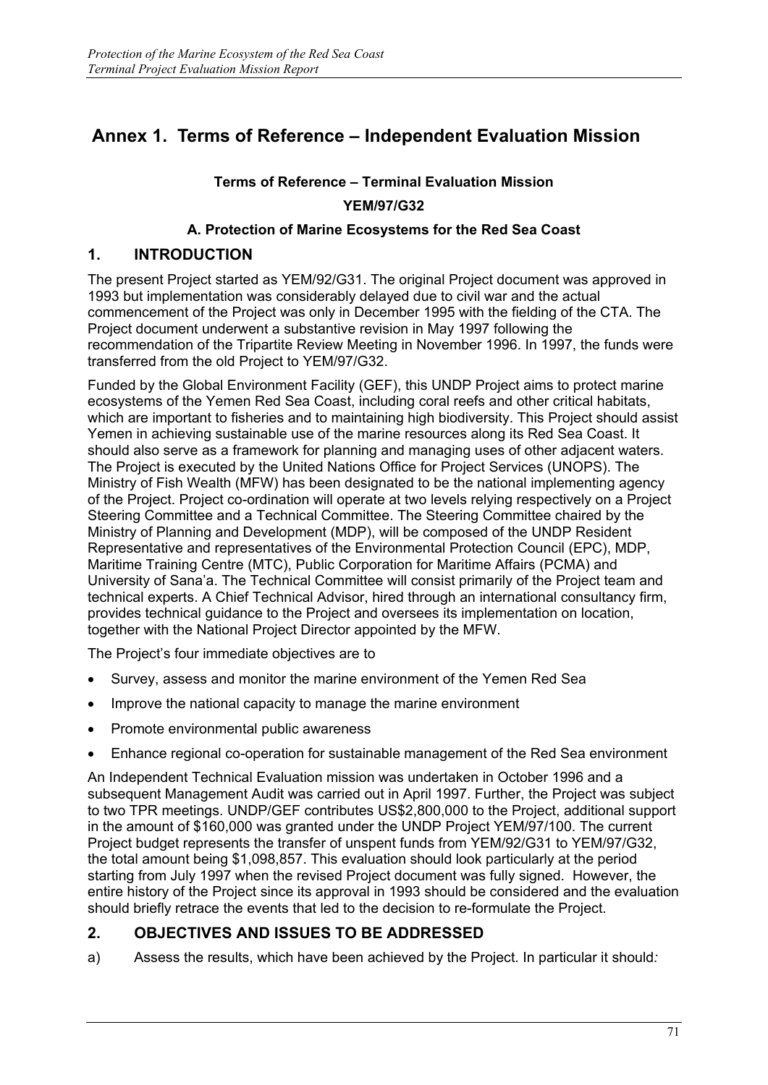# **Annex 1. Terms of Reference – Independent Evaluation Mission**

## **Terms of Reference – Terminal Evaluation Mission YEM/97/G32**

## **A. Protection of Marine Ecosystems for the Red Sea Coast**

## **1. INTRODUCTION**

The present Project started as YEM/92/G31. The original Project document was approved in 1993 but implementation was considerably delayed due to civil war and the actual commencement of the Project was only in December 1995 with the fielding of the CTA. The Project document underwent a substantive revision in May 1997 following the recommendation of the Tripartite Review Meeting in November 1996. In 1997, the funds were transferred from the old Project to YEM/97/G32.

Funded by the Global Environment Facility (GEF), this UNDP Project aims to protect marine ecosystems of the Yemen Red Sea Coast, including coral reefs and other critical habitats, which are important to fisheries and to maintaining high biodiversity. This Project should assist Yemen in achieving sustainable use of the marine resources along its Red Sea Coast. It should also serve as a framework for planning and managing uses of other adjacent waters. The Project is executed by the United Nations Office for Project Services (UNOPS). The Ministry of Fish Wealth (MFW) has been designated to be the national implementing agency of the Project. Project co-ordination will operate at two levels relying respectively on a Project Steering Committee and a Technical Committee. The Steering Committee chaired by the Ministry of Planning and Development (MDP), will be composed of the UNDP Resident Representative and representatives of the Environmental Protection Council (EPC), MDP, Maritime Training Centre (MTC), Public Corporation for Maritime Affairs (PCMA) and University of Sana'a. The Technical Committee will consist primarily of the Project team and technical experts. A Chief Technical Advisor, hired through an international consultancy firm, provides technical guidance to the Project and oversees its implementation on location, together with the National Project Director appointed by the MFW.

The Project's four immediate objectives are to

- Survey, assess and monitor the marine environment of the Yemen Red Sea
- Improve the national capacity to manage the marine environment
- Promote environmental public awareness
- Enhance regional co-operation for sustainable management of the Red Sea environment

An Independent Technical Evaluation mission was undertaken in October 1996 and a subsequent Management Audit was carried out in April 1997. Further, the Project was subject to two TPR meetings. UNDP/GEF contributes US\$2,800,000 to the Project, additional support in the amount of \$160,000 was granted under the UNDP Project YEM/97/100. The current Project budget represents the transfer of unspent funds from YEM/92/G31 to YEM/97/G32, the total amount being \$1,098,857. This evaluation should look particularly at the period starting from July 1997 when the revised Project document was fully signed. However, the entire history of the Project since its approval in 1993 should be considered and the evaluation should briefly retrace the events that led to the decision to re-formulate the Project.

## **2. OBJECTIVES AND ISSUES TO BE ADDRESSED**

a) Assess the results, which have been achieved by the Project. In particular it should*:*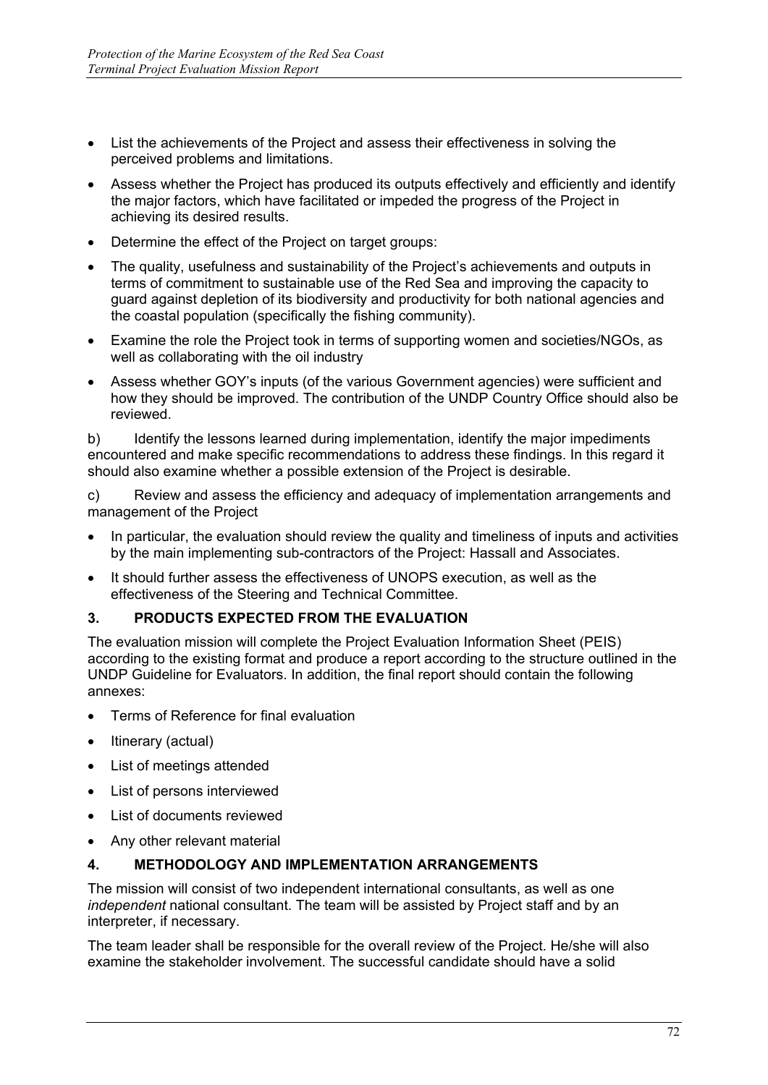- List the achievements of the Project and assess their effectiveness in solving the perceived problems and limitations.
- Assess whether the Project has produced its outputs effectively and efficiently and identify the major factors, which have facilitated or impeded the progress of the Project in achieving its desired results.
- Determine the effect of the Project on target groups:
- The quality, usefulness and sustainability of the Project's achievements and outputs in terms of commitment to sustainable use of the Red Sea and improving the capacity to guard against depletion of its biodiversity and productivity for both national agencies and the coastal population (specifically the fishing community).
- Examine the role the Project took in terms of supporting women and societies/NGOs, as well as collaborating with the oil industry
- Assess whether GOY's inputs (of the various Government agencies) were sufficient and how they should be improved. The contribution of the UNDP Country Office should also be reviewed.

b) Identify the lessons learned during implementation, identify the major impediments encountered and make specific recommendations to address these findings. In this regard it should also examine whether a possible extension of the Project is desirable.

c) Review and assess the efficiency and adequacy of implementation arrangements and management of the Project

- In particular, the evaluation should review the quality and timeliness of inputs and activities by the main implementing sub-contractors of the Project: Hassall and Associates.
- It should further assess the effectiveness of UNOPS execution, as well as the effectiveness of the Steering and Technical Committee.

### **3. PRODUCTS EXPECTED FROM THE EVALUATION**

The evaluation mission will complete the Project Evaluation Information Sheet (PEIS) according to the existing format and produce a report according to the structure outlined in the UNDP Guideline for Evaluators. In addition, the final report should contain the following annexes:

- Terms of Reference for final evaluation
- Itinerary (actual)
- List of meetings attended
- List of persons interviewed
- List of documents reviewed
- Any other relevant material

### **4. METHODOLOGY AND IMPLEMENTATION ARRANGEMENTS**

The mission will consist of two independent international consultants, as well as one *independent* national consultant. The team will be assisted by Project staff and by an interpreter, if necessary.

The team leader shall be responsible for the overall review of the Project. He/she will also examine the stakeholder involvement. The successful candidate should have a solid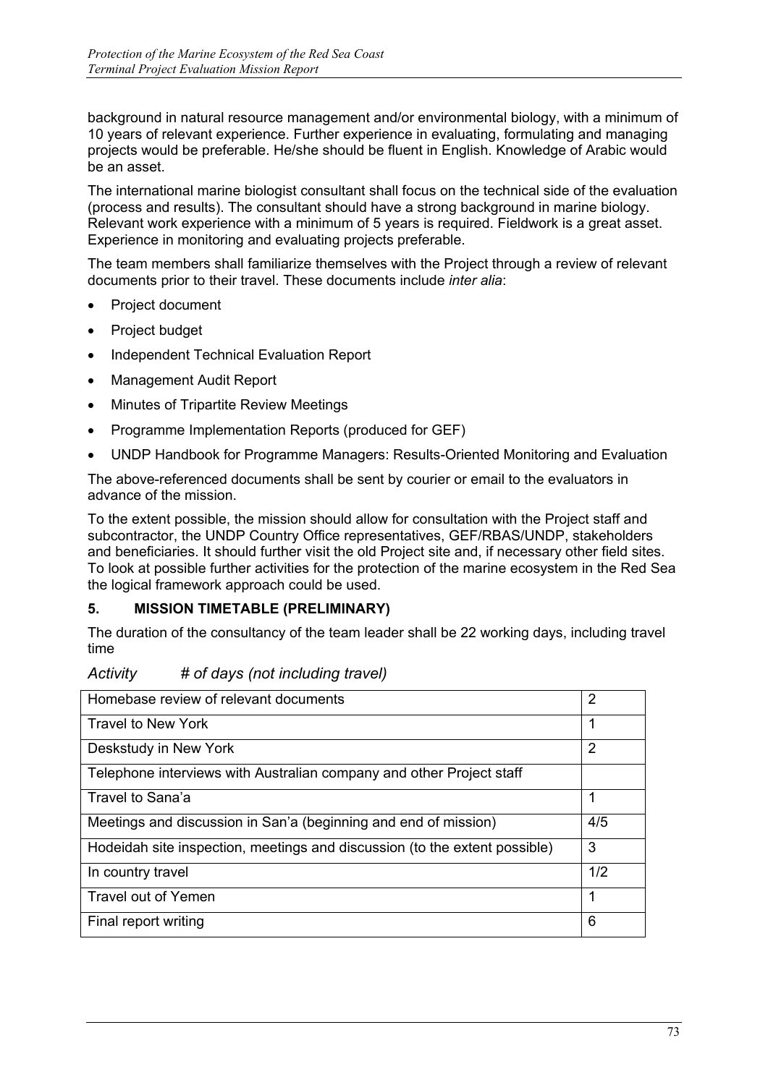background in natural resource management and/or environmental biology, with a minimum of 10 years of relevant experience. Further experience in evaluating, formulating and managing projects would be preferable. He/she should be fluent in English. Knowledge of Arabic would be an asset.

The international marine biologist consultant shall focus on the technical side of the evaluation (process and results). The consultant should have a strong background in marine biology. Relevant work experience with a minimum of 5 years is required. Fieldwork is a great asset. Experience in monitoring and evaluating projects preferable.

The team members shall familiarize themselves with the Project through a review of relevant documents prior to their travel. These documents include *inter alia*:

- Project document
- Project budget
- Independent Technical Evaluation Report
- Management Audit Report
- Minutes of Tripartite Review Meetings
- Programme Implementation Reports (produced for GEF)
- UNDP Handbook for Programme Managers: Results-Oriented Monitoring and Evaluation

The above-referenced documents shall be sent by courier or email to the evaluators in advance of the mission.

To the extent possible, the mission should allow for consultation with the Project staff and subcontractor, the UNDP Country Office representatives, GEF/RBAS/UNDP, stakeholders and beneficiaries. It should further visit the old Project site and, if necessary other field sites. To look at possible further activities for the protection of the marine ecosystem in the Red Sea the logical framework approach could be used.

### **5. MISSION TIMETABLE (PRELIMINARY)**

The duration of the consultancy of the team leader shall be 22 working days, including travel time

| Activity | # of days (not including travel) |  |
|----------|----------------------------------|--|
|          |                                  |  |

| Homebase review of relevant documents                                      | 2   |
|----------------------------------------------------------------------------|-----|
| Travel to New York                                                         | 1   |
| Deskstudy in New York                                                      | 2   |
| Telephone interviews with Australian company and other Project staff       |     |
| Travel to Sana'a                                                           | 1   |
| Meetings and discussion in San'a (beginning and end of mission)            | 4/5 |
| Hodeidah site inspection, meetings and discussion (to the extent possible) | 3   |
| In country travel                                                          | 1/2 |
| Travel out of Yemen                                                        | 1   |
| Final report writing                                                       | 6   |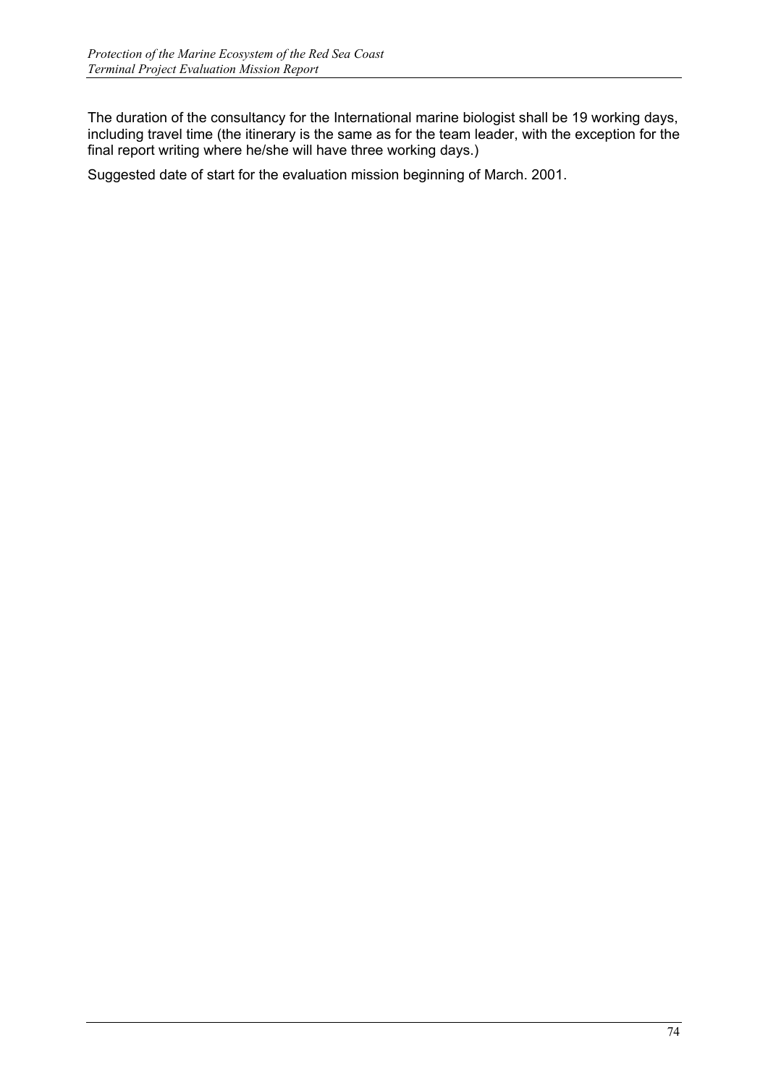The duration of the consultancy for the International marine biologist shall be 19 working days, including travel time (the itinerary is the same as for the team leader, with the exception for the final report writing where he/she will have three working days.)

Suggested date of start for the evaluation mission beginning of March. 2001.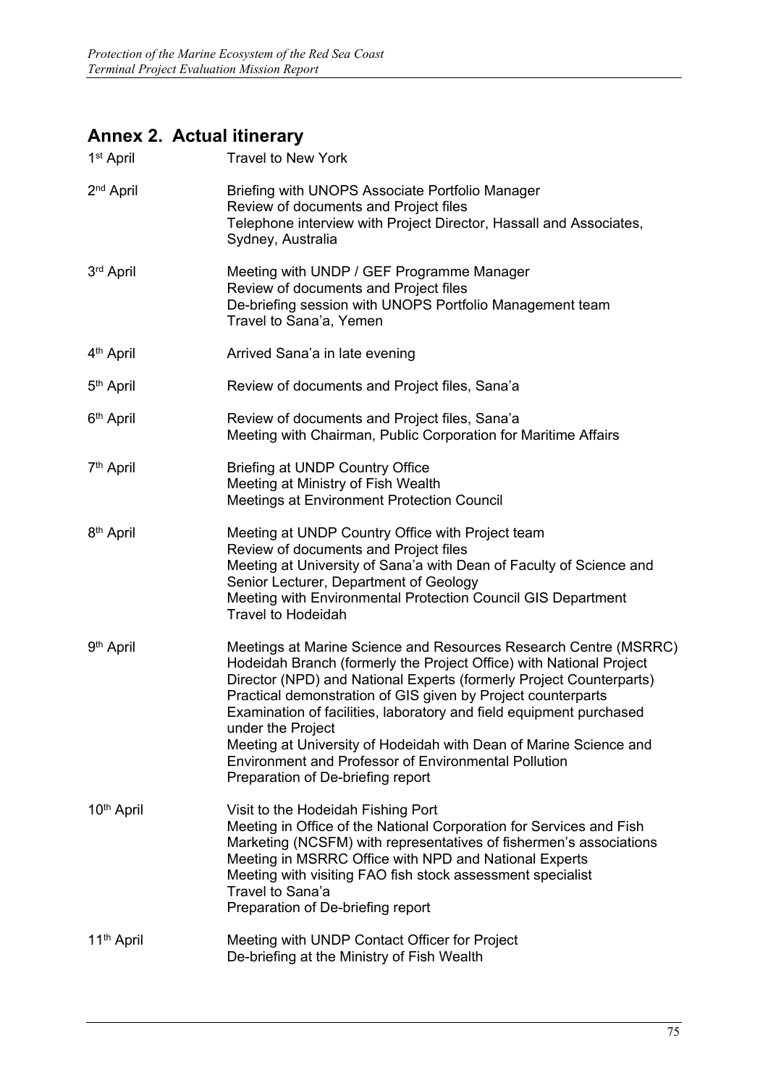# **Annex 2. Actual itinerary**

| 1 <sup>st</sup> April  | <b>Travel to New York</b>                                                                                                                                                                                                                                                                                                                                                                                                                                                                                                                           |
|------------------------|-----------------------------------------------------------------------------------------------------------------------------------------------------------------------------------------------------------------------------------------------------------------------------------------------------------------------------------------------------------------------------------------------------------------------------------------------------------------------------------------------------------------------------------------------------|
| 2 <sup>nd</sup> April  | Briefing with UNOPS Associate Portfolio Manager<br>Review of documents and Project files<br>Telephone interview with Project Director, Hassall and Associates,<br>Sydney, Australia                                                                                                                                                                                                                                                                                                                                                                 |
| 3rd April              | Meeting with UNDP / GEF Programme Manager<br>Review of documents and Project files<br>De-briefing session with UNOPS Portfolio Management team<br>Travel to Sana'a, Yemen                                                                                                                                                                                                                                                                                                                                                                           |
| 4 <sup>th</sup> April  | Arrived Sana'a in late evening                                                                                                                                                                                                                                                                                                                                                                                                                                                                                                                      |
| 5 <sup>th</sup> April  | Review of documents and Project files, Sana'a                                                                                                                                                                                                                                                                                                                                                                                                                                                                                                       |
| 6 <sup>th</sup> April  | Review of documents and Project files, Sana'a<br>Meeting with Chairman, Public Corporation for Maritime Affairs                                                                                                                                                                                                                                                                                                                                                                                                                                     |
| 7 <sup>th</sup> April  | <b>Briefing at UNDP Country Office</b><br>Meeting at Ministry of Fish Wealth<br><b>Meetings at Environment Protection Council</b>                                                                                                                                                                                                                                                                                                                                                                                                                   |
| 8 <sup>th</sup> April  | Meeting at UNDP Country Office with Project team<br>Review of documents and Project files<br>Meeting at University of Sana'a with Dean of Faculty of Science and<br>Senior Lecturer, Department of Geology<br>Meeting with Environmental Protection Council GIS Department<br><b>Travel to Hodeidah</b>                                                                                                                                                                                                                                             |
| 9 <sup>th</sup> April  | Meetings at Marine Science and Resources Research Centre (MSRRC)<br>Hodeidah Branch (formerly the Project Office) with National Project<br>Director (NPD) and National Experts (formerly Project Counterparts)<br>Practical demonstration of GIS given by Project counterparts<br>Examination of facilities, laboratory and field equipment purchased<br>under the Project<br>Meeting at University of Hodeidah with Dean of Marine Science and<br><b>Environment and Professor of Environmental Pollution</b><br>Preparation of De-briefing report |
| 10 <sup>th</sup> April | Visit to the Hodeidah Fishing Port<br>Meeting in Office of the National Corporation for Services and Fish<br>Marketing (NCSFM) with representatives of fishermen's associations<br>Meeting in MSRRC Office with NPD and National Experts<br>Meeting with visiting FAO fish stock assessment specialist<br>Travel to Sana'a<br>Preparation of De-briefing report                                                                                                                                                                                     |
| 11 <sup>th</sup> April | Meeting with UNDP Contact Officer for Project<br>De-briefing at the Ministry of Fish Wealth                                                                                                                                                                                                                                                                                                                                                                                                                                                         |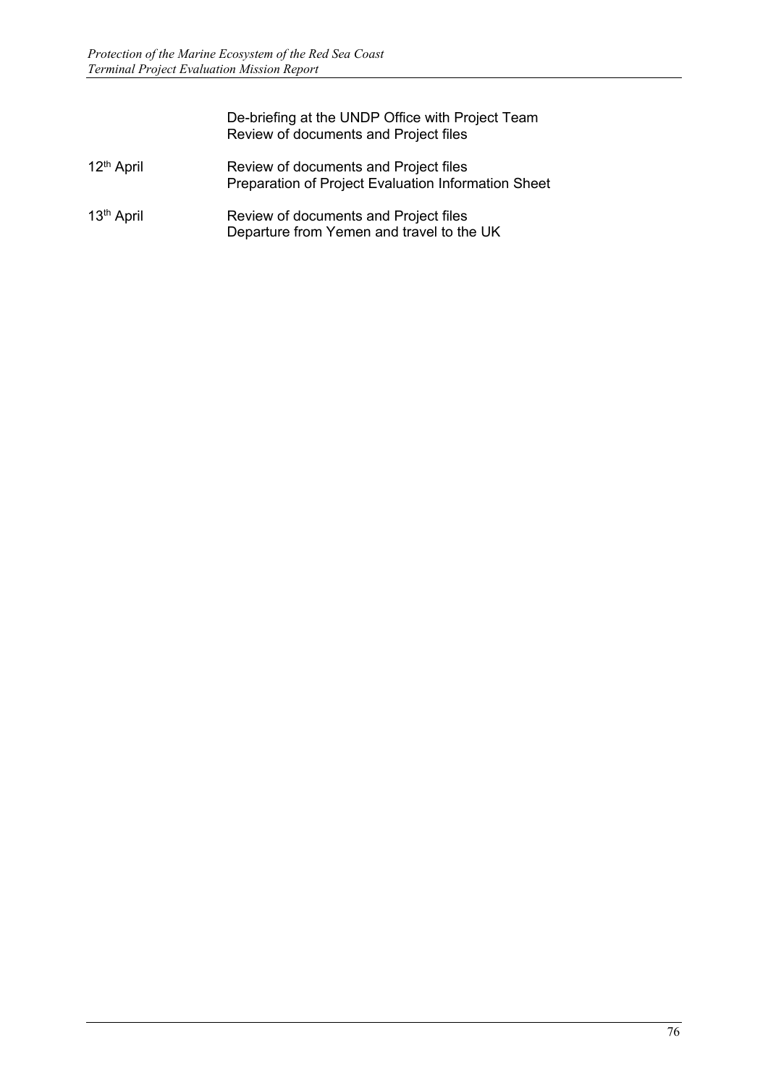|                        | De-briefing at the UNDP Office with Project Team<br>Review of documents and Project files    |
|------------------------|----------------------------------------------------------------------------------------------|
| 12 <sup>th</sup> April | Review of documents and Project files<br>Preparation of Project Evaluation Information Sheet |
| 13 <sup>th</sup> April | Review of documents and Project files<br>Departure from Yemen and travel to the UK           |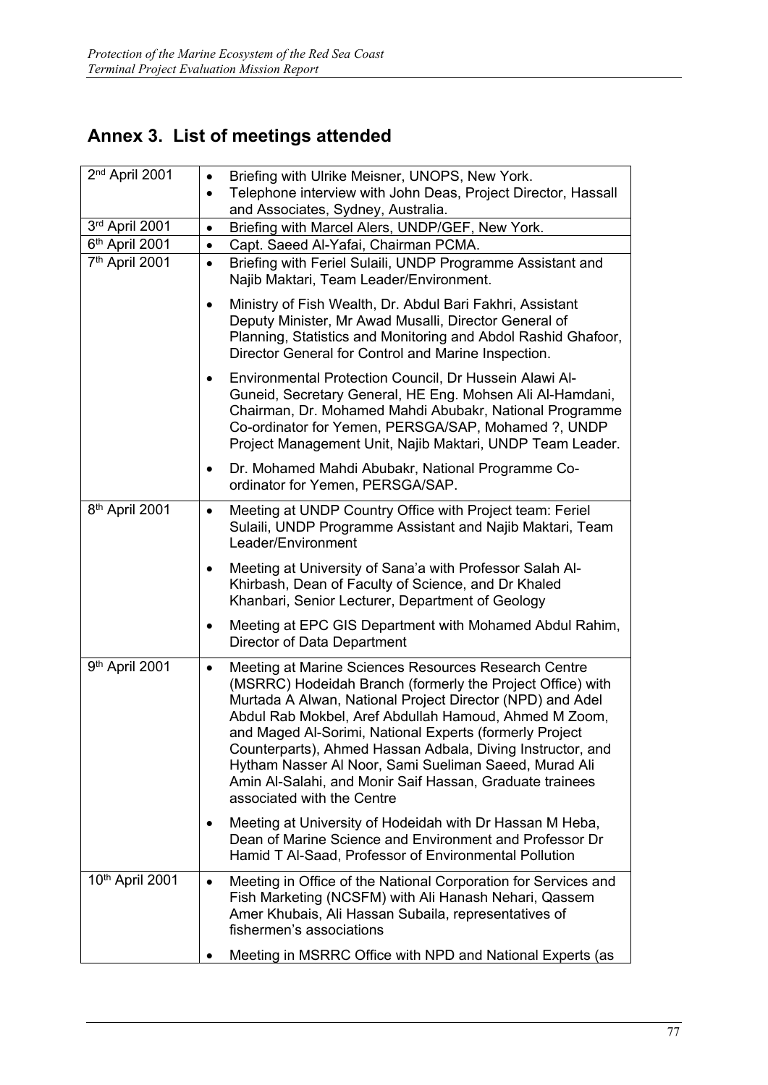# **Annex 3. List of meetings attended**

| 2 <sup>nd</sup> April 2001 | $\bullet$ | Briefing with Ulrike Meisner, UNOPS, New York.                                                                                                                                                                                                                                                                                                                                                                                                                                                                       |
|----------------------------|-----------|----------------------------------------------------------------------------------------------------------------------------------------------------------------------------------------------------------------------------------------------------------------------------------------------------------------------------------------------------------------------------------------------------------------------------------------------------------------------------------------------------------------------|
|                            | $\bullet$ | Telephone interview with John Deas, Project Director, Hassall                                                                                                                                                                                                                                                                                                                                                                                                                                                        |
|                            |           | and Associates, Sydney, Australia.                                                                                                                                                                                                                                                                                                                                                                                                                                                                                   |
| 3rd April 2001             | $\bullet$ | Briefing with Marcel Alers, UNDP/GEF, New York.                                                                                                                                                                                                                                                                                                                                                                                                                                                                      |
| 6th April 2001             | $\bullet$ | Capt. Saeed Al-Yafai, Chairman PCMA.                                                                                                                                                                                                                                                                                                                                                                                                                                                                                 |
| 7 <sup>th</sup> April 2001 | $\bullet$ | Briefing with Feriel Sulaili, UNDP Programme Assistant and<br>Najib Maktari, Team Leader/Environment.                                                                                                                                                                                                                                                                                                                                                                                                                |
|                            | ٠         | Ministry of Fish Wealth, Dr. Abdul Bari Fakhri, Assistant<br>Deputy Minister, Mr Awad Musalli, Director General of<br>Planning, Statistics and Monitoring and Abdol Rashid Ghafoor,<br>Director General for Control and Marine Inspection.                                                                                                                                                                                                                                                                           |
|                            | ٠         | Environmental Protection Council, Dr Hussein Alawi Al-<br>Guneid, Secretary General, HE Eng. Mohsen Ali Al-Hamdani,<br>Chairman, Dr. Mohamed Mahdi Abubakr, National Programme<br>Co-ordinator for Yemen, PERSGA/SAP, Mohamed ?, UNDP<br>Project Management Unit, Najib Maktari, UNDP Team Leader.                                                                                                                                                                                                                   |
|                            | $\bullet$ | Dr. Mohamed Mahdi Abubakr, National Programme Co-<br>ordinator for Yemen, PERSGA/SAP.                                                                                                                                                                                                                                                                                                                                                                                                                                |
| 8 <sup>th</sup> April 2001 | $\bullet$ | Meeting at UNDP Country Office with Project team: Feriel<br>Sulaili, UNDP Programme Assistant and Najib Maktari, Team<br>Leader/Environment                                                                                                                                                                                                                                                                                                                                                                          |
|                            | $\bullet$ | Meeting at University of Sana'a with Professor Salah Al-<br>Khirbash, Dean of Faculty of Science, and Dr Khaled<br>Khanbari, Senior Lecturer, Department of Geology                                                                                                                                                                                                                                                                                                                                                  |
|                            | ٠         | Meeting at EPC GIS Department with Mohamed Abdul Rahim,<br>Director of Data Department                                                                                                                                                                                                                                                                                                                                                                                                                               |
| 9th April 2001             | $\bullet$ | Meeting at Marine Sciences Resources Research Centre<br>(MSRRC) Hodeidah Branch (formerly the Project Office) with<br>Murtada A Alwan, National Project Director (NPD) and Adel<br>Abdul Rab Mokbel, Aref Abdullah Hamoud, Ahmed M Zoom,<br>and Maged Al-Sorimi, National Experts (formerly Project<br>Counterparts), Ahmed Hassan Adbala, Diving Instructor, and<br>Hytham Nasser Al Noor, Sami Sueliman Saeed, Murad Ali<br>Amin Al-Salahi, and Monir Saif Hassan, Graduate trainees<br>associated with the Centre |
|                            | $\bullet$ | Meeting at University of Hodeidah with Dr Hassan M Heba,<br>Dean of Marine Science and Environment and Professor Dr<br>Hamid T Al-Saad, Professor of Environmental Pollution                                                                                                                                                                                                                                                                                                                                         |
| 10th April 2001            | $\bullet$ | Meeting in Office of the National Corporation for Services and<br>Fish Marketing (NCSFM) with Ali Hanash Nehari, Qassem<br>Amer Khubais, Ali Hassan Subaila, representatives of<br>fishermen's associations                                                                                                                                                                                                                                                                                                          |
|                            |           | Meeting in MSRRC Office with NPD and National Experts (as                                                                                                                                                                                                                                                                                                                                                                                                                                                            |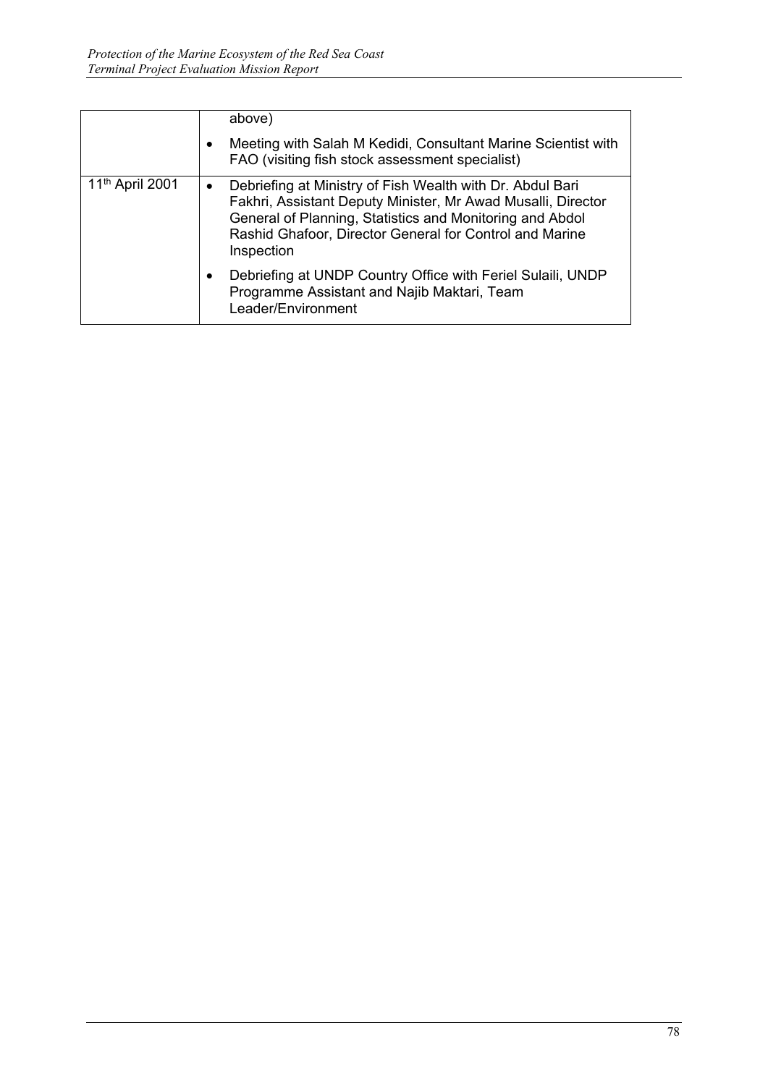|                             | above)                                                                                                                                                                                                                                                                      |
|-----------------------------|-----------------------------------------------------------------------------------------------------------------------------------------------------------------------------------------------------------------------------------------------------------------------------|
|                             | Meeting with Salah M Kedidi, Consultant Marine Scientist with<br>$\bullet$<br>FAO (visiting fish stock assessment specialist)                                                                                                                                               |
| 11 <sup>th</sup> April 2001 | Debriefing at Ministry of Fish Wealth with Dr. Abdul Bari<br>$\bullet$<br>Fakhri, Assistant Deputy Minister, Mr Awad Musalli, Director<br>General of Planning, Statistics and Monitoring and Abdol<br>Rashid Ghafoor, Director General for Control and Marine<br>Inspection |
|                             | Debriefing at UNDP Country Office with Feriel Sulaili, UNDP<br>$\bullet$<br>Programme Assistant and Najib Maktari, Team<br>Leader/Environment                                                                                                                               |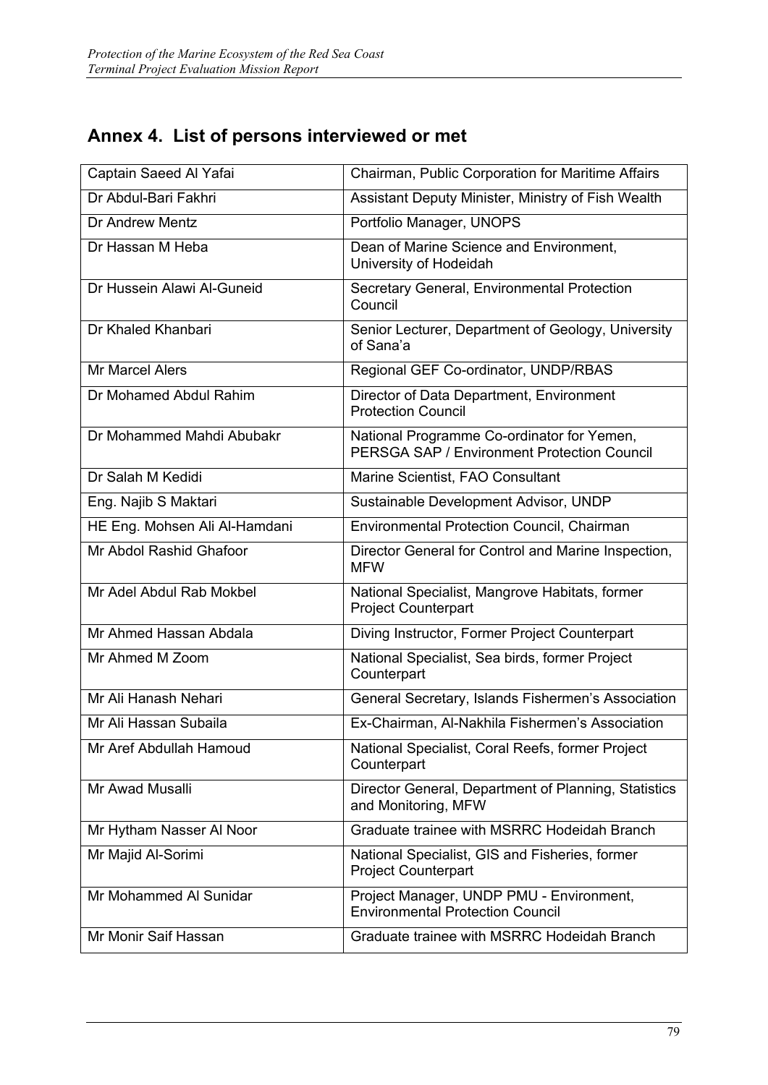# **Annex 4. List of persons interviewed or met**

| Captain Saeed Al Yafai        | <b>Chairman, Public Corporation for Maritime Affairs</b>                                         |
|-------------------------------|--------------------------------------------------------------------------------------------------|
| Dr Abdul-Bari Fakhri          | Assistant Deputy Minister, Ministry of Fish Wealth                                               |
| Dr Andrew Mentz               | Portfolio Manager, UNOPS                                                                         |
| Dr Hassan M Heba              | Dean of Marine Science and Environment,<br>University of Hodeidah                                |
| Dr Hussein Alawi Al-Guneid    | Secretary General, Environmental Protection<br>Council                                           |
| Dr Khaled Khanbari            | Senior Lecturer, Department of Geology, University<br>of Sana'a                                  |
| <b>Mr Marcel Alers</b>        | Regional GEF Co-ordinator, UNDP/RBAS                                                             |
| Dr Mohamed Abdul Rahim        | Director of Data Department, Environment<br><b>Protection Council</b>                            |
| Dr Mohammed Mahdi Abubakr     | National Programme Co-ordinator for Yemen,<br><b>PERSGA SAP / Environment Protection Council</b> |
| Dr Salah M Kedidi             | Marine Scientist, FAO Consultant                                                                 |
| Eng. Najib S Maktari          | Sustainable Development Advisor, UNDP                                                            |
| HE Eng. Mohsen Ali Al-Hamdani | <b>Environmental Protection Council, Chairman</b>                                                |
| Mr Abdol Rashid Ghafoor       | Director General for Control and Marine Inspection,<br><b>MFW</b>                                |
| Mr Adel Abdul Rab Mokbel      | National Specialist, Mangrove Habitats, former<br><b>Project Counterpart</b>                     |
| Mr Ahmed Hassan Abdala        | Diving Instructor, Former Project Counterpart                                                    |
| Mr Ahmed M Zoom               | National Specialist, Sea birds, former Project<br>Counterpart                                    |
| Mr Ali Hanash Nehari          | General Secretary, Islands Fishermen's Association                                               |
| Mr Ali Hassan Subaila         | Ex-Chairman, Al-Nakhila Fishermen's Association                                                  |
| Mr Aref Abdullah Hamoud       | National Specialist, Coral Reefs, former Project<br>Counterpart                                  |
| Mr Awad Musalli               | Director General, Department of Planning, Statistics<br>and Monitoring, MFW                      |
| Mr Hytham Nasser Al Noor      | Graduate trainee with MSRRC Hodeidah Branch                                                      |
| Mr Majid Al-Sorimi            | National Specialist, GIS and Fisheries, former<br><b>Project Counterpart</b>                     |
| Mr Mohammed Al Sunidar        | Project Manager, UNDP PMU - Environment,<br><b>Environmental Protection Council</b>              |
| Mr Monir Saif Hassan          | Graduate trainee with MSRRC Hodeidah Branch                                                      |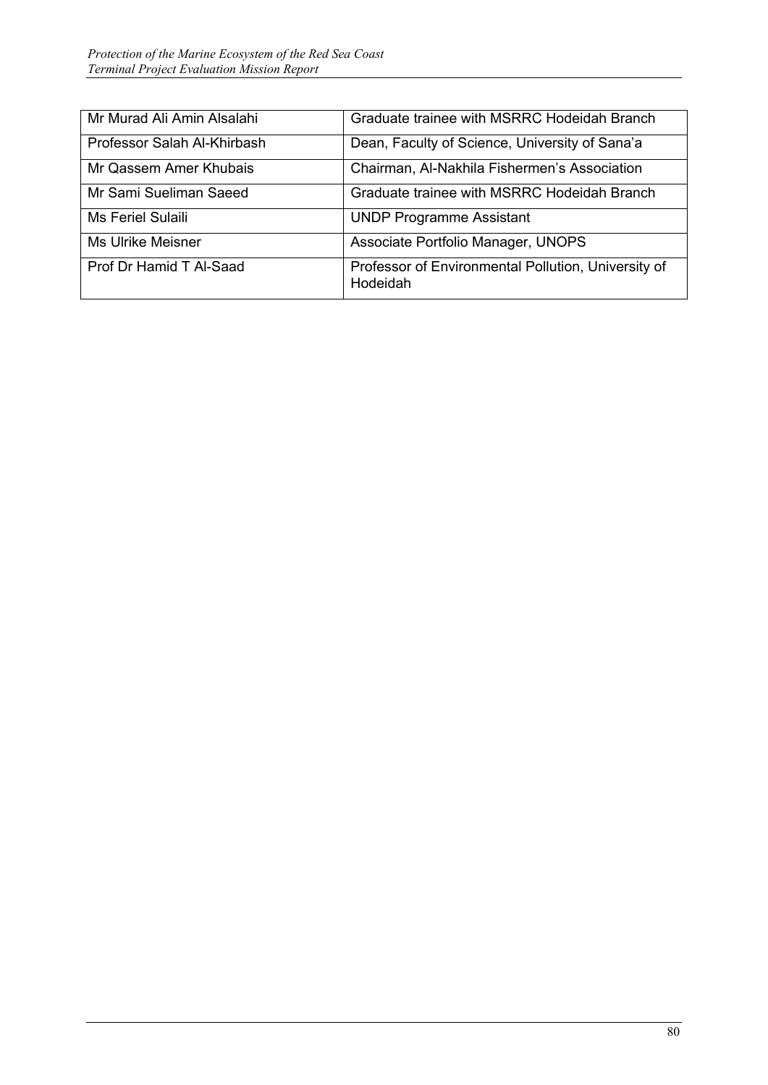| Mr Murad Ali Amin Alsalahi  | Graduate trainee with MSRRC Hodeidah Branch                     |
|-----------------------------|-----------------------------------------------------------------|
| Professor Salah Al-Khirbash | Dean, Faculty of Science, University of Sana'a                  |
| Mr Qassem Amer Khubais      | Chairman, Al-Nakhila Fishermen's Association                    |
| Mr Sami Sueliman Saeed      | Graduate trainee with MSRRC Hodeidah Branch                     |
| <b>Ms Feriel Sulaili</b>    | <b>UNDP Programme Assistant</b>                                 |
| <b>Ms Ulrike Meisner</b>    | Associate Portfolio Manager, UNOPS                              |
| Prof Dr Hamid T Al-Saad     | Professor of Environmental Pollution, University of<br>Hodeidah |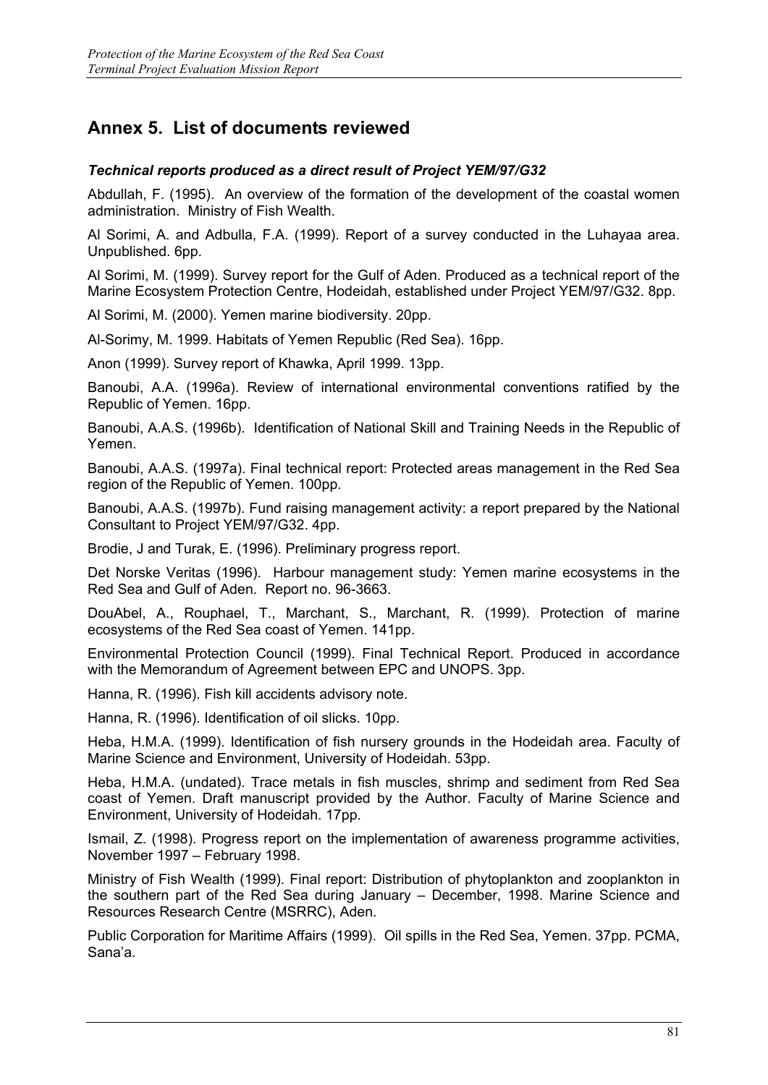# **Annex 5. List of documents reviewed**

### *Technical reports produced as a direct result of Project YEM/97/G32*

Abdullah, F. (1995). An overview of the formation of the development of the coastal women administration. Ministry of Fish Wealth.

Al Sorimi, A. and Adbulla, F.A. (1999). Report of a survey conducted in the Luhayaa area. Unpublished. 6pp.

Al Sorimi, M. (1999). Survey report for the Gulf of Aden. Produced as a technical report of the Marine Ecosystem Protection Centre, Hodeidah, established under Project YEM/97/G32. 8pp.

Al Sorimi, M. (2000). Yemen marine biodiversity. 20pp.

Al-Sorimy, M. 1999. Habitats of Yemen Republic (Red Sea). 16pp.

Anon (1999). Survey report of Khawka, April 1999. 13pp.

Banoubi, A.A. (1996a). Review of international environmental conventions ratified by the Republic of Yemen. 16pp.

Banoubi, A.A.S. (1996b). Identification of National Skill and Training Needs in the Republic of Yemen.

Banoubi, A.A.S. (1997a). Final technical report: Protected areas management in the Red Sea region of the Republic of Yemen. 100pp.

Banoubi, A.A.S. (1997b). Fund raising management activity: a report prepared by the National Consultant to Project YEM/97/G32. 4pp.

Brodie, J and Turak, E. (1996). Preliminary progress report.

Det Norske Veritas (1996). Harbour management study: Yemen marine ecosystems in the Red Sea and Gulf of Aden. Report no. 96-3663.

DouAbel, A., Rouphael, T., Marchant, S., Marchant, R. (1999). Protection of marine ecosystems of the Red Sea coast of Yemen. 141pp.

Environmental Protection Council (1999). Final Technical Report. Produced in accordance with the Memorandum of Agreement between EPC and UNOPS. 3pp.

Hanna, R. (1996). Fish kill accidents advisory note.

Hanna, R. (1996). Identification of oil slicks. 10pp.

Heba, H.M.A. (1999). Identification of fish nursery grounds in the Hodeidah area. Faculty of Marine Science and Environment, University of Hodeidah. 53pp.

Heba, H.M.A. (undated). Trace metals in fish muscles, shrimp and sediment from Red Sea coast of Yemen. Draft manuscript provided by the Author. Faculty of Marine Science and Environment, University of Hodeidah. 17pp.

Ismail, Z. (1998). Progress report on the implementation of awareness programme activities, November 1997 – February 1998.

Ministry of Fish Wealth (1999). Final report: Distribution of phytoplankton and zooplankton in the southern part of the Red Sea during January – December, 1998. Marine Science and Resources Research Centre (MSRRC), Aden.

Public Corporation for Maritime Affairs (1999). Oil spills in the Red Sea, Yemen. 37pp. PCMA, Sana'a.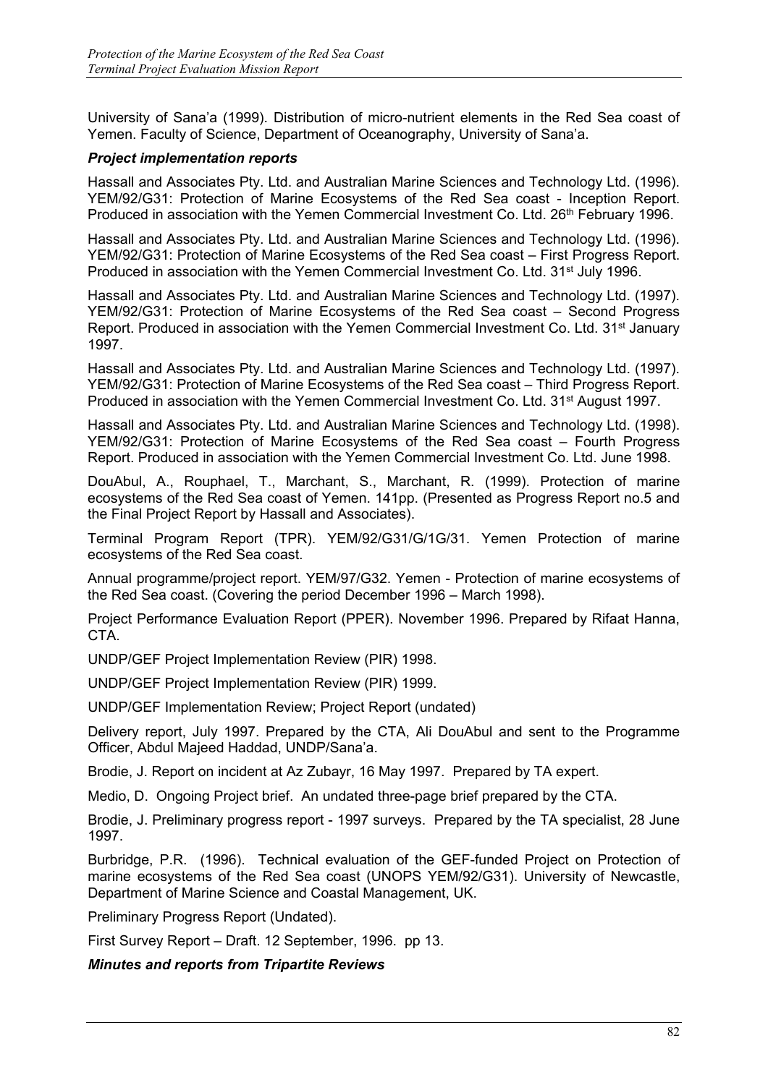University of Sana'a (1999). Distribution of micro-nutrient elements in the Red Sea coast of Yemen. Faculty of Science, Department of Oceanography, University of Sana'a.

### *Project implementation reports*

Hassall and Associates Pty. Ltd. and Australian Marine Sciences and Technology Ltd. (1996). YEM/92/G31: Protection of Marine Ecosystems of the Red Sea coast - Inception Report. Produced in association with the Yemen Commercial Investment Co. Ltd. 26<sup>th</sup> February 1996.

Hassall and Associates Pty. Ltd. and Australian Marine Sciences and Technology Ltd. (1996). YEM/92/G31: Protection of Marine Ecosystems of the Red Sea coast – First Progress Report. Produced in association with the Yemen Commercial Investment Co. Ltd. 31<sup>st</sup> July 1996.

Hassall and Associates Pty. Ltd. and Australian Marine Sciences and Technology Ltd. (1997). YEM/92/G31: Protection of Marine Ecosystems of the Red Sea coast – Second Progress Report. Produced in association with the Yemen Commercial Investment Co. Ltd. 31<sup>st</sup> January 1997.

Hassall and Associates Pty. Ltd. and Australian Marine Sciences and Technology Ltd. (1997). YEM/92/G31: Protection of Marine Ecosystems of the Red Sea coast – Third Progress Report. Produced in association with the Yemen Commercial Investment Co. Ltd. 31<sup>st</sup> August 1997.

Hassall and Associates Pty. Ltd. and Australian Marine Sciences and Technology Ltd. (1998). YEM/92/G31: Protection of Marine Ecosystems of the Red Sea coast – Fourth Progress Report. Produced in association with the Yemen Commercial Investment Co. Ltd. June 1998.

DouAbul, A., Rouphael, T., Marchant, S., Marchant, R. (1999). Protection of marine ecosystems of the Red Sea coast of Yemen. 141pp. (Presented as Progress Report no.5 and the Final Project Report by Hassall and Associates).

Terminal Program Report (TPR). YEM/92/G31/G/1G/31. Yemen Protection of marine ecosystems of the Red Sea coast.

Annual programme/project report. YEM/97/G32. Yemen - Protection of marine ecosystems of the Red Sea coast. (Covering the period December 1996 – March 1998).

Project Performance Evaluation Report (PPER). November 1996. Prepared by Rifaat Hanna, CTA.

UNDP/GEF Project Implementation Review (PIR) 1998.

UNDP/GEF Project Implementation Review (PIR) 1999.

UNDP/GEF Implementation Review; Project Report (undated)

Delivery report, July 1997. Prepared by the CTA, Ali DouAbul and sent to the Programme Officer, Abdul Majeed Haddad, UNDP/Sana'a.

Brodie, J. Report on incident at Az Zubayr, 16 May 1997. Prepared by TA expert.

Medio, D. Ongoing Project brief. An undated three-page brief prepared by the CTA.

Brodie, J. Preliminary progress report - 1997 surveys. Prepared by the TA specialist, 28 June 1997.

Burbridge, P.R. (1996). Technical evaluation of the GEF-funded Project on Protection of marine ecosystems of the Red Sea coast (UNOPS YEM/92/G31). University of Newcastle, Department of Marine Science and Coastal Management, UK.

Preliminary Progress Report (Undated).

First Survey Report – Draft. 12 September, 1996. pp 13.

#### *Minutes and reports from Tripartite Reviews*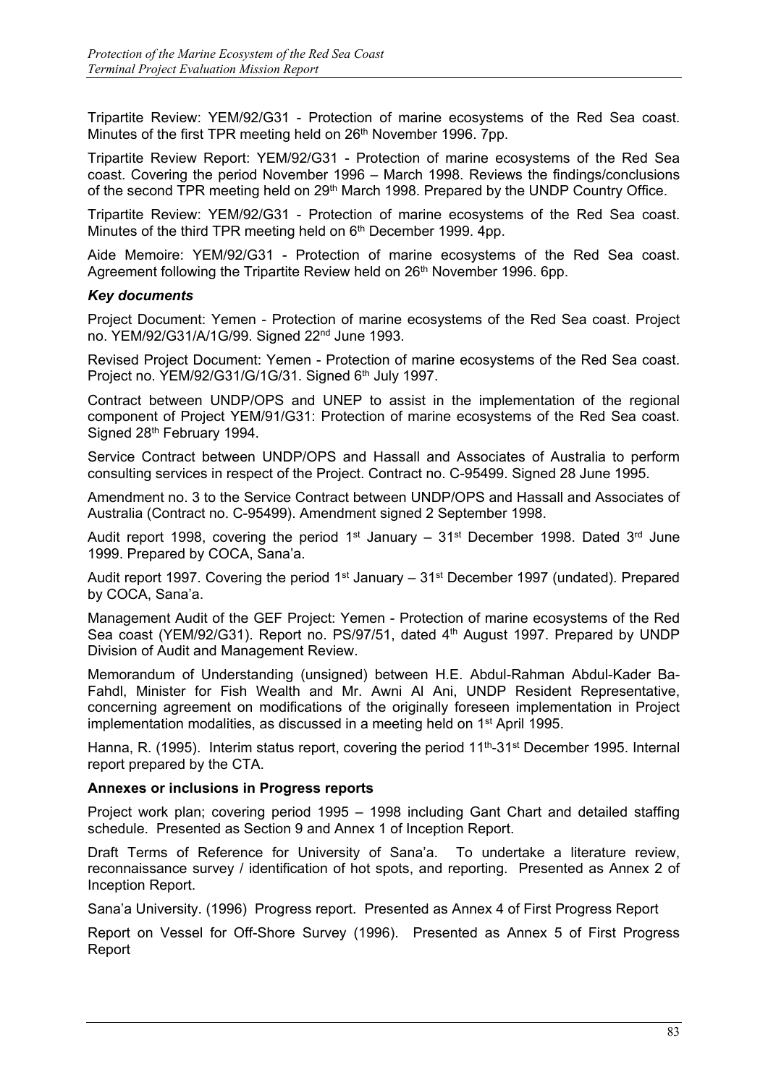Tripartite Review: YEM/92/G31 - Protection of marine ecosystems of the Red Sea coast. Minutes of the first TPR meeting held on 26<sup>th</sup> November 1996. 7pp.

Tripartite Review Report: YEM/92/G31 - Protection of marine ecosystems of the Red Sea coast. Covering the period November 1996 – March 1998. Reviews the findings/conclusions of the second TPR meeting held on 29<sup>th</sup> March 1998. Prepared by the UNDP Country Office.

Tripartite Review: YEM/92/G31 - Protection of marine ecosystems of the Red Sea coast. Minutes of the third TPR meeting held on 6<sup>th</sup> December 1999. 4pp.

Aide Memoire: YEM/92/G31 - Protection of marine ecosystems of the Red Sea coast. Agreement following the Tripartite Review held on 26<sup>th</sup> November 1996. 6pp.

#### *Key documents*

Project Document: Yemen - Protection of marine ecosystems of the Red Sea coast. Project no. YEM/92/G31/A/1G/99. Signed 22nd June 1993.

Revised Project Document: Yemen - Protection of marine ecosystems of the Red Sea coast. Project no. YEM/92/G31/G/1G/31. Signed 6<sup>th</sup> July 1997.

Contract between UNDP/OPS and UNEP to assist in the implementation of the regional component of Project YEM/91/G31: Protection of marine ecosystems of the Red Sea coast. Signed 28th February 1994.

Service Contract between UNDP/OPS and Hassall and Associates of Australia to perform consulting services in respect of the Project. Contract no. C-95499. Signed 28 June 1995.

Amendment no. 3 to the Service Contract between UNDP/OPS and Hassall and Associates of Australia (Contract no. C-95499). Amendment signed 2 September 1998.

Audit report 1998, covering the period 1<sup>st</sup> January –  $31<sup>st</sup>$  December 1998. Dated  $3<sup>rd</sup>$  June 1999. Prepared by COCA, Sana'a.

Audit report 1997. Covering the period 1<sup>st</sup> January –  $31<sup>st</sup>$  December 1997 (undated). Prepared by COCA, Sana'a.

Management Audit of the GEF Project: Yemen - Protection of marine ecosystems of the Red Sea coast (YEM/92/G31). Report no. PS/97/51, dated 4<sup>th</sup> August 1997. Prepared by UNDP Division of Audit and Management Review.

Memorandum of Understanding (unsigned) between H.E. Abdul-Rahman Abdul-Kader Ba-Fahdl, Minister for Fish Wealth and Mr. Awni Al Ani, UNDP Resident Representative, concerning agreement on modifications of the originally foreseen implementation in Project implementation modalities, as discussed in a meeting held on  $1<sup>st</sup>$  April 1995.

Hanna, R. (1995). Interim status report, covering the period 11<sup>th</sup>-31<sup>st</sup> December 1995. Internal report prepared by the CTA.

#### **Annexes or inclusions in Progress reports**

Project work plan; covering period 1995 – 1998 including Gant Chart and detailed staffing schedule. Presented as Section 9 and Annex 1 of Inception Report.

Draft Terms of Reference for University of Sana'a. To undertake a literature review, reconnaissance survey / identification of hot spots, and reporting. Presented as Annex 2 of Inception Report.

Sana'a University. (1996) Progress report. Presented as Annex 4 of First Progress Report

Report on Vessel for Off-Shore Survey (1996). Presented as Annex 5 of First Progress Report